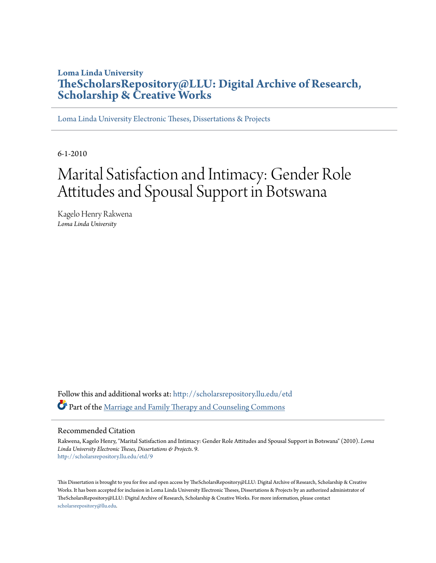# **Loma Linda University [TheScholarsRepository@LLU: Digital Archive of Research,](http://scholarsrepository.llu.edu?utm_source=scholarsrepository.llu.edu%2Fetd%2F9&utm_medium=PDF&utm_campaign=PDFCoverPages) [Scholarship & Creative Works](http://scholarsrepository.llu.edu?utm_source=scholarsrepository.llu.edu%2Fetd%2F9&utm_medium=PDF&utm_campaign=PDFCoverPages)**

[Loma Linda University Electronic Theses, Dissertations & Projects](http://scholarsrepository.llu.edu/etd?utm_source=scholarsrepository.llu.edu%2Fetd%2F9&utm_medium=PDF&utm_campaign=PDFCoverPages)

6-1-2010

# Marital Satisfaction and Intimacy: Gender Role Attitudes and Spousal Support in Botswana

Kagelo Henry Rakwena *Loma Linda University*

Follow this and additional works at: [http://scholarsrepository.llu.edu/etd](http://scholarsrepository.llu.edu/etd?utm_source=scholarsrepository.llu.edu%2Fetd%2F9&utm_medium=PDF&utm_campaign=PDFCoverPages) Part of the [Marriage and Family Therapy and Counseling Commons](http://network.bepress.com/hgg/discipline/715?utm_source=scholarsrepository.llu.edu%2Fetd%2F9&utm_medium=PDF&utm_campaign=PDFCoverPages)

### Recommended Citation

Rakwena, Kagelo Henry, "Marital Satisfaction and Intimacy: Gender Role Attitudes and Spousal Support in Botswana" (2010). *Loma Linda University Electronic Theses, Dissertations & Projects*. 9. [http://scholarsrepository.llu.edu/etd/9](http://scholarsrepository.llu.edu/etd/9?utm_source=scholarsrepository.llu.edu%2Fetd%2F9&utm_medium=PDF&utm_campaign=PDFCoverPages)

This Dissertation is brought to you for free and open access by TheScholarsRepository@LLU: Digital Archive of Research, Scholarship & Creative Works. It has been accepted for inclusion in Loma Linda University Electronic Theses, Dissertations & Projects by an authorized administrator of TheScholarsRepository@LLU: Digital Archive of Research, Scholarship & Creative Works. For more information, please contact [scholarsrepository@llu.edu](mailto:scholarsrepository@llu.edu).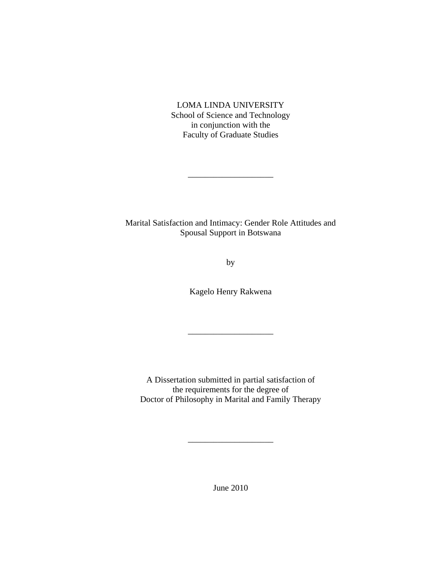LOMA LINDA UNIVERSITY School of Science and Technology in conjunction with the Faculty of Graduate Studies

Marital Satisfaction and Intimacy: Gender Role Attitudes and Spousal Support in Botswana

 $\frac{1}{2}$  , and the set of the set of the set of the set of the set of the set of the set of the set of the set of the set of the set of the set of the set of the set of the set of the set of the set of the set of the set

by

Kagelo Henry Rakwena

\_\_\_\_\_\_\_\_\_\_\_\_\_\_\_\_\_\_\_\_

A Dissertation submitted in partial satisfaction of the requirements for the degree of Doctor of Philosophy in Marital and Family Therapy

June 2010

\_\_\_\_\_\_\_\_\_\_\_\_\_\_\_\_\_\_\_\_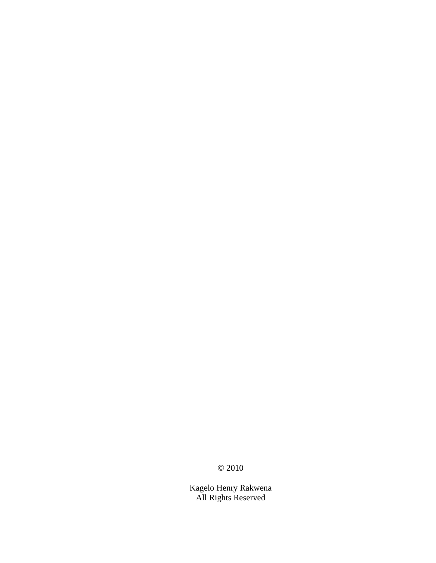© 2010

Kagelo Henry Rakwena All Rights Reserved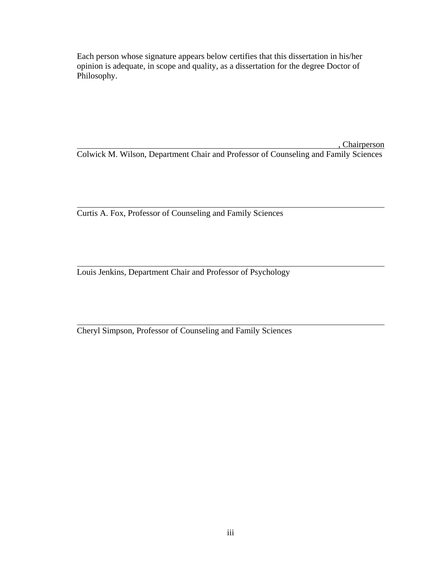Each person whose signature appears below certifies that this dissertation in his/her opinion is adequate, in scope and quality, as a dissertation for the degree Doctor of Philosophy.

 , Chairperson Colwick M. Wilson, Department Chair and Professor of Counseling and Family Sciences

Curtis A. Fox, Professor of Counseling and Family Sciences

Louis Jenkins, Department Chair and Professor of Psychology

Cheryl Simpson, Professor of Counseling and Family Sciences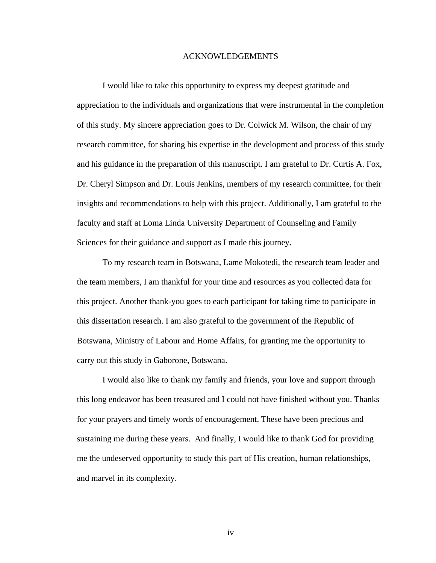## ACKNOWLEDGEMENTS

 I would like to take this opportunity to express my deepest gratitude and appreciation to the individuals and organizations that were instrumental in the completion of this study. My sincere appreciation goes to Dr. Colwick M. Wilson, the chair of my research committee, for sharing his expertise in the development and process of this study and his guidance in the preparation of this manuscript. I am grateful to Dr. Curtis A. Fox, Dr. Cheryl Simpson and Dr. Louis Jenkins, members of my research committee, for their insights and recommendations to help with this project. Additionally, I am grateful to the faculty and staff at Loma Linda University Department of Counseling and Family Sciences for their guidance and support as I made this journey.

 To my research team in Botswana, Lame Mokotedi, the research team leader and the team members, I am thankful for your time and resources as you collected data for this project. Another thank-you goes to each participant for taking time to participate in this dissertation research. I am also grateful to the government of the Republic of Botswana, Ministry of Labour and Home Affairs, for granting me the opportunity to carry out this study in Gaborone, Botswana.

I would also like to thank my family and friends, your love and support through this long endeavor has been treasured and I could not have finished without you. Thanks for your prayers and timely words of encouragement. These have been precious and sustaining me during these years. And finally, I would like to thank God for providing me the undeserved opportunity to study this part of His creation, human relationships, and marvel in its complexity.

iv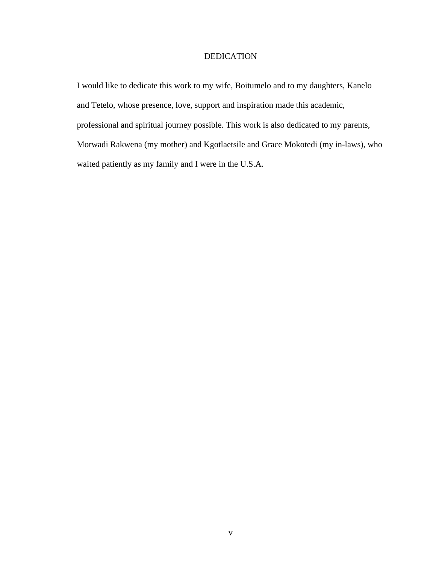# DEDICATION

I would like to dedicate this work to my wife, Boitumelo and to my daughters, Kanelo and Tetelo, whose presence, love, support and inspiration made this academic, professional and spiritual journey possible. This work is also dedicated to my parents, Morwadi Rakwena (my mother) and Kgotlaetsile and Grace Mokotedi (my in-laws), who waited patiently as my family and I were in the U.S.A.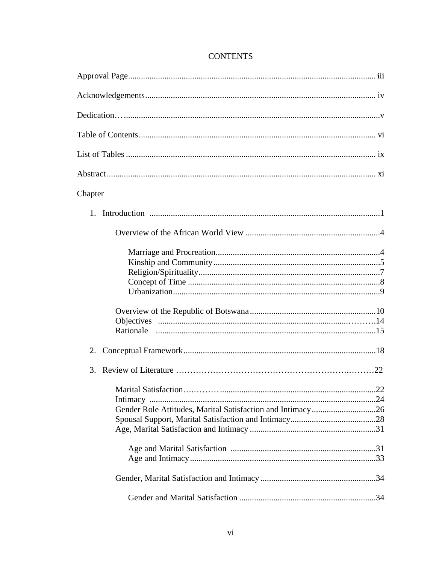| Chapter                                                    |
|------------------------------------------------------------|
|                                                            |
|                                                            |
|                                                            |
|                                                            |
|                                                            |
| 2.                                                         |
| 3.                                                         |
| 0.22                                                       |
|                                                            |
| Gender Role Attitudes, Marital Satisfaction and Intimacy26 |
|                                                            |
|                                                            |
|                                                            |
|                                                            |
|                                                            |

# **CONTENTS**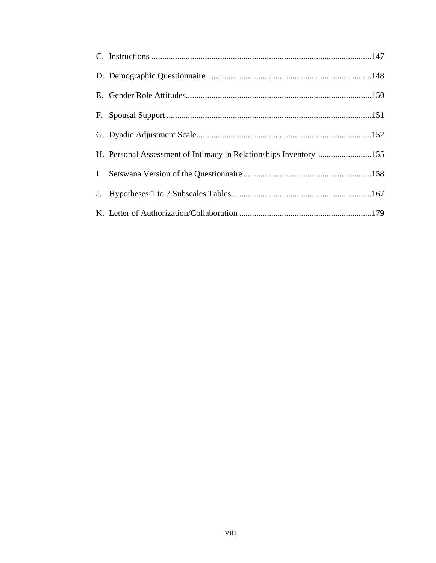| H. Personal Assessment of Intimacy in Relationships Inventory 155 |  |
|-------------------------------------------------------------------|--|
|                                                                   |  |
|                                                                   |  |
|                                                                   |  |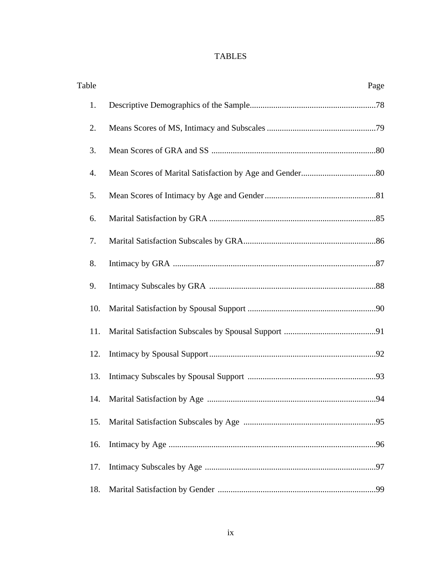# TABLES

| Table | Page |
|-------|------|
| 1.    |      |
| 2.    |      |
| 3.    |      |
| 4.    |      |
| 5.    |      |
| 6.    |      |
| 7.    |      |
| 8.    |      |
| 9.    |      |
| 10.   |      |
| 11.   |      |
| 12.   |      |
| 13.   |      |
|       | .94  |
| 15.   |      |
| 16.   |      |
| 17.   |      |
| 18.   |      |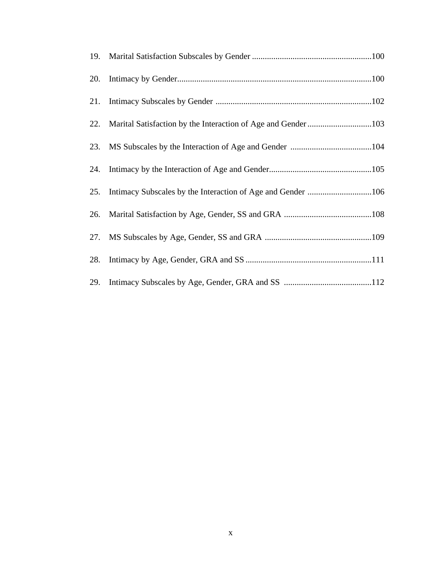| 20. |                                                             |
|-----|-------------------------------------------------------------|
| 21. |                                                             |
|     |                                                             |
| 23. |                                                             |
| 24. |                                                             |
| 25. | Intimacy Subscales by the Interaction of Age and Gender 106 |
| 26. |                                                             |
|     |                                                             |
| 28. |                                                             |
| 29. |                                                             |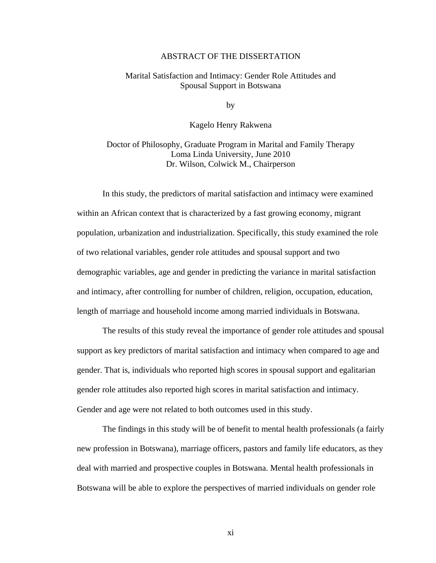# ABSTRACT OF THE DISSERTATION

# Marital Satisfaction and Intimacy: Gender Role Attitudes and Spousal Support in Botswana

by

# Kagelo Henry Rakwena

# Doctor of Philosophy, Graduate Program in Marital and Family Therapy Loma Linda University, June 2010 Dr. Wilson, Colwick M., Chairperson

In this study, the predictors of marital satisfaction and intimacy were examined within an African context that is characterized by a fast growing economy, migrant population, urbanization and industrialization. Specifically, this study examined the role of two relational variables, gender role attitudes and spousal support and two demographic variables, age and gender in predicting the variance in marital satisfaction and intimacy, after controlling for number of children, religion, occupation, education, length of marriage and household income among married individuals in Botswana.

The results of this study reveal the importance of gender role attitudes and spousal support as key predictors of marital satisfaction and intimacy when compared to age and gender. That is, individuals who reported high scores in spousal support and egalitarian gender role attitudes also reported high scores in marital satisfaction and intimacy. Gender and age were not related to both outcomes used in this study.

 The findings in this study will be of benefit to mental health professionals (a fairly new profession in Botswana), marriage officers, pastors and family life educators, as they deal with married and prospective couples in Botswana. Mental health professionals in Botswana will be able to explore the perspectives of married individuals on gender role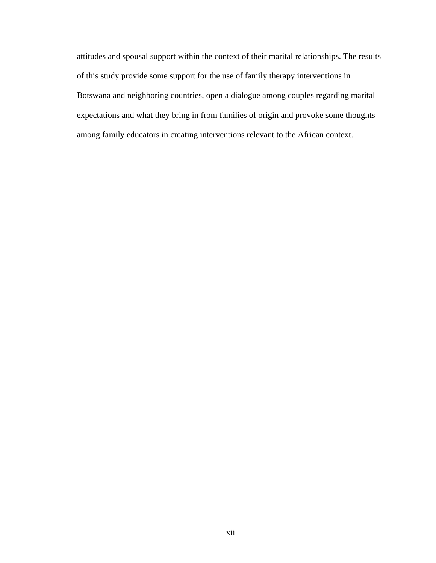attitudes and spousal support within the context of their marital relationships. The results of this study provide some support for the use of family therapy interventions in Botswana and neighboring countries, open a dialogue among couples regarding marital expectations and what they bring in from families of origin and provoke some thoughts among family educators in creating interventions relevant to the African context.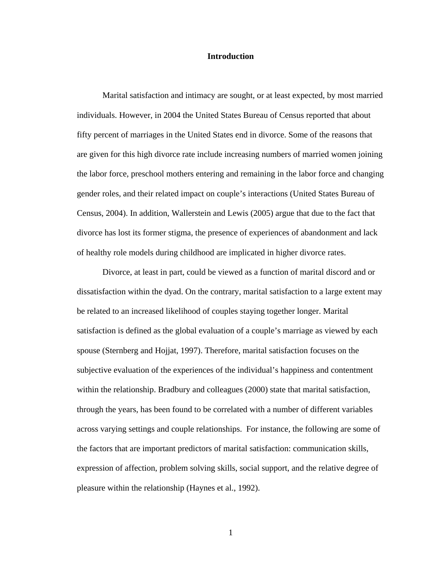## **Introduction**

Marital satisfaction and intimacy are sought, or at least expected, by most married individuals. However, in 2004 the United States Bureau of Census reported that about fifty percent of marriages in the United States end in divorce. Some of the reasons that are given for this high divorce rate include increasing numbers of married women joining the labor force, preschool mothers entering and remaining in the labor force and changing gender roles, and their related impact on couple's interactions (United States Bureau of Census, 2004). In addition, Wallerstein and Lewis (2005) argue that due to the fact that divorce has lost its former stigma, the presence of experiences of abandonment and lack of healthy role models during childhood are implicated in higher divorce rates.

Divorce, at least in part, could be viewed as a function of marital discord and or dissatisfaction within the dyad. On the contrary, marital satisfaction to a large extent may be related to an increased likelihood of couples staying together longer. Marital satisfaction is defined as the global evaluation of a couple's marriage as viewed by each spouse (Sternberg and Hojjat, 1997). Therefore, marital satisfaction focuses on the subjective evaluation of the experiences of the individual's happiness and contentment within the relationship. Bradbury and colleagues (2000) state that marital satisfaction, through the years, has been found to be correlated with a number of different variables across varying settings and couple relationships. For instance, the following are some of the factors that are important predictors of marital satisfaction: communication skills, expression of affection, problem solving skills, social support, and the relative degree of pleasure within the relationship (Haynes et al., 1992).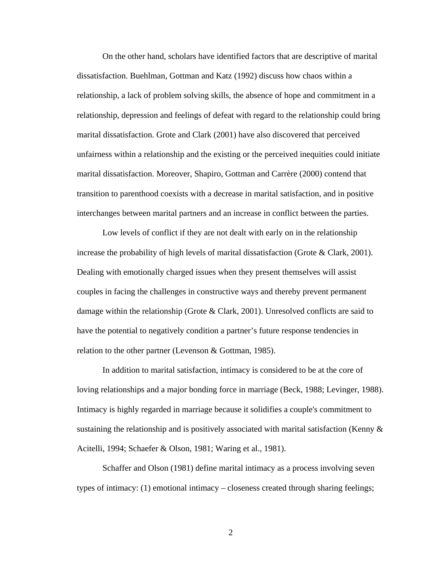On the other hand, scholars have identified factors that are descriptive of marital dissatisfaction. Buehlman, Gottman and Katz (1992) discuss how chaos within a relationship, a lack of problem solving skills, the absence of hope and commitment in a relationship, depression and feelings of defeat with regard to the relationship could bring marital dissatisfaction. Grote and Clark (2001) have also discovered that perceived unfairness within a relationship and the existing or the perceived inequities could initiate marital dissatisfaction. Moreover, Shapiro, Gottman and Carrère (2000) contend that transition to parenthood coexists with a decrease in marital satisfaction, and in positive interchanges between marital partners and an increase in conflict between the parties.

Low levels of conflict if they are not dealt with early on in the relationship increase the probability of high levels of marital dissatisfaction (Grote & Clark, 2001). Dealing with emotionally charged issues when they present themselves will assist couples in facing the challenges in constructive ways and thereby prevent permanent damage within the relationship (Grote & Clark, 2001). Unresolved conflicts are said to have the potential to negatively condition a partner's future response tendencies in relation to the other partner (Levenson & Gottman, 1985).

In addition to marital satisfaction, intimacy is considered to be at the core of loving relationships and a major bonding force in marriage (Beck, 1988; Levinger, 1988). Intimacy is highly regarded in marriage because it solidifies a couple's commitment to sustaining the relationship and is positively associated with marital satisfaction (Kenny  $\&$ Acitelli, 1994; Schaefer & Olson, 1981; Waring et al., 1981).

Schaffer and Olson (1981) define marital intimacy as a process involving seven types of intimacy: (1) emotional intimacy – closeness created through sharing feelings;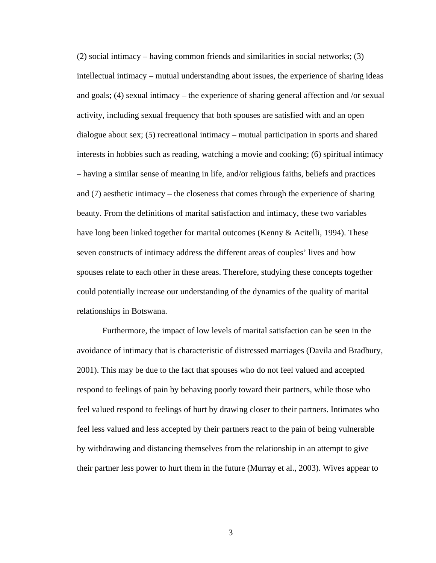(2) social intimacy – having common friends and similarities in social networks; (3) intellectual intimacy – mutual understanding about issues, the experience of sharing ideas and goals; (4) sexual intimacy – the experience of sharing general affection and /or sexual activity, including sexual frequency that both spouses are satisfied with and an open dialogue about sex; (5) recreational intimacy – mutual participation in sports and shared interests in hobbies such as reading, watching a movie and cooking; (6) spiritual intimacy – having a similar sense of meaning in life, and/or religious faiths, beliefs and practices and (7) aesthetic intimacy – the closeness that comes through the experience of sharing beauty. From the definitions of marital satisfaction and intimacy, these two variables have long been linked together for marital outcomes (Kenny & Acitelli, 1994). These seven constructs of intimacy address the different areas of couples' lives and how spouses relate to each other in these areas. Therefore, studying these concepts together could potentially increase our understanding of the dynamics of the quality of marital relationships in Botswana.

Furthermore, the impact of low levels of marital satisfaction can be seen in the avoidance of intimacy that is characteristic of distressed marriages (Davila and Bradbury, 2001). This may be due to the fact that spouses who do not feel valued and accepted respond to feelings of pain by behaving poorly toward their partners, while those who feel valued respond to feelings of hurt by drawing closer to their partners. Intimates who feel less valued and less accepted by their partners react to the pain of being vulnerable by withdrawing and distancing themselves from the relationship in an attempt to give their partner less power to hurt them in the future (Murray et al., 2003). Wives appear to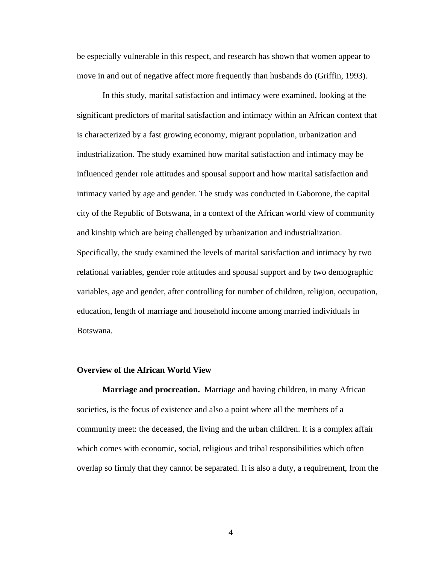be especially vulnerable in this respect, and research has shown that women appear to move in and out of negative affect more frequently than husbands do (Griffin, 1993).

 In this study, marital satisfaction and intimacy were examined, looking at the significant predictors of marital satisfaction and intimacy within an African context that is characterized by a fast growing economy, migrant population, urbanization and industrialization. The study examined how marital satisfaction and intimacy may be influenced gender role attitudes and spousal support and how marital satisfaction and intimacy varied by age and gender. The study was conducted in Gaborone, the capital city of the Republic of Botswana, in a context of the African world view of community and kinship which are being challenged by urbanization and industrialization. Specifically, the study examined the levels of marital satisfaction and intimacy by two relational variables, gender role attitudes and spousal support and by two demographic variables, age and gender, after controlling for number of children, religion, occupation, education, length of marriage and household income among married individuals in Botswana.

### **Overview of the African World View**

**Marriage and procreation.** Marriage and having children, in many African societies, is the focus of existence and also a point where all the members of a community meet: the deceased, the living and the urban children. It is a complex affair which comes with economic, social, religious and tribal responsibilities which often overlap so firmly that they cannot be separated. It is also a duty, a requirement, from the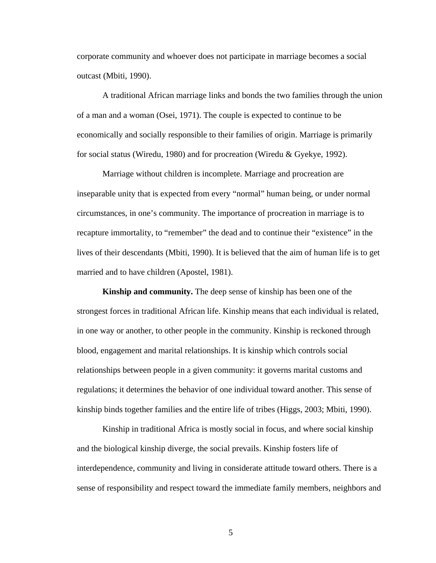corporate community and whoever does not participate in marriage becomes a social outcast (Mbiti, 1990).

 A traditional African marriage links and bonds the two families through the union of a man and a woman (Osei, 1971). The couple is expected to continue to be economically and socially responsible to their families of origin. Marriage is primarily for social status (Wiredu, 1980) and for procreation (Wiredu & Gyekye, 1992).

Marriage without children is incomplete. Marriage and procreation are inseparable unity that is expected from every "normal" human being, or under normal circumstances, in one's community. The importance of procreation in marriage is to recapture immortality, to "remember" the dead and to continue their "existence" in the lives of their descendants (Mbiti, 1990). It is believed that the aim of human life is to get married and to have children (Apostel, 1981).

**Kinship and community.** The deep sense of kinship has been one of the strongest forces in traditional African life. Kinship means that each individual is related, in one way or another, to other people in the community. Kinship is reckoned through blood, engagement and marital relationships. It is kinship which controls social relationships between people in a given community: it governs marital customs and regulations; it determines the behavior of one individual toward another. This sense of kinship binds together families and the entire life of tribes (Higgs, 2003; Mbiti, 1990).

 Kinship in traditional Africa is mostly social in focus, and where social kinship and the biological kinship diverge, the social prevails. Kinship fosters life of interdependence, community and living in considerate attitude toward others. There is a sense of responsibility and respect toward the immediate family members, neighbors and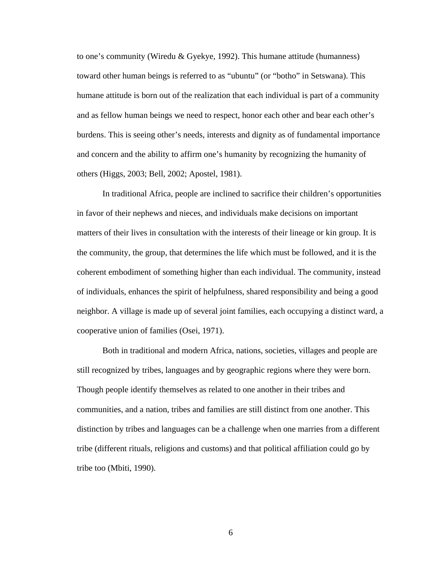to one's community (Wiredu & Gyekye, 1992). This humane attitude (humanness) toward other human beings is referred to as "ubuntu" (or "botho" in Setswana). This humane attitude is born out of the realization that each individual is part of a community and as fellow human beings we need to respect, honor each other and bear each other's burdens. This is seeing other's needs, interests and dignity as of fundamental importance and concern and the ability to affirm one's humanity by recognizing the humanity of others (Higgs, 2003; Bell, 2002; Apostel, 1981).

 In traditional Africa, people are inclined to sacrifice their children's opportunities in favor of their nephews and nieces, and individuals make decisions on important matters of their lives in consultation with the interests of their lineage or kin group. It is the community, the group, that determines the life which must be followed, and it is the coherent embodiment of something higher than each individual. The community, instead of individuals, enhances the spirit of helpfulness, shared responsibility and being a good neighbor. A village is made up of several joint families, each occupying a distinct ward, a cooperative union of families (Osei, 1971).

 Both in traditional and modern Africa, nations, societies, villages and people are still recognized by tribes, languages and by geographic regions where they were born. Though people identify themselves as related to one another in their tribes and communities, and a nation, tribes and families are still distinct from one another. This distinction by tribes and languages can be a challenge when one marries from a different tribe (different rituals, religions and customs) and that political affiliation could go by tribe too (Mbiti, 1990).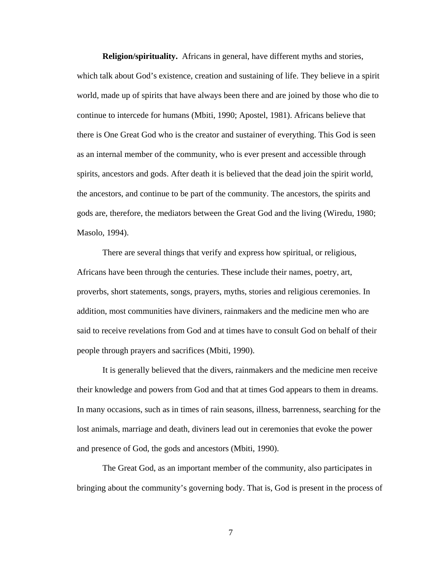**Religion/spirituality.** Africans in general, have different myths and stories, which talk about God's existence, creation and sustaining of life. They believe in a spirit world, made up of spirits that have always been there and are joined by those who die to continue to intercede for humans (Mbiti, 1990; Apostel, 1981). Africans believe that there is One Great God who is the creator and sustainer of everything. This God is seen as an internal member of the community, who is ever present and accessible through spirits, ancestors and gods. After death it is believed that the dead join the spirit world, the ancestors, and continue to be part of the community. The ancestors, the spirits and gods are, therefore, the mediators between the Great God and the living (Wiredu, 1980; Masolo, 1994).

 There are several things that verify and express how spiritual, or religious, Africans have been through the centuries. These include their names, poetry, art, proverbs, short statements, songs, prayers, myths, stories and religious ceremonies. In addition, most communities have diviners, rainmakers and the medicine men who are said to receive revelations from God and at times have to consult God on behalf of their people through prayers and sacrifices (Mbiti, 1990).

 It is generally believed that the divers, rainmakers and the medicine men receive their knowledge and powers from God and that at times God appears to them in dreams. In many occasions, such as in times of rain seasons, illness, barrenness, searching for the lost animals, marriage and death, diviners lead out in ceremonies that evoke the power and presence of God, the gods and ancestors (Mbiti, 1990).

 The Great God, as an important member of the community, also participates in bringing about the community's governing body. That is, God is present in the process of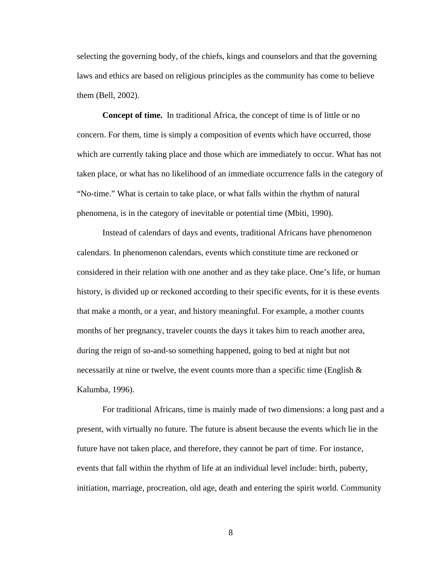selecting the governing body, of the chiefs, kings and counselors and that the governing laws and ethics are based on religious principles as the community has come to believe them (Bell, 2002).

**Concept of time.** In traditional Africa, the concept of time is of little or no concern. For them, time is simply a composition of events which have occurred, those which are currently taking place and those which are immediately to occur. What has not taken place, or what has no likelihood of an immediate occurrence falls in the category of "No-time." What is certain to take place, or what falls within the rhythm of natural phenomena, is in the category of inevitable or potential time (Mbiti, 1990).

 Instead of calendars of days and events, traditional Africans have phenomenon calendars. In phenomenon calendars, events which constitute time are reckoned or considered in their relation with one another and as they take place. One's life, or human history, is divided up or reckoned according to their specific events, for it is these events that make a month, or a year, and history meaningful. For example, a mother counts months of her pregnancy, traveler counts the days it takes him to reach another area, during the reign of so-and-so something happened, going to bed at night but not necessarily at nine or twelve, the event counts more than a specific time (English  $\&$ Kalumba, 1996).

 For traditional Africans, time is mainly made of two dimensions: a long past and a present, with virtually no future. The future is absent because the events which lie in the future have not taken place, and therefore, they cannot be part of time. For instance, events that fall within the rhythm of life at an individual level include: birth, puberty, initiation, marriage, procreation, old age, death and entering the spirit world. Community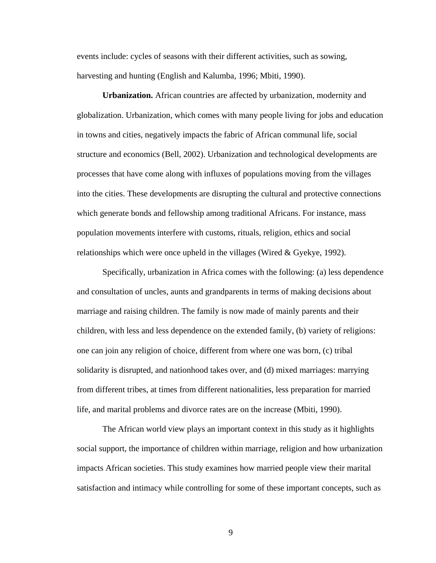events include: cycles of seasons with their different activities, such as sowing, harvesting and hunting (English and Kalumba, 1996; Mbiti, 1990).

**Urbanization.** African countries are affected by urbanization, modernity and globalization. Urbanization, which comes with many people living for jobs and education in towns and cities, negatively impacts the fabric of African communal life, social structure and economics (Bell, 2002). Urbanization and technological developments are processes that have come along with influxes of populations moving from the villages into the cities. These developments are disrupting the cultural and protective connections which generate bonds and fellowship among traditional Africans. For instance, mass population movements interfere with customs, rituals, religion, ethics and social relationships which were once upheld in the villages (Wired  $&$  Gyekye, 1992).

 Specifically, urbanization in Africa comes with the following: (a) less dependence and consultation of uncles, aunts and grandparents in terms of making decisions about marriage and raising children. The family is now made of mainly parents and their children, with less and less dependence on the extended family, (b) variety of religions: one can join any religion of choice, different from where one was born, (c) tribal solidarity is disrupted, and nationhood takes over, and (d) mixed marriages: marrying from different tribes, at times from different nationalities, less preparation for married life, and marital problems and divorce rates are on the increase (Mbiti, 1990).

 The African world view plays an important context in this study as it highlights social support, the importance of children within marriage, religion and how urbanization impacts African societies. This study examines how married people view their marital satisfaction and intimacy while controlling for some of these important concepts, such as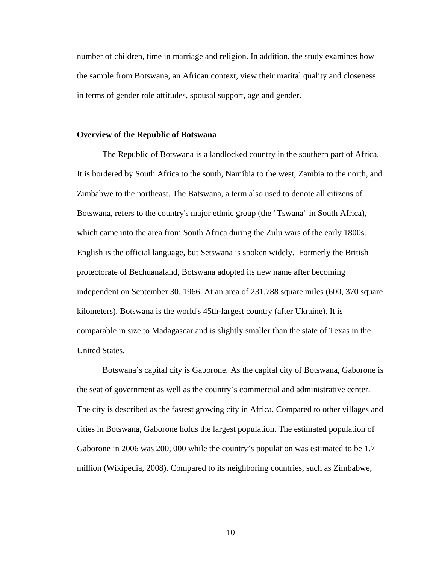number of children, time in marriage and religion. In addition, the study examines how the sample from Botswana, an African context, view their marital quality and closeness in terms of gender role attitudes, spousal support, age and gender.

### **Overview of the Republic of Botswana**

The Republic of Botswana is a landlocked country in the southern part of Africa. It is bordered by South Africa to the south, Namibia to the west, Zambia to the north, and Zimbabwe to the northeast. The Batswana, a term also used to denote all citizens of Botswana, refers to the country's major ethnic group (the "Tswana" in South Africa), which came into the area from South Africa during the Zulu wars of the early 1800s. English is the official language, but Setswana is spoken widely. Formerly the British protectorate of Bechuanaland, Botswana adopted its new name after becoming independent on September 30, 1966. At an area of 231,788 square miles (600, 370 square kilometers), Botswana is the world's 45th-largest country (after Ukraine). It is comparable in size to Madagascar and is slightly smaller than the state of Texas in the United States.

Botswana's capital city is Gaborone. As the capital city of Botswana, Gaborone is the seat of government as well as the country's commercial and administrative center. The city is described as the fastest growing city in Africa. Compared to other villages and cities in Botswana, Gaborone holds the largest population. The estimated population of Gaborone in 2006 was 200, 000 while the country's population was estimated to be 1.7 million (Wikipedia, 2008). Compared to its neighboring countries, such as Zimbabwe,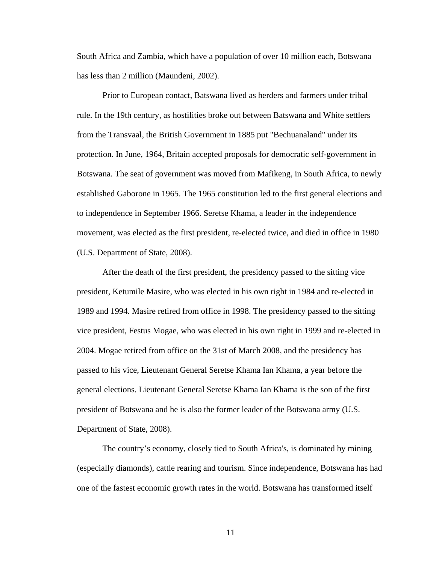South Africa and Zambia, which have a population of over 10 million each, Botswana has less than 2 million (Maundeni, 2002).

Prior to European contact, Batswana lived as herders and farmers under tribal rule. In the 19th century, as hostilities broke out between Batswana and White settlers from the Transvaal, the British Government in 1885 put "Bechuanaland" under its protection. In June, 1964, Britain accepted proposals for democratic self-government in Botswana. The seat of government was moved from Mafikeng, in South Africa, to newly established Gaborone in 1965. The 1965 constitution led to the first general elections and to independence in September 1966. Seretse Khama, a leader in the independence movement, was elected as the first president, re-elected twice, and died in office in 1980 (U.S. Department of State, 2008).

After the death of the first president, the presidency passed to the sitting vice president, Ketumile Masire, who was elected in his own right in 1984 and re-elected in 1989 and 1994. Masire retired from office in 1998. The presidency passed to the sitting vice president, Festus Mogae, who was elected in his own right in 1999 and re-elected in 2004. Mogae retired from office on the 31st of March 2008, and the presidency has passed to his vice, Lieutenant General Seretse Khama Ian Khama, a year before the general elections. Lieutenant General Seretse Khama Ian Khama is the son of the first president of Botswana and he is also the former leader of the Botswana army (U.S. Department of State, 2008).

The country's economy, closely tied to South Africa's, is dominated by mining (especially diamonds), cattle rearing and tourism. Since independence, Botswana has had one of the fastest economic growth rates in the world. Botswana has transformed itself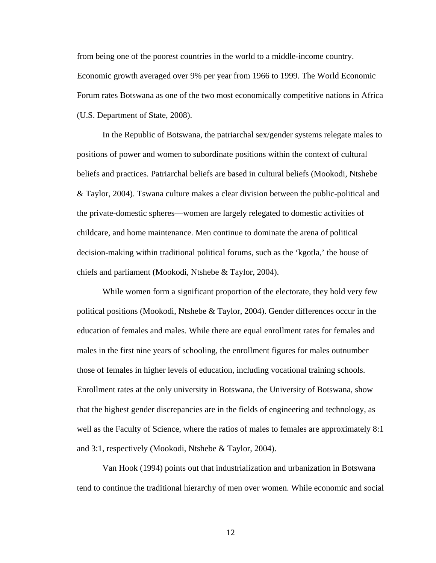from being one of the poorest countries in the world to a middle-income country. Economic growth averaged over 9% per year from 1966 to 1999. The World Economic Forum rates Botswana as one of the two most economically competitive nations in Africa (U.S. Department of State, 2008).

In the Republic of Botswana, the patriarchal sex/gender systems relegate males to positions of power and women to subordinate positions within the context of cultural beliefs and practices. Patriarchal beliefs are based in cultural beliefs (Mookodi, Ntshebe & Taylor, 2004). Tswana culture makes a clear division between the public-political and the private-domestic spheres—women are largely relegated to domestic activities of childcare, and home maintenance. Men continue to dominate the arena of political decision-making within traditional political forums, such as the 'kgotla,' the house of chiefs and parliament (Mookodi, Ntshebe & Taylor, 2004).

While women form a significant proportion of the electorate, they hold very few political positions (Mookodi, Ntshebe & Taylor, 2004). Gender differences occur in the education of females and males. While there are equal enrollment rates for females and males in the first nine years of schooling, the enrollment figures for males outnumber those of females in higher levels of education, including vocational training schools. Enrollment rates at the only university in Botswana, the University of Botswana, show that the highest gender discrepancies are in the fields of engineering and technology, as well as the Faculty of Science, where the ratios of males to females are approximately 8:1 and 3:1, respectively (Mookodi, Ntshebe & Taylor, 2004).

Van Hook (1994) points out that industrialization and urbanization in Botswana tend to continue the traditional hierarchy of men over women. While economic and social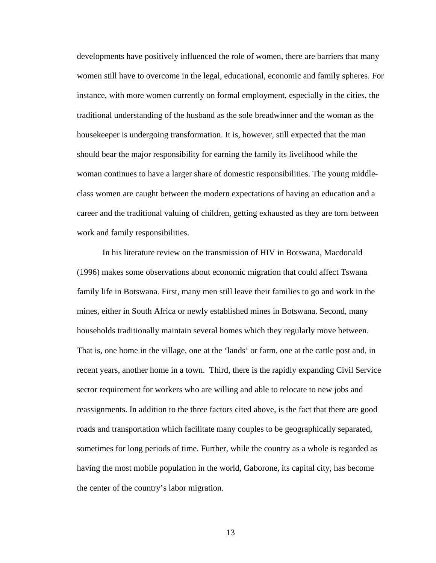developments have positively influenced the role of women, there are barriers that many women still have to overcome in the legal, educational, economic and family spheres. For instance, with more women currently on formal employment, especially in the cities, the traditional understanding of the husband as the sole breadwinner and the woman as the housekeeper is undergoing transformation. It is, however, still expected that the man should bear the major responsibility for earning the family its livelihood while the woman continues to have a larger share of domestic responsibilities. The young middleclass women are caught between the modern expectations of having an education and a career and the traditional valuing of children, getting exhausted as they are torn between work and family responsibilities.

In his literature review on the transmission of HIV in Botswana, Macdonald (1996) makes some observations about economic migration that could affect Tswana family life in Botswana. First, many men still leave their families to go and work in the mines, either in South Africa or newly established mines in Botswana. Second, many households traditionally maintain several homes which they regularly move between. That is, one home in the village, one at the 'lands' or farm, one at the cattle post and, in recent years, another home in a town. Third, there is the rapidly expanding Civil Service sector requirement for workers who are willing and able to relocate to new jobs and reassignments. In addition to the three factors cited above, is the fact that there are good roads and transportation which facilitate many couples to be geographically separated, sometimes for long periods of time. Further, while the country as a whole is regarded as having the most mobile population in the world, Gaborone, its capital city, has become the center of the country's labor migration.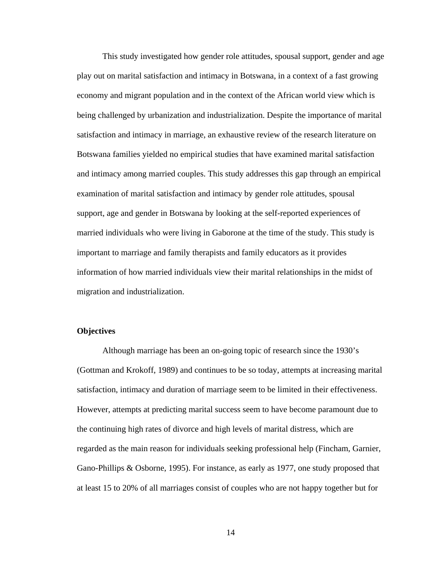This study investigated how gender role attitudes, spousal support, gender and age play out on marital satisfaction and intimacy in Botswana, in a context of a fast growing economy and migrant population and in the context of the African world view which is being challenged by urbanization and industrialization. Despite the importance of marital satisfaction and intimacy in marriage, an exhaustive review of the research literature on Botswana families yielded no empirical studies that have examined marital satisfaction and intimacy among married couples. This study addresses this gap through an empirical examination of marital satisfaction and intimacy by gender role attitudes, spousal support, age and gender in Botswana by looking at the self-reported experiences of married individuals who were living in Gaborone at the time of the study. This study is important to marriage and family therapists and family educators as it provides information of how married individuals view their marital relationships in the midst of migration and industrialization.

# **Objectives**

Although marriage has been an on-going topic of research since the 1930's (Gottman and Krokoff, 1989) and continues to be so today, attempts at increasing marital satisfaction, intimacy and duration of marriage seem to be limited in their effectiveness. However, attempts at predicting marital success seem to have become paramount due to the continuing high rates of divorce and high levels of marital distress, which are regarded as the main reason for individuals seeking professional help (Fincham, Garnier, Gano-Phillips & Osborne, 1995). For instance, as early as 1977, one study proposed that at least 15 to 20% of all marriages consist of couples who are not happy together but for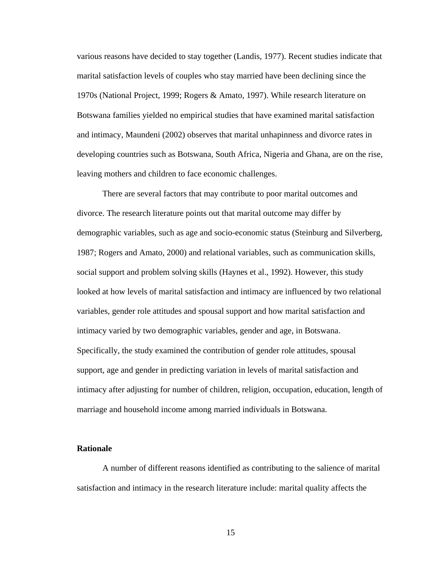various reasons have decided to stay together (Landis, 1977). Recent studies indicate that marital satisfaction levels of couples who stay married have been declining since the 1970s (National Project, 1999; Rogers & Amato, 1997). While research literature on Botswana families yielded no empirical studies that have examined marital satisfaction and intimacy, Maundeni (2002) observes that marital unhapinness and divorce rates in developing countries such as Botswana, South Africa, Nigeria and Ghana, are on the rise, leaving mothers and children to face economic challenges.

There are several factors that may contribute to poor marital outcomes and divorce. The research literature points out that marital outcome may differ by demographic variables, such as age and socio-economic status (Steinburg and Silverberg, 1987; Rogers and Amato, 2000) and relational variables, such as communication skills, social support and problem solving skills (Haynes et al., 1992). However, this study looked at how levels of marital satisfaction and intimacy are influenced by two relational variables, gender role attitudes and spousal support and how marital satisfaction and intimacy varied by two demographic variables, gender and age, in Botswana. Specifically, the study examined the contribution of gender role attitudes, spousal support, age and gender in predicting variation in levels of marital satisfaction and intimacy after adjusting for number of children, religion, occupation, education, length of marriage and household income among married individuals in Botswana.

### **Rationale**

 A number of different reasons identified as contributing to the salience of marital satisfaction and intimacy in the research literature include: marital quality affects the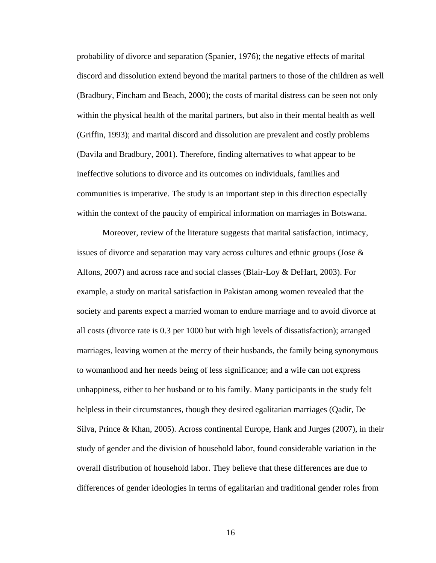probability of divorce and separation (Spanier, 1976); the negative effects of marital discord and dissolution extend beyond the marital partners to those of the children as well (Bradbury, Fincham and Beach, 2000); the costs of marital distress can be seen not only within the physical health of the marital partners, but also in their mental health as well (Griffin, 1993); and marital discord and dissolution are prevalent and costly problems (Davila and Bradbury, 2001). Therefore, finding alternatives to what appear to be ineffective solutions to divorce and its outcomes on individuals, families and communities is imperative. The study is an important step in this direction especially within the context of the paucity of empirical information on marriages in Botswana.

 Moreover, review of the literature suggests that marital satisfaction, intimacy, issues of divorce and separation may vary across cultures and ethnic groups (Jose & Alfons, 2007) and across race and social classes (Blair-Loy & DeHart, 2003). For example, a study on marital satisfaction in Pakistan among women revealed that the society and parents expect a married woman to endure marriage and to avoid divorce at all costs (divorce rate is 0.3 per 1000 but with high levels of dissatisfaction); arranged marriages, leaving women at the mercy of their husbands, the family being synonymous to womanhood and her needs being of less significance; and a wife can not express unhappiness, either to her husband or to his family. Many participants in the study felt helpless in their circumstances, though they desired egalitarian marriages (Qadir, De Silva, Prince & Khan, 2005). Across continental Europe, Hank and Jurges (2007), in their study of gender and the division of household labor, found considerable variation in the overall distribution of household labor. They believe that these differences are due to differences of gender ideologies in terms of egalitarian and traditional gender roles from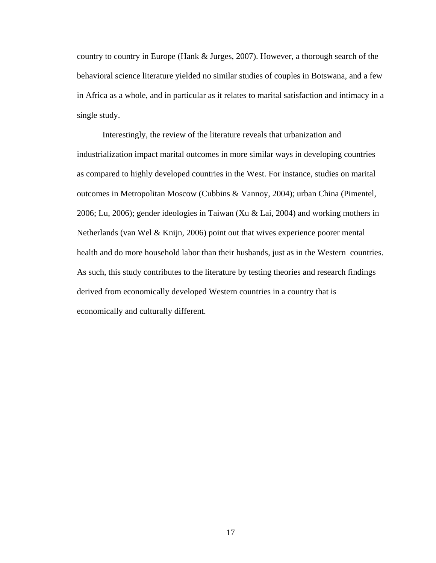country to country in Europe (Hank & Jurges, 2007). However, a thorough search of the behavioral science literature yielded no similar studies of couples in Botswana, and a few in Africa as a whole, and in particular as it relates to marital satisfaction and intimacy in a single study.

 Interestingly, the review of the literature reveals that urbanization and industrialization impact marital outcomes in more similar ways in developing countries as compared to highly developed countries in the West. For instance, studies on marital outcomes in Metropolitan Moscow (Cubbins & Vannoy, 2004); urban China (Pimentel, 2006; Lu, 2006); gender ideologies in Taiwan (Xu & Lai, 2004) and working mothers in Netherlands (van Wel & Knijn, 2006) point out that wives experience poorer mental health and do more household labor than their husbands, just as in the Western countries. As such, this study contributes to the literature by testing theories and research findings derived from economically developed Western countries in a country that is economically and culturally different.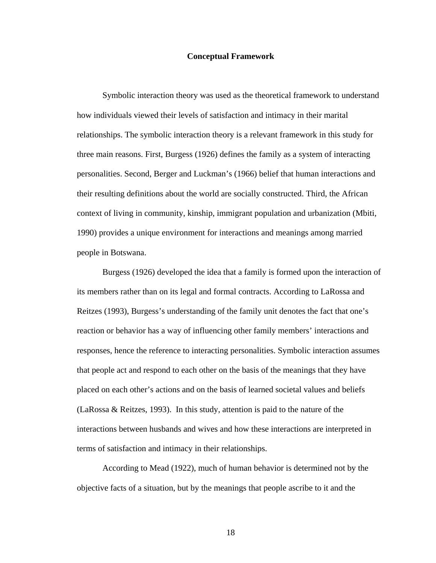#### **Conceptual Framework**

 Symbolic interaction theory was used as the theoretical framework to understand how individuals viewed their levels of satisfaction and intimacy in their marital relationships. The symbolic interaction theory is a relevant framework in this study for three main reasons. First, Burgess (1926) defines the family as a system of interacting personalities. Second, Berger and Luckman's (1966) belief that human interactions and their resulting definitions about the world are socially constructed. Third, the African context of living in community, kinship, immigrant population and urbanization (Mbiti, 1990) provides a unique environment for interactions and meanings among married people in Botswana.

 Burgess (1926) developed the idea that a family is formed upon the interaction of its members rather than on its legal and formal contracts. According to LaRossa and Reitzes (1993), Burgess's understanding of the family unit denotes the fact that one's reaction or behavior has a way of influencing other family members' interactions and responses, hence the reference to interacting personalities. Symbolic interaction assumes that people act and respond to each other on the basis of the meanings that they have placed on each other's actions and on the basis of learned societal values and beliefs (LaRossa & Reitzes, 1993). In this study, attention is paid to the nature of the interactions between husbands and wives and how these interactions are interpreted in terms of satisfaction and intimacy in their relationships.

 According to Mead (1922), much of human behavior is determined not by the objective facts of a situation, but by the meanings that people ascribe to it and the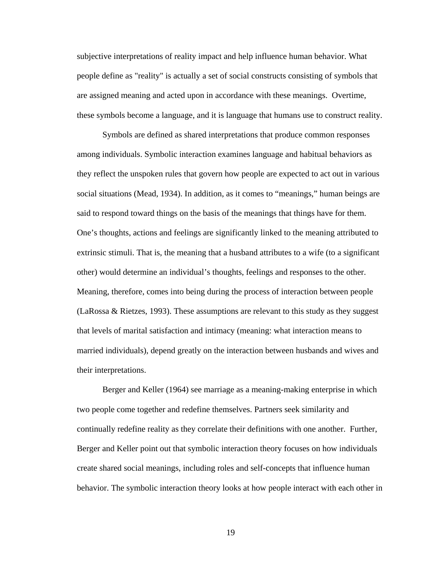subjective interpretations of reality impact and help influence human behavior. What people define as "reality" is actually a set of social constructs consisting of symbols that are assigned meaning and acted upon in accordance with these meanings. Overtime, these symbols become a language, and it is language that humans use to construct reality.

 Symbols are defined as shared interpretations that produce common responses among individuals. Symbolic interaction examines language and habitual behaviors as they reflect the unspoken rules that govern how people are expected to act out in various social situations (Mead, 1934). In addition, as it comes to "meanings," human beings are said to respond toward things on the basis of the meanings that things have for them. One's thoughts, actions and feelings are significantly linked to the meaning attributed to extrinsic stimuli. That is, the meaning that a husband attributes to a wife (to a significant other) would determine an individual's thoughts, feelings and responses to the other. Meaning, therefore, comes into being during the process of interaction between people (LaRossa & Rietzes, 1993). These assumptions are relevant to this study as they suggest that levels of marital satisfaction and intimacy (meaning: what interaction means to married individuals), depend greatly on the interaction between husbands and wives and their interpretations.

Berger and Keller (1964) see marriage as a meaning-making enterprise in which two people come together and redefine themselves. Partners seek similarity and continually redefine reality as they correlate their definitions with one another. Further, Berger and Keller point out that symbolic interaction theory focuses on how individuals create shared social meanings, including roles and self-concepts that influence human behavior. The symbolic interaction theory looks at how people interact with each other in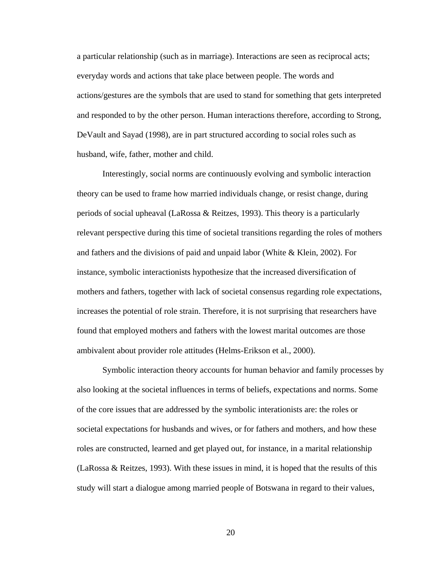a particular relationship (such as in marriage). Interactions are seen as reciprocal acts; everyday words and actions that take place between people. The words and actions/gestures are the symbols that are used to stand for something that gets interpreted and responded to by the other person. Human interactions therefore, according to Strong, DeVault and Sayad (1998), are in part structured according to social roles such as husband, wife, father, mother and child.

Interestingly, social norms are continuously evolving and symbolic interaction theory can be used to frame how married individuals change, or resist change, during periods of social upheaval (LaRossa & Reitzes, 1993). This theory is a particularly relevant perspective during this time of societal transitions regarding the roles of mothers and fathers and the divisions of paid and unpaid labor (White & Klein, 2002). For instance, symbolic interactionists hypothesize that the increased diversification of mothers and fathers, together with lack of societal consensus regarding role expectations, increases the potential of role strain. Therefore, it is not surprising that researchers have found that employed mothers and fathers with the lowest marital outcomes are those ambivalent about provider role attitudes (Helms-Erikson et al., 2000).

Symbolic interaction theory accounts for human behavior and family processes by also looking at the societal influences in terms of beliefs, expectations and norms. Some of the core issues that are addressed by the symbolic interationists are: the roles or societal expectations for husbands and wives, or for fathers and mothers, and how these roles are constructed, learned and get played out, for instance, in a marital relationship (LaRossa & Reitzes, 1993). With these issues in mind, it is hoped that the results of this study will start a dialogue among married people of Botswana in regard to their values,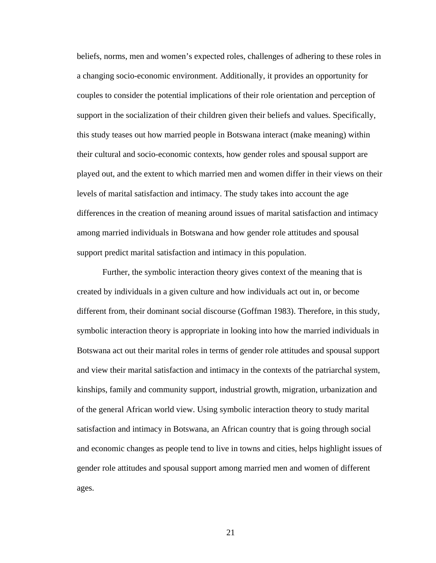beliefs, norms, men and women's expected roles, challenges of adhering to these roles in a changing socio-economic environment. Additionally, it provides an opportunity for couples to consider the potential implications of their role orientation and perception of support in the socialization of their children given their beliefs and values. Specifically, this study teases out how married people in Botswana interact (make meaning) within their cultural and socio-economic contexts, how gender roles and spousal support are played out, and the extent to which married men and women differ in their views on their levels of marital satisfaction and intimacy. The study takes into account the age differences in the creation of meaning around issues of marital satisfaction and intimacy among married individuals in Botswana and how gender role attitudes and spousal support predict marital satisfaction and intimacy in this population.

 Further, the symbolic interaction theory gives context of the meaning that is created by individuals in a given culture and how individuals act out in, or become different from, their dominant social discourse (Goffman 1983). Therefore, in this study, symbolic interaction theory is appropriate in looking into how the married individuals in Botswana act out their marital roles in terms of gender role attitudes and spousal support and view their marital satisfaction and intimacy in the contexts of the patriarchal system, kinships, family and community support, industrial growth, migration, urbanization and of the general African world view. Using symbolic interaction theory to study marital satisfaction and intimacy in Botswana, an African country that is going through social and economic changes as people tend to live in towns and cities, helps highlight issues of gender role attitudes and spousal support among married men and women of different ages.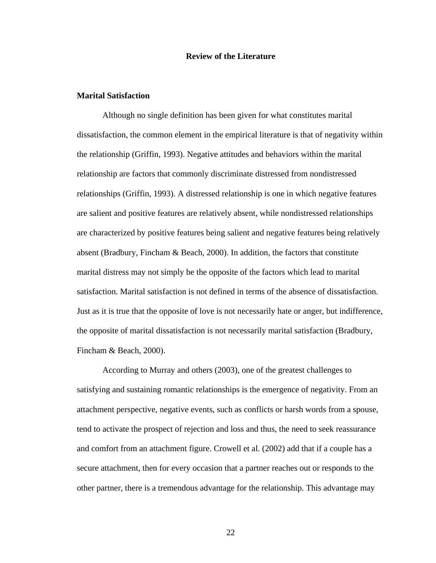## **Review of the Literature**

# **Marital Satisfaction**

Although no single definition has been given for what constitutes marital dissatisfaction, the common element in the empirical literature is that of negativity within the relationship (Griffin, 1993). Negative attitudes and behaviors within the marital relationship are factors that commonly discriminate distressed from nondistressed relationships (Griffin, 1993). A distressed relationship is one in which negative features are salient and positive features are relatively absent, while nondistressed relationships are characterized by positive features being salient and negative features being relatively absent (Bradbury, Fincham & Beach, 2000). In addition, the factors that constitute marital distress may not simply be the opposite of the factors which lead to marital satisfaction. Marital satisfaction is not defined in terms of the absence of dissatisfaction. Just as it is true that the opposite of love is not necessarily hate or anger, but indifference, the opposite of marital dissatisfaction is not necessarily marital satisfaction (Bradbury, Fincham & Beach, 2000).

According to Murray and others (2003), one of the greatest challenges to satisfying and sustaining romantic relationships is the emergence of negativity. From an attachment perspective, negative events, such as conflicts or harsh words from a spouse, tend to activate the prospect of rejection and loss and thus, the need to seek reassurance and comfort from an attachment figure. Crowell et al. (2002) add that if a couple has a secure attachment, then for every occasion that a partner reaches out or responds to the other partner, there is a tremendous advantage for the relationship. This advantage may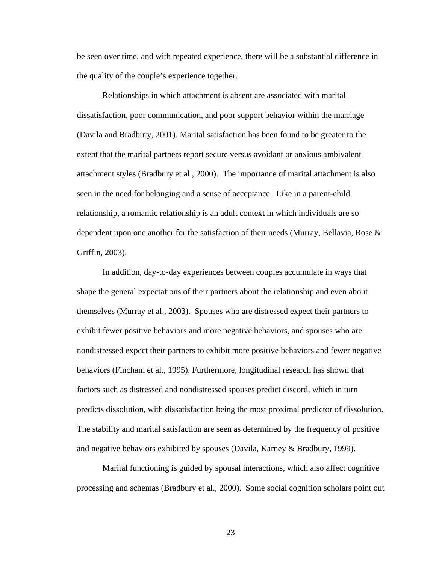be seen over time, and with repeated experience, there will be a substantial difference in the quality of the couple's experience together.

Relationships in which attachment is absent are associated with marital dissatisfaction, poor communication, and poor support behavior within the marriage (Davila and Bradbury, 2001). Marital satisfaction has been found to be greater to the extent that the marital partners report secure versus avoidant or anxious ambivalent attachment styles (Bradbury et al., 2000). The importance of marital attachment is also seen in the need for belonging and a sense of acceptance. Like in a parent-child relationship, a romantic relationship is an adult context in which individuals are so dependent upon one another for the satisfaction of their needs (Murray, Bellavia, Rose & Griffin, 2003).

In addition, day-to-day experiences between couples accumulate in ways that shape the general expectations of their partners about the relationship and even about themselves (Murray et al., 2003). Spouses who are distressed expect their partners to exhibit fewer positive behaviors and more negative behaviors, and spouses who are nondistressed expect their partners to exhibit more positive behaviors and fewer negative behaviors (Fincham et al., 1995). Furthermore, longitudinal research has shown that factors such as distressed and nondistressed spouses predict discord, which in turn predicts dissolution, with dissatisfaction being the most proximal predictor of dissolution. The stability and marital satisfaction are seen as determined by the frequency of positive and negative behaviors exhibited by spouses (Davila, Karney & Bradbury, 1999).

Marital functioning is guided by spousal interactions, which also affect cognitive processing and schemas (Bradbury et al., 2000). Some social cognition scholars point out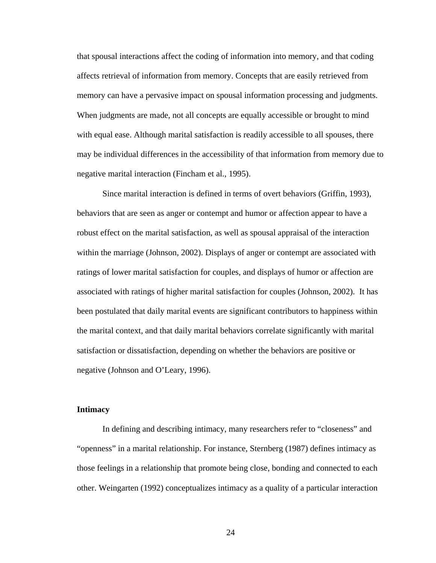that spousal interactions affect the coding of information into memory, and that coding affects retrieval of information from memory. Concepts that are easily retrieved from memory can have a pervasive impact on spousal information processing and judgments. When judgments are made, not all concepts are equally accessible or brought to mind with equal ease. Although marital satisfaction is readily accessible to all spouses, there may be individual differences in the accessibility of that information from memory due to negative marital interaction (Fincham et al., 1995).

Since marital interaction is defined in terms of overt behaviors (Griffin, 1993), behaviors that are seen as anger or contempt and humor or affection appear to have a robust effect on the marital satisfaction, as well as spousal appraisal of the interaction within the marriage (Johnson, 2002). Displays of anger or contempt are associated with ratings of lower marital satisfaction for couples, and displays of humor or affection are associated with ratings of higher marital satisfaction for couples (Johnson, 2002). It has been postulated that daily marital events are significant contributors to happiness within the marital context, and that daily marital behaviors correlate significantly with marital satisfaction or dissatisfaction, depending on whether the behaviors are positive or negative (Johnson and O'Leary, 1996).

# **Intimacy**

 In defining and describing intimacy, many researchers refer to "closeness" and "openness" in a marital relationship. For instance, Sternberg (1987) defines intimacy as those feelings in a relationship that promote being close, bonding and connected to each other. Weingarten (1992) conceptualizes intimacy as a quality of a particular interaction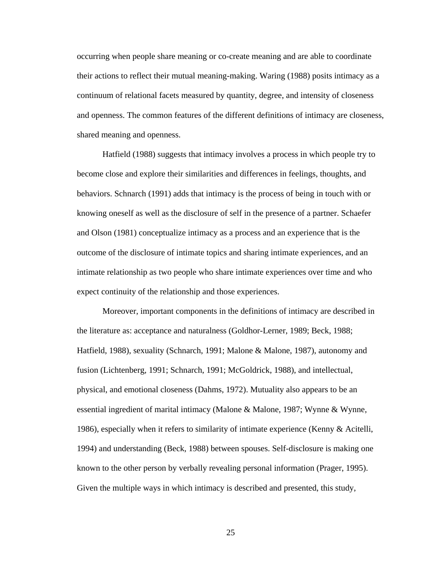occurring when people share meaning or co-create meaning and are able to coordinate their actions to reflect their mutual meaning-making. Waring (1988) posits intimacy as a continuum of relational facets measured by quantity, degree, and intensity of closeness and openness. The common features of the different definitions of intimacy are closeness, shared meaning and openness.

 Hatfield (1988) suggests that intimacy involves a process in which people try to become close and explore their similarities and differences in feelings, thoughts, and behaviors. Schnarch (1991) adds that intimacy is the process of being in touch with or knowing oneself as well as the disclosure of self in the presence of a partner. Schaefer and Olson (1981) conceptualize intimacy as a process and an experience that is the outcome of the disclosure of intimate topics and sharing intimate experiences, and an intimate relationship as two people who share intimate experiences over time and who expect continuity of the relationship and those experiences.

 Moreover, important components in the definitions of intimacy are described in the literature as: acceptance and naturalness (Goldhor-Lerner, 1989; Beck, 1988; Hatfield, 1988), sexuality (Schnarch, 1991; Malone & Malone, 1987), autonomy and fusion (Lichtenberg, 1991; Schnarch, 1991; McGoldrick, 1988), and intellectual, physical, and emotional closeness (Dahms, 1972). Mutuality also appears to be an essential ingredient of marital intimacy (Malone & Malone, 1987; Wynne & Wynne, 1986), especially when it refers to similarity of intimate experience (Kenny & Acitelli, 1994) and understanding (Beck, 1988) between spouses. Self-disclosure is making one known to the other person by verbally revealing personal information (Prager, 1995). Given the multiple ways in which intimacy is described and presented, this study,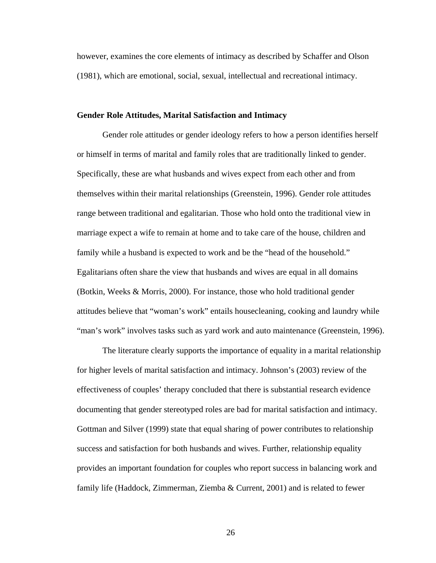however, examines the core elements of intimacy as described by Schaffer and Olson (1981), which are emotional, social, sexual, intellectual and recreational intimacy.

### **Gender Role Attitudes, Marital Satisfaction and Intimacy**

Gender role attitudes or gender ideology refers to how a person identifies herself or himself in terms of marital and family roles that are traditionally linked to gender. Specifically, these are what husbands and wives expect from each other and from themselves within their marital relationships (Greenstein, 1996). Gender role attitudes range between traditional and egalitarian. Those who hold onto the traditional view in marriage expect a wife to remain at home and to take care of the house, children and family while a husband is expected to work and be the "head of the household." Egalitarians often share the view that husbands and wives are equal in all domains (Botkin, Weeks & Morris, 2000). For instance, those who hold traditional gender attitudes believe that "woman's work" entails housecleaning, cooking and laundry while "man's work" involves tasks such as yard work and auto maintenance (Greenstein, 1996).

 The literature clearly supports the importance of equality in a marital relationship for higher levels of marital satisfaction and intimacy. Johnson's (2003) review of the effectiveness of couples' therapy concluded that there is substantial research evidence documenting that gender stereotyped roles are bad for marital satisfaction and intimacy. Gottman and Silver (1999) state that equal sharing of power contributes to relationship success and satisfaction for both husbands and wives. Further, relationship equality provides an important foundation for couples who report success in balancing work and family life (Haddock, Zimmerman, Ziemba & Current, 2001) and is related to fewer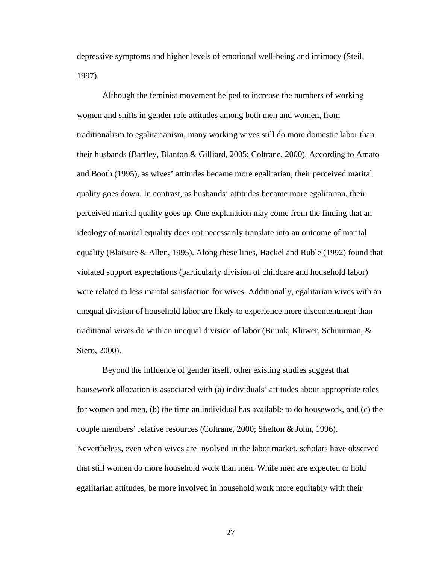depressive symptoms and higher levels of emotional well-being and intimacy (Steil, 1997).

 Although the feminist movement helped to increase the numbers of working women and shifts in gender role attitudes among both men and women, from traditionalism to egalitarianism, many working wives still do more domestic labor than their husbands (Bartley, Blanton & Gilliard, 2005; Coltrane, 2000). According to Amato and Booth (1995), as wives' attitudes became more egalitarian, their perceived marital quality goes down. In contrast, as husbands' attitudes became more egalitarian, their perceived marital quality goes up. One explanation may come from the finding that an ideology of marital equality does not necessarily translate into an outcome of marital equality (Blaisure & Allen, 1995). Along these lines, Hackel and Ruble (1992) found that violated support expectations (particularly division of childcare and household labor) were related to less marital satisfaction for wives. Additionally, egalitarian wives with an unequal division of household labor are likely to experience more discontentment than traditional wives do with an unequal division of labor (Buunk, Kluwer, Schuurman, & Siero, 2000).

 Beyond the influence of gender itself, other existing studies suggest that housework allocation is associated with (a) individuals' attitudes about appropriate roles for women and men, (b) the time an individual has available to do housework, and (c) the couple members' relative resources (Coltrane, 2000; Shelton & John, 1996). Nevertheless, even when wives are involved in the labor market, scholars have observed that still women do more household work than men. While men are expected to hold egalitarian attitudes, be more involved in household work more equitably with their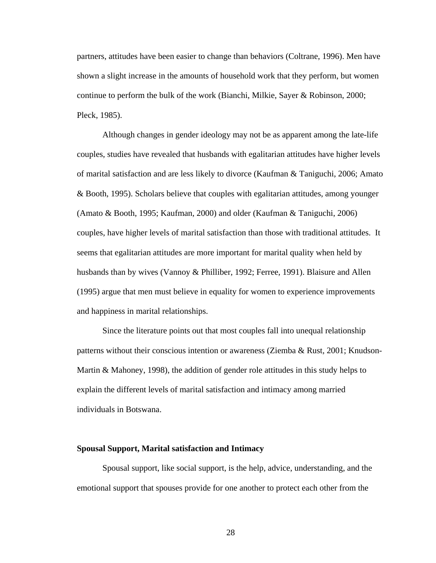partners, attitudes have been easier to change than behaviors (Coltrane, 1996). Men have shown a slight increase in the amounts of household work that they perform, but women continue to perform the bulk of the work (Bianchi, Milkie, Sayer & Robinson, 2000; Pleck, 1985).

Although changes in gender ideology may not be as apparent among the late-life couples, studies have revealed that husbands with egalitarian attitudes have higher levels of marital satisfaction and are less likely to divorce (Kaufman & Taniguchi, 2006; Amato & Booth, 1995). Scholars believe that couples with egalitarian attitudes, among younger (Amato & Booth, 1995; Kaufman, 2000) and older (Kaufman & Taniguchi, 2006) couples, have higher levels of marital satisfaction than those with traditional attitudes. It seems that egalitarian attitudes are more important for marital quality when held by husbands than by wives (Vannoy & Philliber, 1992; Ferree, 1991). Blaisure and Allen (1995) argue that men must believe in equality for women to experience improvements and happiness in marital relationships.

Since the literature points out that most couples fall into unequal relationship patterns without their conscious intention or awareness (Ziemba & Rust, 2001; Knudson-Martin & Mahoney, 1998), the addition of gender role attitudes in this study helps to explain the different levels of marital satisfaction and intimacy among married individuals in Botswana.

#### **Spousal Support, Marital satisfaction and Intimacy**

Spousal support, like social support, is the help, advice, understanding, and the emotional support that spouses provide for one another to protect each other from the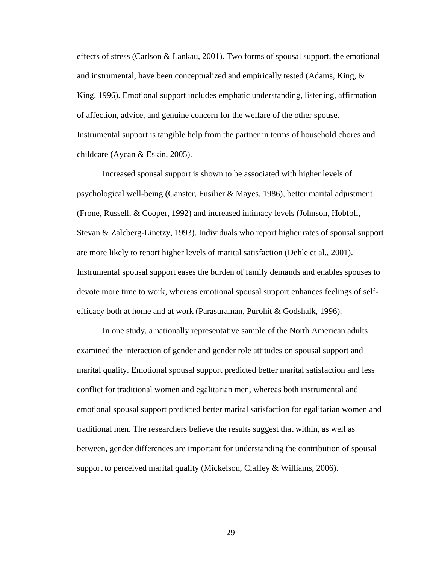effects of stress (Carlson & Lankau, 2001). Two forms of spousal support, the emotional and instrumental, have been conceptualized and empirically tested (Adams, King, & King, 1996). Emotional support includes emphatic understanding, listening, affirmation of affection, advice, and genuine concern for the welfare of the other spouse. Instrumental support is tangible help from the partner in terms of household chores and childcare (Aycan & Eskin, 2005).

Increased spousal support is shown to be associated with higher levels of psychological well-being (Ganster, Fusilier & Mayes, 1986), better marital adjustment (Frone, Russell, & Cooper, 1992) and increased intimacy levels (Johnson, Hobfoll, Stevan & Zalcberg-Linetzy, 1993). Individuals who report higher rates of spousal support are more likely to report higher levels of marital satisfaction (Dehle et al., 2001). Instrumental spousal support eases the burden of family demands and enables spouses to devote more time to work, whereas emotional spousal support enhances feelings of selfefficacy both at home and at work (Parasuraman, Purohit & Godshalk, 1996).

In one study, a nationally representative sample of the North American adults examined the interaction of gender and gender role attitudes on spousal support and marital quality. Emotional spousal support predicted better marital satisfaction and less conflict for traditional women and egalitarian men, whereas both instrumental and emotional spousal support predicted better marital satisfaction for egalitarian women and traditional men. The researchers believe the results suggest that within, as well as between, gender differences are important for understanding the contribution of spousal support to perceived marital quality (Mickelson, Claffey & Williams, 2006).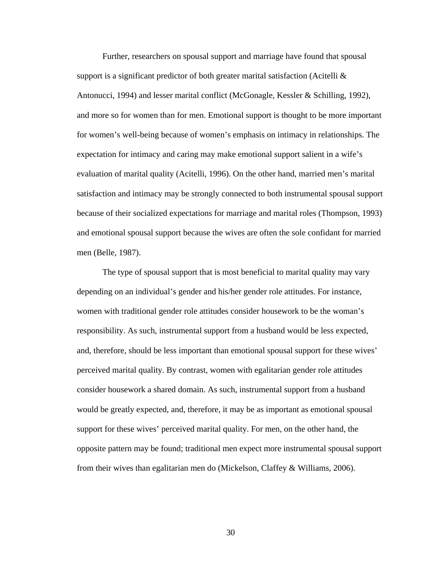Further, researchers on spousal support and marriage have found that spousal support is a significant predictor of both greater marital satisfaction (Acitelli & Antonucci, 1994) and lesser marital conflict (McGonagle, Kessler & Schilling, 1992), and more so for women than for men. Emotional support is thought to be more important for women's well-being because of women's emphasis on intimacy in relationships. The expectation for intimacy and caring may make emotional support salient in a wife's evaluation of marital quality (Acitelli, 1996). On the other hand, married men's marital satisfaction and intimacy may be strongly connected to both instrumental spousal support because of their socialized expectations for marriage and marital roles (Thompson, 1993) and emotional spousal support because the wives are often the sole confidant for married men (Belle, 1987).

The type of spousal support that is most beneficial to marital quality may vary depending on an individual's gender and his/her gender role attitudes. For instance, women with traditional gender role attitudes consider housework to be the woman's responsibility. As such, instrumental support from a husband would be less expected, and, therefore, should be less important than emotional spousal support for these wives' perceived marital quality. By contrast, women with egalitarian gender role attitudes consider housework a shared domain. As such, instrumental support from a husband would be greatly expected, and, therefore, it may be as important as emotional spousal support for these wives' perceived marital quality. For men, on the other hand, the opposite pattern may be found; traditional men expect more instrumental spousal support from their wives than egalitarian men do (Mickelson, Claffey & Williams, 2006).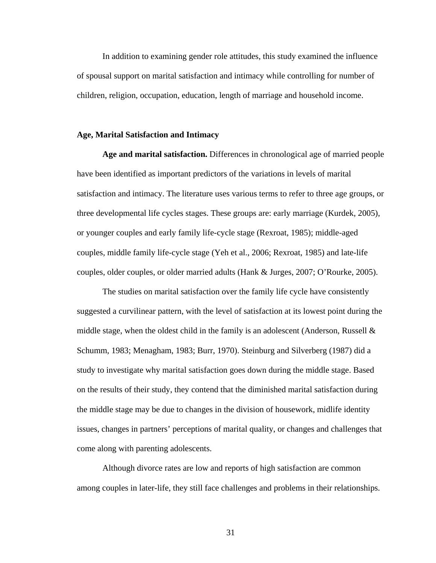In addition to examining gender role attitudes, this study examined the influence of spousal support on marital satisfaction and intimacy while controlling for number of children, religion, occupation, education, length of marriage and household income.

### **Age, Marital Satisfaction and Intimacy**

**Age and marital satisfaction.** Differences in chronological age of married people have been identified as important predictors of the variations in levels of marital satisfaction and intimacy. The literature uses various terms to refer to three age groups, or three developmental life cycles stages. These groups are: early marriage (Kurdek, 2005), or younger couples and early family life-cycle stage (Rexroat, 1985); middle-aged couples, middle family life-cycle stage (Yeh et al., 2006; Rexroat, 1985) and late-life couples, older couples, or older married adults (Hank & Jurges, 2007; O'Rourke, 2005).

The studies on marital satisfaction over the family life cycle have consistently suggested a curvilinear pattern, with the level of satisfaction at its lowest point during the middle stage, when the oldest child in the family is an adolescent (Anderson, Russell & Schumm, 1983; Menagham, 1983; Burr, 1970). Steinburg and Silverberg (1987) did a study to investigate why marital satisfaction goes down during the middle stage. Based on the results of their study, they contend that the diminished marital satisfaction during the middle stage may be due to changes in the division of housework, midlife identity issues, changes in partners' perceptions of marital quality, or changes and challenges that come along with parenting adolescents.

Although divorce rates are low and reports of high satisfaction are common among couples in later-life, they still face challenges and problems in their relationships.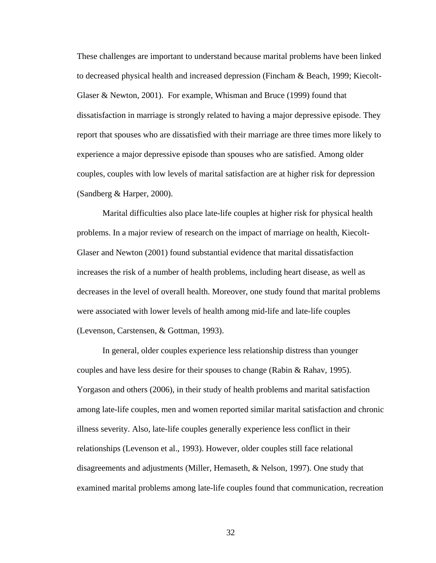These challenges are important to understand because marital problems have been linked to decreased physical health and increased depression (Fincham & Beach, 1999; Kiecolt-Glaser & Newton, 2001). For example, Whisman and Bruce (1999) found that dissatisfaction in marriage is strongly related to having a major depressive episode. They report that spouses who are dissatisfied with their marriage are three times more likely to experience a major depressive episode than spouses who are satisfied. Among older couples, couples with low levels of marital satisfaction are at higher risk for depression (Sandberg & Harper, 2000).

Marital difficulties also place late-life couples at higher risk for physical health problems. In a major review of research on the impact of marriage on health, Kiecolt-Glaser and Newton (2001) found substantial evidence that marital dissatisfaction increases the risk of a number of health problems, including heart disease, as well as decreases in the level of overall health. Moreover, one study found that marital problems were associated with lower levels of health among mid-life and late-life couples (Levenson, Carstensen, & Gottman, 1993).

In general, older couples experience less relationship distress than younger couples and have less desire for their spouses to change (Rabin & Rahav, 1995). Yorgason and others (2006), in their study of health problems and marital satisfaction among late-life couples, men and women reported similar marital satisfaction and chronic illness severity. Also, late-life couples generally experience less conflict in their relationships (Levenson et al., 1993). However, older couples still face relational disagreements and adjustments (Miller, Hemaseth, & Nelson, 1997). One study that examined marital problems among late-life couples found that communication, recreation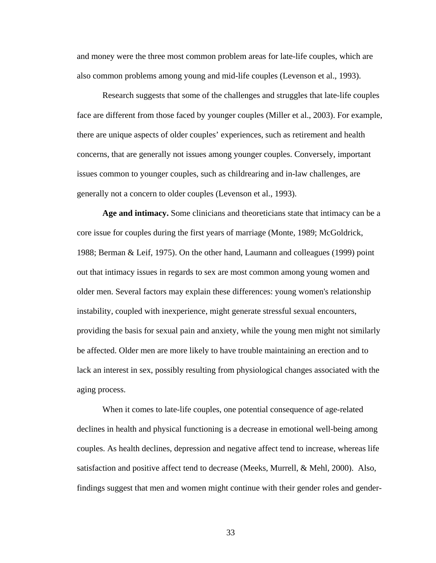and money were the three most common problem areas for late-life couples, which are also common problems among young and mid-life couples (Levenson et al., 1993).

 Research suggests that some of the challenges and struggles that late-life couples face are different from those faced by younger couples (Miller et al., 2003). For example, there are unique aspects of older couples' experiences, such as retirement and health concerns, that are generally not issues among younger couples. Conversely, important issues common to younger couples, such as childrearing and in-law challenges, are generally not a concern to older couples (Levenson et al., 1993).

**Age and intimacy.** Some clinicians and theoreticians state that intimacy can be a core issue for couples during the first years of marriage (Monte, 1989; McGoldrick, 1988; Berman & Leif, 1975). On the other hand, Laumann and colleagues (1999) point out that intimacy issues in regards to sex are most common among young women and older men. Several factors may explain these differences: young women's relationship instability, coupled with inexperience, might generate stressful sexual encounters, providing the basis for sexual pain and anxiety, while the young men might not similarly be affected. Older men are more likely to have trouble maintaining an erection and to lack an interest in sex, possibly resulting from physiological changes associated with the aging process.

 When it comes to late-life couples, one potential consequence of age-related declines in health and physical functioning is a decrease in emotional well-being among couples. As health declines, depression and negative affect tend to increase, whereas life satisfaction and positive affect tend to decrease (Meeks, Murrell, & Mehl, 2000). Also, findings suggest that men and women might continue with their gender roles and gender-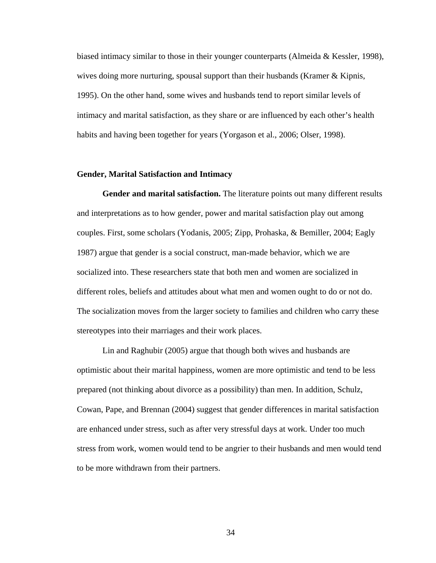biased intimacy similar to those in their younger counterparts (Almeida & Kessler, 1998), wives doing more nurturing, spousal support than their husbands (Kramer  $\&$  Kipnis, 1995). On the other hand, some wives and husbands tend to report similar levels of intimacy and marital satisfaction, as they share or are influenced by each other's health habits and having been together for years (Yorgason et al., 2006; Olser, 1998).

## **Gender, Marital Satisfaction and Intimacy**

**Gender and marital satisfaction.** The literature points out many different results and interpretations as to how gender, power and marital satisfaction play out among couples. First, some scholars (Yodanis, 2005; Zipp, Prohaska, & Bemiller, 2004; Eagly 1987) argue that gender is a social construct, man-made behavior, which we are socialized into. These researchers state that both men and women are socialized in different roles, beliefs and attitudes about what men and women ought to do or not do. The socialization moves from the larger society to families and children who carry these stereotypes into their marriages and their work places.

Lin and Raghubir (2005) argue that though both wives and husbands are optimistic about their marital happiness, women are more optimistic and tend to be less prepared (not thinking about divorce as a possibility) than men. In addition, Schulz, Cowan, Pape, and Brennan (2004) suggest that gender differences in marital satisfaction are enhanced under stress, such as after very stressful days at work. Under too much stress from work, women would tend to be angrier to their husbands and men would tend to be more withdrawn from their partners.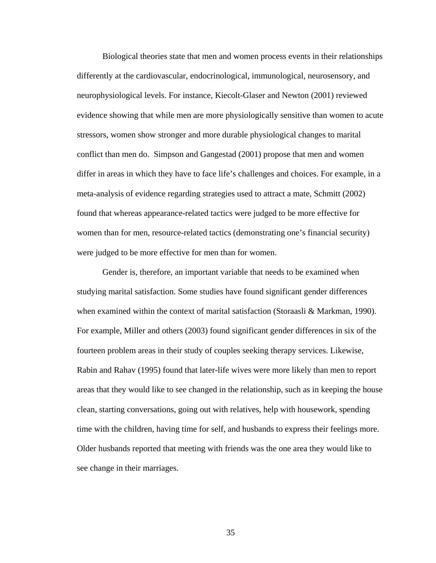Biological theories state that men and women process events in their relationships differently at the cardiovascular, endocrinological, immunological, neurosensory, and neurophysiological levels. For instance, Kiecolt-Glaser and Newton (2001) reviewed evidence showing that while men are more physiologically sensitive than women to acute stressors, women show stronger and more durable physiological changes to marital conflict than men do. Simpson and Gangestad (2001) propose that men and women differ in areas in which they have to face life's challenges and choices. For example, in a meta-analysis of evidence regarding strategies used to attract a mate, Schmitt (2002) found that whereas appearance-related tactics were judged to be more effective for women than for men, resource-related tactics (demonstrating one's financial security) were judged to be more effective for men than for women.

Gender is, therefore, an important variable that needs to be examined when studying marital satisfaction. Some studies have found significant gender differences when examined within the context of marital satisfaction (Storaasli & Markman, 1990). For example, Miller and others (2003) found significant gender differences in six of the fourteen problem areas in their study of couples seeking therapy services. Likewise, Rabin and Rahav (1995) found that later-life wives were more likely than men to report areas that they would like to see changed in the relationship, such as in keeping the house clean, starting conversations, going out with relatives, help with housework, spending time with the children, having time for self, and husbands to express their feelings more. Older husbands reported that meeting with friends was the one area they would like to see change in their marriages.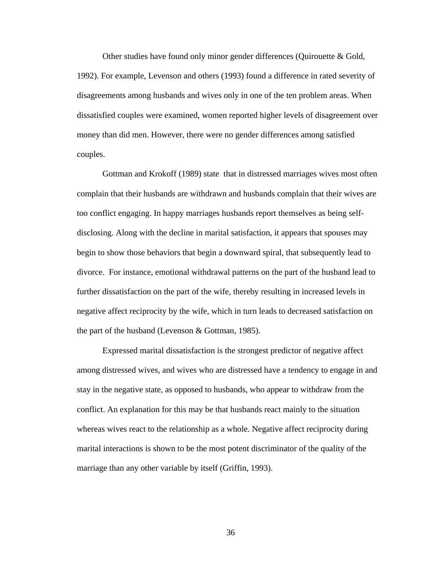Other studies have found only minor gender differences (Quirouette & Gold, 1992). For example, Levenson and others (1993) found a difference in rated severity of disagreements among husbands and wives only in one of the ten problem areas. When dissatisfied couples were examined, women reported higher levels of disagreement over money than did men. However, there were no gender differences among satisfied couples.

Gottman and Krokoff (1989) state that in distressed marriages wives most often complain that their husbands are withdrawn and husbands complain that their wives are too conflict engaging. In happy marriages husbands report themselves as being selfdisclosing. Along with the decline in marital satisfaction, it appears that spouses may begin to show those behaviors that begin a downward spiral, that subsequently lead to divorce. For instance, emotional withdrawal patterns on the part of the husband lead to further dissatisfaction on the part of the wife, thereby resulting in increased levels in negative affect reciprocity by the wife, which in turn leads to decreased satisfaction on the part of the husband (Levenson & Gottman, 1985).

Expressed marital dissatisfaction is the strongest predictor of negative affect among distressed wives, and wives who are distressed have a tendency to engage in and stay in the negative state, as opposed to husbands, who appear to withdraw from the conflict. An explanation for this may be that husbands react mainly to the situation whereas wives react to the relationship as a whole. Negative affect reciprocity during marital interactions is shown to be the most potent discriminator of the quality of the marriage than any other variable by itself (Griffin, 1993).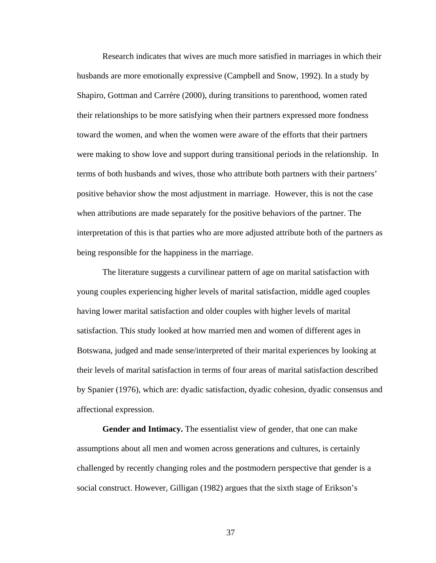Research indicates that wives are much more satisfied in marriages in which their husbands are more emotionally expressive (Campbell and Snow, 1992). In a study by Shapiro, Gottman and Carrère (2000), during transitions to parenthood, women rated their relationships to be more satisfying when their partners expressed more fondness toward the women, and when the women were aware of the efforts that their partners were making to show love and support during transitional periods in the relationship. In terms of both husbands and wives, those who attribute both partners with their partners' positive behavior show the most adjustment in marriage. However, this is not the case when attributions are made separately for the positive behaviors of the partner. The interpretation of this is that parties who are more adjusted attribute both of the partners as being responsible for the happiness in the marriage.

 The literature suggests a curvilinear pattern of age on marital satisfaction with young couples experiencing higher levels of marital satisfaction, middle aged couples having lower marital satisfaction and older couples with higher levels of marital satisfaction. This study looked at how married men and women of different ages in Botswana, judged and made sense/interpreted of their marital experiences by looking at their levels of marital satisfaction in terms of four areas of marital satisfaction described by Spanier (1976), which are: dyadic satisfaction, dyadic cohesion, dyadic consensus and affectional expression.

**Gender and Intimacy.** The essentialist view of gender, that one can make assumptions about all men and women across generations and cultures, is certainly challenged by recently changing roles and the postmodern perspective that gender is a social construct. However, Gilligan (1982) argues that the sixth stage of Erikson's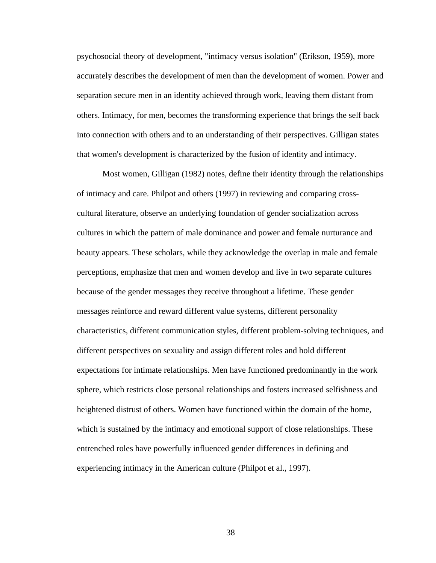psychosocial theory of development, "intimacy versus isolation" (Erikson, 1959), more accurately describes the development of men than the development of women. Power and separation secure men in an identity achieved through work, leaving them distant from others. Intimacy, for men, becomes the transforming experience that brings the self back into connection with others and to an understanding of their perspectives. Gilligan states that women's development is characterized by the fusion of identity and intimacy.

 Most women, Gilligan (1982) notes, define their identity through the relationships of intimacy and care. Philpot and others (1997) in reviewing and comparing crosscultural literature, observe an underlying foundation of gender socialization across cultures in which the pattern of male dominance and power and female nurturance and beauty appears. These scholars, while they acknowledge the overlap in male and female perceptions, emphasize that men and women develop and live in two separate cultures because of the gender messages they receive throughout a lifetime. These gender messages reinforce and reward different value systems, different personality characteristics, different communication styles, different problem-solving techniques, and different perspectives on sexuality and assign different roles and hold different expectations for intimate relationships. Men have functioned predominantly in the work sphere, which restricts close personal relationships and fosters increased selfishness and heightened distrust of others. Women have functioned within the domain of the home, which is sustained by the intimacy and emotional support of close relationships. These entrenched roles have powerfully influenced gender differences in defining and experiencing intimacy in the American culture (Philpot et al., 1997).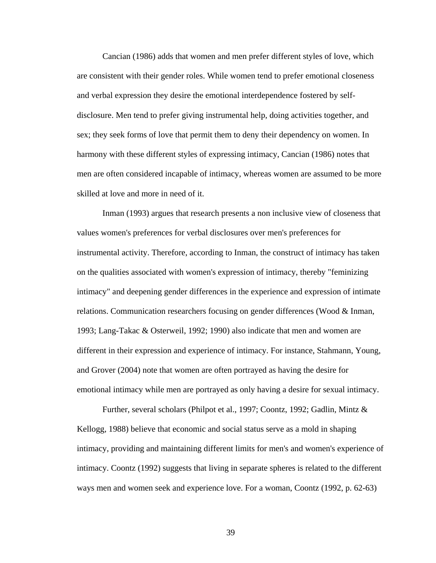Cancian (1986) adds that women and men prefer different styles of love, which are consistent with their gender roles. While women tend to prefer emotional closeness and verbal expression they desire the emotional interdependence fostered by selfdisclosure. Men tend to prefer giving instrumental help, doing activities together, and sex; they seek forms of love that permit them to deny their dependency on women. In harmony with these different styles of expressing intimacy, Cancian (1986) notes that men are often considered incapable of intimacy, whereas women are assumed to be more skilled at love and more in need of it.

 Inman (1993) argues that research presents a non inclusive view of closeness that values women's preferences for verbal disclosures over men's preferences for instrumental activity. Therefore, according to Inman, the construct of intimacy has taken on the qualities associated with women's expression of intimacy, thereby "feminizing intimacy" and deepening gender differences in the experience and expression of intimate relations. Communication researchers focusing on gender differences (Wood & Inman, 1993; Lang-Takac & Osterweil, 1992; 1990) also indicate that men and women are different in their expression and experience of intimacy. For instance, Stahmann, Young, and Grover (2004) note that women are often portrayed as having the desire for emotional intimacy while men are portrayed as only having a desire for sexual intimacy.

 Further, several scholars (Philpot et al., 1997; Coontz, 1992; Gadlin, Mintz & Kellogg, 1988) believe that economic and social status serve as a mold in shaping intimacy, providing and maintaining different limits for men's and women's experience of intimacy. Coontz (1992) suggests that living in separate spheres is related to the different ways men and women seek and experience love. For a woman, Coontz (1992, p. 62-63)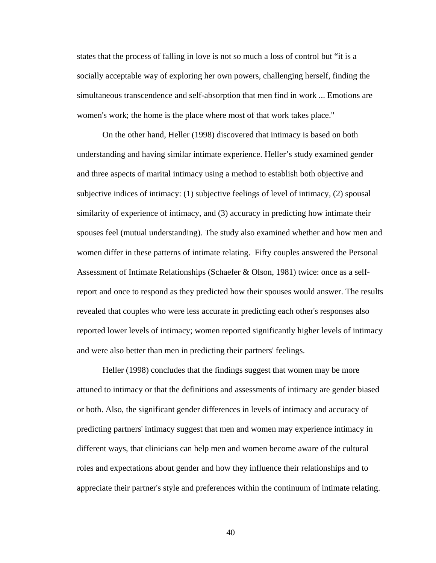states that the process of falling in love is not so much a loss of control but "it is a socially acceptable way of exploring her own powers, challenging herself, finding the simultaneous transcendence and self-absorption that men find in work ... Emotions are women's work; the home is the place where most of that work takes place."

 On the other hand, Heller (1998) discovered that intimacy is based on both understanding and having similar intimate experience. Heller's study examined gender and three aspects of marital intimacy using a method to establish both objective and subjective indices of intimacy: (1) subjective feelings of level of intimacy, (2) spousal similarity of experience of intimacy, and (3) accuracy in predicting how intimate their spouses feel (mutual understanding). The study also examined whether and how men and women differ in these patterns of intimate relating. Fifty couples answered the Personal Assessment of Intimate Relationships (Schaefer & Olson, 1981) twice: once as a selfreport and once to respond as they predicted how their spouses would answer. The results revealed that couples who were less accurate in predicting each other's responses also reported lower levels of intimacy; women reported significantly higher levels of intimacy and were also better than men in predicting their partners' feelings.

 Heller (1998) concludes that the findings suggest that women may be more attuned to intimacy or that the definitions and assessments of intimacy are gender biased or both. Also, the significant gender differences in levels of intimacy and accuracy of predicting partners' intimacy suggest that men and women may experience intimacy in different ways, that clinicians can help men and women become aware of the cultural roles and expectations about gender and how they influence their relationships and to appreciate their partner's style and preferences within the continuum of intimate relating.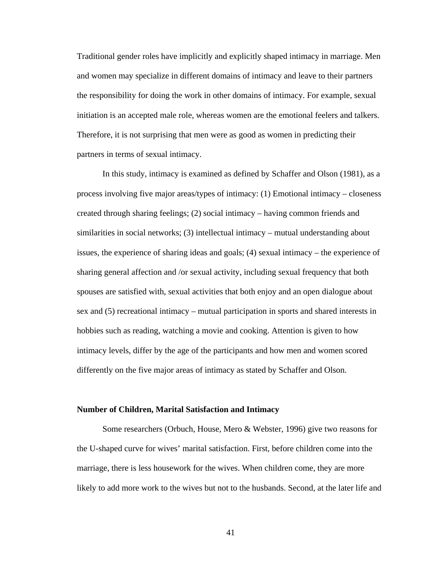Traditional gender roles have implicitly and explicitly shaped intimacy in marriage. Men and women may specialize in different domains of intimacy and leave to their partners the responsibility for doing the work in other domains of intimacy. For example, sexual initiation is an accepted male role, whereas women are the emotional feelers and talkers. Therefore, it is not surprising that men were as good as women in predicting their partners in terms of sexual intimacy.

In this study, intimacy is examined as defined by Schaffer and Olson (1981), as a process involving five major areas/types of intimacy: (1) Emotional intimacy – closeness created through sharing feelings; (2) social intimacy – having common friends and similarities in social networks; (3) intellectual intimacy – mutual understanding about issues, the experience of sharing ideas and goals; (4) sexual intimacy – the experience of sharing general affection and /or sexual activity, including sexual frequency that both spouses are satisfied with, sexual activities that both enjoy and an open dialogue about sex and (5) recreational intimacy – mutual participation in sports and shared interests in hobbies such as reading, watching a movie and cooking. Attention is given to how intimacy levels, differ by the age of the participants and how men and women scored differently on the five major areas of intimacy as stated by Schaffer and Olson.

### **Number of Children, Marital Satisfaction and Intimacy**

 Some researchers (Orbuch, House, Mero & Webster, 1996) give two reasons for the U-shaped curve for wives' marital satisfaction. First, before children come into the marriage, there is less housework for the wives. When children come, they are more likely to add more work to the wives but not to the husbands. Second, at the later life and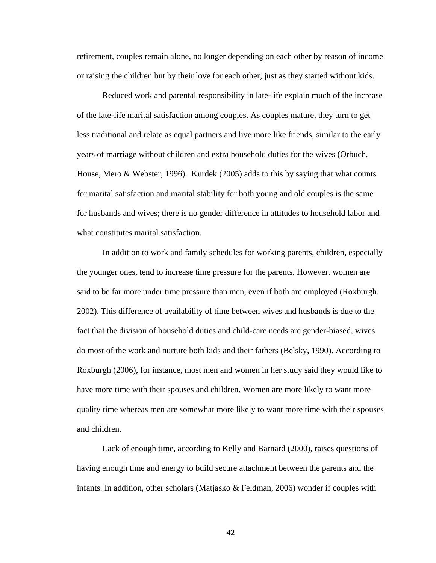retirement, couples remain alone, no longer depending on each other by reason of income or raising the children but by their love for each other, just as they started without kids.

 Reduced work and parental responsibility in late-life explain much of the increase of the late-life marital satisfaction among couples. As couples mature, they turn to get less traditional and relate as equal partners and live more like friends, similar to the early years of marriage without children and extra household duties for the wives (Orbuch, House, Mero & Webster, 1996). Kurdek (2005) adds to this by saying that what counts for marital satisfaction and marital stability for both young and old couples is the same for husbands and wives; there is no gender difference in attitudes to household labor and what constitutes marital satisfaction.

 In addition to work and family schedules for working parents, children, especially the younger ones, tend to increase time pressure for the parents. However, women are said to be far more under time pressure than men, even if both are employed (Roxburgh, 2002). This difference of availability of time between wives and husbands is due to the fact that the division of household duties and child-care needs are gender-biased, wives do most of the work and nurture both kids and their fathers (Belsky, 1990). According to Roxburgh (2006), for instance, most men and women in her study said they would like to have more time with their spouses and children. Women are more likely to want more quality time whereas men are somewhat more likely to want more time with their spouses and children.

 Lack of enough time, according to Kelly and Barnard (2000), raises questions of having enough time and energy to build secure attachment between the parents and the infants. In addition, other scholars (Matjasko  $\&$  Feldman, 2006) wonder if couples with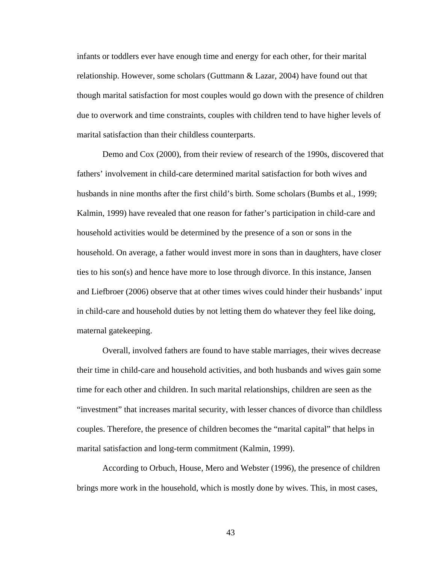infants or toddlers ever have enough time and energy for each other, for their marital relationship. However, some scholars (Guttmann  $\&$  Lazar, 2004) have found out that though marital satisfaction for most couples would go down with the presence of children due to overwork and time constraints, couples with children tend to have higher levels of marital satisfaction than their childless counterparts.

 Demo and Cox (2000), from their review of research of the 1990s, discovered that fathers' involvement in child-care determined marital satisfaction for both wives and husbands in nine months after the first child's birth. Some scholars (Bumbs et al., 1999; Kalmin, 1999) have revealed that one reason for father's participation in child-care and household activities would be determined by the presence of a son or sons in the household. On average, a father would invest more in sons than in daughters, have closer ties to his son(s) and hence have more to lose through divorce. In this instance, Jansen and Liefbroer (2006) observe that at other times wives could hinder their husbands' input in child-care and household duties by not letting them do whatever they feel like doing, maternal gatekeeping.

 Overall, involved fathers are found to have stable marriages, their wives decrease their time in child-care and household activities, and both husbands and wives gain some time for each other and children. In such marital relationships, children are seen as the "investment" that increases marital security, with lesser chances of divorce than childless couples. Therefore, the presence of children becomes the "marital capital" that helps in marital satisfaction and long-term commitment (Kalmin, 1999).

 According to Orbuch, House, Mero and Webster (1996), the presence of children brings more work in the household, which is mostly done by wives. This, in most cases,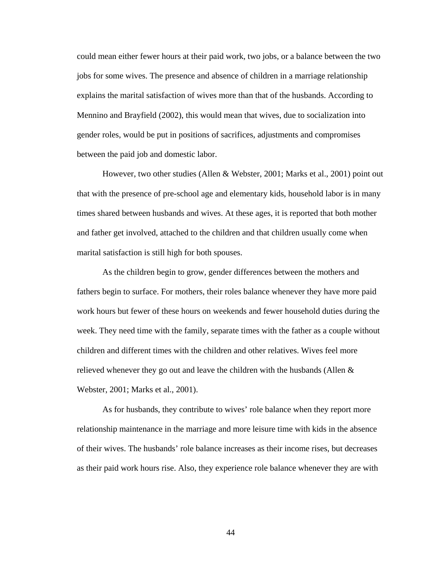could mean either fewer hours at their paid work, two jobs, or a balance between the two jobs for some wives. The presence and absence of children in a marriage relationship explains the marital satisfaction of wives more than that of the husbands. According to Mennino and Brayfield (2002), this would mean that wives, due to socialization into gender roles, would be put in positions of sacrifices, adjustments and compromises between the paid job and domestic labor.

 However, two other studies (Allen & Webster, 2001; Marks et al., 2001) point out that with the presence of pre-school age and elementary kids, household labor is in many times shared between husbands and wives. At these ages, it is reported that both mother and father get involved, attached to the children and that children usually come when marital satisfaction is still high for both spouses.

 As the children begin to grow, gender differences between the mothers and fathers begin to surface. For mothers, their roles balance whenever they have more paid work hours but fewer of these hours on weekends and fewer household duties during the week. They need time with the family, separate times with the father as a couple without children and different times with the children and other relatives. Wives feel more relieved whenever they go out and leave the children with the husbands (Allen & Webster, 2001; Marks et al., 2001).

 As for husbands, they contribute to wives' role balance when they report more relationship maintenance in the marriage and more leisure time with kids in the absence of their wives. The husbands' role balance increases as their income rises, but decreases as their paid work hours rise. Also, they experience role balance whenever they are with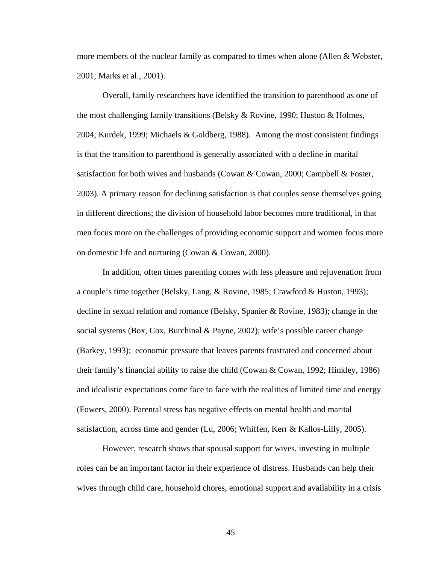more members of the nuclear family as compared to times when alone (Allen & Webster, 2001; Marks et al., 2001).

 Overall, family researchers have identified the transition to parenthood as one of the most challenging family transitions (Belsky & Rovine, 1990; Huston & Holmes, 2004; Kurdek, 1999; Michaels & Goldberg, 1988). Among the most consistent findings is that the transition to parenthood is generally associated with a decline in marital satisfaction for both wives and husbands (Cowan & Cowan, 2000; Campbell & Foster, 2003). A primary reason for declining satisfaction is that couples sense themselves going in different directions; the division of household labor becomes more traditional, in that men focus more on the challenges of providing economic support and women focus more on domestic life and nurturing (Cowan & Cowan, 2000).

 In addition, often times parenting comes with less pleasure and rejuvenation from a couple's time together (Belsky, Lang, & Rovine, 1985; Crawford & Huston, 1993); decline in sexual relation and romance (Belsky, Spanier & Rovine, 1983); change in the social systems (Box, Cox, Burchinal & Payne, 2002); wife's possible career change (Barkey, 1993); economic pressure that leaves parents frustrated and concerned about their family's financial ability to raise the child (Cowan & Cowan, 1992; Hinkley, 1986) and idealistic expectations come face to face with the realities of limited time and energy (Fowers, 2000). Parental stress has negative effects on mental health and marital satisfaction, across time and gender (Lu, 2006; Whiffen, Kerr & Kallos-Lilly, 2005).

 However, research shows that spousal support for wives, investing in multiple roles can be an important factor in their experience of distress. Husbands can help their wives through child care, household chores, emotional support and availability in a crisis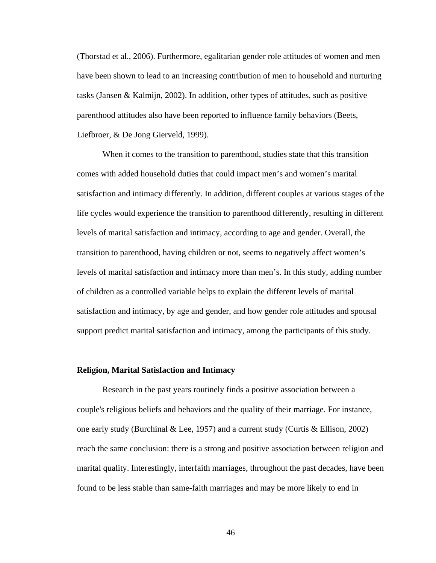(Thorstad et al., 2006). Furthermore, egalitarian gender role attitudes of women and men have been shown to lead to an increasing contribution of men to household and nurturing tasks (Jansen & Kalmijn, 2002). In addition, other types of attitudes, such as positive parenthood attitudes also have been reported to influence family behaviors (Beets, Liefbroer, & De Jong Gierveld, 1999).

 When it comes to the transition to parenthood, studies state that this transition comes with added household duties that could impact men's and women's marital satisfaction and intimacy differently. In addition, different couples at various stages of the life cycles would experience the transition to parenthood differently, resulting in different levels of marital satisfaction and intimacy, according to age and gender. Overall, the transition to parenthood, having children or not, seems to negatively affect women's levels of marital satisfaction and intimacy more than men's. In this study, adding number of children as a controlled variable helps to explain the different levels of marital satisfaction and intimacy, by age and gender, and how gender role attitudes and spousal support predict marital satisfaction and intimacy, among the participants of this study.

## **Religion, Marital Satisfaction and Intimacy**

 Research in the past years routinely finds a positive association between a couple's religious beliefs and behaviors and the quality of their marriage. For instance, one early study (Burchinal & Lee, 1957) and a current study (Curtis & Ellison, 2002) reach the same conclusion: there is a strong and positive association between religion and marital quality. Interestingly, interfaith marriages, throughout the past decades, have been found to be less stable than same-faith marriages and may be more likely to end in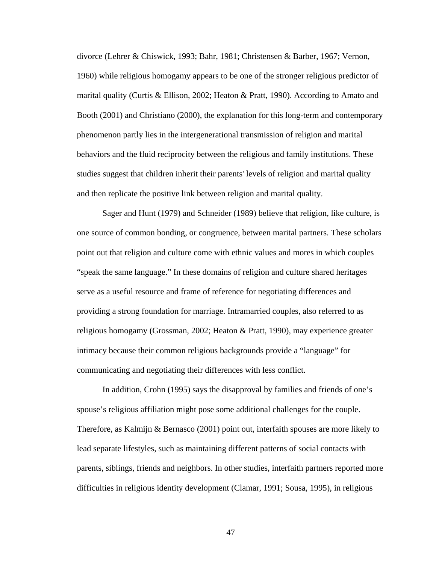divorce (Lehrer & Chiswick, 1993; Bahr, 1981; Christensen & Barber, 1967; Vernon, 1960) while religious homogamy appears to be one of the stronger religious predictor of marital quality (Curtis & Ellison, 2002; Heaton & Pratt, 1990). According to Amato and Booth (2001) and Christiano (2000), the explanation for this long-term and contemporary phenomenon partly lies in the intergenerational transmission of religion and marital behaviors and the fluid reciprocity between the religious and family institutions. These studies suggest that children inherit their parents' levels of religion and marital quality and then replicate the positive link between religion and marital quality.

 Sager and Hunt (1979) and Schneider (1989) believe that religion, like culture, is one source of common bonding, or congruence, between marital partners. These scholars point out that religion and culture come with ethnic values and mores in which couples "speak the same language." In these domains of religion and culture shared heritages serve as a useful resource and frame of reference for negotiating differences and providing a strong foundation for marriage. Intramarried couples, also referred to as religious homogamy (Grossman, 2002; Heaton & Pratt, 1990), may experience greater intimacy because their common religious backgrounds provide a "language" for communicating and negotiating their differences with less conflict.

In addition, Crohn (1995) says the disapproval by families and friends of one's spouse's religious affiliation might pose some additional challenges for the couple. Therefore, as Kalmijn & Bernasco (2001) point out, interfaith spouses are more likely to lead separate lifestyles, such as maintaining different patterns of social contacts with parents, siblings, friends and neighbors. In other studies, interfaith partners reported more difficulties in religious identity development (Clamar, 1991; Sousa, 1995), in religious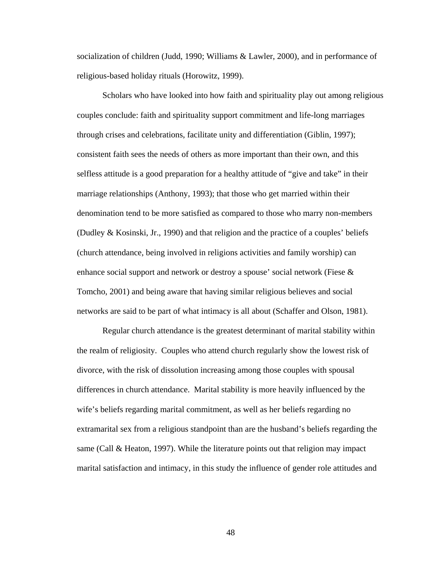socialization of children (Judd, 1990; Williams & Lawler, 2000), and in performance of religious-based holiday rituals (Horowitz, 1999).

Scholars who have looked into how faith and spirituality play out among religious couples conclude: faith and spirituality support commitment and life-long marriages through crises and celebrations, facilitate unity and differentiation (Giblin, 1997); consistent faith sees the needs of others as more important than their own, and this selfless attitude is a good preparation for a healthy attitude of "give and take" in their marriage relationships (Anthony, 1993); that those who get married within their denomination tend to be more satisfied as compared to those who marry non-members (Dudley & Kosinski, Jr., 1990) and that religion and the practice of a couples' beliefs (church attendance, being involved in religions activities and family worship) can enhance social support and network or destroy a spouse' social network (Fiese & Tomcho, 2001) and being aware that having similar religious believes and social networks are said to be part of what intimacy is all about (Schaffer and Olson, 1981).

Regular church attendance is the greatest determinant of marital stability within the realm of religiosity. Couples who attend church regularly show the lowest risk of divorce, with the risk of dissolution increasing among those couples with spousal differences in church attendance. Marital stability is more heavily influenced by the wife's beliefs regarding marital commitment, as well as her beliefs regarding no extramarital sex from a religious standpoint than are the husband's beliefs regarding the same (Call & Heaton, 1997). While the literature points out that religion may impact marital satisfaction and intimacy, in this study the influence of gender role attitudes and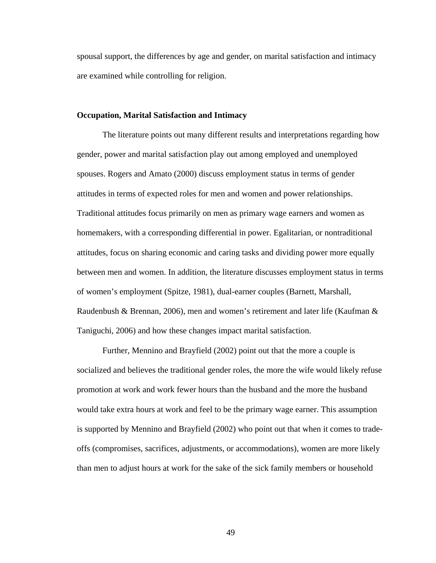spousal support, the differences by age and gender, on marital satisfaction and intimacy are examined while controlling for religion.

# **Occupation, Marital Satisfaction and Intimacy**

The literature points out many different results and interpretations regarding how gender, power and marital satisfaction play out among employed and unemployed spouses. Rogers and Amato (2000) discuss employment status in terms of gender attitudes in terms of expected roles for men and women and power relationships. Traditional attitudes focus primarily on men as primary wage earners and women as homemakers, with a corresponding differential in power. Egalitarian, or nontraditional attitudes, focus on sharing economic and caring tasks and dividing power more equally between men and women. In addition, the literature discusses employment status in terms of women's employment (Spitze, 1981), dual-earner couples (Barnett, Marshall, Raudenbush & Brennan, 2006), men and women's retirement and later life (Kaufman & Taniguchi, 2006) and how these changes impact marital satisfaction.

Further, Mennino and Brayfield (2002) point out that the more a couple is socialized and believes the traditional gender roles, the more the wife would likely refuse promotion at work and work fewer hours than the husband and the more the husband would take extra hours at work and feel to be the primary wage earner. This assumption is supported by Mennino and Brayfield (2002) who point out that when it comes to tradeoffs (compromises, sacrifices, adjustments, or accommodations), women are more likely than men to adjust hours at work for the sake of the sick family members or household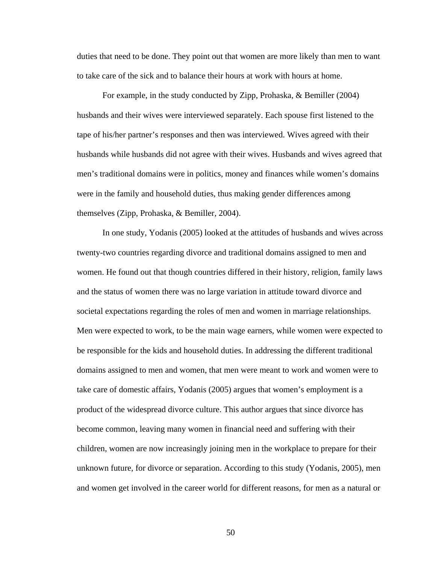duties that need to be done. They point out that women are more likely than men to want to take care of the sick and to balance their hours at work with hours at home.

For example, in the study conducted by Zipp, Prohaska, & Bemiller (2004) husbands and their wives were interviewed separately. Each spouse first listened to the tape of his/her partner's responses and then was interviewed. Wives agreed with their husbands while husbands did not agree with their wives. Husbands and wives agreed that men's traditional domains were in politics, money and finances while women's domains were in the family and household duties, thus making gender differences among themselves (Zipp, Prohaska, & Bemiller, 2004).

In one study, Yodanis (2005) looked at the attitudes of husbands and wives across twenty-two countries regarding divorce and traditional domains assigned to men and women. He found out that though countries differed in their history, religion, family laws and the status of women there was no large variation in attitude toward divorce and societal expectations regarding the roles of men and women in marriage relationships. Men were expected to work, to be the main wage earners, while women were expected to be responsible for the kids and household duties. In addressing the different traditional domains assigned to men and women, that men were meant to work and women were to take care of domestic affairs, Yodanis (2005) argues that women's employment is a product of the widespread divorce culture. This author argues that since divorce has become common, leaving many women in financial need and suffering with their children, women are now increasingly joining men in the workplace to prepare for their unknown future, for divorce or separation. According to this study (Yodanis, 2005), men and women get involved in the career world for different reasons, for men as a natural or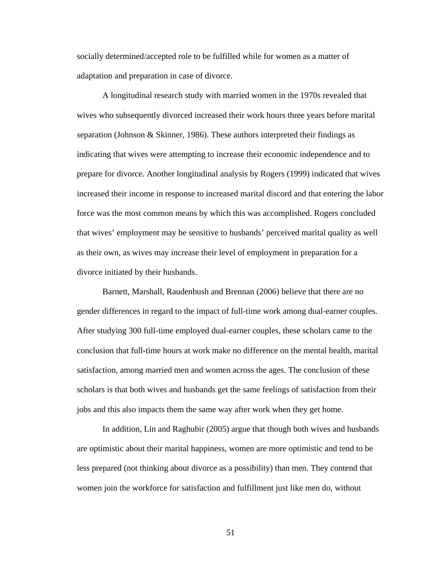socially determined/accepted role to be fulfilled while for women as a matter of adaptation and preparation in case of divorce.

A longitudinal research study with married women in the 1970s revealed that wives who subsequently divorced increased their work hours three years before marital separation (Johnson & Skinner, 1986). These authors interpreted their findings as indicating that wives were attempting to increase their economic independence and to prepare for divorce. Another longitudinal analysis by Rogers (1999) indicated that wives increased their income in response to increased marital discord and that entering the labor force was the most common means by which this was accomplished. Rogers concluded that wives' employment may be sensitive to husbands' perceived marital quality as well as their own, as wives may increase their level of employment in preparation for a divorce initiated by their husbands.

Barnett, Marshall, Raudenbush and Brennan (2006) believe that there are no gender differences in regard to the impact of full-time work among dual-earner couples. After studying 300 full-time employed dual-earner couples, these scholars came to the conclusion that full-time hours at work make no difference on the mental health, marital satisfaction, among married men and women across the ages. The conclusion of these scholars is that both wives and husbands get the same feelings of satisfaction from their jobs and this also impacts them the same way after work when they get home.

In addition, Lin and Raghubir (2005) argue that though both wives and husbands are optimistic about their marital happiness, women are more optimistic and tend to be less prepared (not thinking about divorce as a possibility) than men. They contend that women join the workforce for satisfaction and fulfillment just like men do, without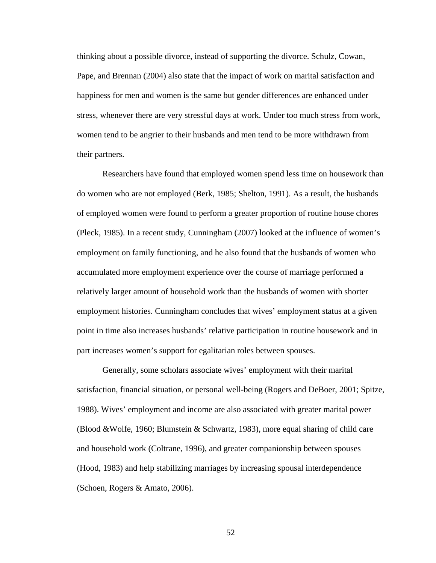thinking about a possible divorce, instead of supporting the divorce. Schulz, Cowan, Pape, and Brennan (2004) also state that the impact of work on marital satisfaction and happiness for men and women is the same but gender differences are enhanced under stress, whenever there are very stressful days at work. Under too much stress from work, women tend to be angrier to their husbands and men tend to be more withdrawn from their partners.

Researchers have found that employed women spend less time on housework than do women who are not employed (Berk, 1985; Shelton, 1991). As a result, the husbands of employed women were found to perform a greater proportion of routine house chores (Pleck, 1985). In a recent study, Cunningham (2007) looked at the influence of women's employment on family functioning, and he also found that the husbands of women who accumulated more employment experience over the course of marriage performed a relatively larger amount of household work than the husbands of women with shorter employment histories. Cunningham concludes that wives' employment status at a given point in time also increases husbands' relative participation in routine housework and in part increases women's support for egalitarian roles between spouses.

Generally, some scholars associate wives' employment with their marital satisfaction, financial situation, or personal well-being (Rogers and DeBoer, 2001; Spitze, 1988). Wives' employment and income are also associated with greater marital power (Blood &Wolfe, 1960; Blumstein & Schwartz, 1983), more equal sharing of child care and household work (Coltrane, 1996), and greater companionship between spouses (Hood, 1983) and help stabilizing marriages by increasing spousal interdependence (Schoen, Rogers & Amato, 2006).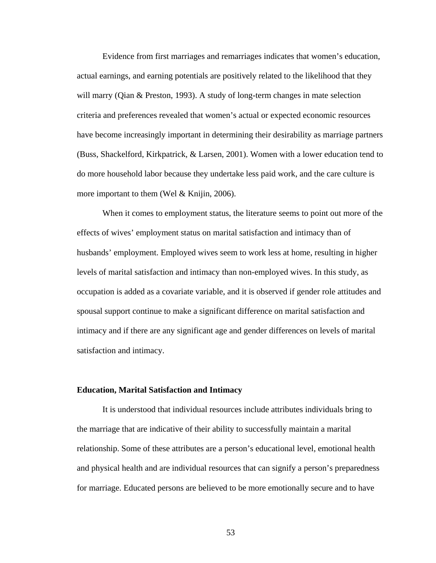Evidence from first marriages and remarriages indicates that women's education, actual earnings, and earning potentials are positively related to the likelihood that they will marry (Qian & Preston, 1993). A study of long-term changes in mate selection criteria and preferences revealed that women's actual or expected economic resources have become increasingly important in determining their desirability as marriage partners (Buss, Shackelford, Kirkpatrick, & Larsen, 2001). Women with a lower education tend to do more household labor because they undertake less paid work, and the care culture is more important to them (Wel & Knijin, 2006).

When it comes to employment status, the literature seems to point out more of the effects of wives' employment status on marital satisfaction and intimacy than of husbands' employment. Employed wives seem to work less at home, resulting in higher levels of marital satisfaction and intimacy than non-employed wives. In this study, as occupation is added as a covariate variable, and it is observed if gender role attitudes and spousal support continue to make a significant difference on marital satisfaction and intimacy and if there are any significant age and gender differences on levels of marital satisfaction and intimacy.

### **Education, Marital Satisfaction and Intimacy**

It is understood that individual resources include attributes individuals bring to the marriage that are indicative of their ability to successfully maintain a marital relationship. Some of these attributes are a person's educational level, emotional health and physical health and are individual resources that can signify a person's preparedness for marriage. Educated persons are believed to be more emotionally secure and to have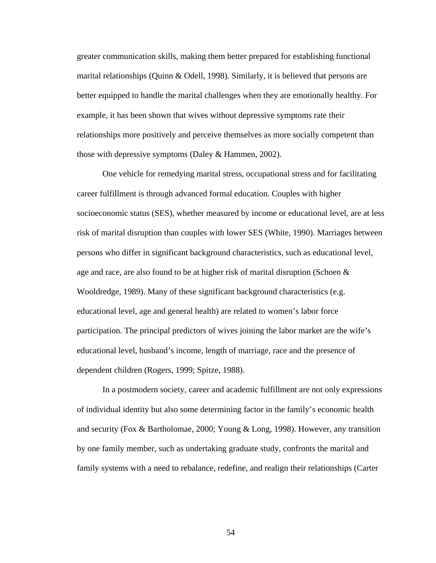greater communication skills, making them better prepared for establishing functional marital relationships (Quinn & Odell, 1998). Similarly, it is believed that persons are better equipped to handle the marital challenges when they are emotionally healthy. For example, it has been shown that wives without depressive symptoms rate their relationships more positively and perceive themselves as more socially competent than those with depressive symptoms (Daley & Hammen, 2002).

 One vehicle for remedying marital stress, occupational stress and for facilitating career fulfillment is through advanced formal education. Couples with higher socioeconomic status (SES), whether measured by income or educational level, are at less risk of marital disruption than couples with lower SES (White, 1990). Marriages between persons who differ in significant background characteristics, such as educational level, age and race, are also found to be at higher risk of marital disruption (Schoen & Wooldredge, 1989). Many of these significant background characteristics (e.g. educational level, age and general health) are related to women's labor force participation. The principal predictors of wives joining the labor market are the wife's educational level, husband's income, length of marriage, race and the presence of dependent children (Rogers, 1999; Spitze, 1988).

 In a postmodern society, career and academic fulfillment are not only expressions of individual identity but also some determining factor in the family's economic health and security (Fox & Bartholomae, 2000; Young & Long, 1998). However, any transition by one family member, such as undertaking graduate study, confronts the marital and family systems with a need to rebalance, redefine, and realign their relationships (Carter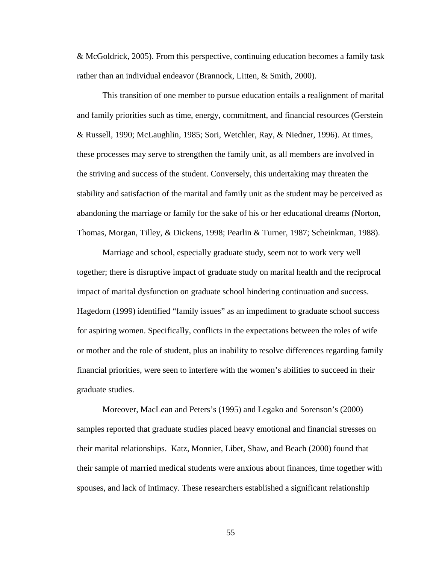& McGoldrick, 2005). From this perspective, continuing education becomes a family task rather than an individual endeavor (Brannock, Litten, & Smith, 2000).

 This transition of one member to pursue education entails a realignment of marital and family priorities such as time, energy, commitment, and financial resources (Gerstein & Russell, 1990; McLaughlin, 1985; Sori, Wetchler, Ray, & Niedner, 1996). At times, these processes may serve to strengthen the family unit, as all members are involved in the striving and success of the student. Conversely, this undertaking may threaten the stability and satisfaction of the marital and family unit as the student may be perceived as abandoning the marriage or family for the sake of his or her educational dreams (Norton, Thomas, Morgan, Tilley, & Dickens, 1998; Pearlin & Turner, 1987; Scheinkman, 1988).

Marriage and school, especially graduate study, seem not to work very well together; there is disruptive impact of graduate study on marital health and the reciprocal impact of marital dysfunction on graduate school hindering continuation and success. Hagedorn (1999) identified "family issues" as an impediment to graduate school success for aspiring women. Specifically, conflicts in the expectations between the roles of wife or mother and the role of student, plus an inability to resolve differences regarding family financial priorities, were seen to interfere with the women's abilities to succeed in their graduate studies.

 Moreover, MacLean and Peters's (1995) and Legako and Sorenson's (2000) samples reported that graduate studies placed heavy emotional and financial stresses on their marital relationships. Katz, Monnier, Libet, Shaw, and Beach (2000) found that their sample of married medical students were anxious about finances, time together with spouses, and lack of intimacy. These researchers established a significant relationship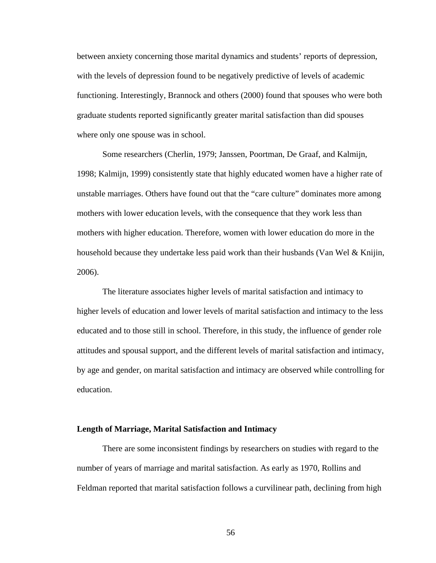between anxiety concerning those marital dynamics and students' reports of depression, with the levels of depression found to be negatively predictive of levels of academic functioning. Interestingly, Brannock and others (2000) found that spouses who were both graduate students reported significantly greater marital satisfaction than did spouses where only one spouse was in school.

 Some researchers (Cherlin, 1979; Janssen, Poortman, De Graaf, and Kalmijn, 1998; Kalmijn, 1999) consistently state that highly educated women have a higher rate of unstable marriages. Others have found out that the "care culture" dominates more among mothers with lower education levels, with the consequence that they work less than mothers with higher education. Therefore, women with lower education do more in the household because they undertake less paid work than their husbands (Van Wel & Knijin, 2006).

 The literature associates higher levels of marital satisfaction and intimacy to higher levels of education and lower levels of marital satisfaction and intimacy to the less educated and to those still in school. Therefore, in this study, the influence of gender role attitudes and spousal support, and the different levels of marital satisfaction and intimacy, by age and gender, on marital satisfaction and intimacy are observed while controlling for education.

### **Length of Marriage, Marital Satisfaction and Intimacy**

 There are some inconsistent findings by researchers on studies with regard to the number of years of marriage and marital satisfaction. As early as 1970, Rollins and Feldman reported that marital satisfaction follows a curvilinear path, declining from high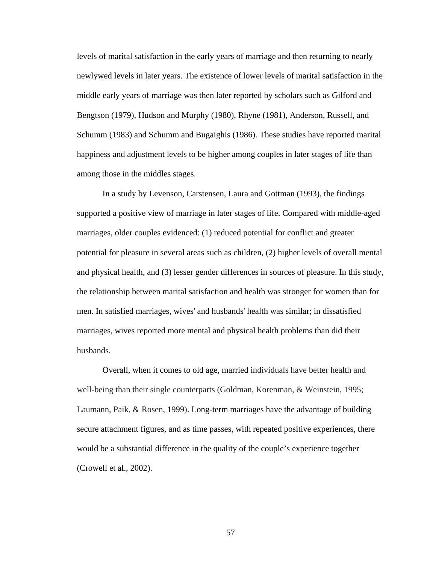levels of marital satisfaction in the early years of marriage and then returning to nearly newlywed levels in later years. The existence of lower levels of marital satisfaction in the middle early years of marriage was then later reported by scholars such as Gilford and Bengtson (1979), Hudson and Murphy (1980), Rhyne (1981), Anderson, Russell, and Schumm (1983) and Schumm and Bugaighis (1986). These studies have reported marital happiness and adjustment levels to be higher among couples in later stages of life than among those in the middles stages.

 In a study by Levenson, Carstensen, Laura and Gottman (1993), the findings supported a positive view of marriage in later stages of life. Compared with middle-aged marriages, older couples evidenced: (1) reduced potential for conflict and greater potential for pleasure in several areas such as children, (2) higher levels of overall mental and physical health, and (3) lesser gender differences in sources of pleasure. In this study, the relationship between marital satisfaction and health was stronger for women than for men. In satisfied marriages, wives' and husbands' health was similar; in dissatisfied marriages, wives reported more mental and physical health problems than did their husbands.

 Overall, when it comes to old age, married individuals have better health and well-being than their single counterparts (Goldman, Korenman, & Weinstein, 1995; Laumann, Paik, & Rosen, 1999). Long-term marriages have the advantage of building secure attachment figures, and as time passes, with repeated positive experiences, there would be a substantial difference in the quality of the couple's experience together (Crowell et al., 2002).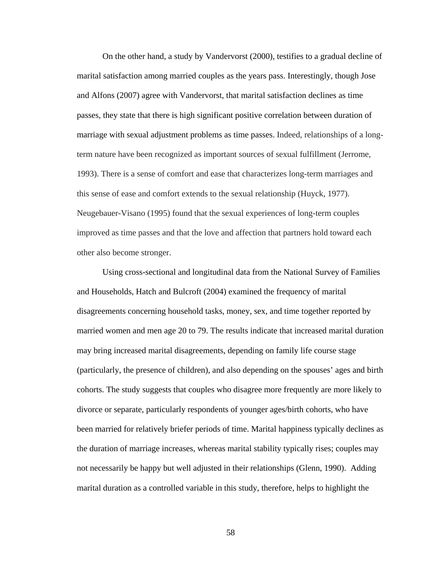On the other hand, a study by Vandervorst (2000), testifies to a gradual decline of marital satisfaction among married couples as the years pass. Interestingly, though Jose and Alfons (2007) agree with Vandervorst, that marital satisfaction declines as time passes, they state that there is high significant positive correlation between duration of marriage with sexual adjustment problems as time passes. Indeed, relationships of a longterm nature have been recognized as important sources of sexual fulfillment (Jerrome, 1993). There is a sense of comfort and ease that characterizes long-term marriages and this sense of ease and comfort extends to the sexual relationship (Huyck, 1977). Neugebauer-Visano (1995) found that the sexual experiences of long-term couples improved as time passes and that the love and affection that partners hold toward each other also become stronger.

Using cross-sectional and longitudinal data from the National Survey of Families and Households, Hatch and Bulcroft (2004) examined the frequency of marital disagreements concerning household tasks, money, sex, and time together reported by married women and men age 20 to 79. The results indicate that increased marital duration may bring increased marital disagreements, depending on family life course stage (particularly, the presence of children), and also depending on the spouses' ages and birth cohorts. The study suggests that couples who disagree more frequently are more likely to divorce or separate, particularly respondents of younger ages/birth cohorts, who have been married for relatively briefer periods of time. Marital happiness typically declines as the duration of marriage increases, whereas marital stability typically rises; couples may not necessarily be happy but well adjusted in their relationships (Glenn, 1990). Adding marital duration as a controlled variable in this study, therefore, helps to highlight the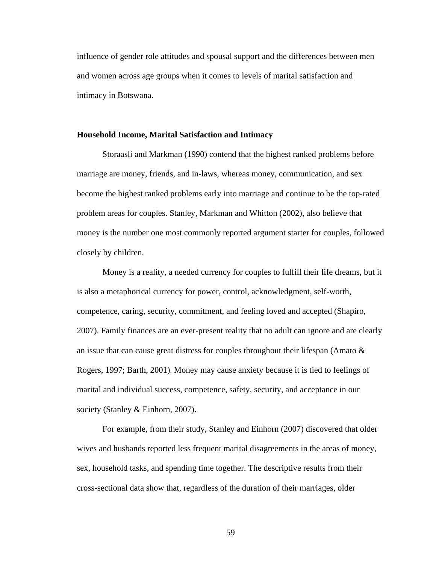influence of gender role attitudes and spousal support and the differences between men and women across age groups when it comes to levels of marital satisfaction and intimacy in Botswana.

### **Household Income, Marital Satisfaction and Intimacy**

 Storaasli and Markman (1990) contend that the highest ranked problems before marriage are money, friends, and in-laws, whereas money, communication, and sex become the highest ranked problems early into marriage and continue to be the top-rated problem areas for couples. Stanley, Markman and Whitton (2002), also believe that money is the number one most commonly reported argument starter for couples, followed closely by children.

 Money is a reality, a needed currency for couples to fulfill their life dreams, but it is also a metaphorical currency for power, control, acknowledgment, self-worth, competence, caring, security, commitment, and feeling loved and accepted (Shapiro, 2007). Family finances are an ever-present reality that no adult can ignore and are clearly an issue that can cause great distress for couples throughout their lifespan (Amato & Rogers, 1997; Barth, 2001). Money may cause anxiety because it is tied to feelings of marital and individual success, competence, safety, security, and acceptance in our society (Stanley & Einhorn, 2007).

 For example, from their study, Stanley and Einhorn (2007) discovered that older wives and husbands reported less frequent marital disagreements in the areas of money, sex, household tasks, and spending time together. The descriptive results from their cross-sectional data show that, regardless of the duration of their marriages, older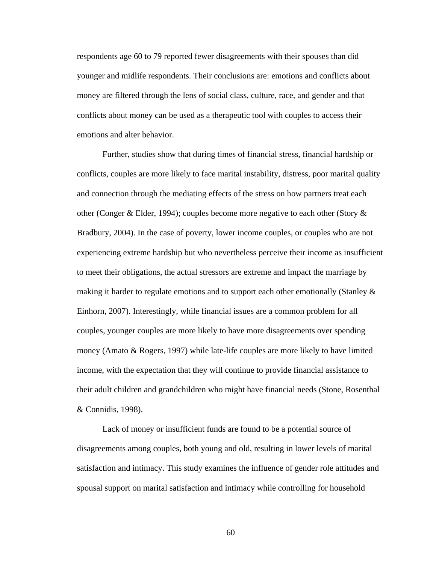respondents age 60 to 79 reported fewer disagreements with their spouses than did younger and midlife respondents. Their conclusions are: emotions and conflicts about money are filtered through the lens of social class, culture, race, and gender and that conflicts about money can be used as a therapeutic tool with couples to access their emotions and alter behavior.

 Further, studies show that during times of financial stress, financial hardship or conflicts, couples are more likely to face marital instability, distress, poor marital quality and connection through the mediating effects of the stress on how partners treat each other (Conger & Elder, 1994); couples become more negative to each other (Story & Bradbury, 2004). In the case of poverty, lower income couples, or couples who are not experiencing extreme hardship but who nevertheless perceive their income as insufficient to meet their obligations, the actual stressors are extreme and impact the marriage by making it harder to regulate emotions and to support each other emotionally (Stanley & Einhorn, 2007). Interestingly, while financial issues are a common problem for all couples, younger couples are more likely to have more disagreements over spending money (Amato & Rogers, 1997) while late-life couples are more likely to have limited income, with the expectation that they will continue to provide financial assistance to their adult children and grandchildren who might have financial needs (Stone, Rosenthal & Connidis, 1998).

 Lack of money or insufficient funds are found to be a potential source of disagreements among couples, both young and old, resulting in lower levels of marital satisfaction and intimacy. This study examines the influence of gender role attitudes and spousal support on marital satisfaction and intimacy while controlling for household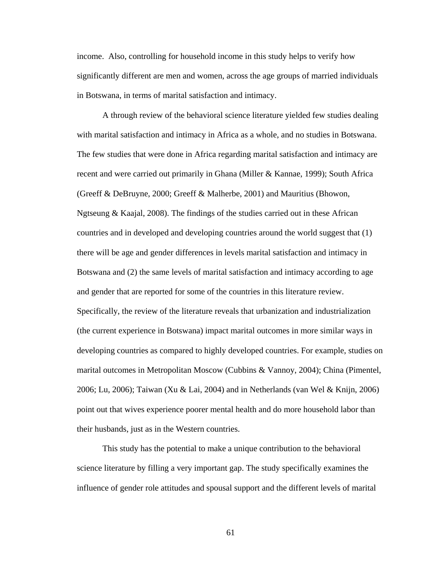income. Also, controlling for household income in this study helps to verify how significantly different are men and women, across the age groups of married individuals in Botswana, in terms of marital satisfaction and intimacy.

A through review of the behavioral science literature yielded few studies dealing with marital satisfaction and intimacy in Africa as a whole, and no studies in Botswana. The few studies that were done in Africa regarding marital satisfaction and intimacy are recent and were carried out primarily in Ghana (Miller & Kannae, 1999); South Africa (Greeff & DeBruyne, 2000; Greeff & Malherbe, 2001) and Mauritius (Bhowon, Ngtseung & Kaajal, 2008). The findings of the studies carried out in these African countries and in developed and developing countries around the world suggest that (1) there will be age and gender differences in levels marital satisfaction and intimacy in Botswana and (2) the same levels of marital satisfaction and intimacy according to age and gender that are reported for some of the countries in this literature review. Specifically, the review of the literature reveals that urbanization and industrialization (the current experience in Botswana) impact marital outcomes in more similar ways in developing countries as compared to highly developed countries. For example, studies on marital outcomes in Metropolitan Moscow (Cubbins & Vannoy, 2004); China (Pimentel, 2006; Lu, 2006); Taiwan (Xu & Lai, 2004) and in Netherlands (van Wel & Knijn, 2006) point out that wives experience poorer mental health and do more household labor than their husbands, just as in the Western countries.

 This study has the potential to make a unique contribution to the behavioral science literature by filling a very important gap. The study specifically examines the influence of gender role attitudes and spousal support and the different levels of marital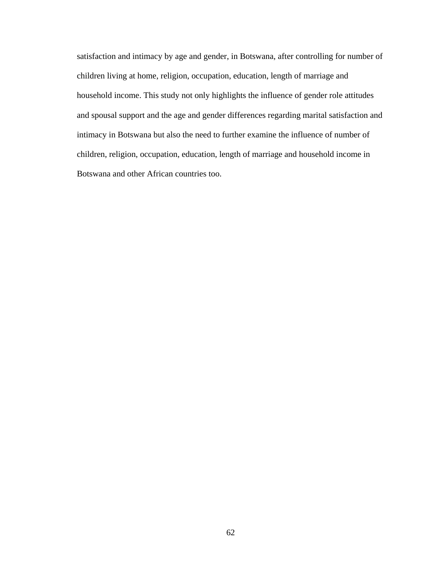satisfaction and intimacy by age and gender, in Botswana, after controlling for number of children living at home, religion, occupation, education, length of marriage and household income. This study not only highlights the influence of gender role attitudes and spousal support and the age and gender differences regarding marital satisfaction and intimacy in Botswana but also the need to further examine the influence of number of children, religion, occupation, education, length of marriage and household income in Botswana and other African countries too.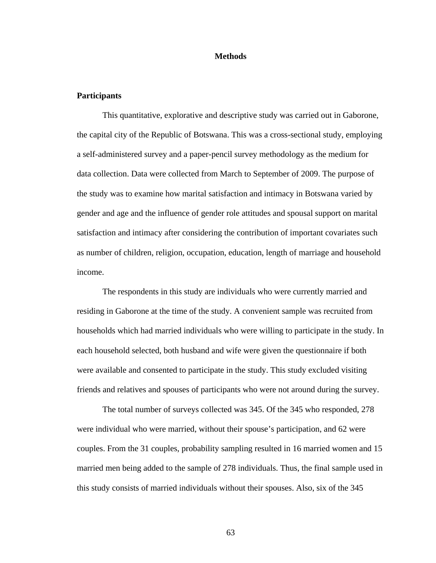### **Methods**

### **Participants**

 This quantitative, explorative and descriptive study was carried out in Gaborone, the capital city of the Republic of Botswana. This was a cross-sectional study, employing a self-administered survey and a paper-pencil survey methodology as the medium for data collection. Data were collected from March to September of 2009. The purpose of the study was to examine how marital satisfaction and intimacy in Botswana varied by gender and age and the influence of gender role attitudes and spousal support on marital satisfaction and intimacy after considering the contribution of important covariates such as number of children, religion, occupation, education, length of marriage and household income.

The respondents in this study are individuals who were currently married and residing in Gaborone at the time of the study. A convenient sample was recruited from households which had married individuals who were willing to participate in the study. In each household selected, both husband and wife were given the questionnaire if both were available and consented to participate in the study. This study excluded visiting friends and relatives and spouses of participants who were not around during the survey.

The total number of surveys collected was 345. Of the 345 who responded, 278 were individual who were married, without their spouse's participation, and 62 were couples. From the 31 couples, probability sampling resulted in 16 married women and 15 married men being added to the sample of 278 individuals. Thus, the final sample used in this study consists of married individuals without their spouses. Also, six of the 345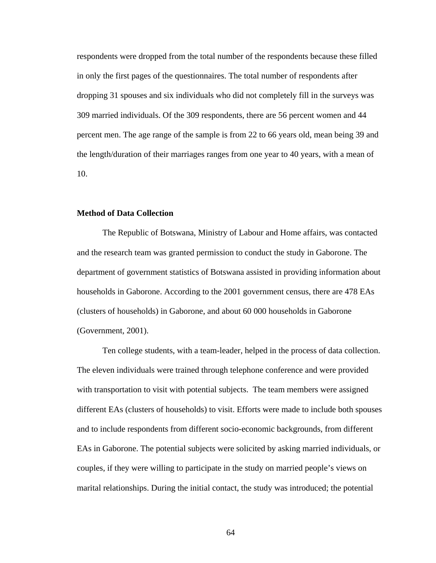respondents were dropped from the total number of the respondents because these filled in only the first pages of the questionnaires. The total number of respondents after dropping 31 spouses and six individuals who did not completely fill in the surveys was 309 married individuals. Of the 309 respondents, there are 56 percent women and 44 percent men. The age range of the sample is from 22 to 66 years old, mean being 39 and the length/duration of their marriages ranges from one year to 40 years, with a mean of 10.

### **Method of Data Collection**

The Republic of Botswana, Ministry of Labour and Home affairs, was contacted and the research team was granted permission to conduct the study in Gaborone. The department of government statistics of Botswana assisted in providing information about households in Gaborone. According to the 2001 government census, there are 478 EAs (clusters of households) in Gaborone, and about 60 000 households in Gaborone (Government, 2001).

Ten college students, with a team-leader, helped in the process of data collection. The eleven individuals were trained through telephone conference and were provided with transportation to visit with potential subjects. The team members were assigned different EAs (clusters of households) to visit. Efforts were made to include both spouses and to include respondents from different socio-economic backgrounds, from different EAs in Gaborone. The potential subjects were solicited by asking married individuals, or couples, if they were willing to participate in the study on married people's views on marital relationships. During the initial contact, the study was introduced; the potential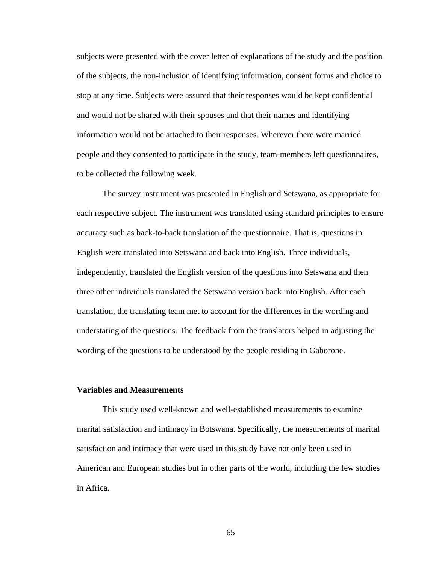subjects were presented with the cover letter of explanations of the study and the position of the subjects, the non-inclusion of identifying information, consent forms and choice to stop at any time. Subjects were assured that their responses would be kept confidential and would not be shared with their spouses and that their names and identifying information would not be attached to their responses. Wherever there were married people and they consented to participate in the study, team-members left questionnaires, to be collected the following week.

 The survey instrument was presented in English and Setswana, as appropriate for each respective subject. The instrument was translated using standard principles to ensure accuracy such as back-to-back translation of the questionnaire. That is, questions in English were translated into Setswana and back into English. Three individuals, independently, translated the English version of the questions into Setswana and then three other individuals translated the Setswana version back into English. After each translation, the translating team met to account for the differences in the wording and understating of the questions. The feedback from the translators helped in adjusting the wording of the questions to be understood by the people residing in Gaborone.

### **Variables and Measurements**

This study used well-known and well-established measurements to examine marital satisfaction and intimacy in Botswana. Specifically, the measurements of marital satisfaction and intimacy that were used in this study have not only been used in American and European studies but in other parts of the world, including the few studies in Africa.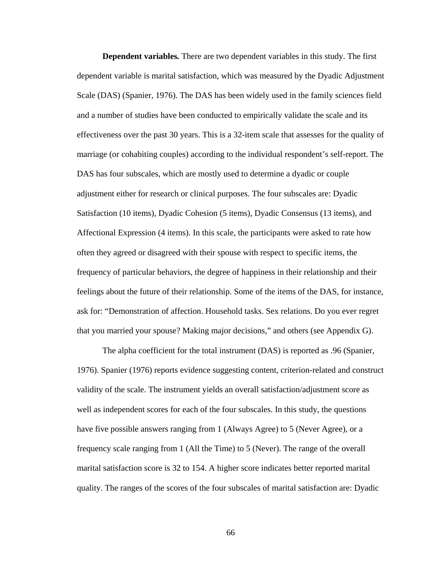**Dependent variables***.* There are two dependent variables in this study. The first dependent variable is marital satisfaction, which was measured by the Dyadic Adjustment Scale (DAS) (Spanier, 1976). The DAS has been widely used in the family sciences field and a number of studies have been conducted to empirically validate the scale and its effectiveness over the past 30 years. This is a 32-item scale that assesses for the quality of marriage (or cohabiting couples) according to the individual respondent's self-report. The DAS has four subscales, which are mostly used to determine a dyadic or couple adjustment either for research or clinical purposes. The four subscales are: Dyadic Satisfaction (10 items), Dyadic Cohesion (5 items), Dyadic Consensus (13 items), and Affectional Expression (4 items). In this scale, the participants were asked to rate how often they agreed or disagreed with their spouse with respect to specific items, the frequency of particular behaviors, the degree of happiness in their relationship and their feelings about the future of their relationship. Some of the items of the DAS, for instance, ask for: "Demonstration of affection. Household tasks. Sex relations. Do you ever regret that you married your spouse? Making major decisions," and others (see Appendix G).

The alpha coefficient for the total instrument (DAS) is reported as .96 (Spanier, 1976). Spanier (1976) reports evidence suggesting content, criterion-related and construct validity of the scale. The instrument yields an overall satisfaction/adjustment score as well as independent scores for each of the four subscales. In this study, the questions have five possible answers ranging from 1 (Always Agree) to 5 (Never Agree), or a frequency scale ranging from 1 (All the Time) to 5 (Never). The range of the overall marital satisfaction score is 32 to 154. A higher score indicates better reported marital quality. The ranges of the scores of the four subscales of marital satisfaction are: Dyadic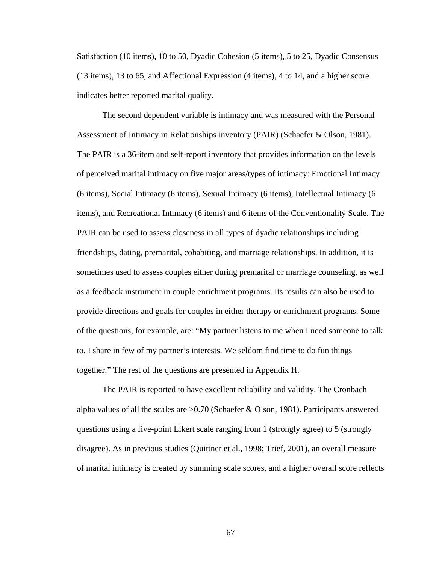Satisfaction (10 items), 10 to 50, Dyadic Cohesion (5 items), 5 to 25, Dyadic Consensus (13 items), 13 to 65, and Affectional Expression (4 items), 4 to 14, and a higher score indicates better reported marital quality.

The second dependent variable is intimacy and was measured with the Personal Assessment of Intimacy in Relationships inventory (PAIR) (Schaefer & Olson, 1981). The PAIR is a 36-item and self-report inventory that provides information on the levels of perceived marital intimacy on five major areas/types of intimacy: Emotional Intimacy (6 items), Social Intimacy (6 items), Sexual Intimacy (6 items), Intellectual Intimacy (6 items), and Recreational Intimacy (6 items) and 6 items of the Conventionality Scale. The PAIR can be used to assess closeness in all types of dyadic relationships including friendships, dating, premarital, cohabiting, and marriage relationships. In addition, it is sometimes used to assess couples either during premarital or marriage counseling, as well as a feedback instrument in couple enrichment programs. Its results can also be used to provide directions and goals for couples in either therapy or enrichment programs. Some of the questions, for example, are: "My partner listens to me when I need someone to talk to. I share in few of my partner's interests. We seldom find time to do fun things together." The rest of the questions are presented in Appendix H.

The PAIR is reported to have excellent reliability and validity. The Cronbach alpha values of all the scales are  $>0.70$  (Schaefer & Olson, 1981). Participants answered questions using a five-point Likert scale ranging from 1 (strongly agree) to 5 (strongly disagree). As in previous studies (Quittner et al., 1998; Trief, 2001), an overall measure of marital intimacy is created by summing scale scores, and a higher overall score reflects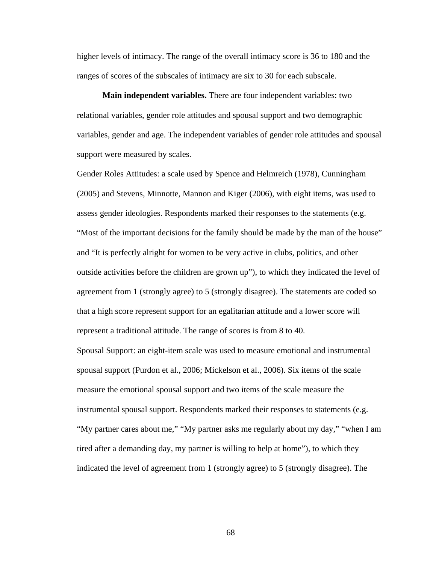higher levels of intimacy. The range of the overall intimacy score is 36 to 180 and the ranges of scores of the subscales of intimacy are six to 30 for each subscale.

**Main independent variables.** There are four independent variables: two relational variables, gender role attitudes and spousal support and two demographic variables, gender and age. The independent variables of gender role attitudes and spousal support were measured by scales.

Gender Roles Attitudes: a scale used by Spence and Helmreich (1978), Cunningham (2005) and Stevens, Minnotte, Mannon and Kiger (2006), with eight items, was used to assess gender ideologies. Respondents marked their responses to the statements (e.g. "Most of the important decisions for the family should be made by the man of the house" and "It is perfectly alright for women to be very active in clubs, politics, and other outside activities before the children are grown up"), to which they indicated the level of agreement from 1 (strongly agree) to 5 (strongly disagree). The statements are coded so that a high score represent support for an egalitarian attitude and a lower score will represent a traditional attitude. The range of scores is from 8 to 40.

Spousal Support: an eight-item scale was used to measure emotional and instrumental spousal support (Purdon et al., 2006; Mickelson et al., 2006). Six items of the scale measure the emotional spousal support and two items of the scale measure the instrumental spousal support. Respondents marked their responses to statements (e.g. "My partner cares about me," "My partner asks me regularly about my day," "when I am tired after a demanding day, my partner is willing to help at home"), to which they indicated the level of agreement from 1 (strongly agree) to 5 (strongly disagree). The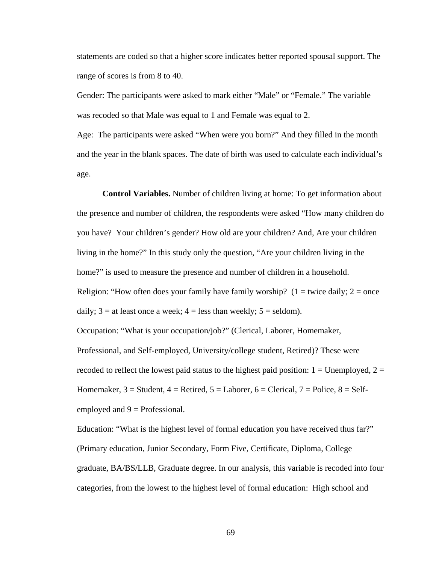statements are coded so that a higher score indicates better reported spousal support. The range of scores is from 8 to 40.

Gender: The participants were asked to mark either "Male" or "Female." The variable was recoded so that Male was equal to 1 and Female was equal to 2.

Age: The participants were asked "When were you born?" And they filled in the month and the year in the blank spaces. The date of birth was used to calculate each individual's age.

**Control Variables.** Number of children living at home: To get information about the presence and number of children, the respondents were asked "How many children do you have? Your children's gender? How old are your children? And, Are your children living in the home?" In this study only the question, "Are your children living in the home?" is used to measure the presence and number of children in a household. Religion: "How often does your family have family worship? ( $1 =$  twice daily;  $2 =$  once daily;  $3 =$  at least once a week;  $4 =$  less than weekly;  $5 =$  seldom).

Occupation: "What is your occupation/job?" (Clerical, Laborer, Homemaker,

Professional, and Self-employed, University/college student, Retired)? These were recoded to reflect the lowest paid status to the highest paid position:  $1 =$  Unemployed,  $2 =$ Homemaker,  $3 =$  Student,  $4 =$  Retired,  $5 =$  Laborer,  $6 =$  Clerical,  $7 =$  Police,  $8 =$  Selfemployed and  $9$  = Professional.

Education: "What is the highest level of formal education you have received thus far?" (Primary education, Junior Secondary, Form Five, Certificate, Diploma, College graduate, BA/BS/LLB, Graduate degree. In our analysis, this variable is recoded into four categories, from the lowest to the highest level of formal education: High school and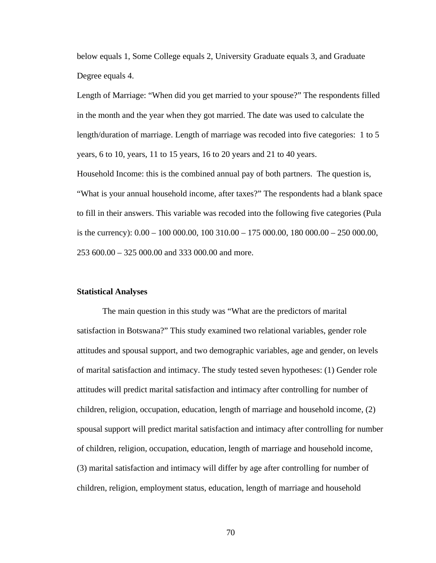below equals 1, Some College equals 2, University Graduate equals 3, and Graduate Degree equals 4.

Length of Marriage: "When did you get married to your spouse?" The respondents filled in the month and the year when they got married. The date was used to calculate the length/duration of marriage. Length of marriage was recoded into five categories: 1 to 5 years, 6 to 10, years, 11 to 15 years, 16 to 20 years and 21 to 40 years.

Household Income: this is the combined annual pay of both partners. The question is, "What is your annual household income, after taxes?" The respondents had a blank space to fill in their answers. This variable was recoded into the following five categories (Pula is the currency):  $0.00 - 100000.00$ ,  $100310.00 - 175000.00$ ,  $180000.00 - 250000.00$ , 253 600.00 – 325 000.00 and 333 000.00 and more.

### **Statistical Analyses**

 The main question in this study was "What are the predictors of marital satisfaction in Botswana?" This study examined two relational variables, gender role attitudes and spousal support, and two demographic variables, age and gender, on levels of marital satisfaction and intimacy. The study tested seven hypotheses: (1) Gender role attitudes will predict marital satisfaction and intimacy after controlling for number of children, religion, occupation, education, length of marriage and household income, (2) spousal support will predict marital satisfaction and intimacy after controlling for number of children, religion, occupation, education, length of marriage and household income, (3) marital satisfaction and intimacy will differ by age after controlling for number of children, religion, employment status, education, length of marriage and household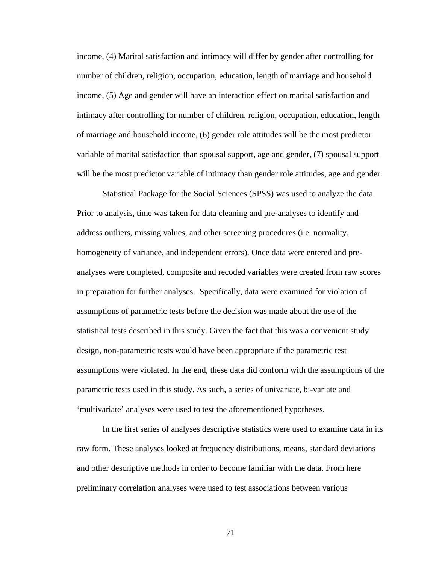income, (4) Marital satisfaction and intimacy will differ by gender after controlling for number of children, religion, occupation, education, length of marriage and household income, (5) Age and gender will have an interaction effect on marital satisfaction and intimacy after controlling for number of children, religion, occupation, education, length of marriage and household income, (6) gender role attitudes will be the most predictor variable of marital satisfaction than spousal support, age and gender, (7) spousal support will be the most predictor variable of intimacy than gender role attitudes, age and gender.

Statistical Package for the Social Sciences (SPSS) was used to analyze the data. Prior to analysis, time was taken for data cleaning and pre-analyses to identify and address outliers, missing values, and other screening procedures (i.e. normality, homogeneity of variance, and independent errors). Once data were entered and preanalyses were completed, composite and recoded variables were created from raw scores in preparation for further analyses. Specifically, data were examined for violation of assumptions of parametric tests before the decision was made about the use of the statistical tests described in this study. Given the fact that this was a convenient study design, non-parametric tests would have been appropriate if the parametric test assumptions were violated. In the end, these data did conform with the assumptions of the parametric tests used in this study. As such, a series of univariate, bi-variate and 'multivariate' analyses were used to test the aforementioned hypotheses.

In the first series of analyses descriptive statistics were used to examine data in its raw form. These analyses looked at frequency distributions, means, standard deviations and other descriptive methods in order to become familiar with the data. From here preliminary correlation analyses were used to test associations between various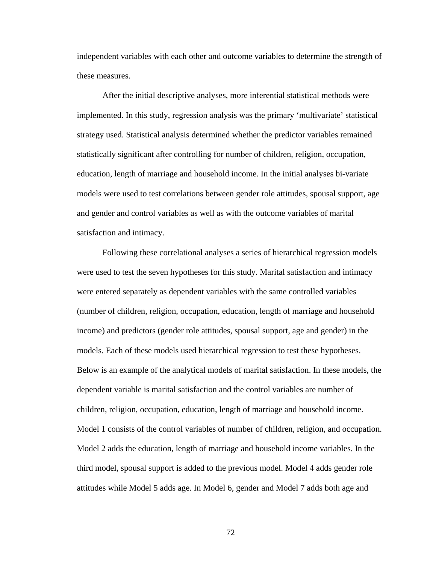independent variables with each other and outcome variables to determine the strength of these measures.

After the initial descriptive analyses, more inferential statistical methods were implemented. In this study, regression analysis was the primary 'multivariate' statistical strategy used. Statistical analysis determined whether the predictor variables remained statistically significant after controlling for number of children, religion, occupation, education, length of marriage and household income. In the initial analyses bi-variate models were used to test correlations between gender role attitudes, spousal support, age and gender and control variables as well as with the outcome variables of marital satisfaction and intimacy.

Following these correlational analyses a series of hierarchical regression models were used to test the seven hypotheses for this study. Marital satisfaction and intimacy were entered separately as dependent variables with the same controlled variables (number of children, religion, occupation, education, length of marriage and household income) and predictors (gender role attitudes, spousal support, age and gender) in the models. Each of these models used hierarchical regression to test these hypotheses. Below is an example of the analytical models of marital satisfaction. In these models, the dependent variable is marital satisfaction and the control variables are number of children, religion, occupation, education, length of marriage and household income. Model 1 consists of the control variables of number of children, religion, and occupation. Model 2 adds the education, length of marriage and household income variables. In the third model, spousal support is added to the previous model. Model 4 adds gender role attitudes while Model 5 adds age. In Model 6, gender and Model 7 adds both age and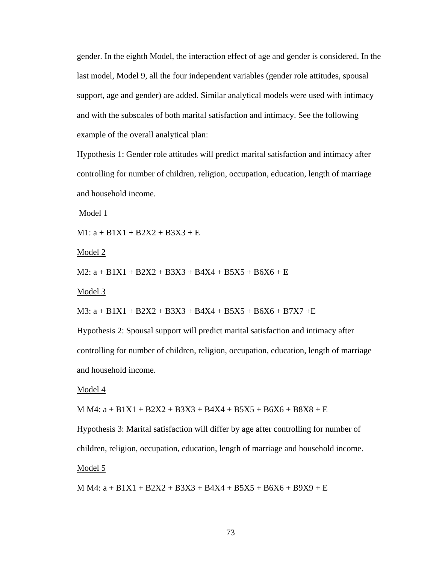gender. In the eighth Model, the interaction effect of age and gender is considered. In the last model, Model 9, all the four independent variables (gender role attitudes, spousal support, age and gender) are added. Similar analytical models were used with intimacy and with the subscales of both marital satisfaction and intimacy. See the following example of the overall analytical plan:

Hypothesis 1: Gender role attitudes will predict marital satisfaction and intimacy after controlling for number of children, religion, occupation, education, length of marriage and household income.

Model 1

 $M1: a + B1X1 + B2X2 + B3X3 + E$ 

Model 2

M2: a + B1X1 + B2X2 + B3X3 + B4X4 + B5X5 + B6X6 + E

Model 3

M3: a + B1X1 + B2X2 + B3X3 + B4X4 + B5X5 + B6X6 + B7X7 +E

Hypothesis 2: Spousal support will predict marital satisfaction and intimacy after controlling for number of children, religion, occupation, education, length of marriage and household income.

Model 4

M M4: a + B1X1 + B2X2 + B3X3 + B4X4 + B5X5 + B6X6 + B8X8 + E

Hypothesis 3: Marital satisfaction will differ by age after controlling for number of children, religion, occupation, education, length of marriage and household income. Model 5

M M4: a + B1X1 + B2X2 + B3X3 + B4X4 + B5X5 + B6X6 + B9X9 + E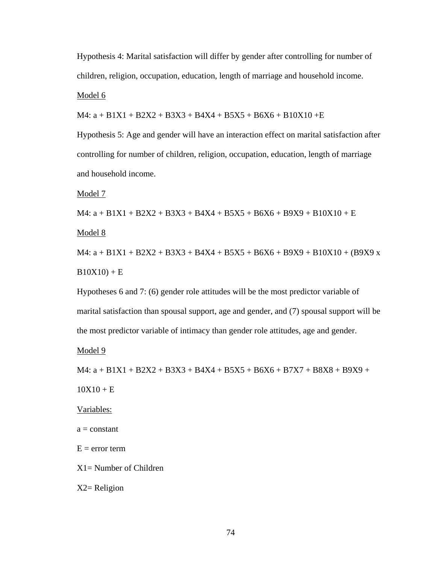Hypothesis 4: Marital satisfaction will differ by gender after controlling for number of children, religion, occupation, education, length of marriage and household income. Model 6

 $M4: a + B1X1 + B2X2 + B3X3 + B4X4 + B5X5 + B6X6 + B10X10 + E$ 

Hypothesis 5: Age and gender will have an interaction effect on marital satisfaction after controlling for number of children, religion, occupation, education, length of marriage and household income.

Model 7

 $M4: a + B1X1 + B2X2 + B3X3 + B4X4 + B5X5 + B6X6 + B9X9 + B10X10 + E$ 

Model 8

M4:  $a + B1X1 + B2X2 + B3X3 + B4X4 + B5X5 + B6X6 + B9X9 + B10X10 + (B9X9 x)$  $B10X10$  + E

Hypotheses 6 and 7: (6) gender role attitudes will be the most predictor variable of marital satisfaction than spousal support, age and gender, and (7) spousal support will be the most predictor variable of intimacy than gender role attitudes, age and gender.

Model 9

 $M4: a + B1X1 + B2X2 + B3X3 + B4X4 + B5X5 + B6X6 + B7X7 + B8X8 + B9X9 +$ 

 $10X10 + E$ 

Variables:

 $a = constant$ 

 $E = error term$ 

X1= Number of Children

 $X2=$  Religion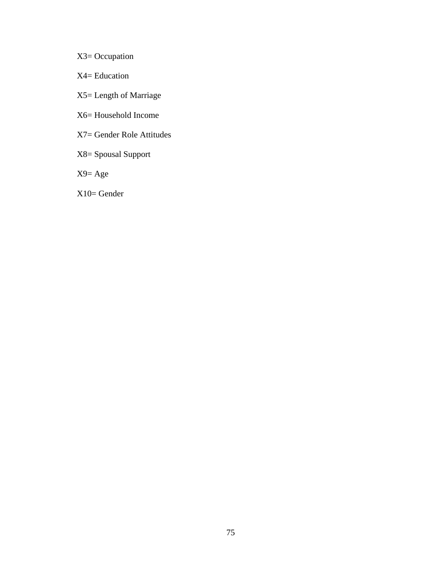- X3= Occupation
- X4= Education
- X5= Length of Marriage
- X6= Household Income
- X7= Gender Role Attitudes
- X8= Spousal Support
- X9= Age
- X10= Gender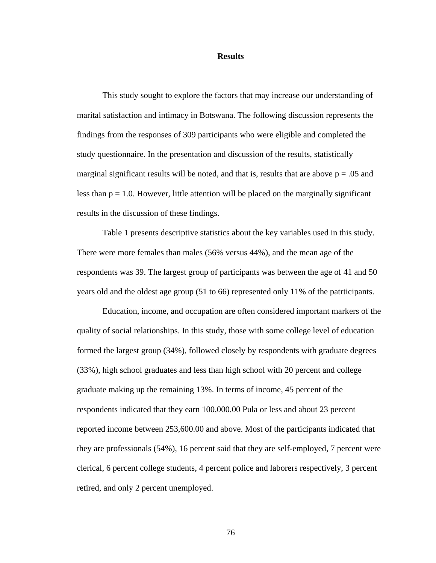### **Results**

This study sought to explore the factors that may increase our understanding of marital satisfaction and intimacy in Botswana. The following discussion represents the findings from the responses of 309 participants who were eligible and completed the study questionnaire. In the presentation and discussion of the results, statistically marginal significant results will be noted, and that is, results that are above  $p = .05$  and less than  $p = 1.0$ . However, little attention will be placed on the marginally significant results in the discussion of these findings.

Table 1 presents descriptive statistics about the key variables used in this study. There were more females than males (56% versus 44%), and the mean age of the respondents was 39. The largest group of participants was between the age of 41 and 50 years old and the oldest age group (51 to 66) represented only 11% of the patrticipants.

 Education, income, and occupation are often considered important markers of the quality of social relationships. In this study, those with some college level of education formed the largest group (34%), followed closely by respondents with graduate degrees (33%), high school graduates and less than high school with 20 percent and college graduate making up the remaining 13%. In terms of income, 45 percent of the respondents indicated that they earn 100,000.00 Pula or less and about 23 percent reported income between 253,600.00 and above. Most of the participants indicated that they are professionals (54%), 16 percent said that they are self-employed, 7 percent were clerical, 6 percent college students, 4 percent police and laborers respectively, 3 percent retired, and only 2 percent unemployed.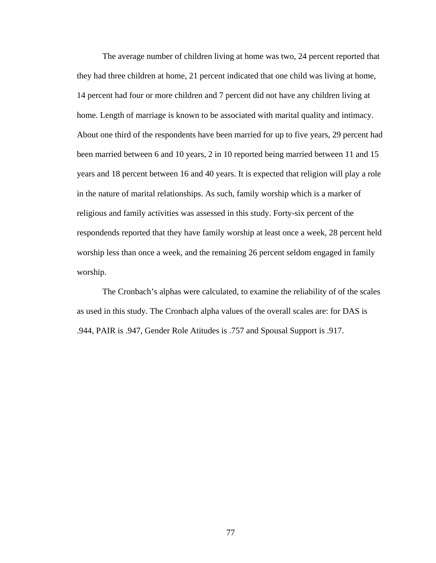The average number of children living at home was two, 24 percent reported that they had three children at home, 21 percent indicated that one child was living at home, 14 percent had four or more children and 7 percent did not have any children living at home. Length of marriage is known to be associated with marital quality and intimacy. About one third of the respondents have been married for up to five years, 29 percent had been married between 6 and 10 years, 2 in 10 reported being married between 11 and 15 years and 18 percent between 16 and 40 years. It is expected that religion will play a role in the nature of marital relationships. As such, family worship which is a marker of religious and family activities was assessed in this study. Forty-six percent of the respondends reported that they have family worship at least once a week, 28 percent held worship less than once a week, and the remaining 26 percent seldom engaged in family worship.

 The Cronbach's alphas were calculated, to examine the reliability of of the scales as used in this study. The Cronbach alpha values of the overall scales are: for DAS is .944, PAIR is .947, Gender Role Atitudes is .757 and Spousal Support is .917.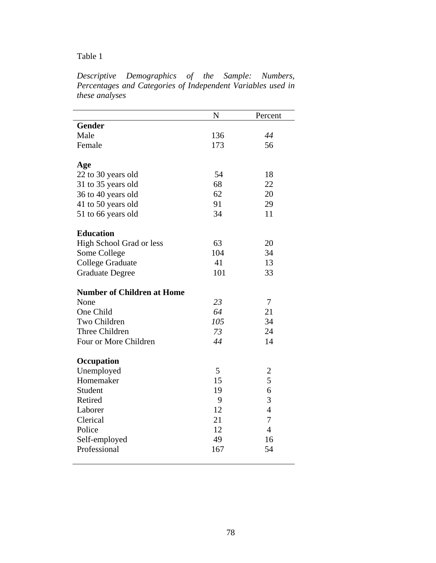| Descriptive Demographics of the Sample: Numbers,            |  |  |  |  |  |
|-------------------------------------------------------------|--|--|--|--|--|
| Percentages and Categories of Independent Variables used in |  |  |  |  |  |
| these analyses                                              |  |  |  |  |  |

|                                   | N   | Percent        |
|-----------------------------------|-----|----------------|
| <b>Gender</b>                     |     |                |
| Male                              | 136 | 44             |
| Female                            | 173 | 56             |
| Age                               |     |                |
| 22 to 30 years old                | 54  | 18             |
| 31 to 35 years old                | 68  | 22             |
| 36 to 40 years old                | 62  | 20             |
| 41 to 50 years old                | 91  | 29             |
| 51 to 66 years old                | 34  | 11             |
| <b>Education</b>                  |     |                |
| High School Grad or less          | 63  | 20             |
| Some College                      | 104 | 34             |
| <b>College Graduate</b>           | 41  | 13             |
| <b>Graduate Degree</b>            | 101 | 33             |
| <b>Number of Children at Home</b> |     |                |
| None                              | 23  | $\tau$         |
| One Child                         | 64  | 21             |
| Two Children                      | 105 | 34             |
| Three Children                    | 73  | 24             |
| Four or More Children             | 44  | 14             |
| Occupation                        |     |                |
| Unemployed                        | 5   | 2              |
| Homemaker                         | 15  | 5              |
| Student                           | 19  | 6              |
| Retired                           | 9   | 3              |
| Laborer                           | 12  | $\overline{4}$ |
| Clerical                          | 21  | 7              |
| Police                            | 12  | $\overline{4}$ |
| Self-employed                     | 49  | 16             |
| Professional                      | 167 | 54             |
|                                   |     |                |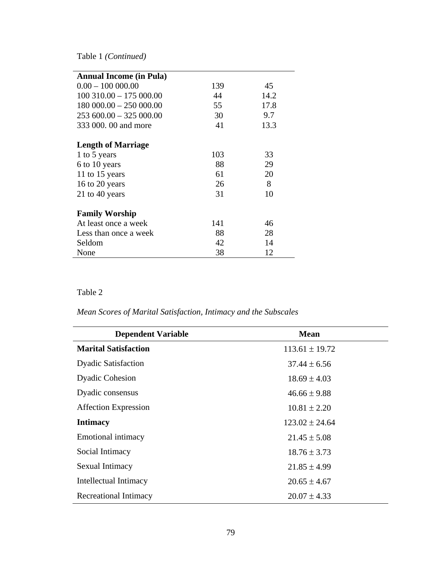Table 1 *(Continued)* 

| <b>Annual Income (in Pula)</b> |     |      |
|--------------------------------|-----|------|
| $0.00 - 100000.00$             | 139 | 45   |
| $100$ 310.00 $-$ 175 000.00    | 44  | 14.2 |
| $180000.00 - 250000.00$        | 55  | 17.8 |
| $253600.00 - 325000.00$        | 30  | 9.7  |
| 333 000.00 and more            | 41  | 13.3 |
|                                |     |      |
| <b>Length of Marriage</b>      |     |      |
| 1 to 5 years                   | 103 | 33   |
| 6 to 10 years                  | 88  | 29   |
| 11 to 15 years                 | 61  | 20   |
| 16 to 20 years                 | 26  | 8    |
| 21 to 40 years                 | 31  | 10   |
|                                |     |      |
| <b>Family Worship</b>          |     |      |
| At least once a week           | 141 | 46   |
| Less than once a week          | 88  | 28   |
| Seldom                         | 42  | 14   |
| None                           | 38  | 12   |

## Table 2

*Mean Scores of Marital Satisfaction, Intimacy and the Subscales* 

| <b>Dependent Variable</b>   | <b>Mean</b>        |
|-----------------------------|--------------------|
| <b>Marital Satisfaction</b> | $113.61 \pm 19.72$ |
| <b>Dyadic Satisfaction</b>  | $37.44 \pm 6.56$   |
| <b>Dyadic Cohesion</b>      | $18.69 \pm 4.03$   |
| Dyadic consensus            | $46.66 \pm 9.88$   |
| <b>Affection Expression</b> | $10.81 \pm 2.20$   |
| <b>Intimacy</b>             | $123.02 \pm 24.64$ |
| Emotional intimacy          | $21.45 \pm 5.08$   |
| Social Intimacy             | $18.76 \pm 3.73$   |
| Sexual Intimacy             | $21.85 \pm 4.99$   |
| Intellectual Intimacy       | $20.65 \pm 4.67$   |
| Recreational Intimacy       | $20.07 \pm 4.33$   |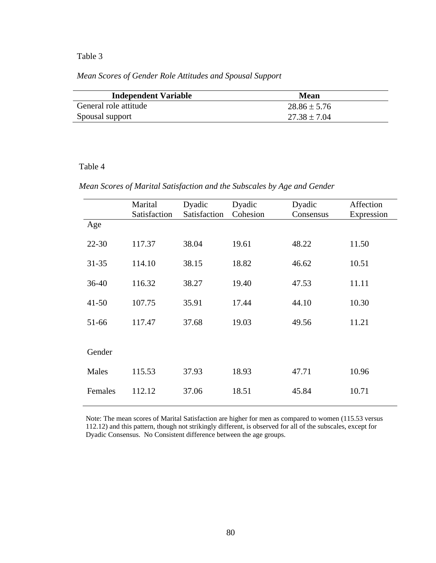*Mean Scores of Gender Role Attitudes and Spousal Support* 

| <b>Independent Variable</b> | <b>Mean</b>    |
|-----------------------------|----------------|
| General role attitude       | $28.86 + 5.76$ |
| Spousal support             | $27.38 + 7.04$ |

### Table 4

 *Mean Scores of Marital Satisfaction and the Subscales by Age and Gender* 

|           | Marital<br>Satisfaction | Dyadic<br>Satisfaction | Dyadic<br>Cohesion | Dyadic<br>Consensus | Affection<br>Expression |
|-----------|-------------------------|------------------------|--------------------|---------------------|-------------------------|
| Age       |                         |                        |                    |                     |                         |
| $22 - 30$ | 117.37                  | 38.04                  | 19.61              | 48.22               | 11.50                   |
| $31 - 35$ | 114.10                  | 38.15                  | 18.82              | 46.62               | 10.51                   |
| $36 - 40$ | 116.32                  | 38.27                  | 19.40              | 47.53               | 11.11                   |
| $41 - 50$ | 107.75                  | 35.91                  | 17.44              | 44.10               | 10.30                   |
| 51-66     | 117.47                  | 37.68                  | 19.03              | 49.56               | 11.21                   |
|           |                         |                        |                    |                     |                         |
| Gender    |                         |                        |                    |                     |                         |
| Males     | 115.53                  | 37.93                  | 18.93              | 47.71               | 10.96                   |
| Females   | 112.12                  | 37.06                  | 18.51              | 45.84               | 10.71                   |

 Note: The mean scores of Marital Satisfaction are higher for men as compared to women (115.53 versus 112.12) and this pattern, though not strikingly different, is observed for all of the subscales, except for Dyadic Consensus. No Consistent difference between the age groups.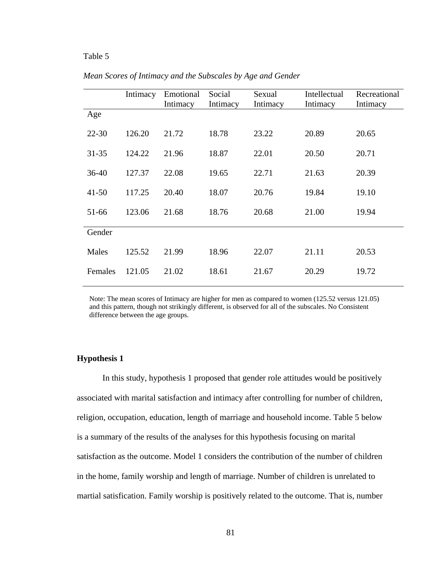|           | Intimacy | Emotional<br>Intimacy | Social<br>Intimacy | Sexual<br>Intimacy | Intellectual<br>Intimacy | Recreational<br>Intimacy |
|-----------|----------|-----------------------|--------------------|--------------------|--------------------------|--------------------------|
| Age       |          |                       |                    |                    |                          |                          |
| $22 - 30$ | 126.20   | 21.72                 | 18.78              | 23.22              | 20.89                    | 20.65                    |
| $31 - 35$ | 124.22   | 21.96                 | 18.87              | 22.01              | 20.50                    | 20.71                    |
| $36-40$   | 127.37   | 22.08                 | 19.65              | 22.71              | 21.63                    | 20.39                    |
| $41 - 50$ | 117.25   | 20.40                 | 18.07              | 20.76              | 19.84                    | 19.10                    |
| 51-66     | 123.06   | 21.68                 | 18.76              | 20.68              | 21.00                    | 19.94                    |
| Gender    |          |                       |                    |                    |                          |                          |
| Males     | 125.52   | 21.99                 | 18.96              | 22.07              | 21.11                    | 20.53                    |
| Females   | 121.05   | 21.02                 | 18.61              | 21.67              | 20.29                    | 19.72                    |

*Mean Scores of Intimacy and the Subscales by Age and Gender*

 Note: The mean scores of Intimacy are higher for men as compared to women (125.52 versus 121.05) and this pattern, though not strikingly different, is observed for all of the subscales. No Consistent difference between the age groups.

### **Hypothesis 1**

 In this study, hypothesis 1 proposed that gender role attitudes would be positively associated with marital satisfaction and intimacy after controlling for number of children, religion, occupation, education, length of marriage and household income. Table 5 below is a summary of the results of the analyses for this hypothesis focusing on marital satisfaction as the outcome. Model 1 considers the contribution of the number of children in the home, family worship and length of marriage. Number of children is unrelated to martial satisfication. Family worship is positively related to the outcome. That is, number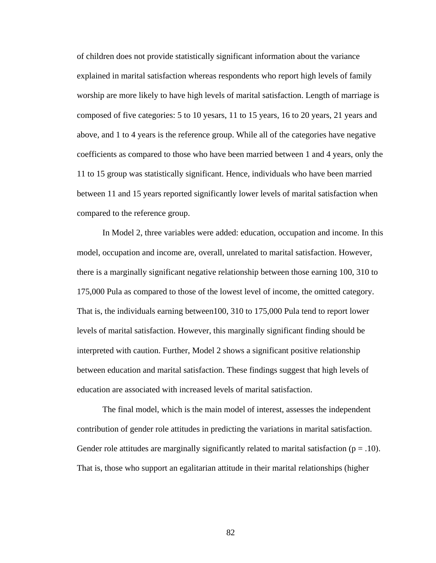of children does not provide statistically significant information about the variance explained in marital satisfaction whereas respondents who report high levels of family worship are more likely to have high levels of marital satisfaction. Length of marriage is composed of five categories: 5 to 10 yesars, 11 to 15 years, 16 to 20 years, 21 years and above, and 1 to 4 years is the reference group. While all of the categories have negative coefficients as compared to those who have been married between 1 and 4 years, only the 11 to 15 group was statistically significant. Hence, individuals who have been married between 11 and 15 years reported significantly lower levels of marital satisfaction when compared to the reference group.

 In Model 2, three variables were added: education, occupation and income. In this model, occupation and income are, overall, unrelated to marital satisfaction. However, there is a marginally significant negative relationship between those earning 100, 310 to 175,000 Pula as compared to those of the lowest level of income, the omitted category. That is, the individuals earning between100, 310 to 175,000 Pula tend to report lower levels of marital satisfaction. However, this marginally significant finding should be interpreted with caution. Further, Model 2 shows a significant positive relationship between education and marital satisfaction. These findings suggest that high levels of education are associated with increased levels of marital satisfaction.

 The final model, which is the main model of interest, assesses the independent contribution of gender role attitudes in predicting the variations in marital satisfaction. Gender role attitudes are marginally significantly related to marital satisfaction ( $p = .10$ ). That is, those who support an egalitarian attitude in their marital relationships (higher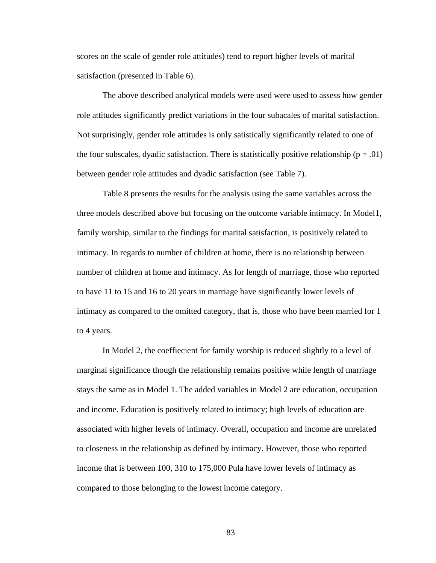scores on the scale of gender role attitudes) tend to report higher levels of marital satisfaction (presented in Table 6).

 The above described analytical models were used were used to assess how gender role attitudes significantly predict variations in the four subacales of marital satisfaction. Not surprisingly, gender role attitudes is only satistically significantly related to one of the four subscales, dyadic satisfaction. There is statistically positive relationship ( $p = .01$ ) between gender role attitudes and dyadic satisfaction (see Table 7).

 Table 8 presents the results for the analysis using the same variables across the three models described above but focusing on the outcome variable intimacy. In Model1, family worship, similar to the findings for marital satisfaction, is positively related to intimacy. In regards to number of children at home, there is no relationship between number of children at home and intimacy. As for length of marriage, those who reported to have 11 to 15 and 16 to 20 years in marriage have significantly lower levels of intimacy as compared to the omitted category, that is, those who have been married for 1 to 4 years.

In Model 2, the coeffiecient for family worship is reduced slightly to a level of marginal significance though the relationship remains positive while length of marriage stays the same as in Model 1. The added variables in Model 2 are education, occupation and income. Education is positively related to intimacy; high levels of education are associated with higher levels of intimacy. Overall, occupation and income are unrelated to closeness in the relationship as defined by intimacy. However, those who reported income that is between 100, 310 to 175,000 Pula have lower levels of intimacy as compared to those belonging to the lowest income category.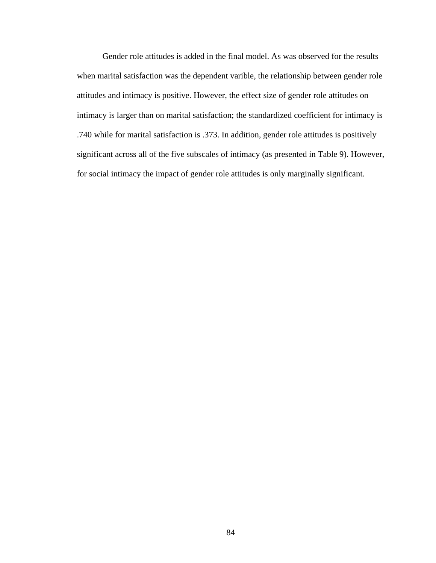Gender role attitudes is added in the final model. As was observed for the results when marital satisfaction was the dependent varible, the relationship between gender role attitudes and intimacy is positive. However, the effect size of gender role attitudes on intimacy is larger than on marital satisfaction; the standardized coefficient for intimacy is .740 while for marital satisfaction is .373. In addition, gender role attitudes is positively significant across all of the five subscales of intimacy (as presented in Table 9). However, for social intimacy the impact of gender role attitudes is only marginally significant.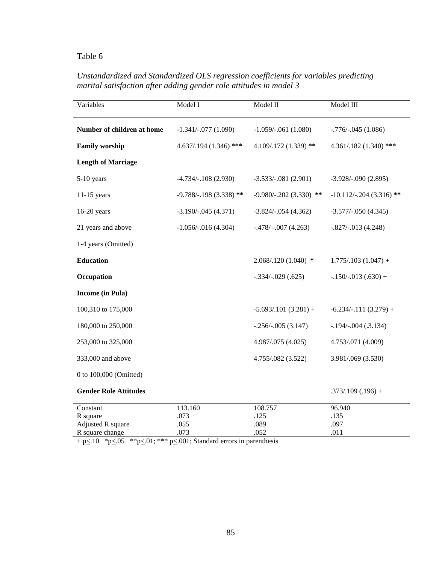## *Unstandardized and Standardized OLS regression coefficients for variables predicting marital satisfaction after adding gender role attitudes in model 3*

| Variables                     | Model I                  | Model II                  | Model III                |
|-------------------------------|--------------------------|---------------------------|--------------------------|
| Number of children at home    | $-1.341/-077(1.090)$     | $-1.059/-061(1.080)$      | $-.776/-045(1.086)$      |
| <b>Family worship</b>         | $4.637/0.194(1.346)$ *** | 4.109/.172 (1.339) **     | 4.361/.182 (1.340) ***   |
| <b>Length of Marriage</b>     |                          |                           |                          |
| 5-10 years                    | $-4.734/-108(2.930)$     | $-3.533/-081(2.901)$      | $-3.928/-0.90(2.895)$    |
| $11-15$ years                 | $-9.788/-198(3.338)$ **  | $-9.980/-0.202(3.330)$ ** | $-10.112/-204(3.316)$ ** |
| $16-20$ years                 | $-3.190/-045(4.371)$     | $-3.824/-054(4.362)$      | $-3.577/-050(4.345)$     |
| 21 years and above            | $-1.056/-016(4.304)$     | $-.478/-007(4.263)$       | $-.827/-.013(4.248)$     |
| 1-4 years (Omitted)           |                          |                           |                          |
| <b>Education</b>              |                          | $2.068/0.120(1.040)$ *    | $1.775/0.103(1.047) +$   |
| Occupation                    |                          | $-.334/-029(.625)$        | $-.150/-013(.630) +$     |
| <b>Income (in Pula)</b>       |                          |                           |                          |
| 100,310 to 175,000            |                          | $-5.693/0.101(3.281) +$   | $-6.234/-111(3.279) +$   |
| 180,000 to 250,000            |                          | $-.256/-.005(3.147)$      | $-.194/-004(.3.134)$     |
| 253,000 to 325,000            |                          | 4.987/.075 (4.025)        | 4.753/.071 (4.009)       |
| 333,000 and above             |                          | 4.755/.082 (3.522)        | 3.981/.069 (3.530)       |
| 0 to 100,000 (Omitted)        |                          |                           |                          |
| <b>Gender Role Attitudes</b>  |                          |                           | $.373/.109(.196) +$      |
| Constant                      | 113.160                  | 108.757                   | 96.940                   |
| R square<br>Adjusted R square | .073<br>.055             | .125<br>.089              | .135<br>.097             |
| R square change               | .073                     | .052                      | .011                     |

 $+$  p $\leq$ .10  $*$  p $\leq$ .05  $*$  $*$  p $\leq$ .01;  $*$  $*$  $*$  p $\leq$ .001; Standard errors in parenthesis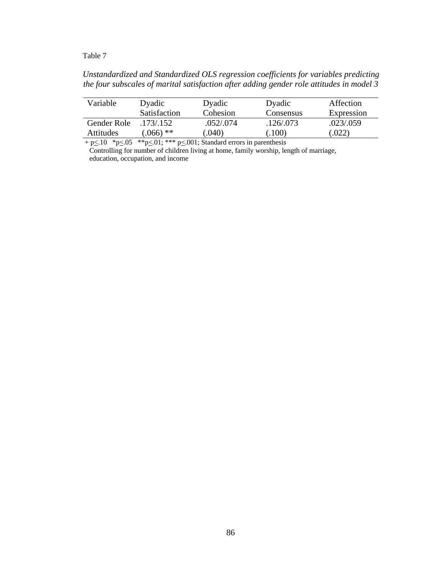*Unstandardized and Standardized OLS regression coefficients for variables predicting the four subscales of marital satisfaction after adding gender role attitudes in model 3* 

| Dyadic              | Dyadic    | Dyadic    | Affection  |
|---------------------|-----------|-----------|------------|
| <b>Satisfaction</b> | Cohesion  | Consensus | Expression |
| .173/.152           | .052/.074 | .126/.073 | .023/.059  |
| $0.066$ **          | .040)     | .100)     | .022       |
|                     |           |           |            |

+ p $\leq$ .10 \*p $\leq$ .05 \*\*p $\leq$ .01; \*\*\* p $\leq$ .001; Standard errors in parenthesis Controlling for number of children living at home, family worship, length of marriage,

education, occupation, and income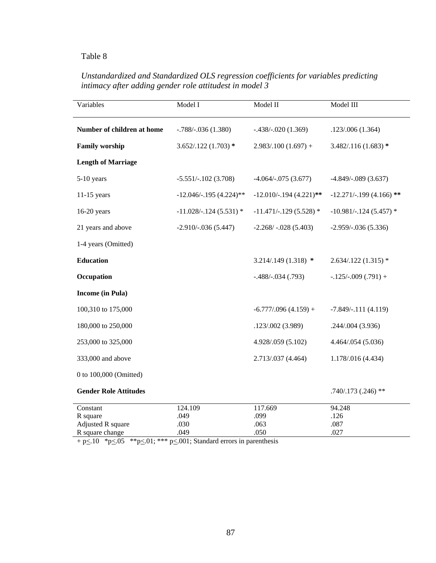## *Unstandardized and Standardized OLS regression coefficients for variables predicting intimacy after adding gender role attitudest in model 3*

| Variables                                 | Model I                  | Model II                 | Model III                |
|-------------------------------------------|--------------------------|--------------------------|--------------------------|
| Number of children at home                | $-.788/-036(1.380)$      | $-.438/-.020(1.369)$     | .123/.006(1.364)         |
| <b>Family worship</b>                     | $3.652/.122(1.703)*$     | $2.983/0.100(1.697) +$   | $3.482 / 116 (1.683)$ *  |
| <b>Length of Marriage</b>                 |                          |                          |                          |
| 5-10 years                                | $-5.551/-102(3.708)$     | $-4.064/-075(3.677)$     | $-4.849/-089(3.637)$     |
| $11-15$ years                             | $-12.046/-195(4.224)$ ** | $-12.010/-194$ (4.221)** | $-12.271/-199(4.166)$ ** |
| $16-20$ years                             | $-11.028/-124(5.531)$ *  | $-11.471/-129$ (5.528) * | $-10.981/-124(5.457)$ *  |
| 21 years and above                        | $-2.910/-036(5.447)$     | $-2.268/ -0.028(5.403)$  | $-2.959/-036(5.336)$     |
| 1-4 years (Omitted)                       |                          |                          |                          |
| <b>Education</b>                          |                          | $3.214/.149(1.318)$ *    | $2.634/0.122(1.315)$ *   |
| Occupation                                |                          | $-.488/-.034(.793)$      | $-.125/-009(.791) +$     |
| <b>Income</b> (in Pula)                   |                          |                          |                          |
| 100,310 to 175,000                        |                          | $-6.777/0.96(4.159) +$   | $-7.849/-111(4.119)$     |
| 180,000 to 250,000                        |                          | .123/.002 (3.989)        | .244/.004 (3.936)        |
| 253,000 to 325,000                        |                          | 4.928/.059 (5.102)       | 4.464/.054 (5.036)       |
| 333,000 and above                         |                          | 2.713/.037 (4.464)       | 1.178/.016 (4.434)       |
| 0 to 100,000 (Omitted)                    |                          |                          |                          |
| <b>Gender Role Attitudes</b>              |                          |                          | $.740/.173(.246)$ **     |
| Constant<br>R square<br>Adjusted R square | 124.109<br>.049<br>.030  | 117.669<br>.099<br>.063  | 94.248<br>.126<br>.087   |
| R square change                           | .049                     | .050                     | .027                     |

 $+$  p $\leq$ .10  $*$  p $\leq$ .05  $*$  $*$  p $\leq$ .01;  $*$  $*$  $*$  p $\leq$ .001; Standard errors in parenthesis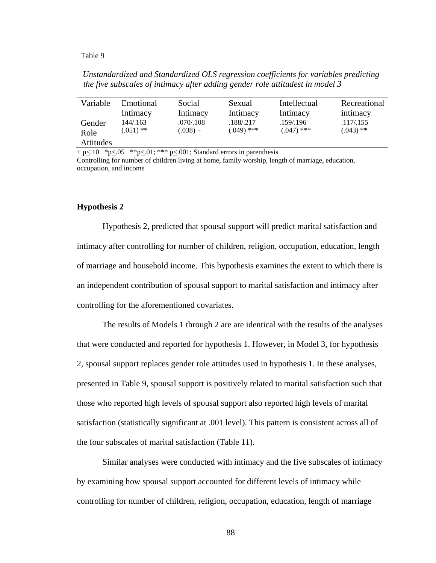*Unstandardized and Standardized OLS regression coefficients for variables predicting the five subscales of intimacy after adding gender role attitudest in model 3* 

| Variable  | Emotional   | Social     | Sexual       | Intellectual | Recreational |
|-----------|-------------|------------|--------------|--------------|--------------|
|           | Intimacy    | Intimacy   | Intimacy     | Intimacy     | intimacy     |
| Gender    | 144/.163    | .070/.108  | .188/.217    | .159/.196    | .117/.155    |
| Role      | $(.051)$ ** | $(.038) +$ | $(.049)$ *** | $(.047)$ *** | $(.043)$ **  |
| Attitudes |             |            |              |              |              |

 $+\, p \leq 10 \quad \text{*p} \leq 05 \quad \text{*p} \leq 001$ ; Standard errors in parenthesis

Controlling for number of children living at home, family worship, length of marriage, education, occupation, and income

### **Hypothesis 2**

Hypothesis 2, predicted that spousal support will predict marital satisfaction and intimacy after controlling for number of children, religion, occupation, education, length of marriage and household income. This hypothesis examines the extent to which there is an independent contribution of spousal support to marital satisfaction and intimacy after controlling for the aforementioned covariates.

 The results of Models 1 through 2 are are identical with the results of the analyses that were conducted and reported for hypothesis 1. However, in Model 3, for hypothesis 2, spousal support replaces gender role attitudes used in hypothesis 1. In these analyses, presented in Table 9, spousal support is positively related to marital satisfaction such that those who reported high levels of spousal support also reported high levels of marital satisfaction (statistically significant at .001 level). This pattern is consistent across all of the four subscales of marital satisfaction (Table 11).

Similar analyses were conducted with intimacy and the five subscales of intimacy by examining how spousal support accounted for different levels of intimacy while controlling for number of children, religion, occupation, education, length of marriage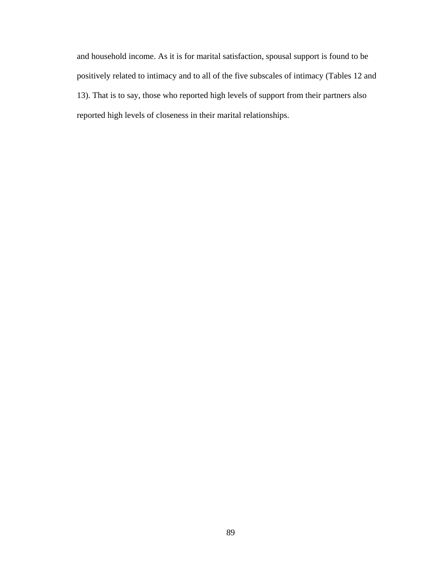and household income. As it is for marital satisfaction, spousal support is found to be positively related to intimacy and to all of the five subscales of intimacy (Tables 12 and 13). That is to say, those who reported high levels of support from their partners also reported high levels of closeness in their marital relationships.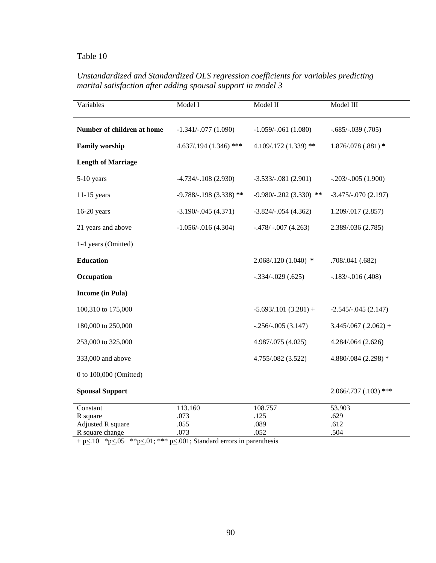## *Unstandardized and Standardized OLS regression coefficients for variables predicting marital satisfaction after adding spousal support in model 3*

| $3.445/067$ (.2.062) +   |
|--------------------------|
|                          |
| 4.880/.084 (2.298) *     |
|                          |
| $2.066/0.737(0.103)$ *** |
|                          |
|                          |
|                          |

 $+$  p $\leq$ .10  $*$  p $\leq$ .05  $*$  $*$  p $\leq$ .01;  $*$  $*$  $*$  p $\leq$ .001; Standard errors in parenthesis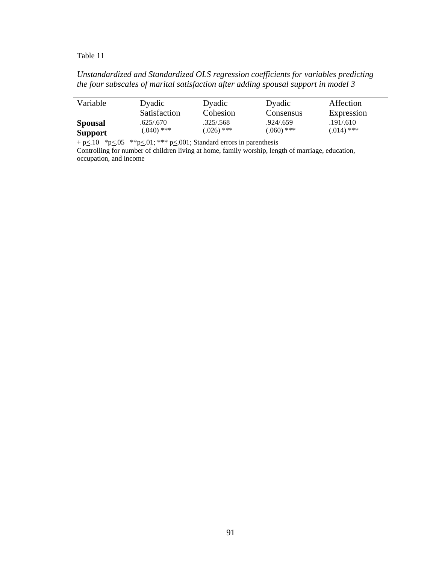## *Unstandardized and Standardized OLS regression coefficients for variables predicting the four subscales of marital satisfaction after adding spousal support in model 3*

| Variable       | Dyadic              | Dyadic       | Dyadic       | Affection    |
|----------------|---------------------|--------------|--------------|--------------|
|                | <b>Satisfaction</b> | Cohesion     | Consensus    | Expression   |
| <b>Spousal</b> | .625/.670           | .325/.568    | .924/.659    | .191/.610    |
| <b>Support</b> | $(.040)$ ***        | $(.026)$ *** | $(.060)$ *** | $(.014)$ *** |

 $+$  p $\leq$ .10  $*$  p $\leq$ .05  $*$  $*$  p $\leq$ .01;  $*$  $*$  $*$  p $\leq$ .001; Standard errors in parenthesis

Controlling for number of children living at home, family worship, length of marriage, education, occupation, and income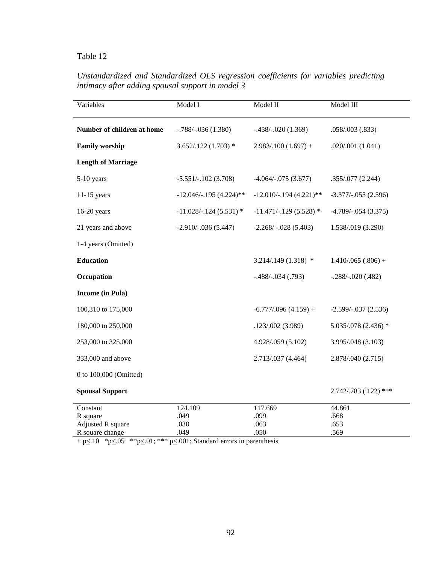## *Unstandardized and Standardized OLS regression coefficients for variables predicting intimacy after adding spousal support in model 3*

| Variables                                                    | Model I                         | Model II                        | Model III                      |
|--------------------------------------------------------------|---------------------------------|---------------------------------|--------------------------------|
| Number of children at home                                   | $-.788/-036(1.380)$             | $-.438/-.020(1.369)$            | .058/003(.833)                 |
| <b>Family worship</b>                                        | $3.652/.122(1.703)$ *           | $2.983/0.100(1.697) +$          | .020/.001(1.041)               |
| <b>Length of Marriage</b>                                    |                                 |                                 |                                |
| 5-10 years                                                   | $-5.551/-102$ (3.708)           | $-4.064/-075(3.677)$            | .355/.077(2.244)               |
| $11-15$ years                                                | $-12.046/-195(4.224)$ **        | $-12.010/-194(4.221)$ **        | $-3.377/-0.055(2.596)$         |
| $16-20$ years                                                | $-11.028/-124(5.531)$ *         | $-11.471/-129$ (5.528) *        | $-4.789/-054(3.375)$           |
| 21 years and above                                           | $-2.910/-036(5.447)$            | $-2.268/-028(5.403)$            | 1.538/.019 (3.290)             |
| 1-4 years (Omitted)                                          |                                 |                                 |                                |
| <b>Education</b>                                             |                                 | $3.214/0.149(1.318)$ *          | $1.410/065(.806) +$            |
| Occupation                                                   |                                 | $-.488/-.034(.793)$             | $-.288/-020(.482)$             |
| <b>Income</b> (in Pula)                                      |                                 |                                 |                                |
| 100,310 to 175,000                                           |                                 | $-6.777/0.96(4.159) +$          | $-2.599/-037(2.536)$           |
| 180,000 to 250,000                                           |                                 | .123/.002 (3.989)               | $5.035/078$ (2.436) *          |
| 253,000 to 325,000                                           |                                 | 4.928/.059 (5.102)              | 3.995/.048 (3.103)             |
| 333,000 and above                                            |                                 | 2.713/.037 (4.464)              | 2.878/.040 (2.715)             |
| 0 to 100,000 (Omitted)                                       |                                 |                                 |                                |
| <b>Spousal Support</b>                                       |                                 |                                 | 2.742/.783 (.122) ***          |
| Constant<br>R square<br>Adjusted R square<br>R square change | 124.109<br>.049<br>.030<br>.049 | 117.669<br>.099<br>.063<br>.050 | 44.861<br>.668<br>.653<br>.569 |

 $+$  p $\leq$ .10  $*$  p $\leq$ .05  $*$  $*$  p $\leq$ .01;  $*$  $*$  $*$  p $\leq$ .001; Standard errors in parenthesis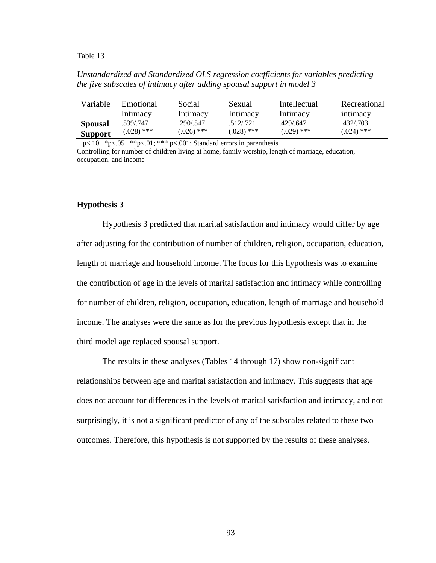*Unstandardized and Standardized OLS regression coefficients for variables predicting the five subscales of intimacy after adding spousal support in model 3* 

| Variable       | Emotional     | Social       | Sexual       | Intellectual | Recreational |
|----------------|---------------|--------------|--------------|--------------|--------------|
|                | Intimacy      | Intimacv     | Intimacy     | Intimacy     | intimacy     |
| <b>Spousal</b> | .539/.747     | .290/.547    | 512/721      | 429/647      | .432/.703    |
| <b>Support</b> | $(0.028)$ *** | $(.026)$ *** | $(.028)$ *** | $(.029)$ *** | $(.024)$ *** |

+ p $\leq$ .10 \*p $\leq$ .05 \*\*p $\leq$ .01; \*\*\* p $\leq$ .001; Standard errors in parenthesis

Controlling for number of children living at home, family worship, length of marriage, education, occupation, and income

### **Hypothesis 3**

Hypothesis 3 predicted that marital satisfaction and intimacy would differ by age after adjusting for the contribution of number of children, religion, occupation, education, length of marriage and household income. The focus for this hypothesis was to examine the contribution of age in the levels of marital satisfaction and intimacy while controlling for number of children, religion, occupation, education, length of marriage and household income. The analyses were the same as for the previous hypothesis except that in the third model age replaced spousal support.

 The results in these analyses (Tables 14 through 17) show non-significant relationships between age and marital satisfaction and intimacy. This suggests that age does not account for differences in the levels of marital satisfaction and intimacy, and not surprisingly, it is not a significant predictor of any of the subscales related to these two outcomes. Therefore, this hypothesis is not supported by the results of these analyses.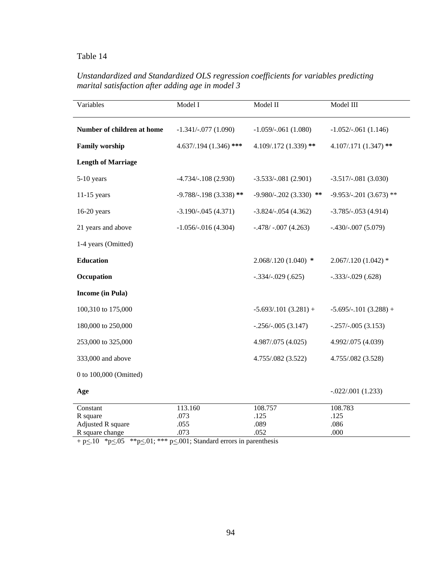## *Unstandardized and Standardized OLS regression coefficients for variables predicting marital satisfaction after adding age in model 3*

| Variables                     | Model I                  | Model II                  | Model III                 |
|-------------------------------|--------------------------|---------------------------|---------------------------|
| Number of children at home    | $-1.341/-077(1.090)$     | $-1.059/-061(1.080)$      | $-1.052/-061(1.146)$      |
| <b>Family worship</b>         | $4.637/0.194(1.346)$ *** | 4.109/.172 (1.339) **     | 4.107/.171 (1.347) **     |
| <b>Length of Marriage</b>     |                          |                           |                           |
| 5-10 years                    | $-4.734/-108$ (2.930)    | $-3.533/-081(2.901)$      | $-3.517/-081(3.030)$      |
| $11-15$ years                 | $-9.788/-198(3.338)$ **  | $-9.980/-0.202(3.330)$ ** | $-9.953/-0.201(3.673)$ ** |
| $16-20$ years                 | $-3.190/-045(4.371)$     | $-3.824/-054(4.362)$      | $-3.785/-0.053(4.914)$    |
| 21 years and above            | $-1.056/-016(4.304)$     | $-.478/-007(4.263)$       | $-.430/-.007(5.079)$      |
| 1-4 years (Omitted)           |                          |                           |                           |
| <b>Education</b>              |                          | $2.068/120(1.040)$ *      | $2.067/0.120(1.042)$ *    |
| Occupation                    |                          | $-.334/-029(.625)$        | $-.333/-.029(.628)$       |
| <b>Income</b> (in Pula)       |                          |                           |                           |
| 100,310 to 175,000            |                          | $-5.693/0.101(3.281) +$   | $-5.695/-101(3.288) +$    |
| 180,000 to 250,000            |                          | $-.256/-.005(3.147)$      | $-.257/-005(3.153)$       |
| 253,000 to 325,000            |                          | 4.987/.075 (4.025)        | 4.992/.075 (4.039)        |
| 333,000 and above             |                          | 4.755/.082 (3.522)        | 4.755/.082 (3.528)        |
| 0 to 100,000 (Omitted)        |                          |                           |                           |
| Age                           |                          |                           | $-.022/.001(1.233)$       |
| Constant                      | 113.160                  | 108.757                   | 108.783                   |
| R square<br>Adjusted R square | .073<br>.055             | .125<br>.089              | .125<br>.086              |
| R square change               | .073                     | .052                      | .000                      |

 $+$  p $\leq$ .10  $*$  p $\leq$ .05  $*$  $*$  p $\leq$ .01;  $*$  $*$  $*$  p $\leq$ .001; Standard errors in parenthesis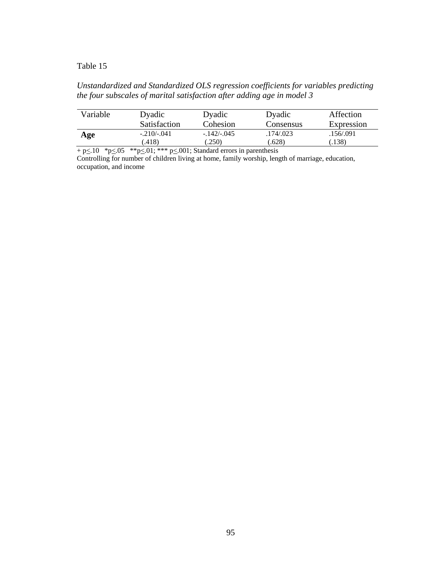## *Unstandardized and Standardized OLS regression coefficients for variables predicting the four subscales of marital satisfaction after adding age in model 3*

| Variable | Dyadic       | Dyadic      | Dyadic    | Affection  |
|----------|--------------|-------------|-----------|------------|
|          | Satisfaction | Cohesion    | Consensus | Expression |
| Age      | $-.210/-041$ | $-142/-045$ | .174/.023 | .156/.091  |
|          | .418)        | (.250)      | (628)     | .138)      |

 $+$  p $\leq$ .10  $*$  p $\leq$ .05  $*$  $*$  p $\leq$ .01;  $*$  $*$  $*$  p $\leq$ .001; Standard errors in parenthesis

Controlling for number of children living at home, family worship, length of marriage, education, occupation, and income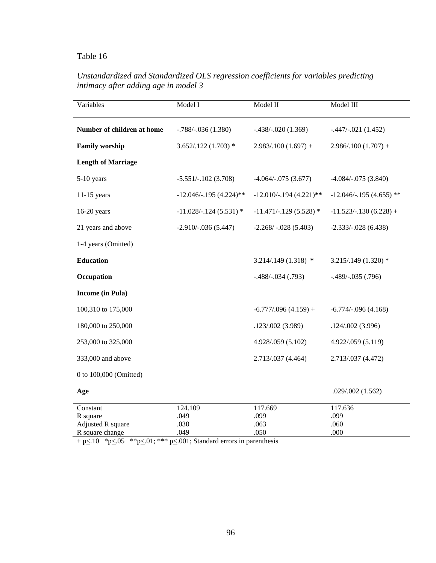## *Unstandardized and Standardized OLS regression coefficients for variables predicting intimacy after adding age in model 3*

| Model I                  | Model II                 | Model III                |
|--------------------------|--------------------------|--------------------------|
|                          |                          |                          |
| $-.788/-036(1.380)$      | $-.438/-020(1.369)$      | $-.447/-.021(1.452)$     |
| $3.652/.122(1.703)$ *    | $2.983/0.100(1.697) +$   | $2.986/.100(1.707) +$    |
|                          |                          |                          |
| $-5.551/-102(3.708)$     | $-4.064/-075(3.677)$     | $-4.084/-075(3.840)$     |
| $-12.046/-195(4.224)$ ** | $-12.010/-194$ (4.221)** | $-12.046/-195(4.655)$ ** |
| $-11.028/-124(5.531)$ *  | $-11.471/-129$ (5.528) * | $-11.523/-130(6.228) +$  |
| $-2.910/-036(5.447)$     | $-2.268/ -0.028(5.403)$  | $-2.333/-028(6.438)$     |
|                          |                          |                          |
|                          | $3.214/.149(1.318)$ *    | $3.215/.149(1.320)*$     |
|                          | $-.488/-.034(.793)$      | $-.489/-035(.796)$       |
|                          |                          |                          |
|                          | $-6.777/0.96(4.159) +$   | $-6.774/-0.96(4.168)$    |
|                          | .123/.002 (3.989)        | .124/.002(3.996)         |
|                          | 4.928/.059 (5.102)       | 4.922/.059 (5.119)       |
|                          | 2.713/.037 (4.464)       | 2.713/.037 (4.472)       |
|                          |                          |                          |
|                          |                          | .029/.002(1.562)         |
| 124.109                  | 117.669                  | 117.636                  |
| .049                     | .099                     | .099                     |
|                          |                          | .060<br>.000             |
|                          | .030<br>.049             | .063<br>.050             |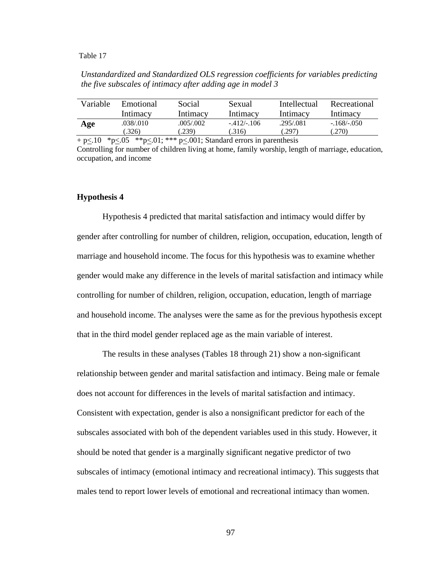*Unstandardized and Standardized OLS regression coefficients for variables predicting the five subscales of intimacy after adding age in model 3* 

| Variable | Emotional | Social    | Sexual      | Intellectual | Recreational |
|----------|-----------|-----------|-------------|--------------|--------------|
|          | Intimacy  | Intimacy  | Intimacy    | Intimacy     | Intimacy     |
| Age      | .038/.010 | .005/.002 | $-412/-106$ | .295/.081    | $-.168/-050$ |
|          | .326)     | .239)     | .316)       | .297)        | (270)        |

 $+$  p $\leq$ .10  $*$  p $\leq$ .05  $*$  $*$  p $\leq$ .01;  $*$  $*$  p $\leq$ .001; Standard errors in parenthesis Controlling for number of children living at home, family worship, length of marriage, education, occupation, and income

### **Hypothesis 4**

Hypothesis 4 predicted that marital satisfaction and intimacy would differ by gender after controlling for number of children, religion, occupation, education, length of marriage and household income. The focus for this hypothesis was to examine whether gender would make any difference in the levels of marital satisfaction and intimacy while controlling for number of children, religion, occupation, education, length of marriage and household income. The analyses were the same as for the previous hypothesis except that in the third model gender replaced age as the main variable of interest.

 The results in these analyses (Tables 18 through 21) show a non-significant relationship between gender and marital satisfaction and intimacy. Being male or female does not account for differences in the levels of marital satisfaction and intimacy. Consistent with expectation, gender is also a nonsignificant predictor for each of the subscales associated with boh of the dependent variables used in this study. However, it should be noted that gender is a marginally significant negative predictor of two subscales of intimacy (emotional intimacy and recreational intimacy). This suggests that males tend to report lower levels of emotional and recreational intimacy than women.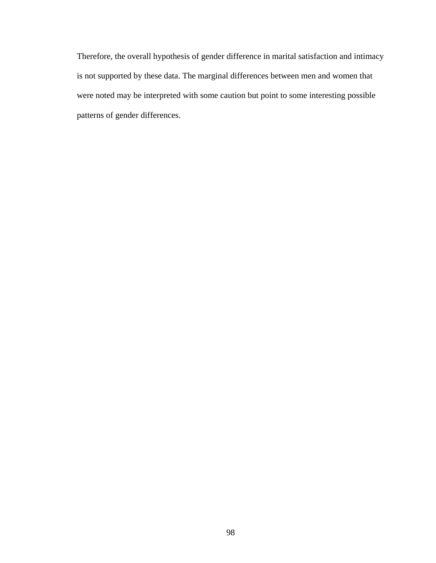Therefore, the overall hypothesis of gender difference in marital satisfaction and intimacy is not supported by these data. The marginal differences between men and women that were noted may be interpreted with some caution but point to some interesting possible patterns of gender differences.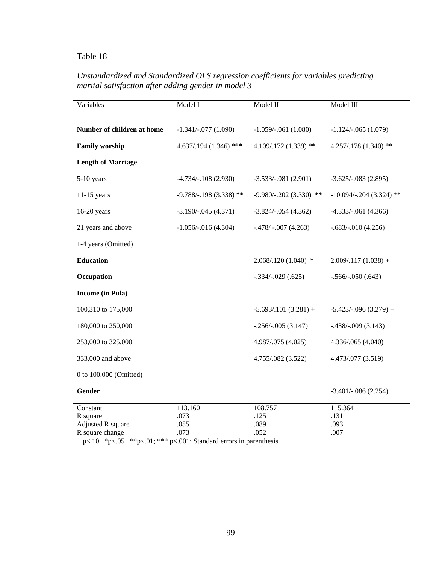# *Unstandardized and Standardized OLS regression coefficients for variables predicting marital satisfaction after adding gender in model 3*

| Variables                     | Model I                  | Model II                   | Model III                |
|-------------------------------|--------------------------|----------------------------|--------------------------|
| Number of children at home    | $-1.341/-077(1.090)$     | $-1.059/-061(1.080)$       | $-1.124/-065(1.079)$     |
| <b>Family worship</b>         | $4.637/0.194(1.346)$ *** | 4.109/.172 (1.339) **      | 4.257/.178 (1.340) **    |
| <b>Length of Marriage</b>     |                          |                            |                          |
| 5-10 years                    | $-4.734/-108(2.930)$     | $-3.533/-081(2.901)$       | $-3.625/-083(2.895)$     |
| $11-15$ years                 | $-9.788/-198(3.338)$ **  | $-9.980/- 0.202(3.330)$ ** | $-10.094/-204(3.324)$ ** |
| $16-20$ years                 | $-3.190/-045(4.371)$     | $-3.824/-054(4.362)$       | $-4.333/-061$ (4.366)    |
| 21 years and above            | $-1.056/-016(4.304)$     | $-.478/-007(4.263)$        | $-.683/-.010(4.256)$     |
| 1-4 years (Omitted)           |                          |                            |                          |
| <b>Education</b>              |                          | $2.068/120(1.040)$ *       | $2.009/.117(1.038) +$    |
| Occupation                    |                          | $-.334/-029(.625)$         | $-.566/-050(.643)$       |
| <b>Income</b> (in Pula)       |                          |                            |                          |
| 100,310 to 175,000            |                          | $-5.693/0.101(3.281) +$    | $-5.423/-096(3.279) +$   |
| 180,000 to 250,000            |                          | $-.256/-.005(3.147)$       | $-.438/-009(3.143)$      |
| 253,000 to 325,000            |                          | 4.987/.075 (4.025)         | 4.336/.065 (4.040)       |
| 333,000 and above             |                          | 4.755/.082 (3.522)         | 4.473/.077 (3.519)       |
| 0 to 100,000 (Omitted)        |                          |                            |                          |
| Gender                        |                          |                            | $-3.401/-086(2.254)$     |
| Constant                      | 113.160<br>.073          | 108.757<br>.125            | 115.364<br>.131          |
| R square<br>Adjusted R square | .055                     | .089                       | .093                     |
| R square change               | .073                     | .052                       | .007                     |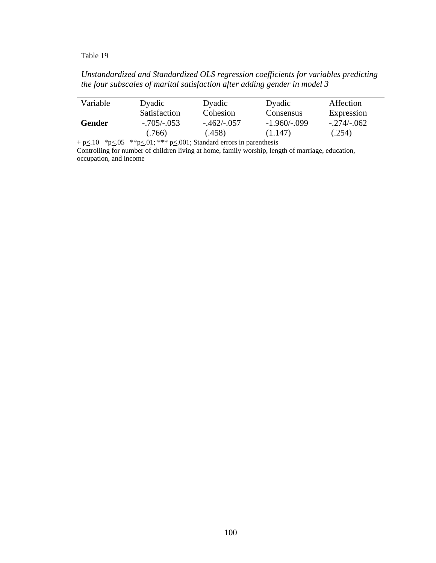### *Unstandardized and Standardized OLS regression coefficients for variables predicting the four subscales of marital satisfaction after adding gender in model 3*

| Variable | Dyadic<br><b>Satisfaction</b> | Dyadic<br>Cohesion     | Dyadic<br><b>Consensus</b> | Affection<br>Expression |  |
|----------|-------------------------------|------------------------|----------------------------|-------------------------|--|
| Gender   | -.705/-.053<br>.766)          | $-.462/-.057$<br>(458) | $-1.960/-099$<br>(1.147)   | $-.274/-062$<br>(.254)  |  |

 $+$  p $\leq$ .10  $*$  p $\leq$ .05  $*$  $*$  p $\leq$ .01;  $*$  $*$  $*$  p $\leq$ .001; Standard errors in parenthesis

Controlling for number of children living at home, family worship, length of marriage, education, occupation, and income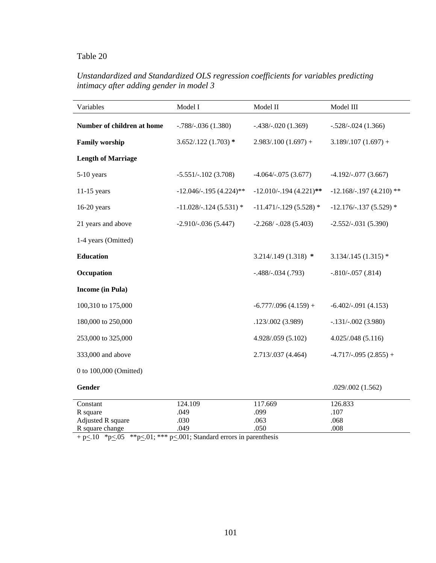## *Unstandardized and Standardized OLS regression coefficients for variables predicting intimacy after adding gender in model 3*

| Variables                  | Model I                  | Model II                 | Model III                |
|----------------------------|--------------------------|--------------------------|--------------------------|
| Number of children at home | $-.788/-036(1.380)$      | $-.438/-.020(1.369)$     | $-.528/-.024(1.366)$     |
| <b>Family worship</b>      | $3.652/.122(1.703)$ *    | $2.983/.100(1.697) +$    | $3.189/0.107(1.697) +$   |
| <b>Length of Marriage</b>  |                          |                          |                          |
| 5-10 years                 | $-5.551/-102(3.708)$     | $-4.064/-075(3.677)$     | $-4.192/-077(3.667)$     |
| $11-15$ years              | $-12.046/-195(4.224)$ ** | $-12.010/-194$ (4.221)** | $-12.168/-197(4.210)$ ** |
| $16-20$ years              | $-11.028/-124(5.531)$ *  | $-11.471/-129(5.528)$ *  | $-12.176/-137(5.529)$ *  |
| 21 years and above         | $-2.910/-036(5.447)$     | $-2.268/-028(5.403)$     | $-2.552/-031(5.390)$     |
| 1-4 years (Omitted)        |                          |                          |                          |
| <b>Education</b>           |                          | $3.214/0.149(1.318)$ *   | $3.134/0.145(1.315)$ *   |
| Occupation                 |                          | $-.488/-.034(.793)$      | $-.810/-057(.814)$       |
| <b>Income</b> (in Pula)    |                          |                          |                          |
| 100,310 to 175,000         |                          | $-6.777/0.96(4.159) +$   | $-6.402/-091(4.153)$     |
| 180,000 to 250,000         |                          | .123/.002(3.989)         | $-.131/-.002(3.980)$     |
| 253,000 to 325,000         |                          | 4.928/.059 (5.102)       | 4.025/0.048(5.116)       |
| 333,000 and above          |                          | 2.713/.037 (4.464)       | $-4.717/-0.95(2.855) +$  |
| 0 to 100,000 (Omitted)     |                          |                          |                          |
| Gender                     |                          |                          | .029/.002 (1.562)        |
| Constant                   | 124.109                  | 117.669                  | 126.833                  |
| R square                   | .049                     | .099                     | .107                     |
| Adjusted R square          | .030                     | .063                     | .068                     |
| R square change            | .049                     | .050                     | .008                     |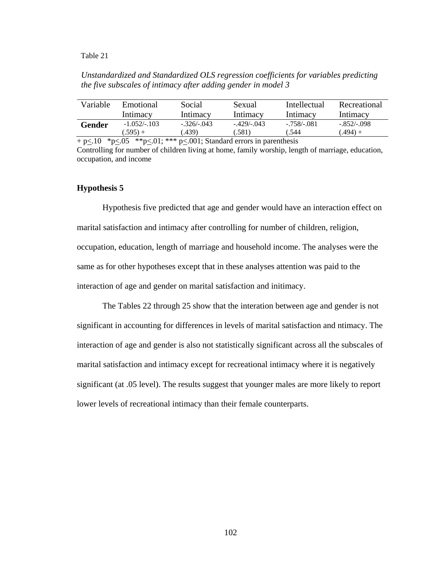*Unstandardized and Standardized OLS regression coefficients for variables predicting the five subscales of intimacy after adding gender in model 3* 

| Variable | Emotional     | Social      | Sexual          | Intellectual | Recreational |
|----------|---------------|-------------|-----------------|--------------|--------------|
|          | Intimacy      | Intimacy    | Intimacy        | Intimacy     | Intimacv     |
| Gender   | $-1.052/-103$ | $-326/-043$ | $-429$ / $-043$ | $-758/0.081$ | $-852/-098$  |
|          | $.595 +$      | .439)       | .581)           | .544         | $(.494) +$   |

 $+$  p $<$ .10  $*$  p $<$ .05  $*$  $*$  p $<$ .01;  $*$  $*$  $*$  p $<$ .001; Standard errors in parenthesis Controlling for number of children living at home, family worship, length of marriage, education, occupation, and income

#### **Hypothesis 5**

Hypothesis five predicted that age and gender would have an interaction effect on marital satisfaction and intimacy after controlling for number of children, religion, occupation, education, length of marriage and household income. The analyses were the same as for other hypotheses except that in these analyses attention was paid to the interaction of age and gender on marital satisfaction and initimacy.

 The Tables 22 through 25 show that the interation between age and gender is not significant in accounting for differences in levels of marital satisfaction and ntimacy. The interaction of age and gender is also not statistically significant across all the subscales of marital satisfaction and intimacy except for recreational intimacy where it is negatively significant (at .05 level). The results suggest that younger males are more likely to report lower levels of recreational intimacy than their female counterparts.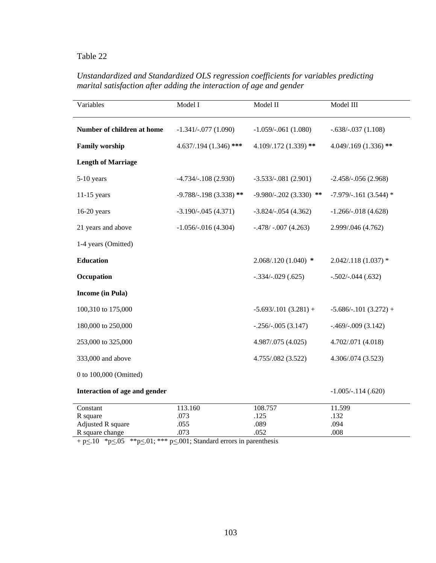# *Unstandardized and Standardized OLS regression coefficients for variables predicting marital satisfaction after adding the interaction of age and gender*

| Variables                                         | Model I                 | Model II                  | Model III               |
|---------------------------------------------------|-------------------------|---------------------------|-------------------------|
| Number of children at home                        | $-1.341/-077(1.090)$    | $-1.059/-061(1.080)$      | $-.638/-.037(1.108)$    |
| <b>Family worship</b><br>$4.637/0.194(1.346)$ *** |                         | 4.109/.172 (1.339) **     | $4.049/169(1.336)$ **   |
| <b>Length of Marriage</b>                         |                         |                           |                         |
| 5-10 years                                        | $-4.734/-108$ (2.930)   | $-3.533/-081(2.901)$      | $-2.458/-0.56(2.968)$   |
| $11-15$ years                                     | $-9.788/-198(3.338)$ ** | $-9.980/-0.202(3.330)$ ** | $-7.979/-161$ (3.544) * |
| $16-20$ years                                     | $-3.190/-045(4.371)$    | $-3.824/-054(4.362)$      | $-1.266/-018(4.628)$    |
| 21 years and above                                | $-1.056/-016(4.304)$    | $-.478/-007(4.263)$       | 2.999/.046 (4.762)      |
| 1-4 years (Omitted)                               |                         |                           |                         |
| <b>Education</b>                                  |                         | $2.068/120(1.040)$ *      | $2.042/118(1.037)$ *    |
| Occupation                                        |                         | $-.334/-029(.625)$        | $-.502/-.044(.632)$     |
| <b>Income</b> (in Pula)                           |                         |                           |                         |
| 100,310 to 175,000                                |                         | $-5.693/0.101(3.281) +$   | $-5.686/-101(3.272) +$  |
| 180,000 to 250,000                                |                         | $-.256/-.005(3.147)$      | $-.469/-009(3.142)$     |
| 253,000 to 325,000                                |                         | 4.987/.075 (4.025)        | 4.702/.071 (4.018)      |
| 333,000 and above                                 |                         | 4.755/.082 (3.522)        | 4.306/.074 (3.523)      |
| 0 to 100,000 (Omitted)                            |                         |                           |                         |
| Interaction of age and gender                     |                         |                           | $-1.005/-114(.620)$     |
| Constant                                          | 113.160                 | 108.757                   | 11.599                  |
| R square<br>Adjusted R square                     | .073<br>.055            | .125<br>.089              | .132<br>.094            |
| R square change                                   | .073                    | .052                      | .008                    |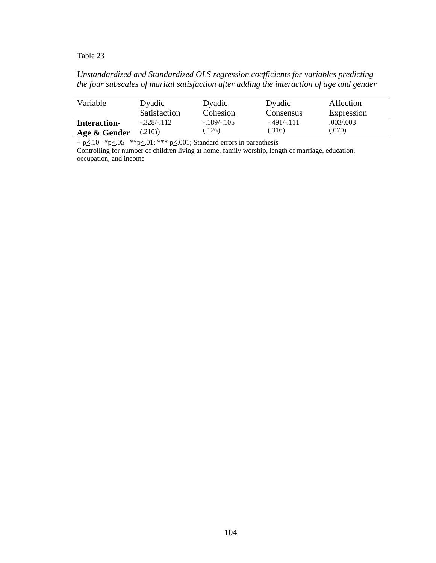### *Unstandardized and Standardized OLS regression coefficients for variables predicting the four subscales of marital satisfaction after adding the interaction of age and gender*

| Variable            | Dyadic              | Dyadic        | Dyadic        | Affection  |
|---------------------|---------------------|---------------|---------------|------------|
|                     | <b>Satisfaction</b> | Cohesion      | Consensus     | Expression |
| <b>Interaction-</b> | $-.328/-.112$       | $-.189/-.105$ | $-.491/-.111$ | .003/.003  |
| Age & Gender        | (.210)              | (126)         | (.316)        | (.070)     |

 $+$  p $\leq$ .10  $*$  p $\leq$ .05  $*$  $*$  p $\leq$ .01;  $*$  $*$  $*$  p $\leq$ .001; Standard errors in parenthesis

Controlling for number of children living at home, family worship, length of marriage, education, occupation, and income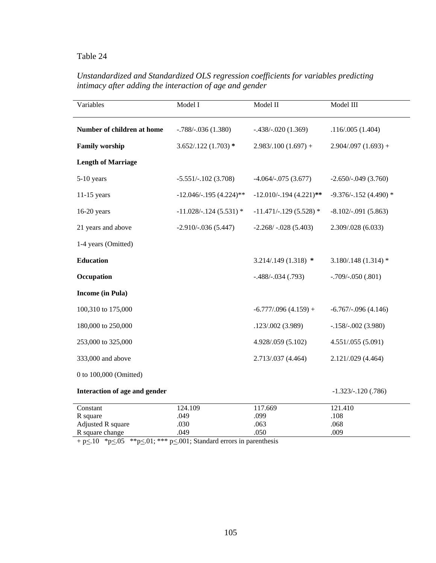# *Unstandardized and Standardized OLS regression coefficients for variables predicting intimacy after adding the interaction of age and gender*

| Variables                     | Model I                  | Model II                 | Model III              |
|-------------------------------|--------------------------|--------------------------|------------------------|
| Number of children at home    | $-.788/-036(1.380)$      | $-.438/-020(1.369)$      | .116/.005(1.404)       |
| <b>Family worship</b>         | $3.652/.122(1.703)*$     | $2.983/.100(1.697) +$    | $2.904/0.097(1.693) +$ |
| <b>Length of Marriage</b>     |                          |                          |                        |
| $5-10$ years                  | $-5.551/-102$ (3.708)    | $-4.064/-075(3.677)$     | $-2.650/-049(3.760)$   |
| $11-15$ years                 | $-12.046/-195(4.224)$ ** | $-12.010/-194$ (4.221)** | $-9.376/-152(4.490)$ * |
| 16-20 years                   | $-11.028/-124(5.531)$ *  | $-11.471/-129$ (5.528) * | $-8.102/-0.91(5.863)$  |
| 21 years and above            | $-2.910/-036(5.447)$     | $-2.268/-028(5.403)$     | 2.309/.028 (6.033)     |
| 1-4 years (Omitted)           |                          |                          |                        |
| <b>Education</b>              |                          | $3.214/.149(1.318)$ *    | $3.180/.148(1.314)*$   |
| Occupation                    |                          | $-.488/-.034(.793)$      | $-.709/-050(.801)$     |
| <b>Income</b> (in Pula)       |                          |                          |                        |
| 100,310 to 175,000            |                          | $-6.777/0.96(4.159) +$   | $-6.767/-0.96(4.146)$  |
| 180,000 to 250,000            |                          | .123/.002 (3.989)        | $-.158/-002(3.980)$    |
| 253,000 to 325,000            |                          | 4.928/.059 (5.102)       | 4.551/.055 (5.091)     |
| 333,000 and above             |                          | 2.713/.037 (4.464)       | 2.121/.029 (4.464)     |
| 0 to 100,000 (Omitted)        |                          |                          |                        |
| Interaction of age and gender |                          |                          | $-1.323/-120(.786)$    |
| Constant                      | 124.109                  | 117.669                  | 121.410                |
| R square<br>Adjusted R square | .049<br>.030             | .099<br>.063             | .108<br>.068           |
| R square change               | .049                     | .050                     | .009                   |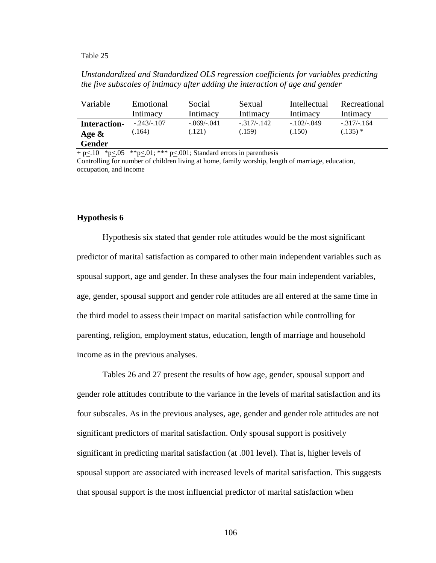### *Unstandardized and Standardized OLS regression coefficients for variables predicting the five subscales of intimacy after adding the interaction of age and gender*

| Variable                                         | Emotional              | Social                 | Sexual                  | Intellectual           | Recreational                |
|--------------------------------------------------|------------------------|------------------------|-------------------------|------------------------|-----------------------------|
|                                                  | Intimacy               | Intimacy               | Intimacy                | Intimacy               | Intimacy                    |
| <b>Interaction-</b><br>Age $\&$<br><b>Gender</b> | $-.243/-.107$<br>.164) | $-.069/-041$<br>(.121) | $-.317/-.142$<br>(.159) | $-.102/-049$<br>(.150) | $-.317/-.164$<br>$(.135)$ * |

 $+$  p $\leq$ .10  $*$  p $\leq$ .05  $*$  $*$  p $\leq$ .01;  $*$  $*$  p $\leq$ .001; Standard errors in parenthesis

Controlling for number of children living at home, family worship, length of marriage, education, occupation, and income

#### **Hypothesis 6**

Hypothesis six stated that gender role attitudes would be the most significant predictor of marital satisfaction as compared to other main independent variables such as spousal support, age and gender. In these analyses the four main independent variables, age, gender, spousal support and gender role attitudes are all entered at the same time in the third model to assess their impact on marital satisfaction while controlling for parenting, religion, employment status, education, length of marriage and household income as in the previous analyses.

Tables 26 and 27 present the results of how age, gender, spousal support and gender role attitudes contribute to the variance in the levels of marital satisfaction and its four subscales. As in the previous analyses, age, gender and gender role attitudes are not significant predictors of marital satisfaction. Only spousal support is positively significant in predicting marital satisfaction (at .001 level). That is, higher levels of spousal support are associated with increased levels of marital satisfaction. This suggests that spousal support is the most influencial predictor of marital satisfaction when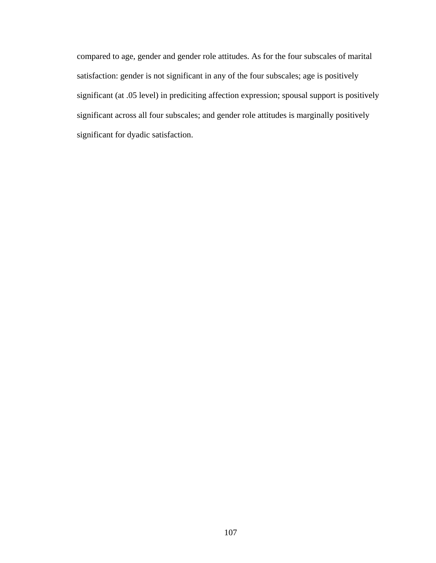compared to age, gender and gender role attitudes. As for the four subscales of marital satisfaction: gender is not significant in any of the four subscales; age is positively significant (at .05 level) in prediciting affection expression; spousal support is positively significant across all four subscales; and gender role attitudes is marginally positively significant for dyadic satisfaction.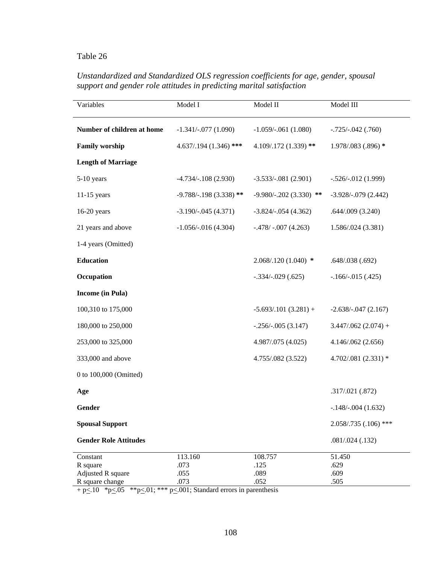# *Unstandardized and Standardized OLS regression coefficients for age, gender, spousal support and gender role attitudes in predicting marital satisfaction*

| Variables                     | Model I                  | Model II                  | Model III             |
|-------------------------------|--------------------------|---------------------------|-----------------------|
| Number of children at home    | $-1.341/-077(1.090)$     | $-1.059/-061(1.080)$      | $-.725/-.042(.760)$   |
| <b>Family worship</b>         | $4.637/0.194(1.346)$ *** | 4.109/.172 (1.339) **     | 1.978/.083 (.896) *   |
| <b>Length of Marriage</b>     |                          |                           |                       |
| $5-10$ years                  | $-4.734/-108$ (2.930)    | $-3.533/-081(2.901)$      | $-.526/-.012(1.999)$  |
| $11-15$ years                 | $-9.788/-198(3.338)$ **  | $-9.980/-0.202(3.330)$ ** | $-3.928/-079(2.442)$  |
| $16-20$ years                 | $-3.190/-045(4.371)$     | $-3.824/-054(4.362)$      | .644/.009(3.240)      |
| 21 years and above            | $-1.056/-016(4.304)$     | $-.478/-007(4.263)$       | 1.586/.024 (3.381)    |
| 1-4 years (Omitted)           |                          |                           |                       |
| <b>Education</b>              |                          | $2.068/0.120(1.040)$ *    | .648/.038(.692)       |
| Occupation                    |                          | $-.334/-029(.625)$        | $-.166/-.015(.425)$   |
| <b>Income</b> (in Pula)       |                          |                           |                       |
| 100,310 to 175,000            |                          | $-5.693/0.101(3.281) +$   | $-2.638/-047(2.167)$  |
| 180,000 to 250,000            |                          | $-.256/-.005(3.147)$      | $3.447/062(2.074) +$  |
| 253,000 to 325,000            |                          | 4.987/.075 (4.025)        | 4.146/.062 (2.656)    |
| 333,000 and above             |                          | 4.755/.082 (3.522)        | 4.702/.081 (2.331) *  |
| 0 to 100,000 (Omitted)        |                          |                           |                       |
| Age                           |                          |                           | .317/.021 (.872)      |
| Gender                        |                          |                           | $-.148/-004(1.632)$   |
| <b>Spousal Support</b>        |                          |                           | 2.058/.735 (.106) *** |
| <b>Gender Role Attitudes</b>  |                          |                           | .081/.024(.132)       |
| Constant                      | 113.160                  | 108.757                   | 51.450                |
| R square<br>Adjusted R square | .073<br>.055             | .125<br>.089              | .629<br>.609          |
| R square change               | .073                     | .052                      | .505                  |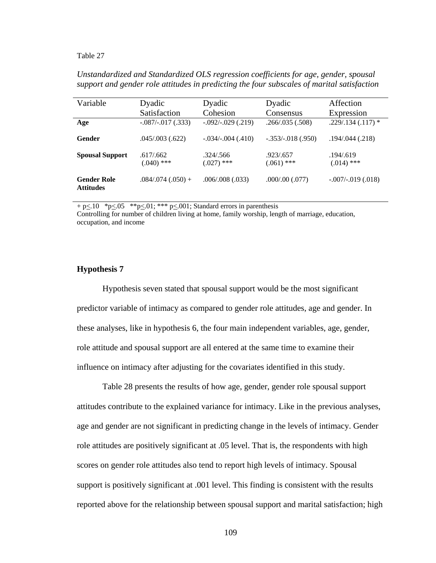*Unstandardized and Standardized OLS regression coefficients for age, gender, spousal support and gender role attitudes in predicting the four subscales of marital satisfaction* 

| Variable                               | Dyadic                     | Dyadic                    | Dyadic                    | Affection                 |
|----------------------------------------|----------------------------|---------------------------|---------------------------|---------------------------|
|                                        | Satisfaction               | Cohesion                  | Consensus                 | Expression                |
| Age                                    | $-.087/-017(.333)$         | $-.092/-029(.219)$        | .266/.035(.508)           | $.229/.134(.117)*$        |
| Gender                                 | .045/.003(.622)            | $-.034/-004(.410)$        | $-.353/-.018(.950)$       | .194/.044(.218)           |
| <b>Spousal Support</b>                 | .617/0.662<br>$(.040)$ *** | .324/.566<br>$(.027)$ *** | .923/.657<br>$(.061)$ *** | .194/.619<br>$(.014)$ *** |
| <b>Gender Role</b><br><b>Attitudes</b> | $.084/074(.050) +$         | .006/.008(.033)           | .000/000(.077)            | $-.007/-019(.018)$        |

 $+$  p $\leq$ .10  $*$  p $\leq$ .05  $*$  $*$  p $\leq$ .01;  $*$  $*$  $*$  p $\leq$ .001; Standard errors in parenthesis

Controlling for number of children living at home, family worship, length of marriage, education, occupation, and income

### **Hypothesis 7**

Hypothesis seven stated that spousal support would be the most significant predictor variable of intimacy as compared to gender role attitudes, age and gender. In these analyses, like in hypothesis 6, the four main independent variables, age, gender, role attitude and spousal support are all entered at the same time to examine their influence on intimacy after adjusting for the covariates identified in this study.

Table 28 presents the results of how age, gender, gender role spousal support attitudes contribute to the explained variance for intimacy. Like in the previous analyses, age and gender are not significant in predicting change in the levels of intimacy. Gender role attitudes are positively significant at .05 level. That is, the respondents with high scores on gender role attitudes also tend to report high levels of intimacy. Spousal support is positively significant at .001 level. This finding is consistent with the results reported above for the relationship between spousal support and marital satisfaction; high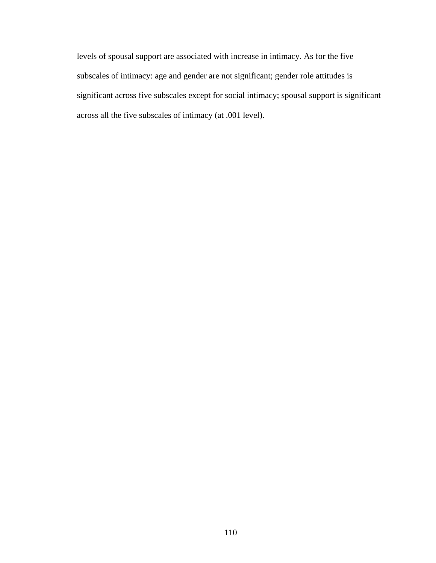levels of spousal support are associated with increase in intimacy. As for the five subscales of intimacy: age and gender are not significant; gender role attitudes is significant across five subscales except for social intimacy; spousal support is significant across all the five subscales of intimacy (at .001 level).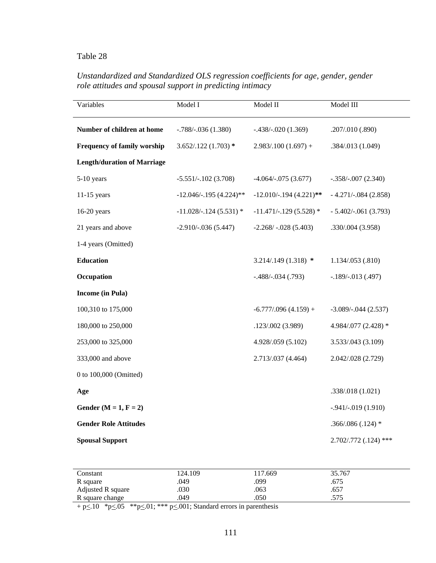# *Unstandardized and Standardized OLS regression coefficients for age, gender, gender role attitudes and spousal support in predicting intimacy*

| Variables                          | Model I                  | Model II                 | Model III             |
|------------------------------------|--------------------------|--------------------------|-----------------------|
| Number of children at home         | $-.788/-036(1.380)$      | $-.438/-.020(1.369)$     | .207/.010 (.890)      |
| <b>Frequency of family worship</b> | $3.652/.122(1.703)*$     | $2.983/.100(1.697) +$    | .384/.013 (1.049)     |
| <b>Length/duration of Marriage</b> |                          |                          |                       |
| 5-10 years                         | $-5.551/-102(3.708)$     | $-4.064/-075(3.677)$     | $-.358/-007(2.340)$   |
| $11-15$ years                      | $-12.046/-195(4.224)$ ** | $-12.010/-194$ (4.221)** | $-4.271/-084(2.858)$  |
| $16-20$ years                      | $-11.028/-124(5.531)$ *  | $-11.471/-129$ (5.528) * | $-5.402/-061(3.793)$  |
| 21 years and above                 | $-2.910/-036(5.447)$     | $-2.268/-028(5.403)$     | .330/.004 (3.958)     |
| 1-4 years (Omitted)                |                          |                          |                       |
| <b>Education</b>                   |                          | $3.214/.149(1.318)$ *    | 1.134/.053 (.810)     |
| Occupation                         |                          | $-.488/-.034(.793)$      | $-.189/-.013(.497)$   |
| <b>Income</b> (in Pula)            |                          |                          |                       |
| 100,310 to 175,000                 |                          | $-6.777/0.96(4.159) +$   | $-3.089/-044$ (2.537) |
| 180,000 to 250,000                 |                          | .123/.002(3.989)         | 4.984/.077 (2.428) *  |
| 253,000 to 325,000                 |                          | 4.928/.059 (5.102)       | 3.533/.043 (3.109)    |
| 333,000 and above                  |                          | 2.713/.037 (4.464)       | 2.042/.028 (2.729)    |
| 0 to 100,000 (Omitted)             |                          |                          |                       |
| Age                                |                          |                          | .338/.018 (1.021)     |
| Gender ( $M = 1$ , $F = 2$ )       |                          |                          | $-0.941/-019(1.910)$  |
| <b>Gender Role Attitudes</b>       |                          |                          | $.366/.086(.124)*$    |
| <b>Spousal Support</b>             |                          |                          | 2.702/.772 (.124) *** |

| Constant          | 124.109 | 117.669 | 35.767 |  |
|-------------------|---------|---------|--------|--|
| R square          | .049    | .099    | .675   |  |
| Adjusted R square | .030    | .063    | .657   |  |
| R square change   | 049     | .050    | .575   |  |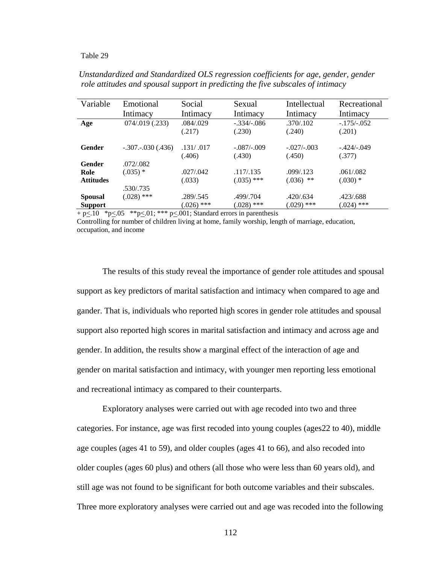| Variable         | Emotional<br>Intimacy    | Social<br>Intimacy   | Sexual<br>Intimacy      | Intellectual<br>Intimacy | Recreational<br>Intimacy |
|------------------|--------------------------|----------------------|-------------------------|--------------------------|--------------------------|
| Age              | $074/019$ (.233)         | .084/.029<br>(.217)  | $-.334/-.086$<br>(.230) | .370/.102<br>(.240)      | $-.175/-.052$<br>(.201)  |
| <b>Gender</b>    | $-.307$ . $-.030$ (.436) | .131/ .017<br>(.406) | $-.087/-009$<br>(.430)  | $-.027/-.003$<br>(.450)  | $-.424/-.049$<br>(.377)  |
| Gender           | .072/.082                |                      |                         |                          |                          |
| Role             | $(.035)$ *               | .027/0.042           | .117/.135               | .099/.123                | .061/082                 |
| <b>Attitudes</b> |                          | (.033)               | $(.035)$ ***            | $(.036)$ **              | $(.030)$ *               |
|                  | .530/.735                |                      |                         |                          |                          |
| <b>Spousal</b>   | $(.028)$ ***             | .289/.545            | .499/.704               | .420/0.634               | .423/.688                |
| <b>Support</b>   |                          | $(.026)$ ***         | $(.028)$ ***            | $(0.029)$ ***            | $(.024)$ ***             |

*Unstandardized and Standardized OLS regression coefficients for age, gender, gender role attitudes and spousal support in predicting the five subscales of intimacy* 

+  $p \leq 10$  \* $p \leq 05$  \*\* $p \leq 01$ ; \*\*\*  $p \leq 001$ ; Standard errors in parenthesis

Controlling for number of children living at home, family worship, length of marriage, education, occupation, and income

The results of this study reveal the importance of gender role attitudes and spousal support as key predictors of marital satisfaction and intimacy when compared to age and gander. That is, individuals who reported high scores in gender role attitudes and spousal support also reported high scores in marital satisfaction and intimacy and across age and gender. In addition, the results show a marginal effect of the interaction of age and gender on marital satisfaction and intimacy, with younger men reporting less emotional and recreational intimacy as compared to their counterparts.

Exploratory analyses were carried out with age recoded into two and three categories. For instance, age was first recoded into young couples (ages22 to 40), middle age couples (ages 41 to 59), and older couples (ages 41 to 66), and also recoded into older couples (ages 60 plus) and others (all those who were less than 60 years old), and still age was not found to be significant for both outcome variables and their subscales. Three more exploratory analyses were carried out and age was recoded into the following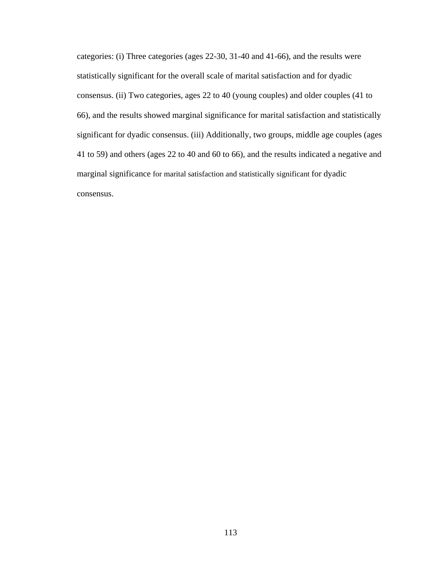categories: (i) Three categories (ages 22-30, 31-40 and 41-66), and the results were statistically significant for the overall scale of marital satisfaction and for dyadic consensus. (ii) Two categories, ages 22 to 40 (young couples) and older couples (41 to 66), and the results showed marginal significance for marital satisfaction and statistically significant for dyadic consensus. (iii) Additionally, two groups, middle age couples (ages 41 to 59) and others (ages 22 to 40 and 60 to 66), and the results indicated a negative and marginal significance for marital satisfaction and statistically significant for dyadic consensus.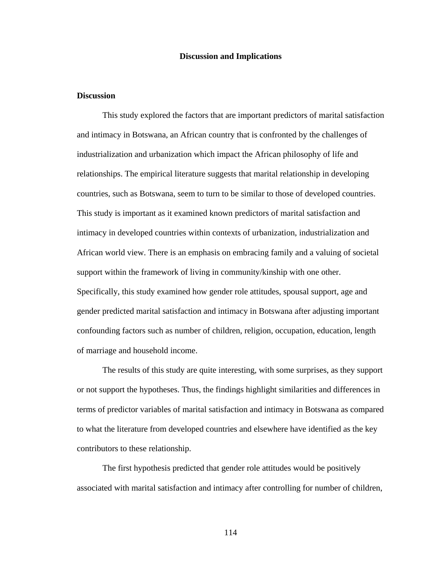#### **Discussion and Implications**

### **Discussion**

This study explored the factors that are important predictors of marital satisfaction and intimacy in Botswana, an African country that is confronted by the challenges of industrialization and urbanization which impact the African philosophy of life and relationships. The empirical literature suggests that marital relationship in developing countries, such as Botswana, seem to turn to be similar to those of developed countries. This study is important as it examined known predictors of marital satisfaction and intimacy in developed countries within contexts of urbanization, industrialization and African world view. There is an emphasis on embracing family and a valuing of societal support within the framework of living in community/kinship with one other. Specifically, this study examined how gender role attitudes, spousal support, age and gender predicted marital satisfaction and intimacy in Botswana after adjusting important confounding factors such as number of children, religion, occupation, education, length of marriage and household income.

The results of this study are quite interesting, with some surprises, as they support or not support the hypotheses. Thus, the findings highlight similarities and differences in terms of predictor variables of marital satisfaction and intimacy in Botswana as compared to what the literature from developed countries and elsewhere have identified as the key contributors to these relationship.

The first hypothesis predicted that gender role attitudes would be positively associated with marital satisfaction and intimacy after controlling for number of children,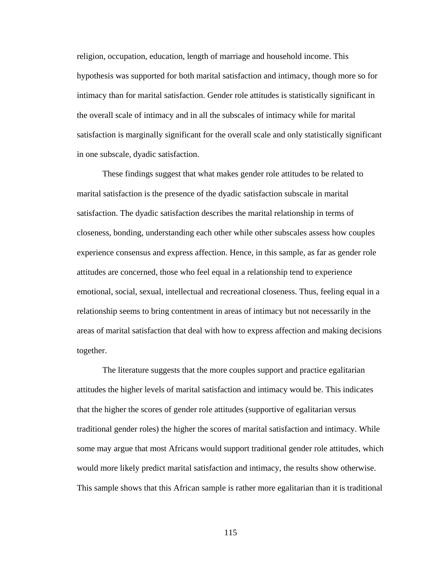religion, occupation, education, length of marriage and household income. This hypothesis was supported for both marital satisfaction and intimacy, though more so for intimacy than for marital satisfaction. Gender role attitudes is statistically significant in the overall scale of intimacy and in all the subscales of intimacy while for marital satisfaction is marginally significant for the overall scale and only statistically significant in one subscale, dyadic satisfaction.

These findings suggest that what makes gender role attitudes to be related to marital satisfaction is the presence of the dyadic satisfaction subscale in marital satisfaction. The dyadic satisfaction describes the marital relationship in terms of closeness, bonding, understanding each other while other subscales assess how couples experience consensus and express affection. Hence, in this sample, as far as gender role attitudes are concerned, those who feel equal in a relationship tend to experience emotional, social, sexual, intellectual and recreational closeness. Thus, feeling equal in a relationship seems to bring contentment in areas of intimacy but not necessarily in the areas of marital satisfaction that deal with how to express affection and making decisions together.

The literature suggests that the more couples support and practice egalitarian attitudes the higher levels of marital satisfaction and intimacy would be. This indicates that the higher the scores of gender role attitudes (supportive of egalitarian versus traditional gender roles) the higher the scores of marital satisfaction and intimacy. While some may argue that most Africans would support traditional gender role attitudes, which would more likely predict marital satisfaction and intimacy, the results show otherwise. This sample shows that this African sample is rather more egalitarian than it is traditional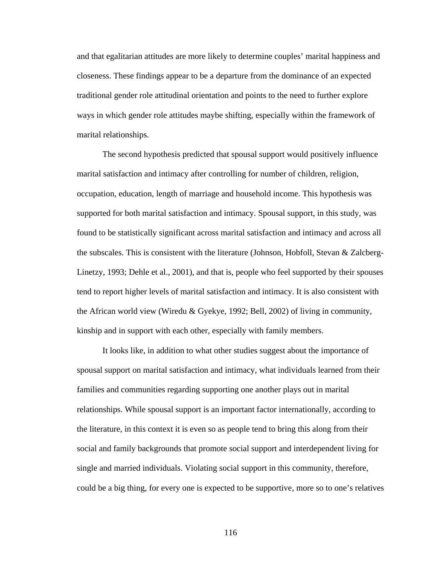and that egalitarian attitudes are more likely to determine couples' marital happiness and closeness. These findings appear to be a departure from the dominance of an expected traditional gender role attitudinal orientation and points to the need to further explore ways in which gender role attitudes maybe shifting, especially within the framework of marital relationships.

The second hypothesis predicted that spousal support would positively influence marital satisfaction and intimacy after controlling for number of children, religion, occupation, education, length of marriage and household income. This hypothesis was supported for both marital satisfaction and intimacy. Spousal support, in this study, was found to be statistically significant across marital satisfaction and intimacy and across all the subscales. This is consistent with the literature (Johnson, Hobfoll, Stevan & Zalcberg-Linetzy, 1993; Dehle et al., 2001), and that is, people who feel supported by their spouses tend to report higher levels of marital satisfaction and intimacy. It is also consistent with the African world view (Wiredu & Gyekye, 1992; Bell, 2002) of living in community, kinship and in support with each other, especially with family members.

It looks like, in addition to what other studies suggest about the importance of spousal support on marital satisfaction and intimacy, what individuals learned from their families and communities regarding supporting one another plays out in marital relationships. While spousal support is an important factor internationally, according to the literature, in this context it is even so as people tend to bring this along from their social and family backgrounds that promote social support and interdependent living for single and married individuals. Violating social support in this community, therefore, could be a big thing, for every one is expected to be supportive, more so to one's relatives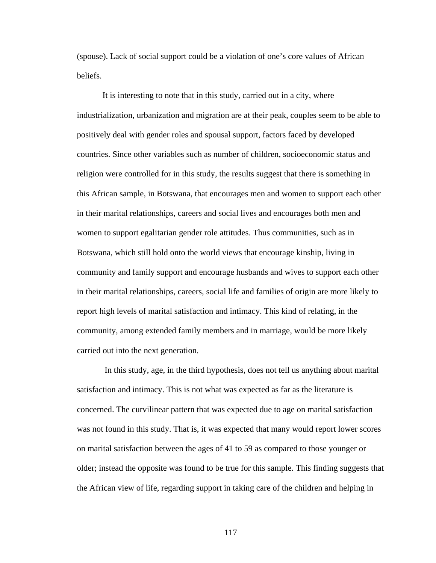(spouse). Lack of social support could be a violation of one's core values of African beliefs.

It is interesting to note that in this study, carried out in a city, where industrialization, urbanization and migration are at their peak, couples seem to be able to positively deal with gender roles and spousal support, factors faced by developed countries. Since other variables such as number of children, socioeconomic status and religion were controlled for in this study, the results suggest that there is something in this African sample, in Botswana, that encourages men and women to support each other in their marital relationships, careers and social lives and encourages both men and women to support egalitarian gender role attitudes. Thus communities, such as in Botswana, which still hold onto the world views that encourage kinship, living in community and family support and encourage husbands and wives to support each other in their marital relationships, careers, social life and families of origin are more likely to report high levels of marital satisfaction and intimacy. This kind of relating, in the community, among extended family members and in marriage, would be more likely carried out into the next generation.

 In this study, age, in the third hypothesis, does not tell us anything about marital satisfaction and intimacy. This is not what was expected as far as the literature is concerned. The curvilinear pattern that was expected due to age on marital satisfaction was not found in this study. That is, it was expected that many would report lower scores on marital satisfaction between the ages of 41 to 59 as compared to those younger or older; instead the opposite was found to be true for this sample. This finding suggests that the African view of life, regarding support in taking care of the children and helping in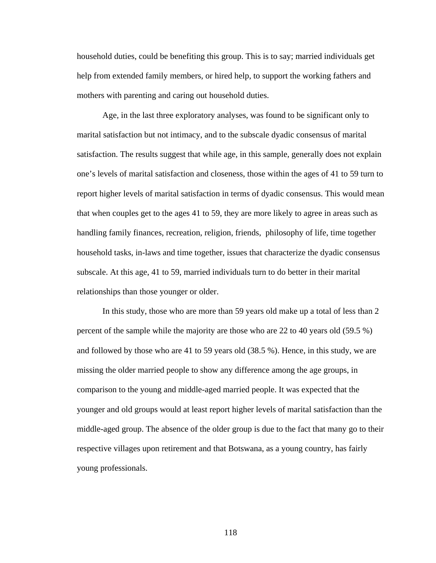household duties, could be benefiting this group. This is to say; married individuals get help from extended family members, or hired help, to support the working fathers and mothers with parenting and caring out household duties.

Age, in the last three exploratory analyses, was found to be significant only to marital satisfaction but not intimacy, and to the subscale dyadic consensus of marital satisfaction. The results suggest that while age, in this sample, generally does not explain one's levels of marital satisfaction and closeness, those within the ages of 41 to 59 turn to report higher levels of marital satisfaction in terms of dyadic consensus. This would mean that when couples get to the ages 41 to 59, they are more likely to agree in areas such as handling family finances, recreation, religion, friends, philosophy of life, time together household tasks, in-laws and time together, issues that characterize the dyadic consensus subscale. At this age, 41 to 59, married individuals turn to do better in their marital relationships than those younger or older.

In this study, those who are more than 59 years old make up a total of less than 2 percent of the sample while the majority are those who are 22 to 40 years old (59.5 %) and followed by those who are 41 to 59 years old (38.5 %). Hence, in this study, we are missing the older married people to show any difference among the age groups, in comparison to the young and middle-aged married people. It was expected that the younger and old groups would at least report higher levels of marital satisfaction than the middle-aged group. The absence of the older group is due to the fact that many go to their respective villages upon retirement and that Botswana, as a young country, has fairly young professionals.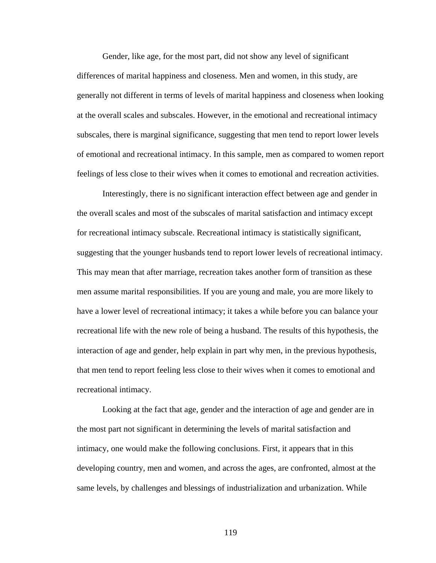Gender, like age, for the most part, did not show any level of significant differences of marital happiness and closeness. Men and women, in this study, are generally not different in terms of levels of marital happiness and closeness when looking at the overall scales and subscales. However, in the emotional and recreational intimacy subscales, there is marginal significance, suggesting that men tend to report lower levels of emotional and recreational intimacy. In this sample, men as compared to women report feelings of less close to their wives when it comes to emotional and recreation activities.

Interestingly, there is no significant interaction effect between age and gender in the overall scales and most of the subscales of marital satisfaction and intimacy except for recreational intimacy subscale. Recreational intimacy is statistically significant, suggesting that the younger husbands tend to report lower levels of recreational intimacy. This may mean that after marriage, recreation takes another form of transition as these men assume marital responsibilities. If you are young and male, you are more likely to have a lower level of recreational intimacy; it takes a while before you can balance your recreational life with the new role of being a husband. The results of this hypothesis, the interaction of age and gender, help explain in part why men, in the previous hypothesis, that men tend to report feeling less close to their wives when it comes to emotional and recreational intimacy.

Looking at the fact that age, gender and the interaction of age and gender are in the most part not significant in determining the levels of marital satisfaction and intimacy, one would make the following conclusions. First, it appears that in this developing country, men and women, and across the ages, are confronted, almost at the same levels, by challenges and blessings of industrialization and urbanization. While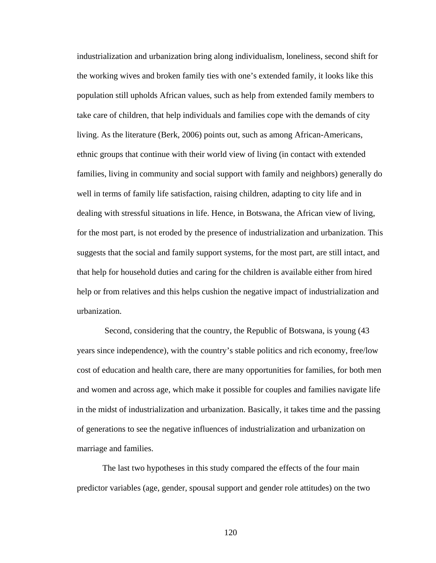industrialization and urbanization bring along individualism, loneliness, second shift for the working wives and broken family ties with one's extended family, it looks like this population still upholds African values, such as help from extended family members to take care of children, that help individuals and families cope with the demands of city living. As the literature (Berk, 2006) points out, such as among African-Americans, ethnic groups that continue with their world view of living (in contact with extended families, living in community and social support with family and neighbors) generally do well in terms of family life satisfaction, raising children, adapting to city life and in dealing with stressful situations in life. Hence, in Botswana, the African view of living, for the most part, is not eroded by the presence of industrialization and urbanization. This suggests that the social and family support systems, for the most part, are still intact, and that help for household duties and caring for the children is available either from hired help or from relatives and this helps cushion the negative impact of industrialization and urbanization.

 Second, considering that the country, the Republic of Botswana, is young (43 years since independence), with the country's stable politics and rich economy, free/low cost of education and health care, there are many opportunities for families, for both men and women and across age, which make it possible for couples and families navigate life in the midst of industrialization and urbanization. Basically, it takes time and the passing of generations to see the negative influences of industrialization and urbanization on marriage and families.

The last two hypotheses in this study compared the effects of the four main predictor variables (age, gender, spousal support and gender role attitudes) on the two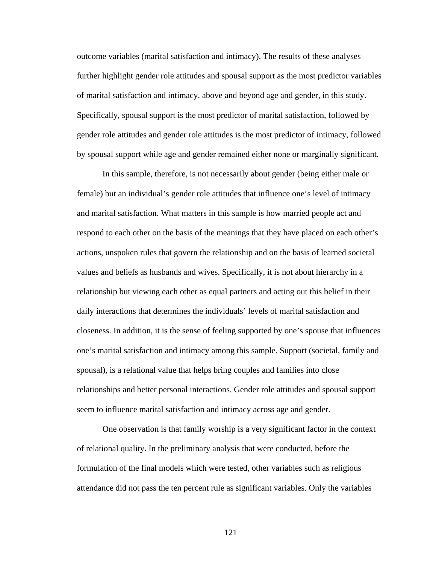outcome variables (marital satisfaction and intimacy). The results of these analyses further highlight gender role attitudes and spousal support as the most predictor variables of marital satisfaction and intimacy, above and beyond age and gender, in this study. Specifically, spousal support is the most predictor of marital satisfaction, followed by gender role attitudes and gender role attitudes is the most predictor of intimacy, followed by spousal support while age and gender remained either none or marginally significant.

In this sample, therefore, is not necessarily about gender (being either male or female) but an individual's gender role attitudes that influence one's level of intimacy and marital satisfaction. What matters in this sample is how married people act and respond to each other on the basis of the meanings that they have placed on each other's actions, unspoken rules that govern the relationship and on the basis of learned societal values and beliefs as husbands and wives. Specifically, it is not about hierarchy in a relationship but viewing each other as equal partners and acting out this belief in their daily interactions that determines the individuals' levels of marital satisfaction and closeness. In addition, it is the sense of feeling supported by one's spouse that influences one's marital satisfaction and intimacy among this sample. Support (societal, family and spousal), is a relational value that helps bring couples and families into close relationships and better personal interactions. Gender role attitudes and spousal support seem to influence marital satisfaction and intimacy across age and gender.

One observation is that family worship is a very significant factor in the context of relational quality. In the preliminary analysis that were conducted, before the formulation of the final models which were tested, other variables such as religious attendance did not pass the ten percent rule as significant variables. Only the variables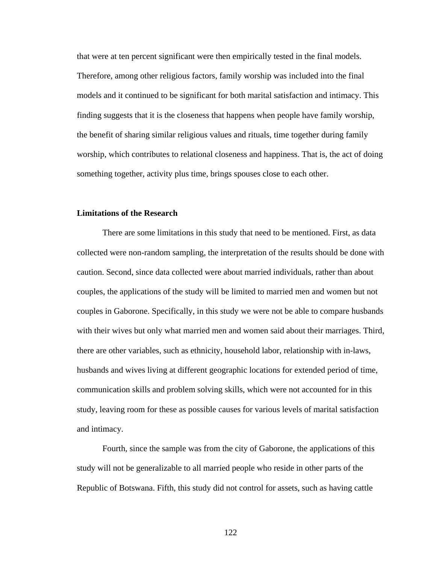that were at ten percent significant were then empirically tested in the final models. Therefore, among other religious factors, family worship was included into the final models and it continued to be significant for both marital satisfaction and intimacy. This finding suggests that it is the closeness that happens when people have family worship, the benefit of sharing similar religious values and rituals, time together during family worship, which contributes to relational closeness and happiness. That is, the act of doing something together, activity plus time, brings spouses close to each other.

### **Limitations of the Research**

 There are some limitations in this study that need to be mentioned. First, as data collected were non-random sampling, the interpretation of the results should be done with caution. Second, since data collected were about married individuals, rather than about couples, the applications of the study will be limited to married men and women but not couples in Gaborone. Specifically, in this study we were not be able to compare husbands with their wives but only what married men and women said about their marriages. Third, there are other variables, such as ethnicity, household labor, relationship with in-laws, husbands and wives living at different geographic locations for extended period of time, communication skills and problem solving skills, which were not accounted for in this study, leaving room for these as possible causes for various levels of marital satisfaction and intimacy.

Fourth, since the sample was from the city of Gaborone, the applications of this study will not be generalizable to all married people who reside in other parts of the Republic of Botswana. Fifth, this study did not control for assets, such as having cattle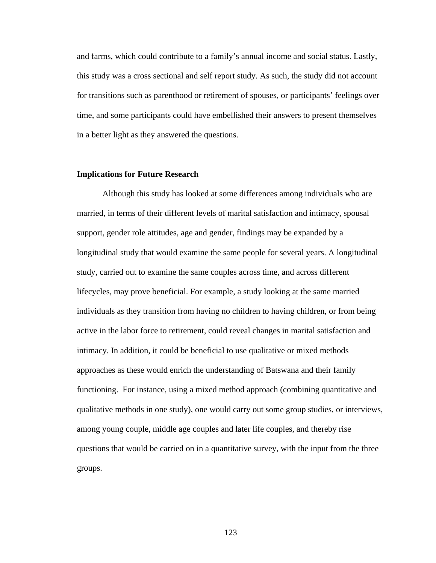and farms, which could contribute to a family's annual income and social status. Lastly, this study was a cross sectional and self report study. As such, the study did not account for transitions such as parenthood or retirement of spouses, or participants' feelings over time, and some participants could have embellished their answers to present themselves in a better light as they answered the questions.

### **Implications for Future Research**

 Although this study has looked at some differences among individuals who are married, in terms of their different levels of marital satisfaction and intimacy, spousal support, gender role attitudes, age and gender, findings may be expanded by a longitudinal study that would examine the same people for several years. A longitudinal study, carried out to examine the same couples across time, and across different lifecycles, may prove beneficial. For example, a study looking at the same married individuals as they transition from having no children to having children, or from being active in the labor force to retirement, could reveal changes in marital satisfaction and intimacy. In addition, it could be beneficial to use qualitative or mixed methods approaches as these would enrich the understanding of Batswana and their family functioning. For instance, using a mixed method approach (combining quantitative and qualitative methods in one study), one would carry out some group studies, or interviews, among young couple, middle age couples and later life couples, and thereby rise questions that would be carried on in a quantitative survey, with the input from the three groups.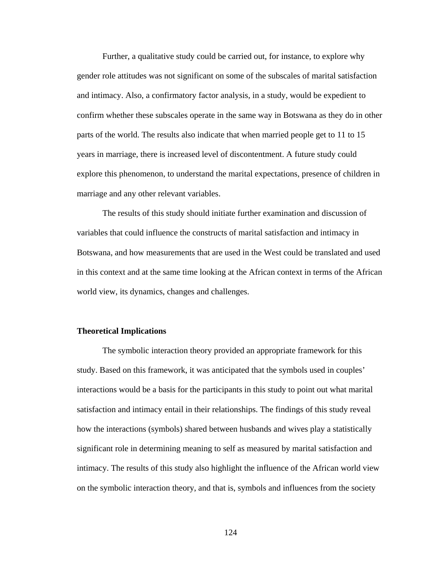Further, a qualitative study could be carried out, for instance, to explore why gender role attitudes was not significant on some of the subscales of marital satisfaction and intimacy. Also, a confirmatory factor analysis, in a study, would be expedient to confirm whether these subscales operate in the same way in Botswana as they do in other parts of the world. The results also indicate that when married people get to 11 to 15 years in marriage, there is increased level of discontentment. A future study could explore this phenomenon, to understand the marital expectations, presence of children in marriage and any other relevant variables.

The results of this study should initiate further examination and discussion of variables that could influence the constructs of marital satisfaction and intimacy in Botswana, and how measurements that are used in the West could be translated and used in this context and at the same time looking at the African context in terms of the African world view, its dynamics, changes and challenges.

### **Theoretical Implications**

 The symbolic interaction theory provided an appropriate framework for this study. Based on this framework, it was anticipated that the symbols used in couples' interactions would be a basis for the participants in this study to point out what marital satisfaction and intimacy entail in their relationships. The findings of this study reveal how the interactions (symbols) shared between husbands and wives play a statistically significant role in determining meaning to self as measured by marital satisfaction and intimacy. The results of this study also highlight the influence of the African world view on the symbolic interaction theory, and that is, symbols and influences from the society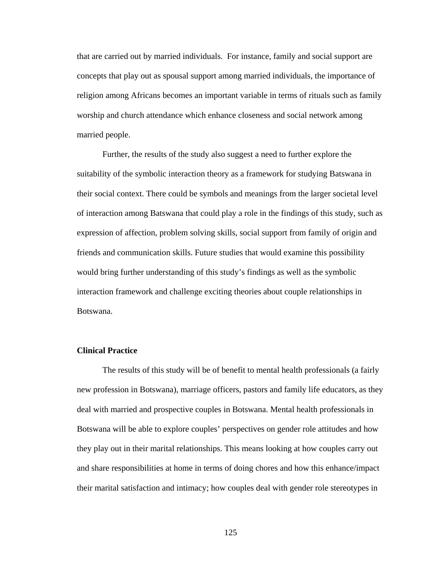that are carried out by married individuals. For instance, family and social support are concepts that play out as spousal support among married individuals, the importance of religion among Africans becomes an important variable in terms of rituals such as family worship and church attendance which enhance closeness and social network among married people.

 Further, the results of the study also suggest a need to further explore the suitability of the symbolic interaction theory as a framework for studying Batswana in their social context. There could be symbols and meanings from the larger societal level of interaction among Batswana that could play a role in the findings of this study, such as expression of affection, problem solving skills, social support from family of origin and friends and communication skills. Future studies that would examine this possibility would bring further understanding of this study's findings as well as the symbolic interaction framework and challenge exciting theories about couple relationships in Botswana.

### **Clinical Practice**

 The results of this study will be of benefit to mental health professionals (a fairly new profession in Botswana), marriage officers, pastors and family life educators, as they deal with married and prospective couples in Botswana. Mental health professionals in Botswana will be able to explore couples' perspectives on gender role attitudes and how they play out in their marital relationships. This means looking at how couples carry out and share responsibilities at home in terms of doing chores and how this enhance/impact their marital satisfaction and intimacy; how couples deal with gender role stereotypes in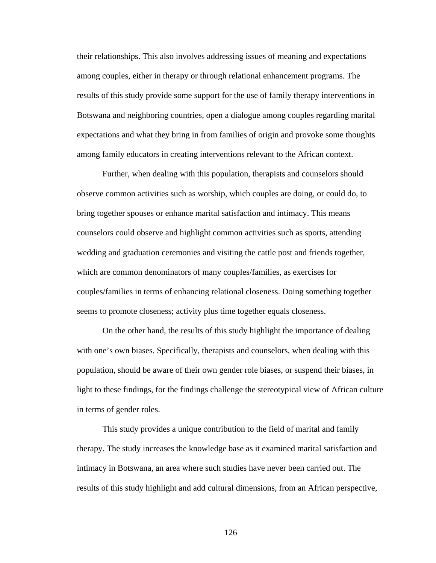their relationships. This also involves addressing issues of meaning and expectations among couples, either in therapy or through relational enhancement programs. The results of this study provide some support for the use of family therapy interventions in Botswana and neighboring countries, open a dialogue among couples regarding marital expectations and what they bring in from families of origin and provoke some thoughts among family educators in creating interventions relevant to the African context.

 Further, when dealing with this population, therapists and counselors should observe common activities such as worship, which couples are doing, or could do, to bring together spouses or enhance marital satisfaction and intimacy. This means counselors could observe and highlight common activities such as sports, attending wedding and graduation ceremonies and visiting the cattle post and friends together, which are common denominators of many couples/families, as exercises for couples/families in terms of enhancing relational closeness. Doing something together seems to promote closeness; activity plus time together equals closeness.

 On the other hand, the results of this study highlight the importance of dealing with one's own biases. Specifically, therapists and counselors, when dealing with this population, should be aware of their own gender role biases, or suspend their biases, in light to these findings, for the findings challenge the stereotypical view of African culture in terms of gender roles.

 This study provides a unique contribution to the field of marital and family therapy. The study increases the knowledge base as it examined marital satisfaction and intimacy in Botswana, an area where such studies have never been carried out. The results of this study highlight and add cultural dimensions, from an African perspective,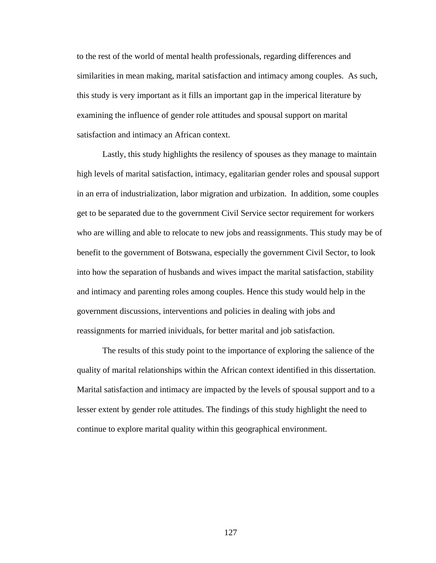to the rest of the world of mental health professionals, regarding differences and similarities in mean making, marital satisfaction and intimacy among couples. As such, this study is very important as it fills an important gap in the imperical literature by examining the influence of gender role attitudes and spousal support on marital satisfaction and intimacy an African context.

Lastly, this study highlights the resilency of spouses as they manage to maintain high levels of marital satisfaction, intimacy, egalitarian gender roles and spousal support in an erra of industrialization, labor migration and urbization. In addition, some couples get to be separated due to the government Civil Service sector requirement for workers who are willing and able to relocate to new jobs and reassignments. This study may be of benefit to the government of Botswana, especially the government Civil Sector, to look into how the separation of husbands and wives impact the marital satisfaction, stability and intimacy and parenting roles among couples. Hence this study would help in the government discussions, interventions and policies in dealing with jobs and reassignments for married inividuals, for better marital and job satisfaction.

The results of this study point to the importance of exploring the salience of the quality of marital relationships within the African context identified in this dissertation. Marital satisfaction and intimacy are impacted by the levels of spousal support and to a lesser extent by gender role attitudes. The findings of this study highlight the need to continue to explore marital quality within this geographical environment.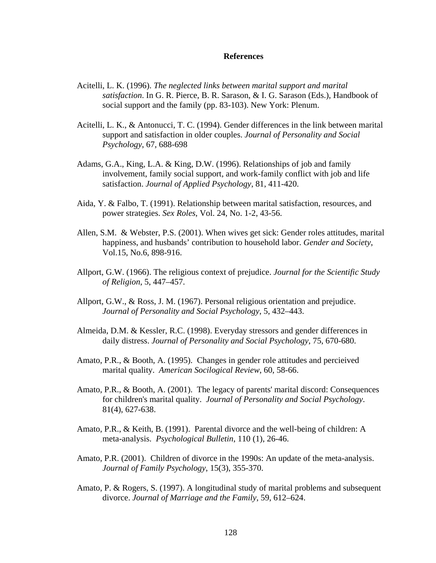#### **References**

- Acitelli, L. K. (1996). *The neglected links between marital support and marital satisfaction*. In G. R. Pierce, B. R. Sarason, & I. G. Sarason (Eds.), Handbook of social support and the family (pp. 83-103). New York: Plenum.
- Acitelli, L. K., & Antonucci, T. C. (1994). Gender differences in the link between marital support and satisfaction in older couples. *Journal of Personality and Social Psychology*, 67, 688-698
- Adams, G.A., King, L.A. & King, D.W. (1996). Relationships of job and family involvement, family social support, and work-family conflict with job and life satisfaction. *Journal of Applied Psychology*, 81, 411-420.
- Aida, Y. & Falbo, T. (1991). Relationship between marital satisfaction, resources, and power strategies. *Sex Roles*, Vol. 24, No. 1-2, 43-56.
- Allen, S.M. & Webster, P.S. (2001). When wives get sick: Gender roles attitudes, marital happiness, and husbands' contribution to household labor. *Gender and Society*, Vol.15, No.6, 898-916.
- Allport, G.W. (1966). The religious context of prejudice. *Journal for the Scientific Study of Religion*, 5, 447–457.
- Allport, G.W., & Ross, J. M. (1967). Personal religious orientation and prejudice. *Journal of Personality and Social Psychology*, 5, 432–443.
- Almeida, D.M. & Kessler, R.C. (1998). Everyday stressors and gender differences in daily distress. *Journal of Personality and Social Psychology*, 75, 670-680.
- Amato, P.R., & Booth, A. (1995). Changes in gender role attitudes and percieived marital quality. *American Socilogical Review*, 60, 58-66.
- Amato, P.R., & Booth, A. (2001). The legacy of parents' marital discord: Consequences for children's marital quality. *Journal of Personality and Social Psychology*. 81(4), 627-638.
- Amato, P.R., & Keith, B. (1991). Parental divorce and the well-being of children: A meta-analysis. *Psychological Bulletin*, 110 (1), 26-46.
- Amato, P.R. (2001). Children of divorce in the 1990s: An update of the meta-analysis. *Journal of Family Psychology*, 15(3), 355-370.
- Amato, P. & Rogers, S. (1997). A longitudinal study of marital problems and subsequent divorce. *Journal of Marriage and the Family*, 59, 612–624.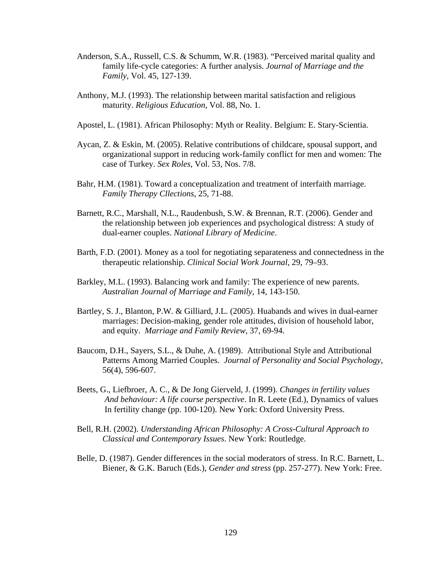- Anderson, S.A., Russell, C.S. & Schumm, W.R. (1983). "Perceived marital quality and family life-cycle categories: A further analysis. *Journal of Marriage and the Family*, Vol. 45, 127-139.
- Anthony, M.J. (1993). The relationship between marital satisfaction and religious maturity. *Religious Education*, Vol. 88, No. 1.
- Apostel, L. (1981). African Philosophy: Myth or Reality. Belgium: E. Stary-Scientia.
- Aycan, Z. & Eskin, M. (2005). Relative contributions of childcare, spousal support, and organizational support in reducing work-family conflict for men and women: The case of Turkey. *Sex Roles*, Vol. 53, Nos. 7/8.
- Bahr, H.M. (1981). Toward a conceptualization and treatment of interfaith marriage. *Family Therapy Cllections*, 25, 71-88.
- Barnett, R.C., Marshall, N.L., Raudenbush, S.W. & Brennan, R.T. (2006). Gender and the relationship between job experiences and psychological distress: A study of dual-earner couples. *National Library of Medicine*.
- Barth, F.D. (2001). Money as a tool for negotiating separateness and connectedness in the therapeutic relationship. *Clinical Social Work Journal*, 29, 79–93.
- Barkley, M.L. (1993). Balancing work and family: The experience of new parents. *Australian Journal of Marriage and Family*, 14, 143-150.
- Bartley, S. J., Blanton, P.W. & Gilliard, J.L. (2005). Huabands and wives in dual-earner marriages: Decision-making, gender role attitudes, division of household labor, and equity. *Marriage and Family Review*, 37, 69-94.
- Baucom, D.H., Sayers, S.L., & Duhe, A. (1989). Attributional Style and Attributional Patterns Among Married Couples. *Journal of Personality and Social Psychology*, 56(4), 596-607.
- Beets, G., Liefbroer, A. C., & De Jong Gierveld, J. (1999). *Changes in fertility values And behaviour: A life course perspective*. In R. Leete (Ed.), Dynamics of values In fertility change (pp. 100-120). New York: Oxford University Press.
- Bell, R.H. (2002). *Understanding African Philosophy: A Cross-Cultural Approach to Classical and Contemporary Issues*. New York: Routledge.
- Belle, D. (1987). Gender differences in the social moderators of stress. In R.C. Barnett, L. Biener, & G.K. Baruch (Eds.), *Gender and stress* (pp. 257-277). New York: Free.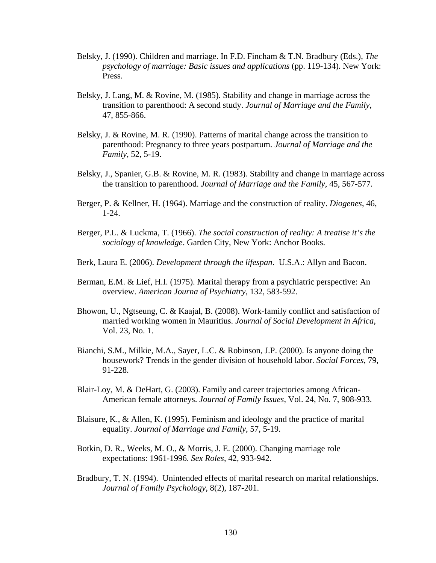- Belsky, J. (1990). Children and marriage. In F.D. Fincham & T.N. Bradbury (Eds.), *The psychology of marriage: Basic issues and applications* (pp. 119-134). New York: Press.
- Belsky, J. Lang, M. & Rovine, M. (1985). Stability and change in marriage across the transition to parenthood: A second study. *Journal of Marriage and the Family*, 47, 855-866.
- Belsky, J. & Rovine, M. R. (1990). Patterns of marital change across the transition to parenthood: Pregnancy to three years postpartum. *Journal of Marriage and the Family*, 52, 5-19.
- Belsky, J., Spanier, G.B. & Rovine, M. R. (1983). Stability and change in marriage across the transition to parenthood. *Journal of Marriage and the Family*, 45, 567-577.
- Berger, P. & Kellner, H. (1964). Marriage and the construction of reality. *Diogenes*, 46, 1-24.
- Berger, P.L. & Luckma, T. (1966). *The social construction of reality: A treatise it's the sociology of knowledge*. Garden City, New York: Anchor Books.
- Berk, Laura E. (2006). *Development through the lifespan*. U.S.A.: Allyn and Bacon.
- Berman, E.M. & Lief, H.I. (1975). Marital therapy from a psychiatric perspective: An overview. *American Journa of Psychiatry*, 132, 583-592.
- Bhowon, U., Ngtseung, C. & Kaajal, B. (2008). Work-family conflict and satisfaction of married working women in Mauritius. *Journal of Social Development in Africa*, Vol. 23, No. 1.
- Bianchi, S.M., Milkie, M.A., Sayer, L.C. & Robinson, J.P. (2000). Is anyone doing the housework? Trends in the gender division of household labor. *Social Forces*, 79, 91-228.
- Blair-Loy, M. & DeHart, G. (2003). Family and career trajectories among African- American female attorneys. *Journal of Family Issues*, Vol. 24, No. 7, 908-933.
- Blaisure, K., & Allen, K. (1995). Feminism and ideology and the practice of marital equality. *Journal of Marriage and Family*, 57, 5-19.
- Botkin, D. R., Weeks, M. O., & Morris, J. E. (2000). Changing marriage role expectations: 1961-1996. *Sex Roles*, 42, 933-942.
- Bradbury, T. N. (1994). Unintended effects of marital research on marital relationships. *Journal of Family Psychology*, 8(2), 187-201.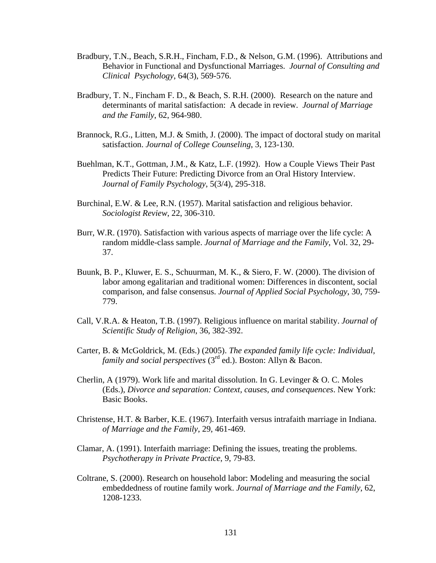- Bradbury, T.N., Beach, S.R.H., Fincham, F.D., & Nelson, G.M. (1996). Attributions and Behavior in Functional and Dysfunctional Marriages. *Journal of Consulting and Clinical Psychology*, 64(3), 569-576.
- Bradbury, T. N., Fincham F. D., & Beach, S. R.H. (2000). Research on the nature and determinants of marital satisfaction: A decade in review. *Journal of Marriage and the Family*, 62, 964-980.
- Brannock, R.G., Litten, M.J. & Smith, J. (2000). The impact of doctoral study on marital satisfaction. *Journal of College Counseling*, 3, 123-130.
- Buehlman, K.T., Gottman, J.M., & Katz, L.F. (1992). How a Couple Views Their Past Predicts Their Future: Predicting Divorce from an Oral History Interview. *Journal of Family Psychology*, 5(3/4), 295-318.
- Burchinal, E.W. & Lee, R.N. (1957). Marital satisfaction and religious behavior. *Sociologist Review*, 22, 306-310.
- Burr, W.R. (1970). Satisfaction with various aspects of marriage over the life cycle: A random middle-class sample. *Journal of Marriage and the Family*, Vol. 32, 29- 37.
- Buunk, B. P., Kluwer, E. S., Schuurman, M. K., & Siero, F. W. (2000). The division of labor among egalitarian and traditional women: Differences in discontent, social comparison, and false consensus. *Journal of Applied Social Psychology*, 30, 759- 779.
- Call, V.R.A. & Heaton, T.B. (1997). Religious influence on marital stability. *Journal of Scientific Study of Religion*, 36, 382-392.
- Carter, B. & McGoldrick, M. (Eds.) (2005). *The expanded family life cycle: Individual, family and social perspectives* (3rd ed.). Boston: Allyn & Bacon.
- Cherlin, A (1979). Work life and marital dissolution. In G. Levinger  $&O, C.$  Moles (Eds.), *Divorce and separation: Context, causes, and consequences*. New York: Basic Books.
- Christense, H.T. & Barber, K.E. (1967). Interfaith versus intrafaith marriage in Indiana. *of Marriage and the Family*, 29, 461-469.
- Clamar, A. (1991). Interfaith marriage: Defining the issues, treating the problems. *Psychotherapy in Private Practice*, 9, 79-83.
- Coltrane, S. (2000). Research on household labor: Modeling and measuring the social embeddedness of routine family work. *Journal of Marriage and the Family*, 62, 1208-1233.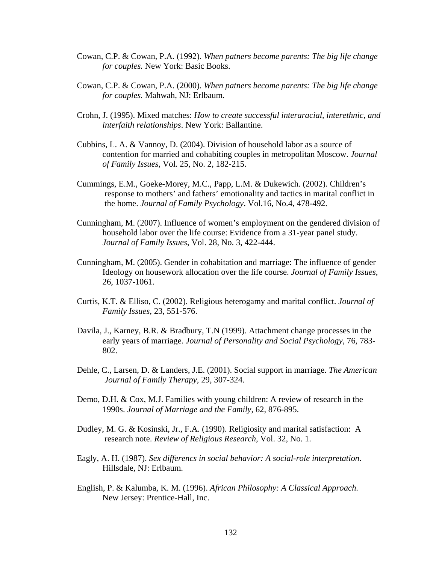- Cowan, C.P. & Cowan, P.A. (1992). *When patners become parents: The big life change for couples.* New York: Basic Books.
- Cowan, C.P. & Cowan, P.A. (2000). *When patners become parents: The big life change for couples.* Mahwah, NJ: Erlbaum.
- Crohn, J. (1995). Mixed matches: *How to create successful interaracial, interethnic, and interfaith relationships*. New York: Ballantine.
- Cubbins, L. A. & Vannoy, D. (2004). Division of household labor as a source of contention for married and cohabiting couples in metropolitan Moscow. *Journal of Family Issues*, Vol. 25, No. 2, 182-215.
- Cummings, E.M., Goeke-Morey, M.C., Papp, L.M. & Dukewich. (2002). Children's response to mothers' and fathers' emotionality and tactics in marital conflict in the home. *Journal of Family Psychology*. Vol.16, No.4, 478-492.
- Cunningham, M. (2007). Influence of women's employment on the gendered division of household labor over the life course: Evidence from a 31-year panel study. *Journal of Family Issues*, Vol. 28, No. 3, 422-444.
- Cunningham, M. (2005). Gender in cohabitation and marriage: The influence of gender Ideology on housework allocation over the life course. *Journal of Family Issues*, 26, 1037-1061.
- Curtis, K.T. & Elliso, C. (2002). Religious heterogamy and marital conflict. *Journal of Family Issues*, 23, 551-576.
- Davila, J., Karney, B.R. & Bradbury, T.N (1999). Attachment change processes in the early years of marriage. *Journal of Personality and Social Psychology*, 76, 783- 802.
- Dehle, C., Larsen, D. & Landers, J.E. (2001). Social support in marriage. *The American Journal of Family Therapy*, 29, 307-324.
- Demo, D.H. & Cox, M.J. Families with young children: A review of research in the 1990s. *Journal of Marriage and the Family*, 62, 876-895.
- Dudley, M. G. & Kosinski, Jr., F.A. (1990). Religiosity and marital satisfaction: A research note. *Review of Religious Research*, Vol. 32, No. 1.
- Eagly, A. H. (1987). *Sex differencs in social behavior: A social-role interpretation*. Hillsdale, NJ: Erlbaum.
- English, P. & Kalumba, K. M. (1996). *African Philosophy: A Classical Approach*. New Jersey: Prentice-Hall, Inc.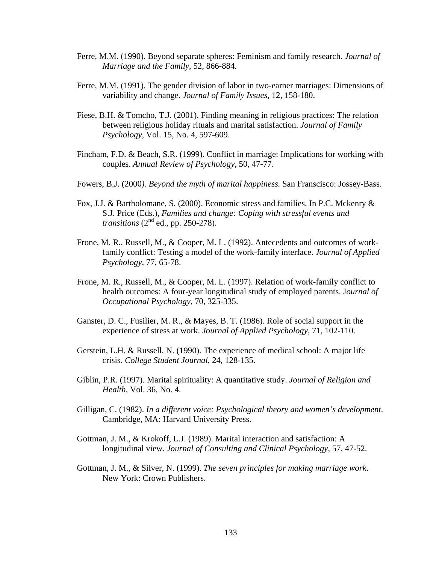- Ferre, M.M. (1990). Beyond separate spheres: Feminism and family research. *Journal of Marriage and the Family*, 52, 866-884.
- Ferre, M.M. (1991). The gender division of labor in two-earner marriages: Dimensions of variability and change. *Journal of Family Issues*, 12, 158-180.
- Fiese, B.H. & Tomcho, T.J. (2001). Finding meaning in religious practices: The relation between religious holiday rituals and marital satisfaction. *Journal of Family Psychology*, Vol. 15, No. 4, 597-609.
- Fincham, F.D. & Beach, S.R. (1999). Conflict in marriage: Implications for working with couples. *Annual Review of Psychology*, 50, 47-77.
- Fowers, B.J. (2000*). Beyond the myth of marital happiness.* San Franscisco: Jossey-Bass.
- Fox, J.J. & Bartholomane, S. (2000). Economic stress and families. In P.C. Mckenry & S.J. Price (Eds.), *Families and change: Coping with stressful events and transitions*  $(2<sup>nd</sup>$  ed., pp. 250-278).
- Frone, M. R., Russell, M., & Cooper, M. L. (1992). Antecedents and outcomes of workfamily conflict: Testing a model of the work-family interface. *Journal of Applied Psychology*, 77, 65-78.
- Frone, M. R., Russell, M., & Cooper, M. L. (1997). Relation of work-family conflict to health outcomes: A four-year longitudinal study of employed parents. J*ournal of Occupational Psychology,* 70, 325-335.
- Ganster, D. C., Fusilier, M. R., & Mayes, B. T. (1986). Role of social support in the experience of stress at work. *Journal of Applied Psychology*, 71, 102-110.
- Gerstein, L.H. & Russell, N. (1990). The experience of medical school: A major life crisis. *College Student Journal*, 24, 128-135.
- Giblin, P.R. (1997). Marital spirituality: A quantitative study. *Journal of Religion and Health,* Vol. 36, No. 4.
- Gilligan, C. (1982). *In a different voice: Psychological theory and women's development*. Cambridge, MA: Harvard University Press.
- Gottman, J. M., & Krokoff, L.J. (1989). Marital interaction and satisfaction: A longitudinal view. *Journal of Consulting and Clinical Psychology*, 57, 47-52.
- Gottman, J. M., & Silver, N. (1999). *The seven principles for making marriage work*. New York: Crown Publishers.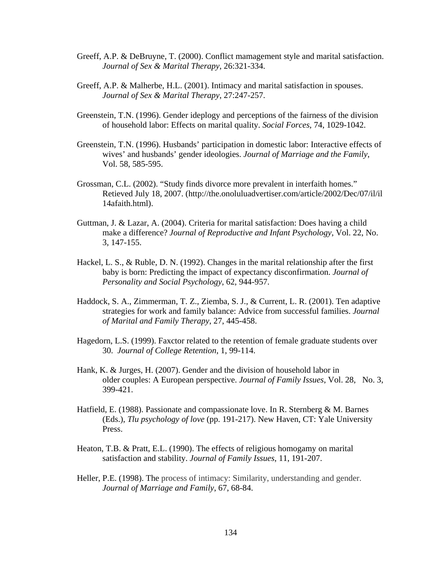- Greeff, A.P. & DeBruyne, T. (2000). Conflict mamagement style and marital satisfaction. *Journal of Sex & Marital Therapy*, 26:321-334.
- Greeff, A.P. & Malherbe, H.L. (2001). Intimacy and marital satisfaction in spouses. *Journal of Sex & Marital Therapy*, 27:247-257.
- Greenstein, T.N. (1996). Gender ideplogy and perceptions of the fairness of the division of household labor: Effects on marital quality. *Social Forces*, 74, 1029-1042.
- Greenstein, T.N. (1996). Husbands' participation in domestic labor: Interactive effects of wives' and husbands' gender ideologies. *Journal of Marriage and the Family*, Vol. 58, 585-595.
- Grossman, C.L. (2002). "Study finds divorce more prevalent in interfaith homes." Retieved July 18, 2007. (http://the.onoluluadvertiser.com/article/2002/Dec/07/il/il 14afaith.html).
- Guttman, J. & Lazar, A. (2004). Criteria for marital satisfaction: Does having a child make a difference? *Journal of Reproductive and Infant Psychology*, Vol. 22, No. 3, 147-155.
- Hackel, L. S., & Ruble, D. N. (1992). Changes in the marital relationship after the first baby is born: Predicting the impact of expectancy disconfirmation. *Journal of Personality and Social Psychology*, 62, 944-957.
- Haddock, S. A., Zimmerman, T. Z., Ziemba, S. J., & Current, L. R. (2001). Ten adaptive strategies for work and family balance: Advice from successful families. *Journal of Marital and Family Therapy*, 27, 445-458.
- Hagedorn, L.S. (1999). Faxctor related to the retention of female graduate students over 30. *Journal of College Retention*, 1, 99-114.
- Hank, K. & Jurges, H. (2007). Gender and the division of household labor in older couples: A European perspective. *Journal of Family Issues*, Vol. 28, No. 3, 399-421.
- Hatfield, E. (1988). Passionate and compassionate love. In R. Sternberg & M. Barnes (Eds.), *Tlu psychology of love* (pp. 191-217). New Haven, CT: Yale University Press.
- Heaton, T.B. & Pratt, E.L. (1990). The effects of religious homogamy on marital satisfaction and stability. *Journal of Family Issues*, 11, 191-207.
- Heller, P.E. (1998). The process of intimacy: Similarity, understanding and gender. *Journal of Marriage and Family*, 67, 68-84.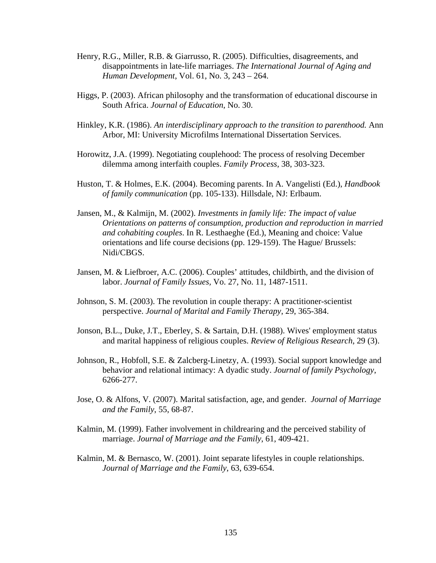- Henry, R.G., Miller, R.B. & Giarrusso, R. (2005). Difficulties, disagreements, and disappointments in late-life marriages. *The International Journal of Aging and Human Development*, Vol. 61, No. 3, 243 – 264.
- Higgs, P. (2003). African philosophy and the transformation of educational discourse in South Africa. *Journal of Education*, No. 30.
- Hinkley, K.R. (1986). *An interdisciplinary approach to the transition to parenthood.* Ann Arbor, MI: University Microfilms International Dissertation Services.
- Horowitz, J.A. (1999). Negotiating couplehood: The process of resolving December dilemma among interfaith couples. *Family Process*, 38, 303-323.
- Huston, T. & Holmes, E.K. (2004). Becoming parents. In A. Vangelisti (Ed.), *Handbook of family communication* (pp. 105-133). Hillsdale, NJ: Erlbaum.
- Jansen, M., & Kalmijn, M. (2002). *Investments in family life: The impact of value Orientations on patterns of consumption, production and reproduction in married and cohabiting couples*. In R. Lesthaeghe (Ed.), Meaning and choice: Value orientations and life course decisions (pp. 129-159). The Hague/ Brussels: Nidi/CBGS.
- Jansen, M. & Liefbroer, A.C. (2006). Couples' attitudes, childbirth, and the division of labor. *Journal of Family Issues,* Vo. 27, No. 11, 1487-1511.
- Johnson, S. M. (2003). The revolution in couple therapy: A practitioner-scientist perspective. *Journal of Marital and Family Therapy*, 29, 365-384.
- Jonson, B.L., Duke, J.T., Eberley, S. & Sartain, D.H. (1988). Wives' employment status and marital happiness of religious couples. *Review of Religious Research*, 29 (3).
- Johnson, R., Hobfoll, S.E. & Zalcberg-Linetzy, A. (1993). Social support knowledge and behavior and relational intimacy: A dyadic study. *Journal of family Psychology*, 6266-277.
- Jose, O. & Alfons, V. (2007). Marital satisfaction, age, and gender. *Journal of Marriage and the Family*, 55, 68-87.
- Kalmin, M. (1999). Father involvement in childrearing and the perceived stability of marriage. *Journal of Marriage and the Family*, 61, 409-421.
- Kalmin, M. & Bernasco, W. (2001). Joint separate lifestyles in couple relationships. *Journal of Marriage and the Family*, 63, 639-654.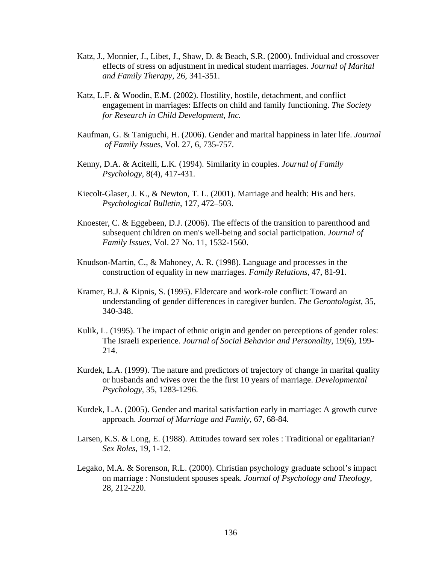- Katz, J., Monnier, J., Libet, J., Shaw, D. & Beach, S.R. (2000). Individual and crossover effects of stress on adjustment in medical student marriages. *Journal of Marital and Family Therapy*, 26, 341-351.
- Katz, L.F. & Woodin, E.M. (2002). Hostility, hostile, detachment, and conflict engagement in marriages: Effects on child and family functioning. *The Society for Research in Child Development, Inc.*
- Kaufman, G. & Taniguchi, H. (2006). Gender and marital happiness in later life. *Journal of Family Issue*s, Vol. 27, 6, 735-757.
- Kenny, D.A. & Acitelli, L.K. (1994). Similarity in couples. *Journal of Family Psychology*, 8(4), 417-431.
- Kiecolt-Glaser, J. K., & Newton, T. L. (2001). Marriage and health: His and hers. *Psychological Bulletin*, 127, 472–503.
- Knoester, C. & Eggebeen, D.J. (2006). The effects of the transition to parenthood and subsequent children on men's well-being and social participation. *Journal of Family Issues,* Vol. 27 No. 11, 1532-1560.
- Knudson-Martin, C., & Mahoney, A. R. (1998). Language and processes in the construction of equality in new marriages. *Family Relations*, 47, 81-91.
- Kramer, B.J. & Kipnis, S. (1995). Eldercare and work-role conflict: Toward an understanding of gender differences in caregiver burden. *The Gerontologist*, 35, 340-348.
- Kulik, L. (1995). The impact of ethnic origin and gender on perceptions of gender roles: The Israeli experience. *Journal of Social Behavior and Personality*, 19(6), 199- 214.
- Kurdek, L.A. (1999). The nature and predictors of trajectory of change in marital quality or husbands and wives over the the first 10 years of marriage. *Developmental Psychology,* 35, 1283-1296.
- Kurdek, L.A. (2005). Gender and marital satisfaction early in marriage: A growth curve approach. *Journal of Marriage and Family*, 67, 68-84.
- Larsen, K.S. & Long, E. (1988). Attitudes toward sex roles : Traditional or egalitarian? *Sex Roles*, 19, 1-12.
- Legako, M.A. & Sorenson, R.L. (2000). Christian psychology graduate school's impact on marriage : Nonstudent spouses speak. *Journal of Psychology and Theology*, 28, 212-220.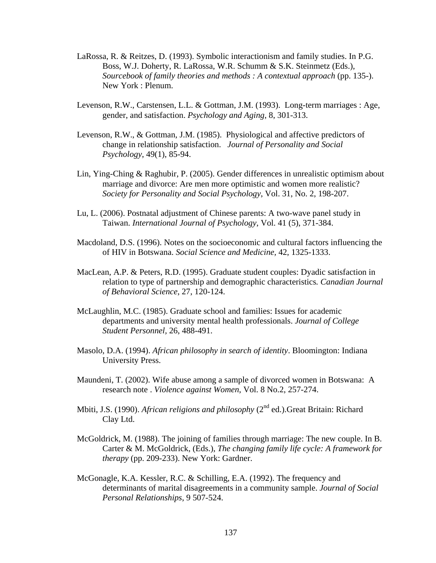- LaRossa, R. & Reitzes, D. (1993). Symbolic interactionism and family studies. In P.G. Boss, W.J. Doherty, R. LaRossa, W.R. Schumm & S.K. Steinmetz (Eds.), *Sourcebook of family theories and methods : A contextual approach* (pp. 135-). New York : Plenum.
- Levenson, R.W., Carstensen, L.L. & Gottman, J.M. (1993). Long-term marriages : Age, gender, and satisfaction. *Psychology and Aging*, 8, 301-313.
- Levenson, R.W., & Gottman, J.M. (1985). Physiological and affective predictors of change in relationship satisfaction. *Journal of Personality and Social Psychology*, 49(1), 85-94.
- Lin, Ying-Ching & Raghubir, P. (2005). Gender differences in unrealistic optimism about marriage and divorce: Are men more optimistic and women more realistic? *Society for Personality and Social Psychology*, Vol. 31, No. 2, 198-207.
- Lu, L. (2006). Postnatal adjustment of Chinese parents: A two-wave panel study in Taiwan. *International Journal of Psychology*, Vol. 41 (5), 371-384.
- Macdoland, D.S. (1996). Notes on the socioeconomic and cultural factors influencing the of HIV in Botswana. *Social Science and Medicine,* 42, 1325-1333.
- MacLean, A.P. & Peters, R.D. (1995). Graduate student couples: Dyadic satisfaction in relation to type of partnership and demographic characteristics*. Canadian Journal of Behavioral Science*, 27, 120-124.
- McLaughlin, M.C. (1985). Graduate school and families: Issues for academic departments and university mental health professionals. *Journal of College Student Personnel,* 26, 488-491.
- Masolo, D.A. (1994). *African philosophy in search of identity*. Bloomington: Indiana University Press.
- Maundeni, T. (2002). Wife abuse among a sample of divorced women in Botswana: A research note . *Violence against Women*, Vol. 8 No.2, 257-274.
- Mbiti, J.S. (1990). *African religions and philosophy* (2<sup>nd</sup> ed.). Great Britain: Richard Clay Ltd.
- McGoldrick, M. (1988). The joining of families through marriage: The new couple. In B. Carter & M. McGoldrick, (Eds.), *The changing family life cycle: A framework for therapy* (pp. 209-233). New York: Gardner.
- McGonagle, K.A. Kessler, R.C. & Schilling, E.A. (1992). The frequency and determinants of marital disagreements in a community sample. *Journal of Social Personal Relationships*, 9 507-524.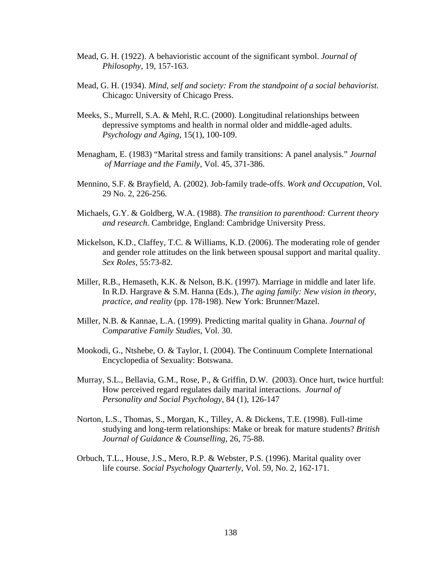- Mead, G. H. (1922). A behavioristic account of the significant symbol. *Journal of Philosophy*, 19, 157-163.
- Mead, G. H. (1934). *Mind, self and society: From the standpoint of a social behaviorist*. Chicago: University of Chicago Press.
- Meeks, S., Murrell, S.A. & Mehl, R.C. (2000). Longitudinal relationships between depressive symptoms and health in normal older and middle-aged adults. *Psychology and Aging*, 15(1), 100-109.
- Menagham, E. (1983) "Marital stress and family transitions: A panel analysis." *Journal of Marriage and the Family*, Vol. 45, 371-386.
- Mennino, S.F. & Brayfield, A. (2002). Job-family trade-offs. *Work and Occupation*, Vol. 29 No. 2, 226-256.
- Michaels, G.Y. & Goldberg, W.A. (1988). *The transition to parenthood: Current theory and research.* Cambridge, England: Cambridge University Press.
- Mickelson, K.D., Claffey, T.C. & Williams, K.D. (2006). The moderating role of gender and gender role attitudes on the link between spousal support and marital quality. *Sex Roles*, 55:73-82.
- Miller, R.B., Hemaseth, K.K. & Nelson, B.K. (1997). Marriage in middle and later life. In R.D. Hargrave & S.M. Hanna (Eds.), *The aging family: New vision in theory, practice, and reality* (pp. 178-198). New York: Brunner/Mazel.
- Miller, N.B. & Kannae, L.A. (1999). Predicting marital quality in Ghana. *Journal of Comparative Family Studies*, Vol. 30.
- Mookodi, G., Ntshebe, O. & Taylor, I. (2004). The Continuum Complete International Encyclopedia of Sexuality: Botswana.
- Murray, S.L., Bellavia, G.M., Rose, P., & Griffin, D.W. (2003). Once hurt, twice hurtful: How perceived regard regulates daily marital interactions. *Journal of Personality and Social Psychology*, 84 (1), 126-147
- Norton, L.S., Thomas, S., Morgan, K., Tilley, A. & Dickens, T.E. (1998). Full-time studying and long-term relationships: Make or break for mature students? *British Journal of Guidance & Counselling*, 26, 75-88.
- Orbuch, T.L., House, J.S., Mero, R.P. & Webster, P.S. (1996). Marital quality over life course. *Social Psychology Quarterly*, Vol. 59, No. 2, 162-171.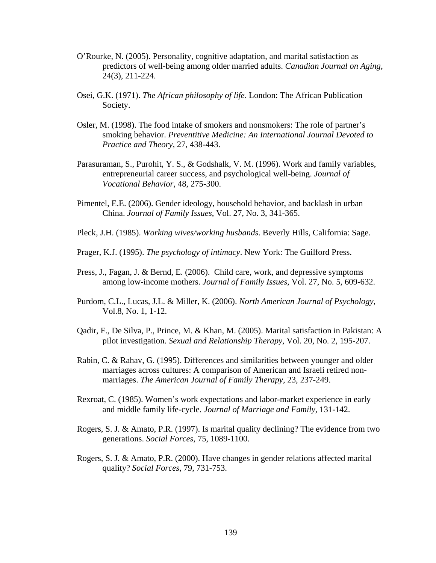- O'Rourke, N. (2005). Personality, cognitive adaptation, and marital satisfaction as predictors of well-being among older married adults. *Canadian Journal on Aging*, 24(3), 211-224.
- Osei, G.K. (1971). *The African philosophy of life*. London: The African Publication Society.
- Osler, M. (1998). The food intake of smokers and nonsmokers: The role of partner's smoking behavior. *Preventitive Medicine: An International Journal Devoted to Practice and Theory*, 27, 438-443.
- Parasuraman, S., Purohit, Y. S., & Godshalk, V. M. (1996). Work and family variables, entrepreneurial career success, and psychological well-being. *Journal of Vocational Behavior*, 48, 275-300.
- Pimentel, E.E. (2006). Gender ideology, household behavior, and backlash in urban China. *Journal of Family Issues*, Vol. 27, No. 3, 341-365.
- Pleck, J.H. (1985). *Working wives/working husbands*. Beverly Hills, California: Sage.
- Prager, K.J. (1995). *The psychology of intimacy*. New York: The Guilford Press.
- Press, J., Fagan, J. & Bernd, E. (2006). Child care, work, and depressive symptoms among low-income mothers. *Journal of Family Issues*, Vol. 27, No. 5, 609-632.
- Purdom, C.L., Lucas, J.L. & Miller, K. (2006). *North American Journal of Psychology*, Vol.8, No. 1, 1-12.
- Qadir, F., De Silva, P., Prince, M. & Khan, M. (2005). Marital satisfaction in Pakistan: A pilot investigation. *Sexual and Relationship Therapy*, Vol. 20, No. 2, 195-207.
- Rabin, C. & Rahav, G. (1995). Differences and similarities between younger and older marriages across cultures: A comparison of American and Israeli retired nonmarriages. *The American Journal of Family Therapy*, 23, 237-249.
- Rexroat, C. (1985). Women's work expectations and labor-market experience in early and middle family life-cycle. *Journal of Marriage and Family*, 131-142.
- Rogers, S. J. & Amato, P.R. (1997). Is marital quality declining? The evidence from two generations. *Social Forces,* 75, 1089-1100.
- Rogers, S. J. & Amato, P.R. (2000). Have changes in gender relations affected marital quality? *Social Forces,* 79, 731-753.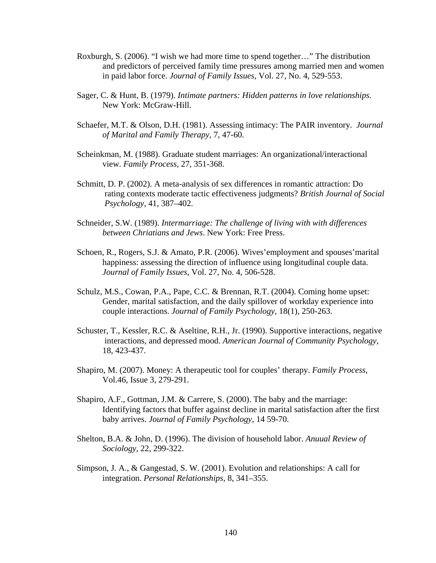- Roxburgh, S. (2006). "I wish we had more time to spend together…" The distribution and predictors of perceived family time pressures among married men and women in paid labor force. *Journal of Family Issues*, Vol. 27, No. 4, 529-553.
- Sager, C. & Hunt, B. (1979). *Intimate partners: Hidden patterns in love relationships*. New York: McGraw-Hill.
- Schaefer, M.T. & Olson, D.H. (1981). Assessing intimacy: The PAIR inventory. *Journal of Marital and Family Therapy*, 7, 47-60.
- Scheinkman, M. (1988). Graduate student marriages: An organizational/interactional view. *Family Process*, 27, 351-368.
- Schmitt, D. P. (2002). A meta-analysis of sex differences in romantic attraction: Do rating contexts moderate tactic effectiveness judgments? *British Journal of Social Psychology*, 41, 387–402.
- Schneider, S.W. (1989). *Intermarriage: The challenge of living with with differences between Chriatians and Jews*. New York: Free Press.
- Schoen, R., Rogers, S.J. & Amato, P.R. (2006). Wives'employment and spouses'marital happiness: assessing the direction of influence using longitudinal couple data. *Journal of Family Issues*, Vol. 27, No. 4, 506-528.
- Schulz, M.S., Cowan, P.A., Pape, C.C. & Brennan, R.T. (2004). Coming home upset: Gender, marital satisfaction, and the daily spillover of workday experience into couple interactions. *Journal of Family Psychology*, 18(1), 250-263.
- Schuster, T., Kessler, R.C. & Aseltine, R.H., Jr. (1990). Supportive interactions, negative interactions, and depressed mood. *American Journal of Community Psychology*, 18, 423-437.
- Shapiro, M. (2007). Money: A therapeutic tool for couples' therapy. *Family Process*, Vol.46, Issue 3, 279-291.
- Shapiro, A.F., Gottman, J.M. & Carrere, S. (2000). The baby and the marriage: Identifying factors that buffer against decline in marital satisfaction after the first baby arrives. *Journal of Family Psychology*, 14 59-70.
- Shelton, B.A. & John, D. (1996). The division of household labor. *Anuual Review of Sociology*, 22, 299-322.
- Simpson, J. A., & Gangestad, S. W. (2001). Evolution and relationships: A call for integration. *Personal Relationships*, 8, 341–355.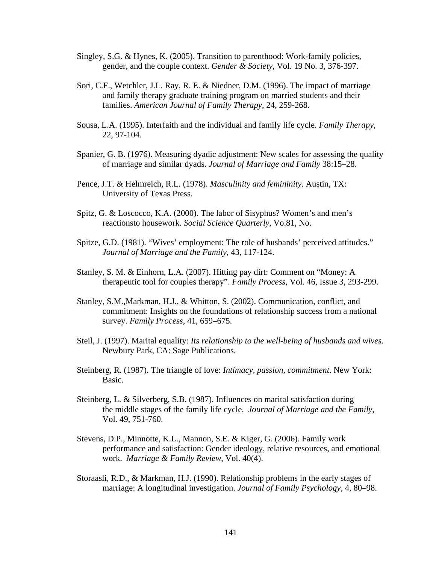- Singley, S.G. & Hynes, K. (2005). Transition to parenthood: Work-family policies, gender, and the couple context. *Gender & Society*, Vol. 19 No. 3, 376-397.
- Sori, C.F., Wetchler, J.L. Ray, R. E. & Niedner, D.M. (1996). The impact of marriage and family therapy graduate training program on married students and their families. *American Journal of Family Therapy*, 24, 259-268.
- Sousa, L.A. (1995). Interfaith and the individual and family life cycle. *Family Therapy*, 22, 97-104.
- Spanier, G. B. (1976). Measuring dyadic adjustment: New scales for assessing the quality of marriage and similar dyads. *Journal of Marriage and Family* 38:15–28.
- Pence, J.T. & Helmreich, R.L. (1978). *Masculinity and femininity*. Austin, TX: University of Texas Press.
- Spitz, G. & Loscocco, K.A. (2000). The labor of Sisyphus? Women's and men's reactionsto housework. *Social Science Quarterly*, Vo.81, No.
- Spitze, G.D. (1981). "Wives' employment: The role of husbands' perceived attitudes." *Journal of Marriage and the Family*, 43, 117-124.
- Stanley, S. M. & Einhorn, L.A. (2007). Hitting pay dirt: Comment on "Money: A therapeutic tool for couples therapy". *Family Process*, Vol. 46, Issue 3, 293-299.
- Stanley, S.M.,Markman, H.J., & Whitton, S. (2002). Communication, conflict, and commitment: Insights on the foundations of relationship success from a national survey. *Family Process*, 41, 659–675.
- Steil, J. (1997). Marital equality: *Its relationship to the well-being of husbands and wives*. Newbury Park, CA: Sage Publications.
- Steinberg, R. (1987). The triangle of love: *Intimacy, passion, commitment*. New York: Basic.
- Steinberg, L. & Silverberg, S.B. (1987). Influences on marital satisfaction during the middle stages of the family life cycle. *Journal of Marriage and the Family*, Vol. 49, 751-760.
- Stevens, D.P., Minnotte, K.L., Mannon, S.E. & Kiger, G. (2006). Family work performance and satisfaction: Gender ideology, relative resources, and emotional work. *Marriage & Family Review*, Vol. 40(4).
- Storaasli, R.D., & Markman, H.J. (1990). Relationship problems in the early stages of marriage: A longitudinal investigation. *Journal of Family Psychology*, 4, 80–98.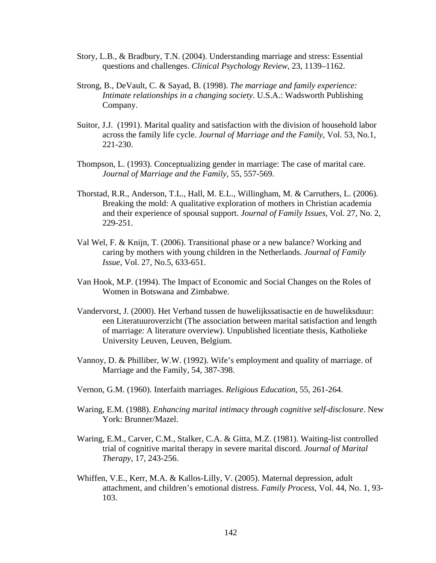- Story, L.B., & Bradbury, T.N. (2004). Understanding marriage and stress: Essential questions and challenges. *Clinical Psychology Review*, 23, 1139–1162.
- Strong, B., DeVault, C. & Sayad, B. (1998). *The marriage and family experience: Intimate relationships in a changing society*. U.S.A.: Wadsworth Publishing Company.
- Suitor, J.J. (1991). Marital quality and satisfaction with the division of household labor across the family life cycle. *Journal of Marriage and the Family*, Vol. 53, No.1, 221-230.
- Thompson, L. (1993). Conceptualizing gender in marriage: The case of marital care. *Journal of Marriage and the Family*, 55, 557-569.
- Thorstad, R.R., Anderson, T.L., Hall, M. E.L., Willingham, M. & Carruthers, L. (2006). Breaking the mold: A qualitative exploration of mothers in Christian academia and their experience of spousal support. *Journal of Family Issues*, Vol. 27, No. 2, 229-251.
- Val Wel, F. & Knijn, T. (2006). Transitional phase or a new balance? Working and caring by mothers with young children in the Netherlands. *Journal of Family Issue*, Vol. 27, No.5, 633-651.
- Van Hook, M.P. (1994). The Impact of Economic and Social Changes on the Roles of Women in Botswana and Zimbabwe.
- Vandervorst, J. (2000). Het Verband tussen de huwelijkssatisactie en de huweliksduur: een Literatuuroverzicht (The association between marital satisfaction and length of marriage: A literature overview). Unpublished licentiate thesis, Katholieke University Leuven, Leuven, Belgium.
- Vannoy, D. & Philliber, W.W. (1992). Wife's employment and quality of marriage. of Marriage and the Family, 54, 387-398.
- Vernon, G.M. (1960). Interfaith marriages. *Religious Education*, 55, 261-264.
- Waring, E.M. (1988). *Enhancing marital intimacy through cognitive self-disclosure*. New York: Brunner/Mazel.
- Waring, E.M., Carver, C.M., Stalker, C.A. & Gitta, M.Z. (1981). Waiting-list controlled trial of cognitive marital therapy in severe marital discord. *Journal of Marital Therapy*, 17, 243-256.
- Whiffen, V.E., Kerr, M.A. & Kallos-Lilly, V. (2005). Maternal depression, adult attachment, and children's emotional distress. *Family Process*, Vol. 44, No. 1, 93- 103.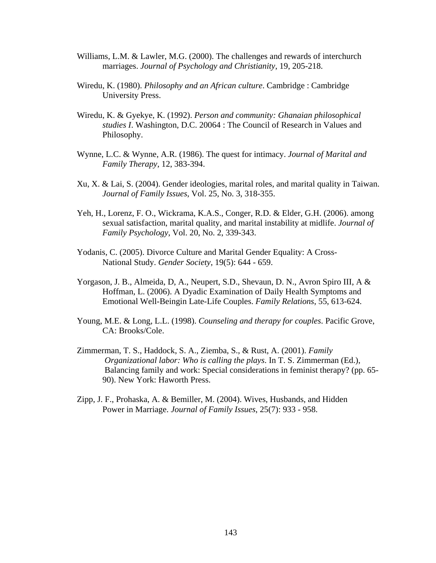- Williams, L.M. & Lawler, M.G. (2000). The challenges and rewards of interchurch marriages. *Journal of Psychology and Christianity*, 19, 205-218.
- Wiredu, K. (1980). *Philosophy and an African culture*. Cambridge : Cambridge University Press.
- Wiredu, K. & Gyekye, K. (1992). *Person and community: Ghanaian philosophical studies I*. Washington, D.C. 20064 : The Council of Research in Values and Philosophy.
- Wynne, L.C. & Wynne, A.R. (1986). The quest for intimacy. *Journal of Marital and Family Therapy*, 12, 383-394.
- Xu, X. & Lai, S. (2004). Gender ideologies, marital roles, and marital quality in Taiwan. *Journal of Family Issues*, Vol. 25, No. 3, 318-355.
- Yeh, H., Lorenz, F. O., Wickrama, K.A.S., Conger, R.D. & Elder, G.H. (2006). among sexual satisfaction, marital quality, and marital instability at midlife. *Journal of Family Psychology*, Vol. 20, No. 2, 339-343.
- Yodanis, C. (2005). Divorce Culture and Marital Gender Equality: A Cross- National Study. *Gender Society*, 19(5): 644 - 659.
- Yorgason, J. B., Almeida, D, A., Neupert, S.D., Shevaun, D. N., Avron Spiro III, A & Hoffman, L. (2006). A Dyadic Examination of Daily Health Symptoms and Emotional Well-Beingin Late-Life Couples. *Family Relations*, 55, 613-624.
- Young, M.E. & Long, L.L. (1998). *Counseling and therapy for couples*. Pacific Grove, CA: Brooks/Cole.
- Zimmerman, T. S., Haddock, S. A., Ziemba, S., & Rust, A. (2001). *Family Organizational labor: Who is calling the plays*. In T. S. Zimmerman (Ed.), Balancing family and work: Special considerations in feminist therapy? (pp. 65- 90). New York: Haworth Press.
- Zipp, J. F., Prohaska, A. & Bemiller, M. (2004). Wives, Husbands, and Hidden Power in Marriage. *Journal of Family Issues*, 25(7): 933 - 958.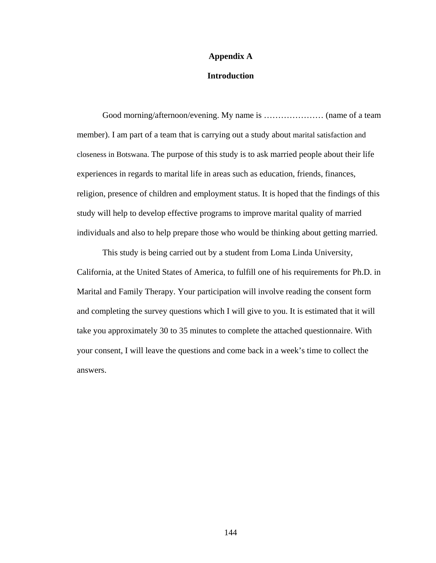#### **Appendix A**

### **Introduction**

 Good morning/afternoon/evening. My name is ………………… (name of a team member). I am part of a team that is carrying out a study about marital satisfaction and closeness in Botswana. The purpose of this study is to ask married people about their life experiences in regards to marital life in areas such as education, friends, finances, religion, presence of children and employment status. It is hoped that the findings of this study will help to develop effective programs to improve marital quality of married individuals and also to help prepare those who would be thinking about getting married.

This study is being carried out by a student from Loma Linda University, California, at the United States of America, to fulfill one of his requirements for Ph.D. in Marital and Family Therapy. Your participation will involve reading the consent form and completing the survey questions which I will give to you. It is estimated that it will take you approximately 30 to 35 minutes to complete the attached questionnaire. With your consent, I will leave the questions and come back in a week's time to collect the answers.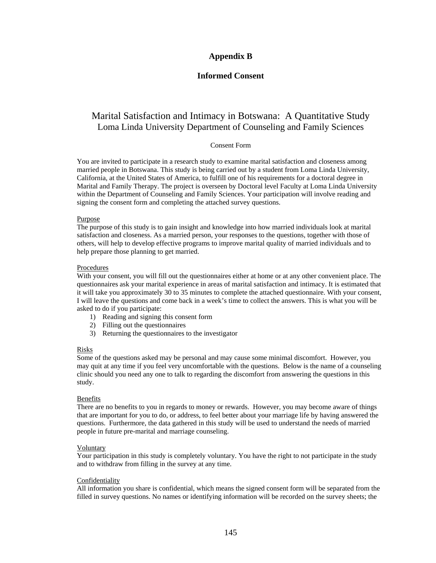### **Appendix B**

#### **Informed Consent**

## Marital Satisfaction and Intimacy in Botswana: A Quantitative Study Loma Linda University Department of Counseling and Family Sciences

#### Consent Form

You are invited to participate in a research study to examine marital satisfaction and closeness among married people in Botswana. This study is being carried out by a student from Loma Linda University, California, at the United States of America, to fulfill one of his requirements for a doctoral degree in Marital and Family Therapy. The project is overseen by Doctoral level Faculty at Loma Linda University within the Department of Counseling and Family Sciences. Your participation will involve reading and signing the consent form and completing the attached survey questions.

#### Purpose

The purpose of this study is to gain insight and knowledge into how married individuals look at marital satisfaction and closeness. As a married person, your responses to the questions, together with those of others, will help to develop effective programs to improve marital quality of married individuals and to help prepare those planning to get married.

#### Procedures

With your consent, you will fill out the questionnaires either at home or at any other convenient place. The questionnaires ask your marital experience in areas of marital satisfaction and intimacy. It is estimated that it will take you approximately 30 to 35 minutes to complete the attached questionnaire. With your consent, I will leave the questions and come back in a week's time to collect the answers. This is what you will be asked to do if you participate:

- 1) Reading and signing this consent form
- 2) Filling out the questionnaires
- 3) Returning the questionnaires to the investigator

#### Risks

Some of the questions asked may be personal and may cause some minimal discomfort. However, you may quit at any time if you feel very uncomfortable with the questions. Below is the name of a counseling clinic should you need any one to talk to regarding the discomfort from answering the questions in this study.

#### Benefits

There are no benefits to you in regards to money or rewards. However, you may become aware of things that are important for you to do, or address, to feel better about your marriage life by having answered the questions. Furthermore, the data gathered in this study will be used to understand the needs of married people in future pre-marital and marriage counseling.

#### Voluntary

Your participation in this study is completely voluntary. You have the right to not participate in the study and to withdraw from filling in the survey at any time.

#### Confidentiality

All information you share is confidential, which means the signed consent form will be separated from the filled in survey questions. No names or identifying information will be recorded on the survey sheets; the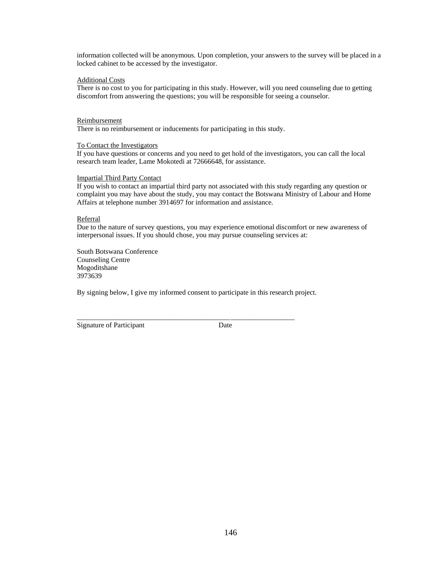information collected will be anonymous. Upon completion, your answers to the survey will be placed in a locked cabinet to be accessed by the investigator.

#### Additional Costs

There is no cost to you for participating in this study. However, will you need counseling due to getting discomfort from answering the questions; you will be responsible for seeing a counselor.

#### Reimbursement

There is no reimbursement or inducements for participating in this study.

#### To Contact the Investigators

If you have questions or concerns and you need to get hold of the investigators, you can call the local research team leader, Lame Mokotedi at 72666648, for assistance.

#### Impartial Third Party Contact

If you wish to contact an impartial third party not associated with this study regarding any question or complaint you may have about the study, you may contact the Botswana Ministry of Labour and Home Affairs at telephone number 3914697 for information and assistance.

#### Referral

Due to the nature of survey questions, you may experience emotional discomfort or new awareness of interpersonal issues. If you should chose, you may pursue counseling services at:

South Botswana Conference Counseling Centre Mogoditshane 3973639

By signing below, I give my informed consent to participate in this research project.

\_\_\_\_\_\_\_\_\_\_\_\_\_\_\_\_\_\_\_\_\_\_\_\_\_\_\_\_\_\_\_\_\_\_\_\_\_\_\_\_\_\_\_ \_\_\_\_\_\_\_\_\_\_\_\_\_\_\_\_\_\_

Signature of Participant Date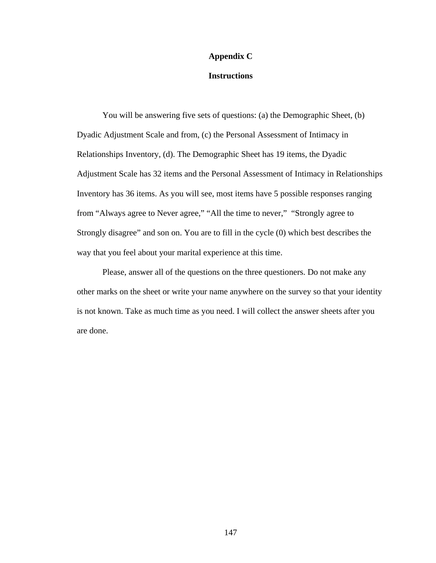#### **Appendix C**

### **Instructions**

 You will be answering five sets of questions: (a) the Demographic Sheet, (b) Dyadic Adjustment Scale and from, (c) the Personal Assessment of Intimacy in Relationships Inventory, (d). The Demographic Sheet has 19 items, the Dyadic Adjustment Scale has 32 items and the Personal Assessment of Intimacy in Relationships Inventory has 36 items. As you will see, most items have 5 possible responses ranging from "Always agree to Never agree," "All the time to never," "Strongly agree to Strongly disagree" and son on. You are to fill in the cycle (0) which best describes the way that you feel about your marital experience at this time.

 Please, answer all of the questions on the three questioners. Do not make any other marks on the sheet or write your name anywhere on the survey so that your identity is not known. Take as much time as you need. I will collect the answer sheets after you are done.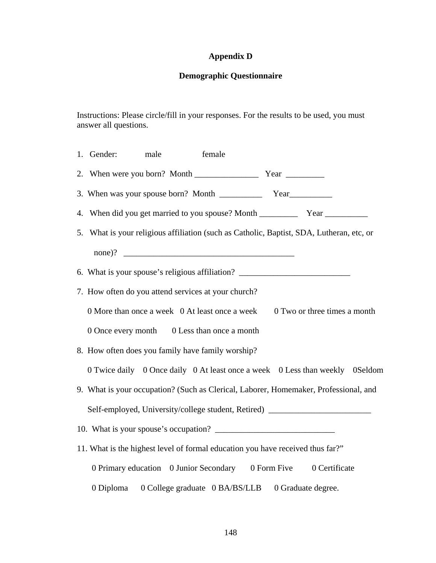# **Appendix D**

# **Demographic Questionnaire**

Instructions: Please circle/fill in your responses. For the results to be used, you must answer all questions.

| 1. Gender: | male | female                                              |                                                                                          |  |
|------------|------|-----------------------------------------------------|------------------------------------------------------------------------------------------|--|
|            |      |                                                     |                                                                                          |  |
|            |      |                                                     |                                                                                          |  |
|            |      |                                                     |                                                                                          |  |
|            |      |                                                     | 5. What is your religious affiliation (such as Catholic, Baptist, SDA, Lutheran, etc, or |  |
|            |      |                                                     |                                                                                          |  |
|            |      |                                                     | 6. What is your spouse's religious affiliation? ________________________________         |  |
|            |      | 7. How often do you attend services at your church? |                                                                                          |  |
|            |      | 0 More than once a week 0 At least once a week      | 0 Two or three times a month                                                             |  |
|            |      | 0 Once every month 0 Less than once a month         |                                                                                          |  |
|            |      | 8. How often does you family have family worship?   |                                                                                          |  |
|            |      |                                                     | 0 Twice daily 0 Once daily 0 At least once a week 0 Less than weekly 0 Seldom            |  |
|            |      |                                                     | 9. What is your occupation? (Such as Clerical, Laborer, Homemaker, Professional, and     |  |
|            |      |                                                     | Self-employed, University/college student, Retired) ____________________________         |  |
|            |      |                                                     |                                                                                          |  |
|            |      |                                                     | 11. What is the highest level of formal education you have received thus far?"           |  |
|            |      |                                                     | 0 Primary education 0 Junior Secondary 0 Form Five 0 Certificate                         |  |
| 0 Diploma  |      | 0 College graduate 0 BA/BS/LLB                      | 0 Graduate degree.                                                                       |  |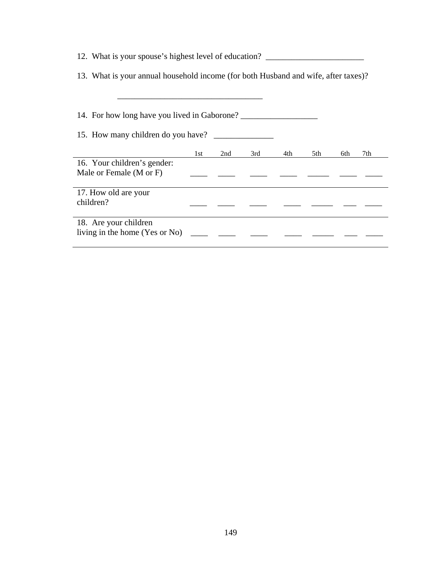| 12. What is your spouse's highest level of education?                              |     |     |     |     |     |            |  |  |  |  |
|------------------------------------------------------------------------------------|-----|-----|-----|-----|-----|------------|--|--|--|--|
| 13. What is your annual household income (for both Husband and wife, after taxes)? |     |     |     |     |     |            |  |  |  |  |
|                                                                                    |     |     |     |     |     |            |  |  |  |  |
| 14. For how long have you lived in Gaborone?                                       |     |     |     |     |     |            |  |  |  |  |
|                                                                                    |     |     |     |     |     |            |  |  |  |  |
|                                                                                    | 1st | 2nd | 3rd | 4th | 5th | 7th<br>6th |  |  |  |  |
| 16. Your children's gender:                                                        |     |     |     |     |     |            |  |  |  |  |
| Male or Female (M or F)                                                            |     |     |     |     |     |            |  |  |  |  |
| 17. How old are your                                                               |     |     |     |     |     |            |  |  |  |  |
| children?                                                                          |     |     |     |     |     |            |  |  |  |  |
| 18. Are your children                                                              |     |     |     |     |     |            |  |  |  |  |
| living in the home (Yes or No)                                                     |     |     |     |     |     |            |  |  |  |  |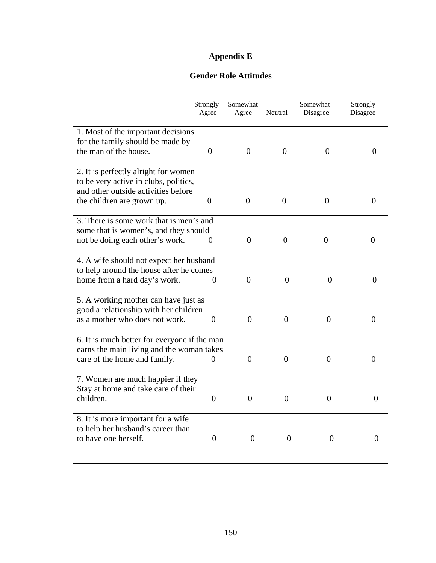# **Appendix E**

## **Gender Role Attitudes**

|                                                                        | Strongly<br>Agree | Somewhat<br>Agree | Neutral          | Somewhat<br>Disagree | Strongly<br>Disagree |
|------------------------------------------------------------------------|-------------------|-------------------|------------------|----------------------|----------------------|
|                                                                        |                   |                   |                  |                      |                      |
| 1. Most of the important decisions<br>for the family should be made by |                   |                   |                  |                      |                      |
| the man of the house.                                                  | $\overline{0}$    | $\overline{0}$    | $\theta$         | $\theta$             | $\boldsymbol{0}$     |
|                                                                        |                   |                   |                  |                      |                      |
| 2. It is perfectly alright for women                                   |                   |                   |                  |                      |                      |
| to be very active in clubs, politics,                                  |                   |                   |                  |                      |                      |
| and other outside activities before                                    |                   |                   |                  |                      |                      |
| the children are grown up.                                             | $\theta$          | $\overline{0}$    | $\overline{0}$   | $\theta$             | $\theta$             |
| 3. There is some work that is men's and                                |                   |                   |                  |                      |                      |
| some that is women's, and they should                                  |                   |                   |                  |                      |                      |
| not be doing each other's work.                                        | $\theta$          | $\theta$          | $\overline{0}$   | $\theta$             | $\Omega$             |
| 4. A wife should not expect her husband                                |                   |                   |                  |                      |                      |
| to help around the house after he comes                                |                   |                   |                  |                      |                      |
| home from a hard day's work.                                           | $\theta$          | $\overline{0}$    | $\overline{0}$   | $\overline{0}$       | $\theta$             |
| 5. A working mother can have just as                                   |                   |                   |                  |                      |                      |
| good a relationship with her children                                  |                   |                   |                  |                      |                      |
| as a mother who does not work.                                         | $\boldsymbol{0}$  | $\Omega$          | $\overline{0}$   | $\boldsymbol{0}$     | $\theta$             |
| 6. It is much better for everyone if the man                           |                   |                   |                  |                      |                      |
| earns the main living and the woman takes                              |                   |                   |                  |                      |                      |
| care of the home and family.                                           | 0                 | $\overline{0}$    | $\overline{0}$   | $\overline{0}$       | $\Omega$             |
| 7. Women are much happier if they                                      |                   |                   |                  |                      |                      |
| Stay at home and take care of their                                    |                   |                   |                  |                      |                      |
| children.                                                              | $\theta$          | $\theta$          | $\boldsymbol{0}$ | $\overline{0}$       | 0                    |
| 8. It is more important for a wife                                     |                   |                   |                  |                      |                      |
| to help her husband's career than                                      |                   |                   |                  |                      |                      |
| to have one herself.                                                   | $\overline{0}$    | $\theta$          | $\overline{0}$   | $\overline{0}$       | $\Omega$             |
|                                                                        |                   |                   |                  |                      |                      |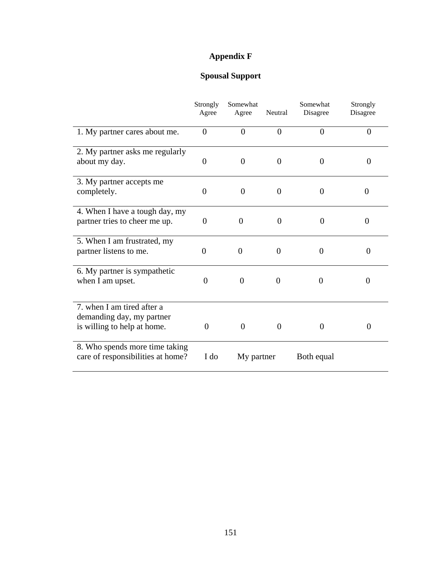# **Appendix F**

# **Spousal Support**

|                                   | Strongly<br>Agree | Somewhat<br>Agree | Neutral        | Somewhat<br>Disagree | Strongly<br>Disagree |
|-----------------------------------|-------------------|-------------------|----------------|----------------------|----------------------|
| 1. My partner cares about me.     | $\theta$          | $\overline{0}$    | $\overline{0}$ | $\overline{0}$       | $\overline{0}$       |
| 2. My partner asks me regularly   |                   |                   |                |                      |                      |
| about my day.                     | $\theta$          | $\theta$          | $\overline{0}$ | $\overline{0}$       | 0                    |
| 3. My partner accepts me          |                   |                   |                |                      |                      |
| completely.                       | $\theta$          | $\theta$          | $\overline{0}$ | $\overline{0}$       | 0                    |
| 4. When I have a tough day, my    |                   |                   |                |                      |                      |
| partner tries to cheer me up.     | $\theta$          | $\theta$          | $\overline{0}$ | $\overline{0}$       | $\overline{0}$       |
| 5. When I am frustrated, my       |                   |                   |                |                      |                      |
| partner listens to me.            | $\theta$          | $\Omega$          | $\theta$       | $\theta$             | $\theta$             |
| 6. My partner is sympathetic      |                   |                   |                |                      |                      |
| when I am upset.                  | $\Omega$          | $\Omega$          | $\theta$       | $\theta$             | $\Omega$             |
| 7. when I am tired after a        |                   |                   |                |                      |                      |
| demanding day, my partner         |                   |                   |                |                      |                      |
| is willing to help at home.       | $\Omega$          | $\Omega$          | $\overline{0}$ | $\Omega$             | 0                    |
| 8. Who spends more time taking    |                   |                   |                |                      |                      |
| care of responsibilities at home? | I do              | My partner        |                | Both equal           |                      |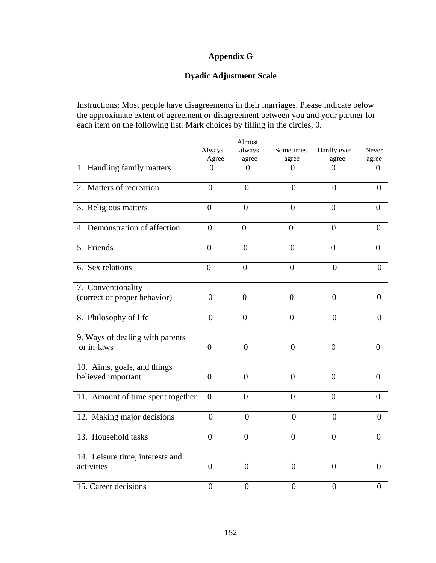## **Appendix G**

## **Dyadic Adjustment Scale**

Instructions: Most people have disagreements in their marriages. Please indicate below the approximate extent of agreement or disagreement between you and your partner for each item on the following list. Mark choices by filling in the circles, 0.

|                                   |                | Almost         |                  |                  |                  |
|-----------------------------------|----------------|----------------|------------------|------------------|------------------|
|                                   | Always         | always         | Sometimes        | Hardly ever      | Never            |
|                                   | Agree          | agree          | agree            | agree            | agree            |
| 1. Handling family matters        | $\theta$       | $\Omega$       | $\theta$         | $\theta$         | 0                |
| 2. Matters of recreation          | $\overline{0}$ | $\overline{0}$ | $\overline{0}$   | $\overline{0}$   | $\overline{0}$   |
| 3. Religious matters              | $\overline{0}$ | $\overline{0}$ | $\overline{0}$   | $\boldsymbol{0}$ | $\boldsymbol{0}$ |
| 4. Demonstration of affection     | $\overline{0}$ | $\overline{0}$ | $\overline{0}$   | $\overline{0}$   | $\overline{0}$   |
| 5. Friends                        | $\overline{0}$ | $\overline{0}$ | $\overline{0}$   | $\overline{0}$   | $\overline{0}$   |
| 6. Sex relations                  | $\overline{0}$ | $\overline{0}$ | $\overline{0}$   | $\overline{0}$   | $\overline{0}$   |
| 7. Conventionality                |                |                |                  |                  |                  |
| (correct or proper behavior)      | $\overline{0}$ | $\overline{0}$ | $\overline{0}$   | $\overline{0}$   | $\overline{0}$   |
| 8. Philosophy of life             | $\overline{0}$ | $\overline{0}$ | $\overline{0}$   | $\overline{0}$   | $\overline{0}$   |
| 9. Ways of dealing with parents   |                |                |                  |                  |                  |
| or in-laws                        | $\overline{0}$ | $\overline{0}$ | $\overline{0}$   | $\overline{0}$   | 0                |
| 10. Aims, goals, and things       |                |                |                  |                  |                  |
| believed important                | $\theta$       | $\theta$       | $\theta$         | $\Omega$         | $\Omega$         |
| 11. Amount of time spent together | $\overline{0}$ | $\overline{0}$ | $\overline{0}$   | $\overline{0}$   | $\overline{0}$   |
| 12. Making major decisions        | $\overline{0}$ | $\overline{0}$ | $\overline{0}$   | $\overline{0}$   | $\overline{0}$   |
| 13. Household tasks               | $\overline{0}$ | $\overline{0}$ | $\boldsymbol{0}$ | $\overline{0}$   | $\overline{0}$   |
| 14. Leisure time, interests and   |                |                |                  |                  |                  |
| activities                        | $\overline{0}$ | $\overline{0}$ | $\theta$         | $\overline{0}$   | $\overline{0}$   |
| 15. Career decisions              | $\overline{0}$ | $\overline{0}$ | $\overline{0}$   | $\overline{0}$   | $\overline{0}$   |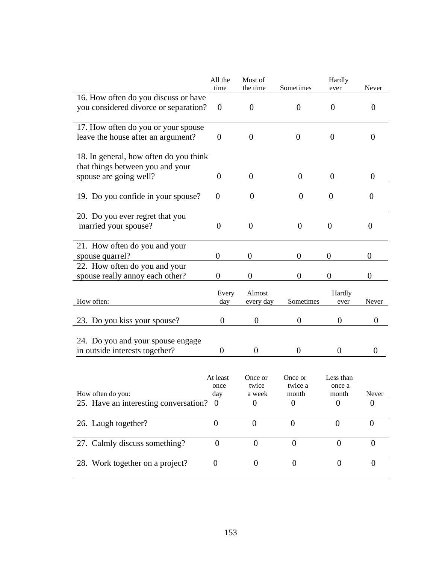|                                                                            | All the<br>time         | Most of<br>the time        | Sometimes                   | Hardly<br>ever               | Never            |
|----------------------------------------------------------------------------|-------------------------|----------------------------|-----------------------------|------------------------------|------------------|
| 16. How often do you discuss or have                                       |                         |                            |                             |                              |                  |
| you considered divorce or separation?                                      | $\boldsymbol{0}$        | $\boldsymbol{0}$           | $\overline{0}$              | $\boldsymbol{0}$             | 0                |
| 17. How often do you or your spouse<br>leave the house after an argument?  | $\boldsymbol{0}$        | $\overline{0}$             | $\boldsymbol{0}$            | $\theta$                     | 0                |
| 18. In general, how often do you think<br>that things between you and your |                         |                            |                             |                              |                  |
| spouse are going well?                                                     | $\boldsymbol{0}$        | $\boldsymbol{0}$           | $\overline{0}$              | $\theta$                     | 0                |
| 19. Do you confide in your spouse?                                         | $\theta$                | $\theta$                   | $\theta$                    | $\theta$                     | $\theta$         |
| 20. Do you ever regret that you<br>married your spouse?                    | $\overline{0}$          | $\boldsymbol{0}$           | $\overline{0}$              | $\theta$                     | $\overline{0}$   |
| 21. How often do you and your<br>spouse quarrel?                           | $\overline{0}$          | $\boldsymbol{0}$           | $\boldsymbol{0}$            | $\theta$                     | $\overline{0}$   |
| 22. How often do you and your<br>spouse really annoy each other?           | 0                       | $\overline{0}$             | 0                           | 0                            | $\boldsymbol{0}$ |
| How often:                                                                 | Every<br>day            | Almost<br>every day        | Sometimes                   | Hardly<br>ever               | Never            |
| 23. Do you kiss your spouse?                                               | $\boldsymbol{0}$        | $\boldsymbol{0}$           | $\boldsymbol{0}$            | $\boldsymbol{0}$             | $\boldsymbol{0}$ |
| 24. Do you and your spouse engage<br>in outside interests together?        | 0                       | $\theta$                   | $\overline{0}$              | $\theta$                     | $\Omega$         |
|                                                                            |                         |                            |                             |                              |                  |
| How often do you:                                                          | At least<br>once<br>day | Once or<br>twice<br>a week | Once or<br>twice a<br>month | Less than<br>once a<br>month | Never            |
| 25. Have an interesting conversation? 0                                    |                         | 0                          | $\overline{0}$              | 0                            | 0                |
|                                                                            |                         |                            |                             |                              |                  |
| 26. Laugh together?                                                        | $\boldsymbol{0}$        | $\overline{0}$             | $\boldsymbol{0}$            | $\overline{0}$               | $\overline{0}$   |
| 27. Calmly discuss something?                                              | $\boldsymbol{0}$        | $\Omega$                   | $\theta$                    | $\Omega$                     | 0                |
| 28. Work together on a project?                                            | $\boldsymbol{0}$        | $\boldsymbol{0}$           | $\boldsymbol{0}$            | $\boldsymbol{0}$             | $\boldsymbol{0}$ |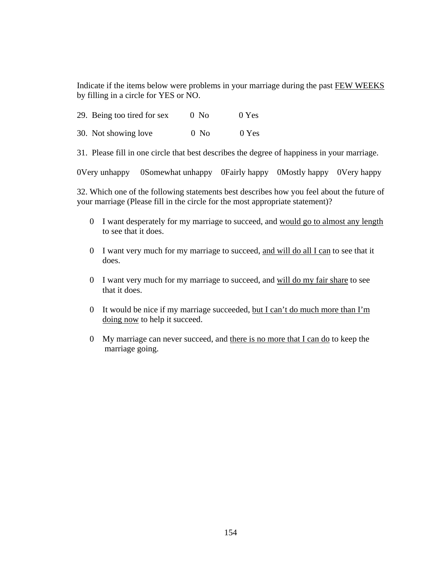Indicate if the items below were problems in your marriage during the past FEW WEEKS by filling in a circle for YES or NO.

|  | 29. Being too tired for sex | $0$ No | 0 Yes |
|--|-----------------------------|--------|-------|
|  |                             |        |       |

30. Not showing love 0 No 0 Yes

31. Please fill in one circle that best describes the degree of happiness in your marriage.

0Very unhappy 0Somewhat unhappy 0Fairly happy 0Mostly happy 0Very happy

32. Which one of the following statements best describes how you feel about the future of your marriage (Please fill in the circle for the most appropriate statement)?

- 0 I want desperately for my marriage to succeed, and would go to almost any length to see that it does.
- 0 I want very much for my marriage to succeed, and will do all I can to see that it does.
- 0 I want very much for my marriage to succeed, and will do my fair share to see that it does.
- 0 It would be nice if my marriage succeeded, but I can't do much more than I'm doing now to help it succeed.
- 0 My marriage can never succeed, and there is no more that I can do to keep the marriage going.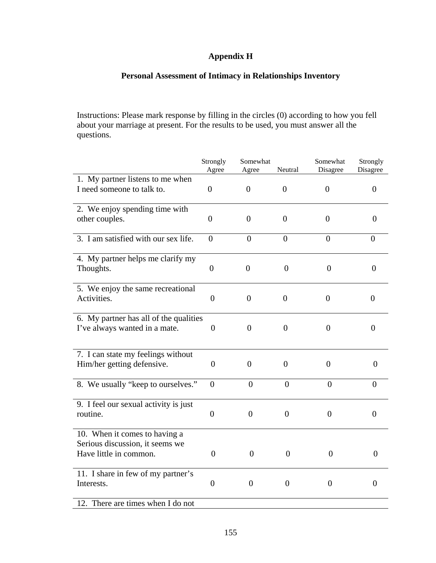## **Appendix H**

## **Personal Assessment of Intimacy in Relationships Inventory**

Instructions: Please mark response by filling in the circles (0) according to how you fell about your marriage at present. For the results to be used, you must answer all the questions.

| Agree<br>Agree<br>1. My partner listens to me when<br>I need someone to talk to.<br>$\overline{0}$<br>$\overline{0}$<br>$\overline{0}$<br>2. We enjoy spending time with | Disagree<br>$\overline{0}$<br>$\overline{0}$ | Disagree<br>$\overline{0}$<br>$\overline{0}$ |
|--------------------------------------------------------------------------------------------------------------------------------------------------------------------------|----------------------------------------------|----------------------------------------------|
|                                                                                                                                                                          |                                              |                                              |
|                                                                                                                                                                          |                                              |                                              |
|                                                                                                                                                                          |                                              |                                              |
| $\overline{0}$<br>$\overline{0}$<br>$\overline{0}$<br>other couples.                                                                                                     |                                              |                                              |
| 3. I am satisfied with our sex life.<br>$\overline{0}$<br>$\overline{0}$<br>$\overline{0}$                                                                               | $\boldsymbol{0}$                             | $\theta$                                     |
| 4. My partner helps me clarify my                                                                                                                                        |                                              |                                              |
| Thoughts.<br>$\overline{0}$<br>$\overline{0}$<br>$\overline{0}$                                                                                                          | $\overline{0}$                               | $\overline{0}$                               |
| 5. We enjoy the same recreational                                                                                                                                        |                                              |                                              |
| $\overline{0}$<br>$\boldsymbol{0}$<br>Activities.<br>$\boldsymbol{0}$                                                                                                    | $\overline{0}$                               | $\boldsymbol{0}$                             |
| 6. My partner has all of the qualities                                                                                                                                   |                                              |                                              |
| $\overline{0}$<br>$\overline{0}$<br>I've always wanted in a mate.<br>$\theta$                                                                                            | $\overline{0}$                               | $\overline{0}$                               |
| 7. I can state my feelings without                                                                                                                                       |                                              |                                              |
| Him/her getting defensive.<br>$\overline{0}$<br>$\boldsymbol{0}$<br>$\Omega$                                                                                             | $\boldsymbol{0}$                             | $\Omega$                                     |
| 8. We usually "keep to ourselves."<br>$\overline{0}$<br>$\overline{0}$<br>$\overline{0}$                                                                                 | $\theta$                                     | $\Omega$                                     |
| 9. I feel our sexual activity is just                                                                                                                                    |                                              |                                              |
| routine.<br>$\boldsymbol{0}$<br>$\overline{0}$<br>$\overline{0}$                                                                                                         | $\overline{0}$                               | $\overline{0}$                               |
| 10. When it comes to having a                                                                                                                                            |                                              |                                              |
| Serious discussion, it seems we                                                                                                                                          |                                              |                                              |
| Have little in common.<br>$\overline{0}$<br>$\overline{0}$<br>$\overline{0}$                                                                                             | $\overline{0}$                               | $\overline{0}$                               |
| 11. I share in few of my partner's                                                                                                                                       |                                              |                                              |
| $\boldsymbol{0}$<br>$\boldsymbol{0}$<br>$\boldsymbol{0}$<br>Interests.                                                                                                   | $\boldsymbol{0}$                             | $\boldsymbol{0}$                             |
| 12. There are times when I do not                                                                                                                                        |                                              |                                              |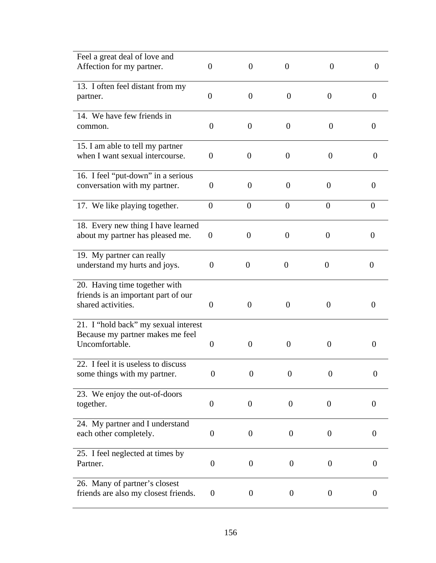| Feel a great deal of love and                                            |                  |                  |                  |                  |                  |
|--------------------------------------------------------------------------|------------------|------------------|------------------|------------------|------------------|
| Affection for my partner.                                                | $\boldsymbol{0}$ | $\theta$         | $\theta$         | $\overline{0}$   | $\overline{0}$   |
| 13. I often feel distant from my                                         |                  |                  |                  |                  |                  |
| partner.                                                                 | $\boldsymbol{0}$ | $\theta$         | $\theta$         | $\theta$         | $\overline{0}$   |
| 14. We have few friends in                                               |                  |                  |                  |                  |                  |
| common.                                                                  | $\theta$         | $\overline{0}$   | $\theta$         | 0                | 0                |
| 15. I am able to tell my partner                                         |                  |                  |                  |                  |                  |
| when I want sexual intercourse.                                          | $\overline{0}$   | $\theta$         | $\overline{0}$   | $\overline{0}$   | $\theta$         |
| 16. I feel "put-down" in a serious                                       |                  |                  |                  |                  |                  |
| conversation with my partner.                                            | $\overline{0}$   | $\theta$         | $\theta$         | $\boldsymbol{0}$ | $\theta$         |
| 17. We like playing together.                                            | $\boldsymbol{0}$ | $\overline{0}$   | $\theta$         | $\theta$         | $\overline{0}$   |
| 18. Every new thing I have learned                                       |                  |                  |                  |                  |                  |
| about my partner has pleased me.                                         | $\overline{0}$   | $\overline{0}$   | $\theta$         | $\boldsymbol{0}$ | $\theta$         |
| 19. My partner can really                                                |                  |                  |                  |                  |                  |
| understand my hurts and joys.                                            | $\overline{0}$   | $\theta$         | $\overline{0}$   | $\overline{0}$   | $\theta$         |
| 20. Having time together with                                            |                  |                  |                  |                  |                  |
| friends is an important part of our<br>shared activities.                | $\Omega$         | $\theta$         | $\theta$         | $\theta$         | $\Omega$         |
|                                                                          |                  |                  |                  |                  |                  |
| 21. I "hold back" my sexual interest<br>Because my partner makes me feel |                  |                  |                  |                  |                  |
| Uncomfortable.                                                           | $\boldsymbol{0}$ | $\theta$         | $\theta$         | $\theta$         | 0                |
| 22. I feel it is useless to discuss                                      |                  |                  |                  |                  |                  |
| some things with my partner.                                             | $\boldsymbol{0}$ | $\overline{0}$   | $\overline{0}$   | $\boldsymbol{0}$ | $\boldsymbol{0}$ |
| 23. We enjoy the out-of-doors                                            |                  |                  |                  |                  |                  |
| together.                                                                | $\boldsymbol{0}$ | $\overline{0}$   | $\theta$         | $\boldsymbol{0}$ | $\boldsymbol{0}$ |
| 24. My partner and I understand                                          |                  |                  |                  |                  |                  |
| each other completely.                                                   | $\boldsymbol{0}$ | $\boldsymbol{0}$ | $\boldsymbol{0}$ | $\theta$         | $\boldsymbol{0}$ |
| 25. I feel neglected at times by                                         |                  |                  |                  |                  |                  |
| Partner.                                                                 | $\boldsymbol{0}$ | $\boldsymbol{0}$ | $\boldsymbol{0}$ | $\boldsymbol{0}$ | $\theta$         |
| 26. Many of partner's closest                                            | $\boldsymbol{0}$ |                  |                  |                  | $\boldsymbol{0}$ |
| friends are also my closest friends.                                     |                  | $\boldsymbol{0}$ | $\boldsymbol{0}$ | $\overline{0}$   |                  |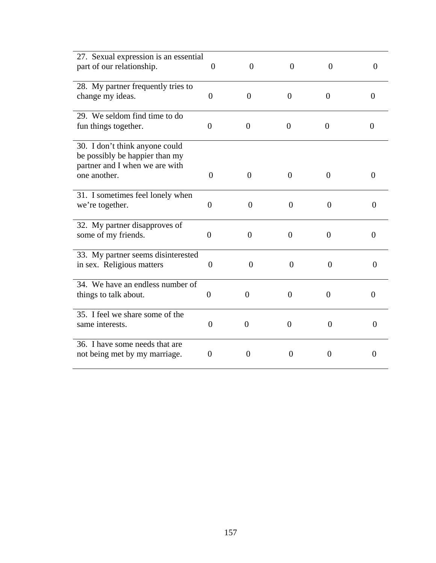| 27. Sexual expression is an essential<br>part of our relationship.                                                 | $\theta$       | $\overline{0}$ | $\overline{0}$ | $\overline{0}$ | $\Omega$       |
|--------------------------------------------------------------------------------------------------------------------|----------------|----------------|----------------|----------------|----------------|
| 28. My partner frequently tries to<br>change my ideas.                                                             | $\overline{0}$ | $\theta$       | $\theta$       | $\overline{0}$ | $\Omega$       |
| 29. We seldom find time to do<br>fun things together.                                                              | $\overline{0}$ | $\overline{0}$ | $\overline{0}$ | $\overline{0}$ | $\theta$       |
| 30. I don't think anyone could<br>be possibly be happier than my<br>partner and I when we are with<br>one another. | $\Omega$       | $\Omega$       | $\Omega$       | $\overline{0}$ | $\Omega$       |
| 31. I sometimes feel lonely when<br>we're together.                                                                | $\overline{0}$ | $\overline{0}$ | $\overline{0}$ | $\theta$       | $\theta$       |
| 32. My partner disapproves of<br>some of my friends.                                                               | $\overline{0}$ | $\theta$       | $\overline{0}$ | $\overline{0}$ | $\Omega$       |
| 33. My partner seems disinterested<br>in sex. Religious matters                                                    | $\theta$       | $\overline{0}$ | $\overline{0}$ | $\overline{0}$ | $\overline{0}$ |
| 34. We have an endless number of<br>things to talk about.                                                          | $\overline{0}$ | $\theta$       | $\theta$       | $\overline{0}$ | $\Omega$       |
| 35. I feel we share some of the<br>same interests.                                                                 | $\overline{0}$ | $\theta$       | $\overline{0}$ | $\overline{0}$ | $\theta$       |
| 36. I have some needs that are<br>not being met by my marriage.                                                    | $\theta$       | $\overline{0}$ | $\theta$       | $\overline{0}$ | $\overline{0}$ |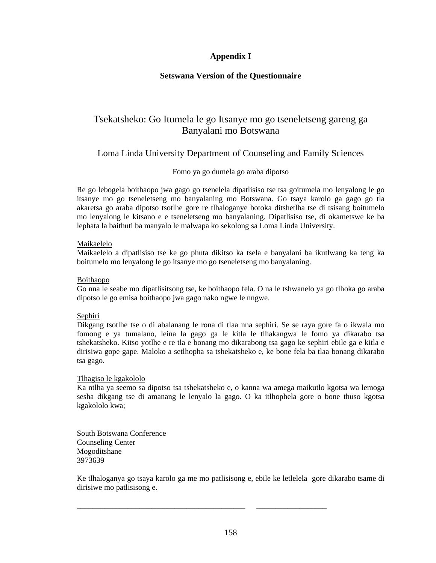### **Appendix I**

### **Setswana Version of the Questionnaire**

## Tsekatsheko: Go Itumela le go Itsanye mo go tseneletseng gareng ga Banyalani mo Botswana

## Loma Linda University Department of Counseling and Family Sciences

### Fomo ya go dumela go araba dipotso

Re go lebogela boithaopo jwa gago go tsenelela dipatlisiso tse tsa goitumela mo lenyalong le go itsanye mo go tseneletseng mo banyalaning mo Botswana. Go tsaya karolo ga gago go tla akaretsa go araba dipotso tsotlhe gore re tlhaloganye botoka ditshetlha tse di tsisang boitumelo mo lenyalong le kitsano e e tseneletseng mo banyalaning. Dipatlisiso tse, di okametswe ke ba lephata la baithuti ba manyalo le malwapa ko sekolong sa Loma Linda University.

### Maikaelelo

Maikaelelo a dipatlisiso tse ke go phuta dikitso ka tsela e banyalani ba ikutlwang ka teng ka boitumelo mo lenyalong le go itsanye mo go tseneletseng mo banyalaning.

#### Boithaopo

Go nna le seabe mo dipatlisitsong tse, ke boithaopo fela. O na le tshwanelo ya go tlhoka go araba dipotso le go emisa boithaopo jwa gago nako ngwe le nngwe.

### **Sephiri**

Dikgang tsotlhe tse o di abalanang le rona di tlaa nna sephiri. Se se raya gore fa o ikwala mo fomong e ya tumalano, leina la gago ga le kitla le tlhakangwa le fomo ya dikarabo tsa tshekatsheko. Kitso yotlhe e re tla e bonang mo dikarabong tsa gago ke sephiri ebile ga e kitla e dirisiwa gope gape. Maloko a setlhopha sa tshekatsheko e, ke bone fela ba tlaa bonang dikarabo tsa gago.

#### Tlhagiso le kgakololo

Ka ntlha ya seemo sa dipotso tsa tshekatsheko e, o kanna wa amega maikutlo kgotsa wa lemoga sesha dikgang tse di amanang le lenyalo la gago. O ka itlhophela gore o bone thuso kgotsa kgakololo kwa;

South Botswana Conference Counseling Center Mogoditshane 3973639

Ke tlhaloganya go tsaya karolo ga me mo patlisisong e, ebile ke letlelela gore dikarabo tsame di dirisiwe mo patlisisong e.

\_\_\_\_\_\_\_\_\_\_\_\_\_\_\_\_\_\_\_\_\_\_\_\_\_\_\_\_\_\_\_\_\_\_\_\_\_\_\_\_\_\_\_ \_\_\_\_\_\_\_\_\_\_\_\_\_\_\_\_\_\_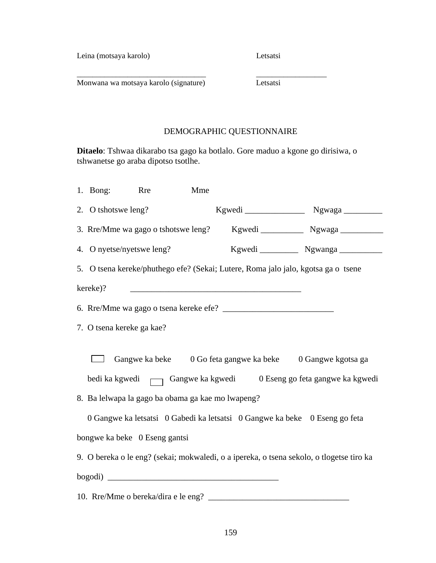Leina (motsaya karolo) Letsatsi

Monwana wa motsaya karolo (signature) Letsatsi

## DEMOGRAPHIC QUESTIONNAIRE

**Ditaelo**: Tshwaa dikarabo tsa gago ka botlalo. Gore maduo a kgone go dirisiwa, o tshwanetse go araba dipotso tsotlhe.

\_\_\_\_\_\_\_\_\_\_\_\_\_\_\_\_\_\_\_\_\_\_\_\_\_\_\_\_\_\_\_\_\_ \_\_\_\_\_\_\_\_\_\_\_\_\_\_\_\_\_\_

| 1. Bong:                                                                                                                                                                                                                                                                                                        | <b>Rre</b> | Mme |                                                                                                                      |                                                                                          |  |  |  |  |  |
|-----------------------------------------------------------------------------------------------------------------------------------------------------------------------------------------------------------------------------------------------------------------------------------------------------------------|------------|-----|----------------------------------------------------------------------------------------------------------------------|------------------------------------------------------------------------------------------|--|--|--|--|--|
| 2. O tshotswe leng?                                                                                                                                                                                                                                                                                             |            |     |                                                                                                                      |                                                                                          |  |  |  |  |  |
|                                                                                                                                                                                                                                                                                                                 |            |     |                                                                                                                      |                                                                                          |  |  |  |  |  |
| 4. O nyetse/nyetswe leng?                                                                                                                                                                                                                                                                                       |            |     |                                                                                                                      | Kgwedi Ngwanga                                                                           |  |  |  |  |  |
|                                                                                                                                                                                                                                                                                                                 |            |     | 5. O tsena kereke/phuthego efe? (Sekai; Lutere, Roma jalo jalo, kgotsa ga o tsene                                    |                                                                                          |  |  |  |  |  |
| kereke)?                                                                                                                                                                                                                                                                                                        |            |     | <u> 1989 - Jan James James Barnett, martin de la propincia de la propincia de la propincia de la propincia de la</u> |                                                                                          |  |  |  |  |  |
|                                                                                                                                                                                                                                                                                                                 |            |     |                                                                                                                      |                                                                                          |  |  |  |  |  |
| 7. O tsena kereke ga kae?                                                                                                                                                                                                                                                                                       |            |     |                                                                                                                      |                                                                                          |  |  |  |  |  |
| Gangwe ka beke 0 Go feta gangwe ka beke 0 Gangwe kgotsa ga<br>bedi ka kgwedi (Gangwe ka kgwedi bedi ka kgwedi bedi ka kgwedi bedi ka kgwedi bedi ka kgwedi bedi ka kgwedi be<br>8. Ba lelwapa la gago ba obama ga kae mo lwapeng?<br>0 Gangwe ka letsatsi 0 Gabedi ka letsatsi 0 Gangwe ka beke 0 Eseng go feta |            |     |                                                                                                                      |                                                                                          |  |  |  |  |  |
| bongwe ka beke 0 Eseng gantsi                                                                                                                                                                                                                                                                                   |            |     |                                                                                                                      |                                                                                          |  |  |  |  |  |
|                                                                                                                                                                                                                                                                                                                 |            |     |                                                                                                                      | 9. O bereka o le eng? (sekai; mokwaledi, o a ipereka, o tsena sekolo, o tlogetse tiro ka |  |  |  |  |  |
|                                                                                                                                                                                                                                                                                                                 |            |     |                                                                                                                      |                                                                                          |  |  |  |  |  |
|                                                                                                                                                                                                                                                                                                                 |            |     |                                                                                                                      |                                                                                          |  |  |  |  |  |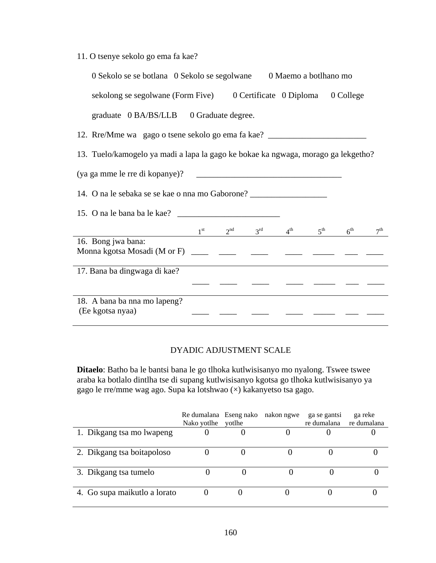|  |  |  | 11. O tsenye sekolo go ema fa kae? |  |  |  |  |
|--|--|--|------------------------------------|--|--|--|--|
|--|--|--|------------------------------------|--|--|--|--|

| 0 Sekolo se se botlana 0 Sekolo se segolwane 0 Maemo a botlhano mo                                                                                          |  |                                                       |  |                 |
|-------------------------------------------------------------------------------------------------------------------------------------------------------------|--|-------------------------------------------------------|--|-----------------|
| sekolong se segolwane (Form Five) 0 Certificate 0 Diploma 0 College                                                                                         |  |                                                       |  |                 |
| graduate 0 BA/BS/LLB 0 Graduate degree.                                                                                                                     |  |                                                       |  |                 |
| 12. Rre/Mme wa gago o tsene sekolo go ema fa kae? ______________________________                                                                            |  |                                                       |  |                 |
| 13. Tuelo/kamogelo ya madi a lapa la gago ke bokae ka ngwaga, morago ga lekgetho?                                                                           |  |                                                       |  |                 |
|                                                                                                                                                             |  |                                                       |  |                 |
| 14. O na le sebaka se se kae o nna mo Gaborone?                                                                                                             |  |                                                       |  |                 |
|                                                                                                                                                             |  |                                                       |  |                 |
|                                                                                                                                                             |  | $1^{st}$ $2^{nd}$ $3^{rd}$ $4^{th}$ $5^{th}$ $6^{th}$ |  | 7 <sup>th</sup> |
| 16. Bong jwa bana:<br>Monna kgotsa Mosadi (M or F) $\frac{1}{\sqrt{2}}$ $\frac{1}{\sqrt{2}}$ $\frac{1}{\sqrt{2}}$ $\frac{1}{\sqrt{2}}$ $\frac{1}{\sqrt{2}}$ |  |                                                       |  |                 |
| 17. Bana ba dingwaga di kae?                                                                                                                                |  |                                                       |  |                 |
|                                                                                                                                                             |  |                                                       |  |                 |
| 18. A bana ba nna mo lapeng?<br>(Ee kgotsa nyaa)                                                                                                            |  |                                                       |  |                 |

## DYADIC ADJUSTMENT SCALE

**Ditaelo**: Batho ba le bantsi bana le go tlhoka kutlwisisanyo mo nyalong. Tswee tswee araba ka botlalo dintlha tse di supang kutlwisisanyo kgotsa go tlhoka kutlwisisanyo ya gago le rre/mme wag ago. Supa ka lotshwao (×) kakanyetso tsa gago.

|                              | Re dumalana Eseng nako nakon ngwe<br>Nako yotlhe | votlhe | ga se gantsi<br>re dumalana | ga reke<br>re dumalana |
|------------------------------|--------------------------------------------------|--------|-----------------------------|------------------------|
| 1. Dikgang tsa mo lwapeng    |                                                  |        |                             |                        |
| 2. Dikgang tsa boitapoloso   |                                                  |        |                             |                        |
| 3. Dikgang tsa tumelo        |                                                  |        |                             |                        |
| 4. Go supa maikutlo a lorato |                                                  |        |                             |                        |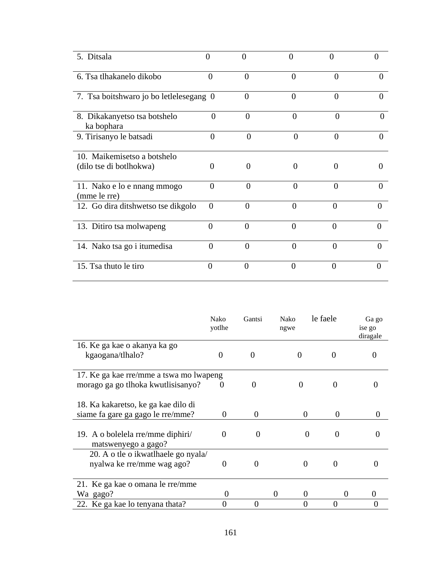| 5. Ditsala                                  | 0        | $\Omega$ | 0              |          |          |
|---------------------------------------------|----------|----------|----------------|----------|----------|
| 6. Tsa tlhakanelo dikobo                    | $\theta$ | $\Omega$ | 0              | $\Omega$ |          |
| 7. Tsa boitshwaro jo bo letlelesegang 0     |          | 0        | $\theta$       | $\Omega$ |          |
| 8. Dikakanyetso tsa botshelo<br>ka bophara  | $\Omega$ | $\Omega$ | $\theta$       | $\Omega$ |          |
| 9. Tirisanyo le batsadi                     | $\Omega$ | $\Omega$ | $\theta$       | $\theta$ |          |
| 10. Maikemisetso a botshelo                 |          |          |                |          |          |
| (dilo tse di botlhokwa)                     | 0        | $\Omega$ | 0              | $\theta$ |          |
| 11. Nako e lo e nnang mmogo<br>(mme le rre) | $\Omega$ | $\Omega$ | $\Omega$       | $\Omega$ |          |
| 12. Go dira ditshwetso tse dikgolo          | $\theta$ | 0        | $\theta$       | 0        |          |
| 13. Ditiro tsa molwapeng                    | $\Omega$ | $\theta$ | $\overline{0}$ | $\Omega$ | $\Omega$ |
| 14. Nako tsa go i itumedisa                 | $\theta$ | $\Omega$ | $\theta$       | $\Omega$ | $\Omega$ |
| 15. Tsa thuto le tiro                       | $\Omega$ | 0        | 0              | ∩        | 0        |

|                                                                   | Nako<br>yotlhe | Gantsi            | Nako<br>ngwe         | le faele | Ga go<br>ise go<br>diragale |
|-------------------------------------------------------------------|----------------|-------------------|----------------------|----------|-----------------------------|
| 16. Ke ga kae o akanya ka go                                      |                |                   |                      |          |                             |
| kgaogana/tlhalo?                                                  | $\theta$       | $\Omega$          | 0                    |          |                             |
| 17. Ke ga kae rre/mme a tswa mo lwapeng                           |                |                   |                      |          |                             |
| morago ga go tlhoka kwutlisisanyo?                                | $\theta$       | $\mathbf{\Omega}$ |                      |          |                             |
| 18. Ka kakaretso, ke ga kae dilo di                               |                |                   |                      |          |                             |
| siame fa gare ga gago le rre/mme?                                 | $\mathbf{0}$   | $\theta$          | $\theta$             | $\Omega$ | 0                           |
| 19. A o bolelela rre/mme diphiri/<br>matswenyego a gago?          | 0              | 0                 |                      | 0<br>0   |                             |
| 20. A o tle o ikwatlhaele go nyala/<br>nyalwa ke rre/mme wag ago? | $\mathbf{0}$   | $\Omega$          | $\Omega$             | $\Omega$ |                             |
| 21. Ke ga kae o omana le rre/mme                                  |                |                   |                      |          |                             |
| Wa gago?                                                          | 0              |                   | $\theta$<br>$\theta$ | $\theta$ |                             |
| 22. Ke ga kae lo tenyana thata?                                   |                |                   |                      |          |                             |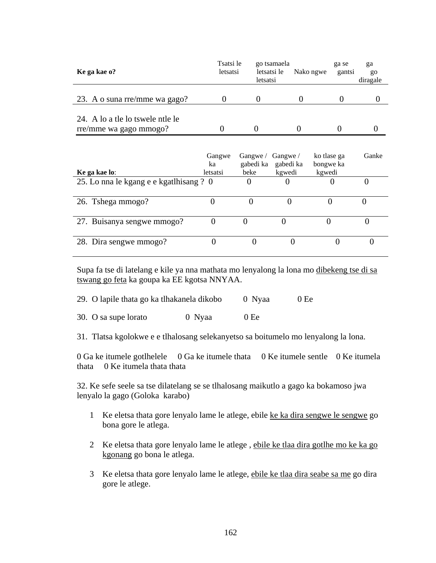| Ke ga kae o?                     | Tsatsi le<br>letsatsi | go tsamaela<br>letsatsi le<br>letsatsi | Nako ngwe | ga se<br>gantsi | ga<br>go<br>diragale |
|----------------------------------|-----------------------|----------------------------------------|-----------|-----------------|----------------------|
| 23. A o suna rre/mme wa gago?    |                       |                                        |           |                 |                      |
| 24. A lo a the lo tswele ntle le |                       |                                        |           |                 |                      |
| rre/mme wa gago mmogo?           |                       |                                        |           |                 |                      |
|                                  |                       |                                        |           |                 |                      |

|                                         | Gangwe   | Gangwe/   | Gangwe/   | ko tlase ga | Ganke |
|-----------------------------------------|----------|-----------|-----------|-------------|-------|
|                                         | ka       | gabedi ka | gabedi ka | bongwe ka   |       |
| Ke ga kae lo:                           | letsatsi | beke      | kgwedi    | kgwedi      |       |
| 25. Lo nna le kgang e e kgatlhisang ? 0 |          |           | U         |             |       |
|                                         |          |           |           |             |       |
| 26. Tshega mmogo?                       |          |           |           |             |       |
|                                         |          |           |           |             |       |
| 27. Buisanya sengwe mmogo?              |          |           |           |             |       |
|                                         |          |           |           |             |       |
| 28. Dira sengwe mmogo?                  |          |           |           |             |       |
|                                         |          |           |           |             |       |

Supa fa tse di latelang e kile ya nna mathata mo lenyalong la lona mo dibekeng tse di sa tswang go feta ka goupa ka EE kgotsa NNYAA.

30. O sa supe lorato 0 Nyaa 0 Ee

31. Tlatsa kgolokwe e e tlhalosang selekanyetso sa boitumelo mo lenyalong la lona.

0 Ga ke itumele gotlhelele 0 Ga ke itumele thata 0 Ke itumele sentle 0 Ke itumela thata 0 Ke itumela thata thata

32. Ke sefe seele sa tse dilatelang se se tlhalosang maikutlo a gago ka bokamoso jwa lenyalo la gago (Goloka karabo)

- 1 Ke eletsa thata gore lenyalo lame le atlege, ebile ke ka dira sengwe le sengwe go bona gore le atlega.
- 2 Ke eletsa thata gore lenyalo lame le atlege , ebile ke tlaa dira gotlhe mo ke ka go kgonang go bona le atlega.
- 3 Ke eletsa thata gore lenyalo lame le atlege, ebile ke tlaa dira seabe sa me go dira gore le atlege.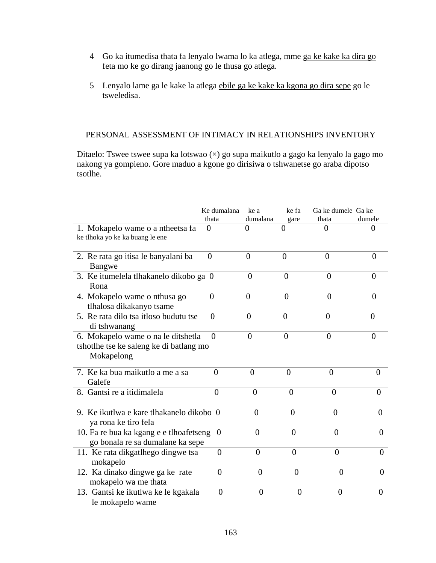- 4 Go ka itumedisa thata fa lenyalo lwama lo ka atlega, mme ga ke kake ka dira go feta mo ke go dirang jaanong go le thusa go atlega.
- 5 Lenyalo lame ga le kake la atlega ebile ga ke kake ka kgona go dira sepe go le tsweledisa.

### PERSONAL ASSESSMENT OF INTIMACY IN RELATIONSHIPS INVENTORY

Ditaelo: Tswee tswee supa ka lotswao (×) go supa maikutlo a gago ka lenyalo la gago mo nakong ya gompieno. Gore maduo a kgone go dirisiwa o tshwanetse go araba dipotso tsotlhe.

|                                                                                             | Ke dumalana    | ke a              | ke fa          | Ga ke dumele Ga ke |                |
|---------------------------------------------------------------------------------------------|----------------|-------------------|----------------|--------------------|----------------|
|                                                                                             | thata          | dumalana          | gare           | thata              | dumele         |
| 1. Mokapelo wame o a ntheetsa fa                                                            | 0              | $\mathbf{\Omega}$ | $\theta$       | 0                  |                |
| ke tlhoka yo ke ka buang le ene                                                             |                |                   |                |                    |                |
| 2. Re rata go itisa le banyalani ba<br>Bangwe                                               | $\overline{0}$ | $\overline{0}$    | $\overline{0}$ | $\overline{0}$     | $\Omega$       |
| 3. Ke itumelela tlhakanelo dikobo ga 0<br>Rona                                              |                | $\overline{0}$    | $\overline{0}$ | $\Omega$           | $\Omega$       |
| 4. Mokapelo wame o nthusa go<br>tlhalosa dikakanyo tsame                                    | $\overline{0}$ | $\overline{0}$    | $\overline{0}$ | $\theta$           | $\theta$       |
| 5. Re rata dilo tsa itloso budutu tse<br>di tshwanang                                       | $\Omega$       | $\theta$          | $\theta$       | $\theta$           | $\mathbf{0}$   |
| 6. Mokapelo wame o na le ditshetla<br>tshotlhe tse ke saleng ke di batlang mo<br>Mokapelong | $\theta$       | $\theta$          | $\overline{0}$ | $\overline{0}$     | $\Omega$       |
| 7. Ke ka bua maikutlo a me a sa<br>Galefe                                                   | $\theta$       | $\theta$          | $\theta$       | $\theta$           | $\theta$       |
| 8. Gantsi re a itidimalela                                                                  | $\theta$       | $\theta$          | $\theta$       | $\theta$           | $\theta$       |
| 9. Ke ikutlwa e kare tlhakanelo dikobo 0<br>ya rona ke tiro fela                            |                | $\theta$          | $\theta$       | $\theta$           | $\Omega$       |
| 10. Fa re bua ka kgang e e tlhoafetseng<br>go bonala re sa dumalane ka sepe                 | $\overline{0}$ | $\overline{0}$    | $\overline{0}$ | $\overline{0}$     | $\overline{0}$ |
| 11. Ke rata dikgatlhego dingwe tsa<br>mokapelo                                              | $\overline{0}$ | $\theta$          | $\theta$       | $\theta$           | $\Omega$       |
| 12. Ka dinako dingwe ga ke rate<br>mokapelo wa me thata                                     | $\overline{0}$ | $\overline{0}$    | $\overline{0}$ | $\overline{0}$     | $\Omega$       |
| 13. Gantsi ke ikutlwa ke le kgakala<br>le mokapelo wame                                     | $\theta$       | $\theta$          | $\Omega$       | $\theta$           | $\Omega$       |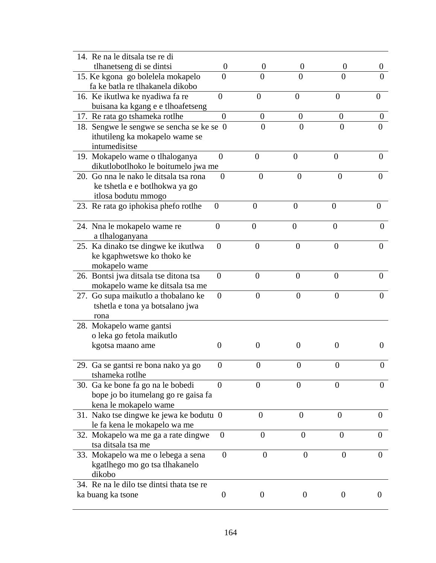| 14. Re na le ditsala tse re di                        |                  |                  |                  |                  |                  |
|-------------------------------------------------------|------------------|------------------|------------------|------------------|------------------|
| tlhanetseng di se dintsi                              | $\theta$         | 0                | $\theta$         | $\theta$         | U                |
| 15. Ke kgona go bolelela mokapelo                     | $\overline{0}$   | $\theta$         | $\overline{0}$   | $\overline{0}$   | 0                |
| fa ke batla re tlhakanela dikobo                      |                  |                  |                  |                  |                  |
| 16. Ke ikutlwa ke nyadiwa fa re                       | $\theta$         | $\overline{0}$   | $\overline{0}$   | $\overline{0}$   | 0                |
| buisana ka kgang e e tlhoafetseng                     |                  |                  |                  |                  |                  |
| 17. Re rata go tshameka rotlhe                        | $\overline{0}$   | $\overline{0}$   | $\boldsymbol{0}$ | $\theta$         | $\boldsymbol{0}$ |
| 18. Sengwe le sengwe se sencha se ke se 0             |                  | $\overline{0}$   | $\overline{0}$   | $\overline{0}$   | $\overline{0}$   |
| ithutileng ka mokapelo wame se                        |                  |                  |                  |                  |                  |
| intumedisitse                                         |                  |                  |                  |                  |                  |
| 19. Mokapelo wame o tlhaloganya                       | $\overline{0}$   | $\overline{0}$   | $\overline{0}$   | $\theta$         | $\theta$         |
| dikutlobotlhoko le boitumelo jwa me                   |                  |                  |                  |                  |                  |
| 20. Go nna le nako le ditsala tsa rona                | $\overline{0}$   | $\overline{0}$   | $\overline{0}$   | $\overline{0}$   | 0                |
| ke tshetla e e botlhokwa ya go<br>itlosa bodutu mmogo |                  |                  |                  |                  |                  |
| 23. Re rata go iphokisa phefo rotlhe                  | $\overline{0}$   | $\overline{0}$   | $\overline{0}$   | $\overline{0}$   | $\theta$         |
|                                                       |                  |                  |                  |                  |                  |
| 24. Nna le mokapelo wame re                           | $\overline{0}$   | $\boldsymbol{0}$ | $\boldsymbol{0}$ | $\overline{0}$   | 0                |
| a tlhaloganyana                                       |                  |                  |                  |                  |                  |
| 25. Ka dinako tse dingwe ke ikutlwa                   | $\overline{0}$   | $\theta$         | $\boldsymbol{0}$ | $\overline{0}$   | $\Omega$         |
| ke kgaphwetswe ko thoko ke                            |                  |                  |                  |                  |                  |
| mokapelo wame                                         |                  |                  |                  |                  |                  |
| 26. Bontsi jwa ditsala tse ditona tsa                 | $\overline{0}$   | $\overline{0}$   | $\theta$         | $\theta$         | $\theta$         |
| mokapelo wame ke ditsala tsa me                       |                  |                  |                  |                  |                  |
| 27. Go supa maikutlo a thobalano ke                   | $\overline{0}$   | $\overline{0}$   | $\overline{0}$   | $\overline{0}$   | 0                |
| tshetla e tona ya botsalano jwa                       |                  |                  |                  |                  |                  |
| rona                                                  |                  |                  |                  |                  |                  |
| 28. Mokapelo wame gantsi                              |                  |                  |                  |                  |                  |
| o leka go fetola maikutlo                             | $\Omega$         | $\overline{0}$   | $\theta$         | $\theta$         | 0                |
| kgotsa maano ame                                      |                  |                  |                  |                  |                  |
| 29. Ga se gantsi re bona nako ya go                   | $\boldsymbol{0}$ | 0                | $\boldsymbol{0}$ | $\boldsymbol{0}$ | 0                |
| tshameka rotlhe                                       |                  |                  |                  |                  |                  |
| 30. Ga ke bone fa go na le bobedi                     | $\theta$         | 0                | $\theta$         | $\Omega$         | 0                |
| bope jo bo itumelang go re gaisa fa                   |                  |                  |                  |                  |                  |
| kena le mokapelo wame                                 |                  |                  |                  |                  |                  |
| 31. Nako tse dingwe ke jewa ke bodutu 0               |                  | $\overline{0}$   | $\overline{0}$   | $\overline{0}$   | $\overline{0}$   |
| le fa kena le mokapelo wa me                          |                  |                  |                  |                  |                  |
| 32. Mokapelo wa me ga a rate dingwe                   | $\theta$         | $\overline{0}$   | $\theta$         | $\theta$         | $\theta$         |
| tsa ditsala tsa me                                    |                  |                  |                  |                  |                  |
| 33. Mokapelo wa me o lebega a sena                    | $\boldsymbol{0}$ | $\theta$         | $\overline{0}$   | $\boldsymbol{0}$ | $\overline{0}$   |
| kgatlhego mo go tsa tlhakanelo                        |                  |                  |                  |                  |                  |
| dikobo                                                |                  |                  |                  |                  |                  |
| 34. Re na le dilo tse dintsi thata tse re             |                  |                  |                  |                  |                  |
| ka buang ka tsone                                     | $\boldsymbol{0}$ | 0                | 0                | $\theta$         | $\theta$         |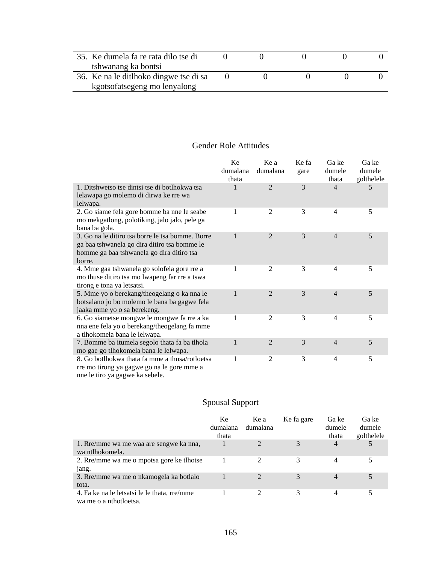| 35. Ke dumela fa re rata dilo tse di   |  |  |  |
|----------------------------------------|--|--|--|
| tshwanang ka bontsi                    |  |  |  |
| 36. Ke na le ditlhoko dingwe tse di sa |  |  |  |
| kgotsofatsegeng mo lenyalong           |  |  |  |

## Gender Role Attitudes

|                                                                                                                                                         | Ke<br>dumalana<br>thata | Ke a<br>dumalana | Ke fa<br>gare | Ga ke<br>dumele<br>thata | Ga ke<br>dumele<br>golthelele |
|---------------------------------------------------------------------------------------------------------------------------------------------------------|-------------------------|------------------|---------------|--------------------------|-------------------------------|
| 1. Ditshwetso tse dintsi tse di botlhokwa tsa<br>lelawapa go molemo di dirwa ke rre wa<br>lelwapa.                                                      | 1                       | $\mathfrak{D}$   | 3             | $\overline{4}$           | 5                             |
| 2. Go siame fela gore bomme ba nne le seabe<br>mo mekgatlong, polotiking, jalo jalo, pele ga<br>bana ba gola.                                           | 1                       | $\overline{2}$   | 3             | $\overline{4}$           | 5                             |
| 3. Go na le ditiro tsa borre le tsa bomme. Borre<br>ga baa tshwanela go dira ditiro tsa bomme le<br>bomme ga baa tshwanela go dira ditiro tsa<br>borre. | 1                       | $\overline{2}$   | 3             | $\overline{4}$           | 5                             |
| 4. Mme gaa tshwanela go solofela gore rre a<br>mo thuse ditiro tsa mo lwapeng far rre a tswa<br>tirong e tona ya letsatsi.                              | 1                       | $\overline{2}$   | 3             | 4                        | 5                             |
| 5. Mme yo o berekang/theogelang o ka nna le<br>botsalano jo bo molemo le bana ba gagwe fela<br>jaaka mme yo o sa berekeng.                              | 1                       | $\overline{2}$   | 3             | $\overline{4}$           | 5                             |
| 6. Go siametse mongwe le mongwe fa rre a ka<br>nna ene fela yo o berekang/theogelang fa mme<br>a tlhokomela bana le lelwapa.                            | 1                       | $\overline{2}$   | 3             | $\overline{4}$           | 5                             |
| 7. Bomme ba itumela segolo thata fa ba tlhola<br>mo gae go tlhokomela bana le lelwapa.                                                                  | 1                       | $\overline{2}$   | 3             | $\overline{4}$           | 5                             |
| 8. Go botlhokwa thata fa mme a thusa/rotloetsa<br>rre mo tirong ya gagwe go na le gore mme a<br>nne le tiro ya gagwe ka sebele.                         | 1                       | 2                | 3             | 4                        | 5                             |

# Spousal Support

|                                                                        | Ke<br>dumalana<br>thata | Ke a<br>dumalana | Ke fa gare | Ga ke<br>dumele<br>thata | Ga ke<br>dumele<br>golthelele |
|------------------------------------------------------------------------|-------------------------|------------------|------------|--------------------------|-------------------------------|
| 1. Rre/mme wa me waa are sengwe ka nna,<br>wa ntlhokomela.             |                         |                  | 3          | 4                        |                               |
| 2. Rec/mme wa me o mpotsa gore ke thotse<br>jang.                      |                         | 2                | 3          | 4                        |                               |
| 3. Rre/mme wa me o nkamogela ka botlalo<br>tota.                       |                         |                  | 3          | 4                        |                               |
| 4. Fa ke na le letsatsi le le thata, rre/mme<br>wa me o a nthotoletsa. |                         |                  | 3          | 4                        |                               |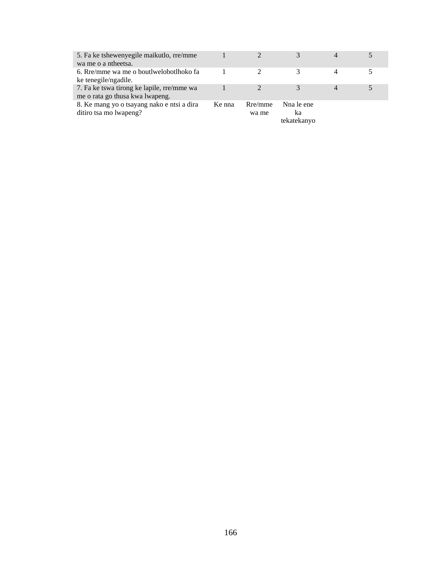| 5. Fa ke tshewenyegile maikutlo, rre/mme<br>wa me o a ntheetsa.               |        |                  |                                 |   |  |
|-------------------------------------------------------------------------------|--------|------------------|---------------------------------|---|--|
| 6. Rre/mme wa me o boutlwelobotlhoko fa<br>ke tenegile/ngadile.               |        |                  |                                 | 4 |  |
| 7. Fa ke tswa tirong ke lapile, rre/mme wa<br>me o rata go thusa kwa lwapeng. |        |                  |                                 | 4 |  |
| 8. Ke mang yo o tsayang nako e ntsi a dira<br>ditiro tsa mo lwapeng?          | Ke nna | Rre/mme<br>wa me | Nna le ene<br>ka<br>tekatekanyo |   |  |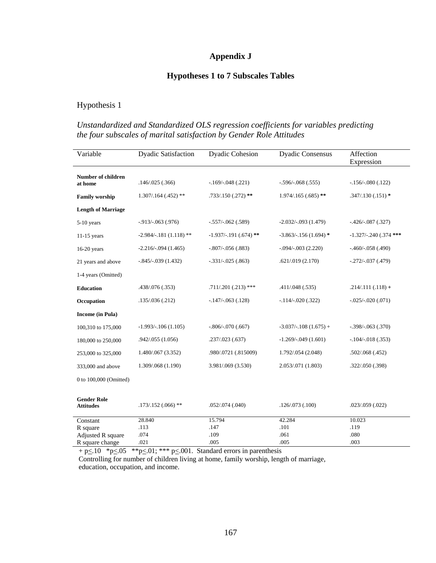## **Appendix J**

### **Hypotheses 1 to 7 Subscales Tables**

## Hypothesis 1

### *Unstandardized and Standardized OLS regression coefficients for variables predicting the four subscales of marital satisfaction by Gender Role Attitudes*

| Variable                               | <b>Dyadic Satisfaction</b> | <b>Dyadic Cohesion</b> | <b>Dyadic Consensus</b> | Affection<br>Expression   |
|----------------------------------------|----------------------------|------------------------|-------------------------|---------------------------|
| Number of children<br>at home          | .146/.025(.366)            | $-.169/-048(.221)$     | $-.596/-068(.555)$      | $-.156/-080(.122)$        |
| <b>Family worship</b>                  | $1.307/0.164$ $(.452)$ **  | $.733/.150(.272)$ **   | $1.974/0.165(0.685)$ ** | $.347/.130(.151)*$        |
| <b>Length of Marriage</b>              |                            |                        |                         |                           |
| 5-10 years                             | $-0.913/-063$ (.976)       | $-.557/-062(.589)$     | $-2.032/-093(1.479)$    | $-0.426/-0.87$ $(0.327)$  |
| $11-15$ years                          | $-2.984/-181(1.118)$ **    | $-1.937/-191(.674)$ ** | $-3.863/-156(1.694)$ *  | $-1.327/-0.240$ (.374 *** |
| $16-20$ years                          | $-2.216/-094(1.465)$       | $-.807/-056(.883)$     | $-0.094/-0.003(2.220)$  | $-460/-058(.490)$         |
| 21 years and above                     | $-0.845/-039(1.432)$       | $-.331/-025(.863)$     | .621/.019(2.170)        | $-.272/-.037(.479)$       |
| 1-4 years (Omitted)                    |                            |                        |                         |                           |
| <b>Education</b>                       | .438/.076 (.353)           | $.711/.201(.213)$ ***  | .411/.048(.535)         | $.214/.111(.118) +$       |
| Occupation                             | .135/.036(.212)            | $-.147/-.063(.128)$    | $-.114/-020(.322)$      | $-.025/-020(.071)$        |
| <b>Income</b> (in Pula)                |                            |                        |                         |                           |
| 100,310 to 175,000                     | $-1.993/-106(1.105)$       | $-.806/-070(.667)$     | $-3.037/-108$ (1.675) + | $-.398/-063(.370)$        |
| 180,000 to 250,000                     | .942/.055 (1.056)          | .237/.023(.637)        | $-1.269/-049(1.601)$    | $-.104/-.018(.353)$       |
| 253,000 to 325,000                     | 1.480/.067 (3.352)         | .980/.0721 (.815009)   | 1.792/.054 (2.048)      | .502/.068(.452)           |
| 333,000 and above                      | 1.309/.068 (1.190)         | 3.981/.069 (3.530)     | 2.053/.071 (1.803)      | .322/.050(.398)           |
| 0 to 100,000 (Omitted)                 |                            |                        |                         |                           |
|                                        |                            |                        |                         |                           |
| <b>Gender Role</b><br><b>Attitudes</b> | $.173/.152(.066)$ **       | .052/.074(.040)        | .126/.073(.100)         | .023/.059(.022)           |
| Constant                               | 28.840                     | 15.794                 | 42.284                  | 10.023                    |
| R square                               | .113                       | .147                   | .101                    | .119                      |
| Adjusted R square                      | .074                       | .109                   | .061                    | .080                      |
| R square change                        | .021                       | .005                   | .005                    | .003                      |

 $+$  p $\leq$ .10  $*$  p $\leq$ .05  $*$  $*$  p $\leq$ .01;  $*$  $*$  $*$  p $\leq$ .001. Standard errors in parenthesis Controlling for number of children living at home, family worship, length of marriage, education, occupation, and income.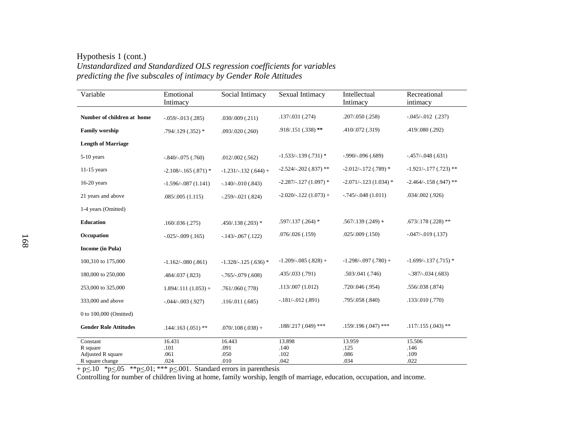#### Hypothesis 1 (cont.) *Unstandardized and Standardized OLS regression coefficients for variables predicting the five subscales of intimacy by Gender Role Attitudes*

| Variable                      | Emotional<br>Intimacy  | Social Intimacy       | Sexual Intimacy         | Intellectual<br>Intimacy | Recreational<br>intimacy |
|-------------------------------|------------------------|-----------------------|-------------------------|--------------------------|--------------------------|
|                               |                        |                       | .137/.031(.274)         | .207/.050(.258)          | $-0.045/-012$ (.237)     |
| Number of children at home    | $-.059/-013(.285)$     | .030/.009(.211)       |                         |                          |                          |
| <b>Family worship</b>         | $.794/.129(.352)*$     | .093/.020(.260)       | $.918/.151(.338)$ **    | .410/.072(.319)          | .419/.080 (.292)         |
| <b>Length of Marriage</b>     |                        |                       |                         |                          |                          |
| $5-10$ years                  | $-0.840/-0.075$ (.760) | .012/.002(.562)       | $-1.533/-139(.731)$ *   | $-0.990/-0.096$ (.689)   | $-457/-048(.631)$        |
| $11-15$ years                 | $-2.108/-165(.871)$ *  | $-1.231/-132(.644) +$ | $-2.524/- 202(.837)$ ** | $-2.012/-172(.789)$ *    | $-1.921/-177$ (.723) **  |
| $16-20$ years                 | $-1.596/-087(1.141)$   | $-.140/-.010(.843)$   | $-2.287/-127(1.097)$ *  | $-2.071/-123(1.034)$ *   | $-2.464/-158(.947)$ **   |
| 21 years and above            | .085/.005(1.115)       | $-.259/-021(.824)$    | $-2.020/-122(1.073) +$  | $-.745/-048(1.011)$      | $.034/002$ $(.926)$      |
| 1-4 years (Omitted)           |                        |                       |                         |                          |                          |
| <b>Education</b>              | .160/.036(.275)        | $.450/.138(.203)*$    | $.597/.137(.264)*$      | $.567/.139(.249) +$      | $.673/.178(.228)$ **     |
| Occupation                    | $-0.025/-0.009$ (.165) | $-143/-067(.122)$     | .076/.026(.159)         | .025/.009(.150)          | $-0.047/-019(0.137)$     |
| <b>Income</b> (in Pula)       |                        |                       |                         |                          |                          |
| 100,310 to 175,000            | $-1.162/-080(.861)$    | $-1.328/-125(.636)$ * | $-1.209/-085(.828) +$   | $-1.298/-097(.780) +$    | $-1.699/- 137(.715)$ *   |
| 180,000 to 250,000            | .484/.037 (.823)       | $-0.765/-0.79$ (.608) | .435/.033 (.791)        | .503/.041(.746)          | $-.387/-.034(.683)$      |
| 253,000 to 325,000            | $1.894/.111(1.053) +$  | .761/.060 (.778)      | .113/.007(1.012)        | .720/.046 (.954)         | .556/.038(.874)          |
| 333,000 and above             | $-0.044/-0.003$ (.927) | .116/.011(.685)       | $-.181/-.012(.891)$     | .795/.058 (.840)         | .133/.010(.770)          |
| 0 to 100,000 (Omitted)        |                        |                       |                         |                          |                          |
| <b>Gender Role Attitudes</b>  | $.144/.163(.051)$ **   | $.070/.108(.038) +$   | .188/.217 (.049) ***    | $.159/.196(.047)$ ***    | $.117/.155(.043)$ **     |
| Constant                      | 16.431                 | 16.443                | 13.898                  | 13.959                   | 15.506                   |
| R square<br>Adjusted R square | .101<br>.061           | .091<br>.050          | .140<br>.102            | .125<br>.086             | .146<br>.109             |
| R square change               | .024                   | .010                  | .042                    | .034                     | .022                     |

 $+$  p $\leq$ .10  $*$  p $\leq$ .05  $*$  $*$  p $\leq$ .01;  $*$  $*$  p $\leq$ .001. Standard errors in parenthesis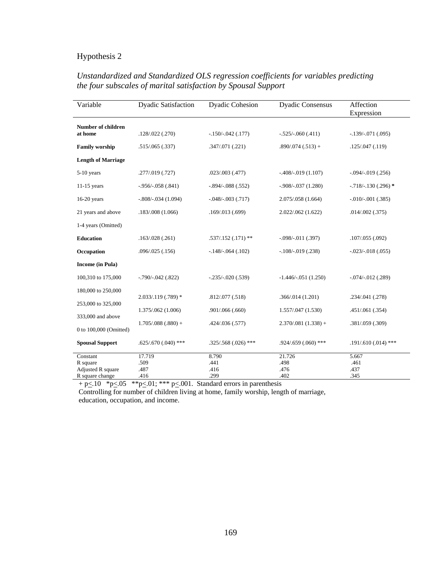| Variable                             | <b>Dyadic Satisfaction</b>                              | <b>Dyadic Cohesion</b> | <b>Dyadic Consensus</b> | Affection<br>Expression  |
|--------------------------------------|---------------------------------------------------------|------------------------|-------------------------|--------------------------|
| <b>Number of children</b><br>at home | .128/.022(.270)                                         | $-150/-042$ (.177)     | $-.525/-060(.411)$      | $-.139/-.071(.095)$      |
| <b>Family worship</b>                | .515/.065(.337)                                         | .347/.071(.221)        | $.890/.074(.513) +$     | .125/.047(.119)          |
| <b>Length of Marriage</b>            |                                                         |                        |                         |                          |
| $5-10$ years                         | .277/.019 (.727)                                        | .023/.003(.477)        | $-408/-019(1.107)$      | $-.094/-019(.256)$       |
| $11-15$ years                        | $-0.956/-058(.841)$                                     | $-.894/-.088(.552)$    | $-0.908/-037(1.280)$    | $-0.718/-0.130(0.296)$ * |
| $16-20$ years                        | $-.808/-034(1.094)$                                     | $-0.048/-0.003$ (.717) | 2.075/.058 (1.664)      | $-.010/-001(.385)$       |
| 21 years and above                   | .183/.008(1.066)                                        | .169/.013(.699)        | 2.022/.062 (1.622)      | .014/.002(.375)          |
| 1-4 years (Omitted)                  |                                                         |                        |                         |                          |
| <b>Education</b>                     | .163/.028(.261)                                         | $.537/.152(.171)$ **   | $-.098/-011(.397)$      | .107/.055(.092)          |
| Occupation                           | .096/.025(.156)                                         | $-148/-064(.102)$      | $-.108/-019(.238)$      | $-.023/-.018(.055)$      |
| Income (in Pula)                     |                                                         |                        |                         |                          |
| 100,310 to 175,000                   | $-0.790/-0.042$ (.822)                                  | $-.235/-.020(.539)$    | $-1.446/-051(1.250)$    | $-.074/-.012(.289)$      |
| 180,000 to 250,000                   |                                                         |                        |                         |                          |
| 253,000 to 325,000                   | 2.033/.119 (.789) *                                     | .812/.077(.518)        | .366/.014(1.201)        | .234/.041 (.278)         |
| 333,000 and above                    | 1.375/.062 (1.006)                                      | .901/.066(.660)        | 1.557/.047 (1.530)      | .451/.061(.354)          |
| 0 to 100,000 (Omitted)               | $1.705/.088(.880) +$                                    | .424/.036 (.577)       | $2.370/081(1.338) +$    | .381/.059 (.309)         |
| <b>Spousal Support</b>               | $.625/.670(.040)$ ***                                   | $.325/.568(.026)$ ***  | $.924/.659(.060)$ ***   | $.191/.610(.014)$ ***    |
| Constant                             | 17.719                                                  | 8.790                  | 21.726                  | 5.667                    |
| R square                             | .509                                                    | .441                   | .498                    | .461                     |
| Adjusted R square                    | .487                                                    | .416                   | .476                    | .437                     |
| R square change<br>$-10 - 4 - 07$    | .416<br>ا ماله ماله<br>$^{\circ}$<br>مله مله مله<br>001 | .299                   | .402                    | .345                     |

# *Unstandardized and Standardized OLS regression coefficients for variables predicting the four subscales of marital satisfaction by Spousal Support*

 $+$  p $\leq$ .10  $*$  p $\leq$ .05  $*$  $*$  p $\leq$ .01;  $*$  $*$  $*$  p $\leq$ .001. Standard errors in parenthesis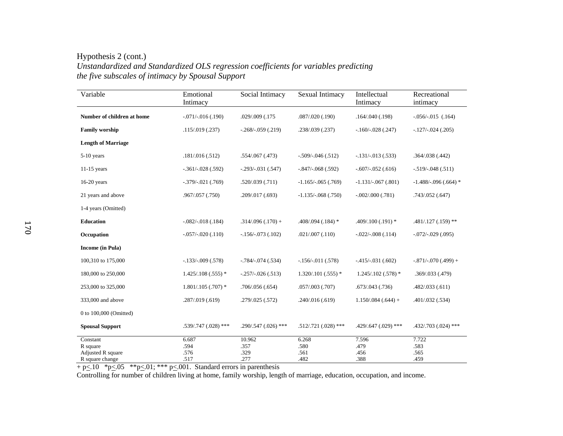Hypothesis 2 (cont.) *Unstandardized and Standardized OLS regression coefficients for variables predicting the five subscales of intimacy by Spousal Support* 

| Variable                                                     | Emotional<br>Intimacy         | Social Intimacy                | Sexual Intimacy               | Intellectual<br>Intimacy      | Recreational<br>intimacy      |
|--------------------------------------------------------------|-------------------------------|--------------------------------|-------------------------------|-------------------------------|-------------------------------|
| Number of children at home                                   | $-.071/-.016(.190)$           | .029/.009 (.175                | .087/.020(.190)               | .164/.040(.198)               | $-.056/-015$ (.164)           |
| <b>Family worship</b>                                        | .115/.019(.237)               | $-.268/-059(.219)$             | .238/.039 (.237)              | $-160/-028(.247)$             | $-.127/-.024(.205)$           |
| <b>Length of Marriage</b>                                    |                               |                                |                               |                               |                               |
| $5-10$ years                                                 | .181/.016(.512)               | $.554/067$ $(.473)$            | $-509/-046(.512)$             | $-.131/-.013(.533)$           | .364/.038(.442)               |
| $11-15$ years                                                | $-.361/-028(.592)$            | $-.293/-.031(.547)$            | $-.847/-.068(.592)$           | $-.607/-052(.616)$            | $-.519/-048(.511)$            |
| $16-20$ years                                                | $-.379/-.021(.769)$           | .520/.039(.711)                | $-1.165/-065(.769)$           | $-1.131/-067(.801)$           | $-1.488/-0.96(.664)$ *        |
| 21 years and above                                           | .967/.057 (.750)              | .209/.017(.693)                | $-1.135/-068(.750)$           | $-.002/.000(.781)$            | .743/.052(.647)               |
| 1-4 years (Omitted)                                          |                               |                                |                               |                               |                               |
| <b>Education</b>                                             | $-.082/-.018(.184)$           | $.314/.096(.170) +$            | $.408/.094(.184)$ *           | $.409/.100(.191)$ *           | $.481/.127(.159)$ **          |
| Occupation                                                   | $-.057/-020(.110)$            | $-.156/-073(.102)$             | .021/.007(.110)               | $-.022/-.008(.114)$           | $-.072/-.029(.095)$           |
| <b>Income</b> (in Pula)                                      |                               |                                |                               |                               |                               |
| 100,310 to 175,000                                           | $-133/-009(.578)$             | $-0.784/-0.74$ (.534)          | $-156/-011(.578)$             | $-415/-031(.602)$             | $-.871/-070(.499) +$          |
| 180,000 to 250,000                                           | $1.425/0.108(.555)$ *         | $-.257/-026(.513)$             | $1.320/101$ $(.555)$ *        | $1.245/0.102(0.578)*$         | .369/.033(.479)               |
| 253,000 to 325,000                                           | $1.801/.105(.707)$ *          | .706/.056(.654)                | $.057/003$ $(.707)$           | .673/0.043(.736)              | .482/.033(.611)               |
| 333,000 and above                                            | .287/.019 (.619)              | .279/.025(.572)                | .240/.016(.619)               | $1.150/0.084(.644) +$         | .401/.032(.534)               |
| 0 to 100,000 (Omitted)                                       |                               |                                |                               |                               |                               |
| <b>Spousal Support</b>                                       | $.539/.747(.028)$ ***         | $.290/.547(.026)$ ***          | $.512/.721(.028)$ ***         | $.429/.647(.029)$ ***         | .432/.703 (.024) ***          |
| Constant<br>R square<br>Adjusted R square<br>R square change | 6.687<br>.594<br>.576<br>.517 | 10.962<br>.357<br>.329<br>.277 | 6.268<br>.580<br>.561<br>.482 | 7.596<br>.479<br>.456<br>.388 | 7.722<br>.583<br>.565<br>.459 |

 $+$  p $\leq$ .10  $*$  p $\leq$ .05  $*$  $*$  p $\leq$ .01;  $*$  $*$  p $\leq$ .001. Standard errors in parenthesis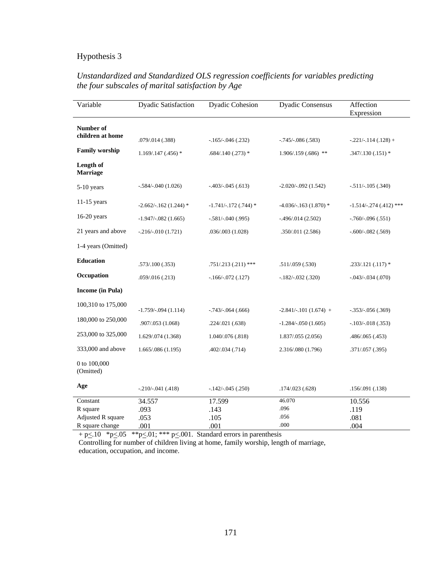| Variable                      | <b>Dyadic Satisfaction</b> | <b>Dyadic Cohesion</b>   | <b>Dyadic Consensus</b> | Affection<br>Expression |
|-------------------------------|----------------------------|--------------------------|-------------------------|-------------------------|
| Number of<br>children at home |                            |                          |                         |                         |
|                               | .079/.014 (.388)           | $-0.165/-0.046$ $(.232)$ | $-.745/-086(.583)$      | $-.221/-.114(.128) +$   |
| <b>Family worship</b>         | $1.169/0.147(0.456)$ *     | $.684/.140(.273)*$       | $1.906/0.159(0.686)$ ** | $.347/.130(.151)*$      |
| Length of<br>Marriage         |                            |                          |                         |                         |
| 5-10 years                    | $-.584/-040(1.026)$        | $-403/-045(.613)$        | $-2.020/-092(1.542)$    | $-.511/-.105(.340)$     |
| $11-15$ years                 | $-2.662/-162(1.244)$ *     | $-1.741/-172(.744)*$     | $-4.036/-163(1.870)$ *  | $-1.514/-274(.412)$ *** |
| $16-20$ years                 | $-1.947/-082$ (1.665)      | $-.581/-040(.995)$       | $-496/014(2.502)$       | $-.760/-096(.551)$      |
| 21 years and above            | $-.216/-.010(1.721)$       | .036/.003 (1.028)        | .350/.011 (2.586)       | $-.600/-082(.569)$      |
| 1-4 years (Omitted)           |                            |                          |                         |                         |
| <b>Education</b>              | .573/.100(.353)            | $.751/.213(.211)$ ***    | .511/.059(.530)         | $.233/.121(.117)*$      |
| Occupation                    | .059/.016(.213)            | $-166/-072(.127)$        | $-.182/-.032(.320)$     | $-.043/-.034(.070)$     |
| <b>Income</b> (in Pula)       |                            |                          |                         |                         |
| 100,310 to 175,000            | $-1.759/-094(1.114)$       | $-.743/-064(.666)$       | $-2.841/-101(1.674) +$  | $-.353/-056(.369)$      |
| 180,000 to 250,000            | .907/.053 (1.068)          | .224/.021(.638)          | $-1.284/-050(1.605)$    | $-.103/-018(.353)$      |
| 253,000 to 325,000            | 1.629/.074 (1.368)         | 1.040/.076 (.818)        | 1.837/.055 (2.056)      | .486/.065 (.453)        |
| 333,000 and above             | 1.665/0.086(1.195)         | .402/.034(.714)          | 2.316/.080 (1.796)      | .371/.057 (.395)        |
| 0 to 100,000<br>(Omitted)     |                            |                          |                         |                         |
| Age                           | $-.210/-041(.418)$         | $-.142/-.045(.250)$      | .174/.023(.628)         | .156/.091(.138)         |
| Constant                      | 34.557                     | 17.599                   | 46.070                  | 10.556                  |
| R square                      | .093                       | .143                     | .096                    | .119                    |
| Adjusted R square             | .053                       | .105                     | .056                    | .081                    |
| R square change               | .001                       | .001                     | .000                    | .004                    |

### *Unstandardized and Standardized OLS regression coefficients for variables predicting the four subscales of marital satisfaction by Age*

 $+$  p $\leq$ .10  $*$  p $\leq$ .05  $*$  $*$  p $\leq$ .01;  $*$  $*$  $*$  p $\leq$ .001. Standard errors in parenthesis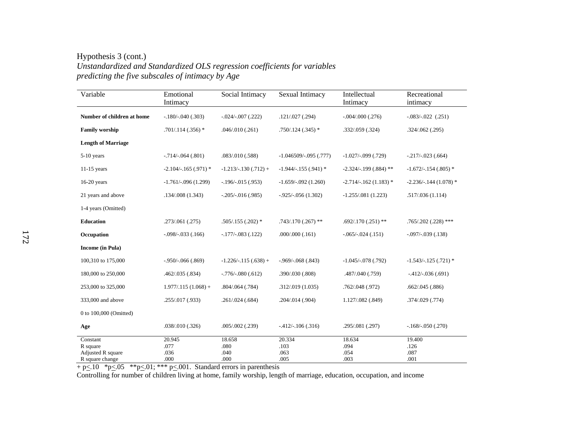Hypothesis 3 (cont.) *Unstandardized and Standardized OLS regression coefficients for variables predicting the five subscales of intimacy by Age* 

| Variable                                                     | Emotional<br>Intimacy          | Social Intimacy                | Sexual Intimacy                | Intellectual<br>Intimacy       | Recreational<br>intimacy       |
|--------------------------------------------------------------|--------------------------------|--------------------------------|--------------------------------|--------------------------------|--------------------------------|
| Number of children at home                                   | $-.180/-040(.303)$             | $-.024/-.007(.222)$            | .121/.027(.294)                | $-.004/.000(.276)$             | $-.083/-022$ $(.251)$          |
| <b>Family worship</b>                                        | $.701/.114(.356)*$             | .046/.010(.261)                | $.750/.124(.345)*$             | .332/.059(.324)                | .324/.062(.295)                |
| <b>Length of Marriage</b>                                    |                                |                                |                                |                                |                                |
| $5-10$ years                                                 | $-714/-064(.801)$              | .083/.010(.588)                | $-1.046509/-095(.777)$         | $-1.027/-099$ (.729)           | $-217/-023(.664)$              |
| $11-15$ years                                                | $-2.104/-165(.971)$ *          | $-1.213/-130(.712) +$          | $-1.944/-155(.941)$ *          | $-2.324/- 199(.884)$ **        | $-1.672/-154(.805)$ *          |
| $16-20$ years                                                | $-1.761/-096(1.299)$           | $-.196/-015(.953)$             | $-1.659/-092(1.260)$           | $-2.714/-162(1.183)$ *         | $-2.236/-144(1.078)$ *         |
| 21 years and above                                           | .134/.008(1.343)               | $-0.205/-016$ (.985)           | $-0.925/-0.056(1.302)$         | $-1.255/081(1.223)$            | .517/.036(1.114)               |
| 1-4 years (Omitted)                                          |                                |                                |                                |                                |                                |
| <b>Education</b>                                             | .273/.061(.275)                | $.505/.155(.202)*$             | $.743/.170(.267)$ **           | $.692/.170(.251)$ **           | $.765/.202(.228)$ ***          |
| Occupation                                                   | $-.098/-033(.166)$             | $-177/-083(.122)$              | .000/.000(.161)                | $-0.065/-0.24$ (.151)          | $-0.097/-039$ (.138)           |
| <b>Income</b> (in Pula)                                      |                                |                                |                                |                                |                                |
| 100,310 to 175,000                                           | $-950/-066(.869)$              | $-1.226/-115(.638) +$          | $-969/-068(.843)$              | $-1.045/-078$ (.792)           | $-1.543/-125(.721)$ *          |
| 180,000 to 250,000                                           | .462/.035(.834)                | $-.776/-080(.612)$             | .390/.030(.808)                | .487/.040 (.759)               | $-412/-036(.691)$              |
| 253,000 to 325,000                                           | $1.977/0.115(1.068) +$         | $.804/064$ $(.784)$            | .312/.019(1.035)               | .762/.048(.972)                | .662/.045(.886)                |
| 333,000 and above                                            | .255/.017(.933)                | .261/.024(.684)                | .204/.014 (.904)               | 1.127/.082 (.849)              | .374/.029(.774)                |
| 0 to 100,000 (Omitted)                                       |                                |                                |                                |                                |                                |
| Age                                                          | .038/.010 (.326)               | .005/.002 (.239)               | $-412/-106(.316)$              | .295/.081 (.297)               | $-168/-050(.270)$              |
| Constant<br>R square<br>Adjusted R square<br>R square change | 20.945<br>.077<br>.036<br>.000 | 18.658<br>.080<br>.040<br>.000 | 20.334<br>.103<br>.063<br>.005 | 18.634<br>.094<br>.054<br>.003 | 19.400<br>.126<br>.087<br>.001 |

 $+$  p $\leq$ .10  $*$  p $\leq$ .05  $*$  $*$  p $\leq$ .01;  $*$  $*$  p $\leq$ .001. Standard errors in parenthesis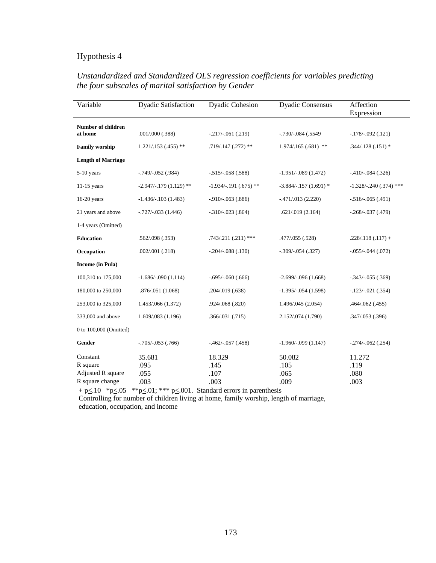| Variable                             | <b>Dyadic Satisfaction</b> | <b>Dyadic Cohesion</b> | <b>Dyadic Consensus</b>    | Affection<br>Expression  |
|--------------------------------------|----------------------------|------------------------|----------------------------|--------------------------|
| <b>Number of children</b><br>at home | .001/.000(.388)            | $-.217/-.061(.219)$    | $-0.730$ / $-0.084$ (.5549 | $-.178/-092(.121)$       |
| <b>Family worship</b>                | $1.221/.153(.455)$ **      | $.719/.147(.272)$ **   | $1.974/0.165(0.681)$ **    | $.344/.128(.151)$ *      |
| <b>Length of Marriage</b>            |                            |                        |                            |                          |
| $5-10$ years                         | $-0.749$ , $-0.052$ (.984) | $-.515/-058(.588)$     | $-1.951/-089(1.472)$       | $-.410/-084(.326)$       |
| $11-15$ years                        | $-2.947/-179(1.129)$ **    | $-1.934/-191(.675)$ ** | $-3.884/-157(1.691)$ *     | $-1.328/- 240(.374)$ *** |
| $16-20$ years                        | $-1.436/-103(1.483)$       | $-0.910/-063$ (.886)   | $-471/013(2.220)$          | $-.516/-065(.491)$       |
| 21 years and above                   | $-.727/-.033(1.446)$       | $-.310/-023(.864)$     | .621/.019(2.164)           | $-.268/-.037(.479)$      |
| 1-4 years (Omitted)                  |                            |                        |                            |                          |
| <b>Education</b>                     | .562/.098(.353)            | $.743/.211(.211)$ ***  | .477/.055 (.528)           | $.228/.118(.117) +$      |
| Occupation                           | .002/.001(.218)            | $-.204/-088(.130)$     | $-.309/-054(.327)$         | $-0.055/-0.044$ (.072)   |
| <b>Income</b> (in Pula)              |                            |                        |                            |                          |
| 100,310 to 175,000                   | $-1.686/-090(1.114)$       | $-.695/-060(.666)$     | $-2.699/-096(1.668)$       | $-.343/-.055(.369)$      |
| 180,000 to 250,000                   | .876/.051 (1.068)          | .204/.019(.638)        | $-1.395/-054(1.598)$       | $-.123/-.021(.354)$      |
| 253,000 to 325,000                   | 1.453/.066 (1.372)         | .924/.068 (.820)       | 1.496/.045 (2.054)         | .464/.062 (.455)         |
| 333,000 and above                    | 1.609/.083 (1.196)         | .366/.031(.715)        | 2.152/.074 (1.790)         | .347/.053(.396)          |
| 0 to 100,000 (Omitted)               |                            |                        |                            |                          |
| Gender                               | $-0.705/-053$ (.766)       | $-.462/-.057(.458)$    | $-1.960/-099(1.147)$       | $-.274/-.062(.254)$      |
| Constant                             | 35.681                     | 18.329                 | 50.082                     | 11.272                   |
| R square                             | .095                       | .145                   | .105                       | .119                     |
| Adjusted R square                    | .055                       | .107                   | .065                       | .080                     |
| R square change                      | .003                       | .003                   | .009                       | .003                     |

# *Unstandardized and Standardized OLS regression coefficients for variables predicting the four subscales of marital satisfaction by Gender*

 $+$  p $\leq$ .10  $*$  p $\leq$ .05  $*$  $*$  p $\leq$ .01;  $*$  $*$  $*$  p $\leq$ .001. Standard errors in parenthesis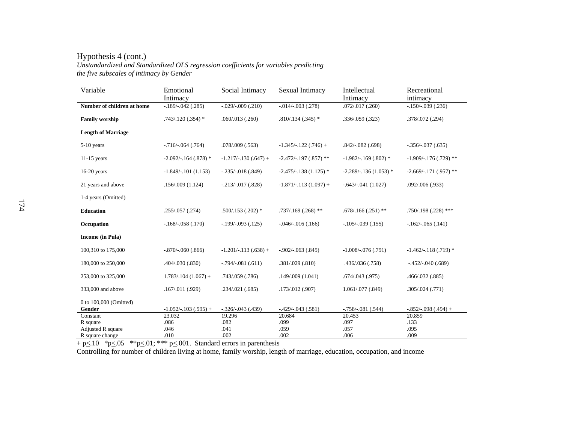#### Hypothesis 4 (cont.)

*Unstandardized and Standardized OLS regression coefficients for variables predicting the five subscales of intimacy by Gender* 

| Variable                         | Emotional<br>Intimacy | Social Intimacy       | Sexual Intimacy         | Intellectual<br>Intimacy | Recreational<br>intimacy |
|----------------------------------|-----------------------|-----------------------|-------------------------|--------------------------|--------------------------|
| Number of children at home       | $-189/-042$ (.285)    | $-.029/-009(.210)$    | $-.014/-.003(.278)$     | .072/.017(.260)          | $-150/-039(.236)$        |
| <b>Family worship</b>            | $.743/.120(.354)*$    | .060/.013(.260)       | $.810/.134(.345)*$      | .336/.059(.323)          | .378/.072 (.294)         |
| <b>Length of Marriage</b>        |                       |                       |                         |                          |                          |
| 5-10 years                       | $-716/-064(.764)$     | .078/009(.563)        | $-1.345/-122(.746) +$   | $.842/-.082(.698)$       | $-356/-037(.635)$        |
| $11-15$ years                    | $-2.092/-164(.878)$ * | $-1.217/-130(.647) +$ | $-2.472/-197(.857)$ **  | $-1.982/-169(.802)$ *    | $-1.909/-176$ (.729) **  |
| $16-20$ years                    | $-1.849/-101(1.153)$  | $-.235/-.018(.849)$   | $-2.475/-138(1.125)$ *  | $-2.289/-136(1.053)$ *   | $-2.669/-171(.957)$ **   |
| 21 years and above               | .156/.009(1.124)      | $-.213/-.017(.828)$   | $-1.871/-.113(1.097) +$ | $-.643/-041(1.027)$      | .092/.006(.933)          |
| 1-4 years (Omitted)              |                       |                       |                         |                          |                          |
| <b>Education</b>                 | .255/.057(.274)       | $.500/.153(.202)*$    | $.737/.169(.268)$ **    | $.678/.166(.251)$ **     | $.750/.198(.228)$ ***    |
| Occupation                       | $-168/-058(.170)$     | $-199/-093(.125)$     | $-0.046/-0.16(0.166)$   | $-105/-039(.155)$        | $-162/-065(.141)$        |
| Income (in Pula)                 |                       |                       |                         |                          |                          |
| 100,310 to 175,000               | $-.870/-060(.866)$    | $-1.201/-113(.638) +$ | $-.902/-063(.845)$      | $-1.008/-076(.791)$      | $-1.462/-118(.719)$ *    |
| 180,000 to 250,000               | .404/.030 (.830)      | $-0.794/-081$ (.611)  | .381/.029(.810)         | .436/.036 (.758)         | $-452/-040(.689)$        |
| 253,000 to 325,000               | $1.783/104(1.067) +$  | .743/.059 (.786)      | .149/.009(1.041)        | .674/0.043(.975)         | .466/.032(.885)          |
| 333,000 and above                | .167/.011(.929)       | .234/.021(.685)       | .173/.012 (.907)        | 1.061/.077 (.849)        | .305/.024(.771)          |
| 0 to 100,000 (Omitted)<br>Gender | $-1.052/-103(.595) +$ | $-.326/-043(.439)$    | $-.429/-043(.581)$      | $-758/-081(.544)$        | $-.852/-098(.494) +$     |
| Constant                         | 23.032                | 19.296                | 20.684                  | 20.453                   | 20.859                   |
| R square                         | .086                  | .082                  | .099                    | .097                     | .133                     |
| <b>Adjusted R square</b>         | .046                  | .041                  | .059                    | .057                     | .095                     |
| R square change                  | .010                  | .002                  | .002                    | .006                     | .009                     |

 $+$  p $\leq$ .10  $*$  p $\leq$ .05  $*$  $*$  p $\leq$ .01;  $*$  $*$  p $\leq$ .001. Standard errors in parenthesis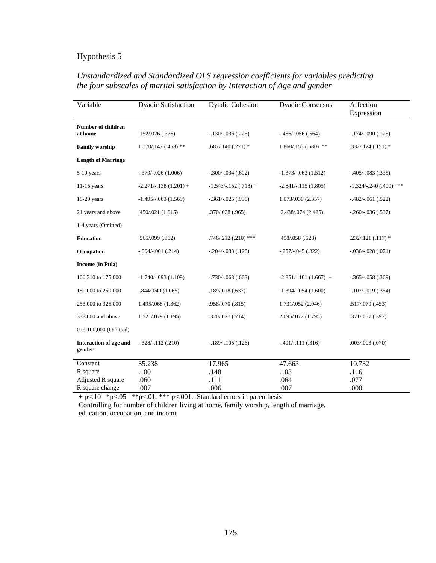| Variable                             | <b>Dyadic Satisfaction</b> | <b>Dyadic Cohesion</b> | <b>Dyadic Consensus</b> | Affection<br>Expression  |
|--------------------------------------|----------------------------|------------------------|-------------------------|--------------------------|
| <b>Number of children</b><br>at home | .152/.026(.376)            | $-.130/-036(.225)$     | $-486/-056(.564)$       | $-.174/-.090(.125)$      |
| <b>Family worship</b>                | $1.170/0.147$ (.453) **    | $.687/.140(.271)*$     | $1.860/.155(.680)$ **   | $.332/.124(.151)$ *      |
| <b>Length of Marriage</b>            |                            |                        |                         |                          |
| $5-10$ years                         | $-.379/-026(1.006)$        | $-.300/-034(.602)$     | $-1.373/-063(1.512)$    | $-405/-083(.335)$        |
| $11-15$ years                        | $-2.271/-138(1.201) +$     | $-1.543/-152(.718)$ *  | $-2.841/-115(1.805)$    | $-1.324/- 240(.400)$ *** |
| 16-20 years                          | $-1.495/-063(1.569)$       | $-.361/-025(.938)$     | 1.073/.030 (2.357)      | $-.482/-.061(.522)$      |
| 21 years and above                   | .450/.021(1.615)           | .370/.028(.965)        | 2.438/.074 (2.425)      | $-.260/-036(.537)$       |
|                                      |                            |                        |                         |                          |
| 1-4 years (Omitted)                  |                            |                        |                         |                          |
| <b>Education</b>                     | .565/.099 (.352)           | $.746/.212(.210)$ ***  | .498/.058 (.528)        | $.232/.121(.117)*$       |
| Occupation                           | $-.004/-001(.214)$         | $-.204/-088(.128)$     | $-.257/-.045(.322)$     | $-.036/-028(.071)$       |
| <b>Income</b> (in Pula)              |                            |                        |                         |                          |
| 100,310 to 175,000                   | $-1.740/-093(1.109)$       | $-.730/-063(.663)$     | $-2.851/-101(1.667) +$  | $-.365/-.058(.369)$      |
| 180,000 to 250,000                   | .844/.049(1.065)           | .189/.018(.637)        | $-1.394/-054(1.600)$    | $-.107/-019(.354)$       |
| 253,000 to 325,000                   | 1.495/.068 (1.362)         | .958/.070 (.815)       | 1.731/.052 (2.046)      | .517/.070(.453)          |
| 333,000 and above                    | 1.521/.079 (1.195)         | .320/.027(.714)        | 2.095/.072 (1.795)      | .371/.057(.397)          |
| 0 to 100,000 (Omitted)               |                            |                        |                         |                          |
| Interaction of age and<br>gender     | $-.328/-.112(.210)$        | $-189/-105(.126)$      | $-.491/-.111(.316)$     | .003/.003(.070)          |
| Constant                             | 35.238                     | 17.965                 | 47.663                  | 10.732                   |
| R square                             | .100                       | .148                   | .103                    | .116                     |
| Adjusted R square                    | .060                       | .111                   | .064                    | .077                     |
| R square change                      | .007                       | .006                   | .007                    | .000                     |

### *Unstandardized and Standardized OLS regression coefficients for variables predicting the four subscales of marital satisfaction by Interaction of Age and gender*

 $+$  p $\leq$ .10  $*$  p $\leq$ .05  $*$  $*$  p $\leq$ .01;  $*$  $*$  $*$  p $\leq$ .001. Standard errors in parenthesis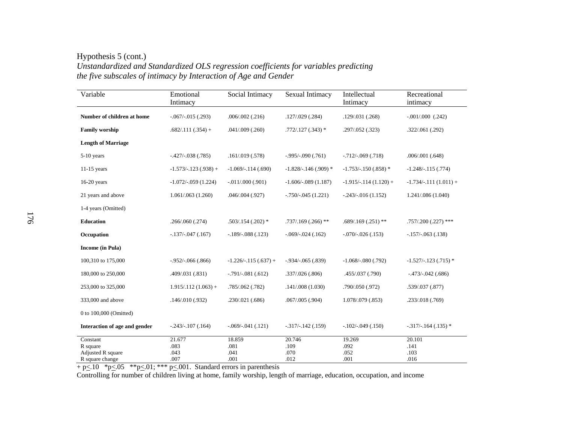Hypothesis 5 (cont.) *Unstandardized and Standardized OLS regression coefficients for variables predicting the five subscales of intimacy by Interaction of Age and Gender* 

| Variable                                                     | Emotional<br>Intimacy          | Social Intimacy                | Sexual Intimacy                | Intellectual<br>Intimacy       | Recreational<br>intimacy       |
|--------------------------------------------------------------|--------------------------------|--------------------------------|--------------------------------|--------------------------------|--------------------------------|
| Number of children at home                                   | $-.067/-015(.293)$             | .006/.002(.216)                | .127/.029(.284)                | .129/.031(.268)                | $-.001/.000$ $(.242)$          |
| <b>Family worship</b>                                        | $.682/.111(.354) +$            | $.041/009$ $(.260)$            | $.772/.127(.343)*$             | .297/.052 (.323)               | .322/.061(.292)                |
| <b>Length of Marriage</b>                                    |                                |                                |                                |                                |                                |
| $5-10$ years                                                 | $-.427/-.038(.785)$            | .161/.019(.578)                | $-0.995/-090(.761)$            | $-.712/-.069(.718)$            | .006/.001(.648)                |
| $11-15$ years                                                | $-1.573/-123(.938) +$          | $-1.069/-114(.690)$            | $-1.828/- 146(.909)$ *         | $-1.753/-150(.858)$ *          | $-1.248/-115(.774)$            |
| $16-20$ years                                                | $-1.072/-059(1.224)$           | $-.011/.000(.901)$             | $-1.606/-089(1.187)$           | $-1.915/-114(1.120) +$         | $-1.734/-111(1.011) +$         |
| 21 years and above                                           | 1.061/.063(1.260)              | .046/.004(.927)                | $-.750/-045(1.221)$            | $-.243/-.016(1.152)$           | 1.241/.086 (1.040)             |
| 1-4 years (Omitted)                                          |                                |                                |                                |                                |                                |
| <b>Education</b>                                             | .266/.060(.274)                | $.503/.154(.202)*$             | $.737/.169(.266)$ **           | $.689/.169(.251)$ **           | $.757/.200(.227)$ ***          |
| Occupation                                                   | $-.137/-.047(.167)$            | $-.189/-088(.123)$             | $-.069/-024(.162)$             | $-.070/-026(.153)$             | $-157/-063(.138)$              |
| <b>Income</b> (in Pula)                                      |                                |                                |                                |                                |                                |
| 100,310 to 175,000                                           | $-0.952/-066(.866)$            | $-1.226/-115(.637) +$          | $-0.934/-0.65$ (.839)          | $-1.068/-080(.792)$            | $-1.527/-123(.715)$ *          |
| 180,000 to 250,000                                           | .409/.031 (.831)               | $-.791/-081(.612)$             | .337/.026(.806)                | .455/.037 (.790)               | $-473/-042$ (.686)             |
| 253,000 to 325,000                                           | $1.915/112(1.063) +$           | .785/.062(.782)                | .141/.008(1.030)               | .790/.050 (.972)               | .539/.037 (.877)               |
| 333,000 and above                                            | .146/.010(.932)                | .230/.021(.686)                | $.067/005$ (.904)              | 1.078/.079 (.853)              | .233/.018(.769)                |
| 0 to 100,000 (Omitted)                                       |                                |                                |                                |                                |                                |
| Interaction of age and gender                                | $-0.243/-0.107$ $(0.164)$      | $-.069/-041(.121)$             | $-.317/-.142(.159)$            | $-102/-049(.150)$              | $-0.317/-0.164$ (.135) *       |
| Constant<br>R square<br>Adjusted R square<br>R square change | 21.677<br>.083<br>.043<br>.007 | 18.859<br>.081<br>.041<br>.001 | 20.746<br>.109<br>.070<br>.012 | 19.269<br>.092<br>.052<br>.001 | 20.101<br>.141<br>.103<br>.016 |

 $+$  p $\leq$ .10  $*$  p $\leq$ .05  $*$  $*$  p $\leq$ .01;  $*$  $*$  p $\leq$ .001. Standard errors in parenthesis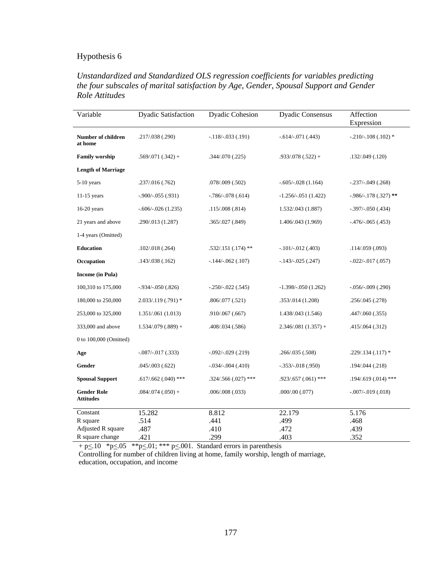#### *Unstandardized and Standardized OLS regression coefficients for variables predicting the four subscales of marital satisfaction by Age, Gender, Spousal Support and Gender Role Attitudes*

| Variable                               | <b>Dyadic Satisfaction</b> | <b>Dyadic Cohesion</b>  | <b>Dyadic Consensus</b> | Affection<br>Expression |
|----------------------------------------|----------------------------|-------------------------|-------------------------|-------------------------|
| Number of children<br>at home          | .217/.038 (.290)           | $-118/-033(.191)$       | $-.614/-.071(.443)$     | $-.210/-.108(.102)$ *   |
| <b>Family worship</b>                  | $.569/.071(.342) +$        | .344/.070 (.225)        | $.933/.078(.522) +$     | .132/.049 (.120)        |
| <b>Length of Marriage</b>              |                            |                         |                         |                         |
| $5-10$ years                           | .237/.016 (.762)           | .078/.009 (.502)        | $-.605/-028(1.164)$     | $-.237/-049(.268)$      |
| $11-15$ years                          | $-0.900$ / $-0.055$ (.931) | $-.786/-078(.614)$      | $-1.256/-051(1.422)$    | $-986/-178(.327)$ **    |
| $16-20$ years                          | $-.606/-026(1.235)$        | .115/.008(.814)         | 1.532/.043 (1.887)      | $-.397/-050(.434)$      |
| 21 years and above                     | .290/.013 (1.287)          | .365/.027 (.849)        | 1.406/.043 (1.969)      | $-476/-065(.453)$       |
| 1-4 years (Omitted)                    |                            |                         |                         |                         |
| <b>Education</b>                       | .102/.018(.264)            | $.532/.151(.174)$ **    | $-.101/-.012(.403)$     | .114/.059(.093)         |
| Occupation                             | .143/.038(.162)            | $-.144/-.062(.107)$     | $-.143/-.025(.247)$     | $-.022/-.017(.057)$     |
| <b>Income</b> (in Pula)                |                            |                         |                         |                         |
| 100,310 to 175,000                     | $-.934/-050(.826)$         | $-.250/-022(.545)$      | $-1.398/-050(1.262)$    | $-0.056/-0.009$ (.290)  |
| 180,000 to 250,000                     | 2.033/.119 (.791) *        | .806/.077 (.521)        | .353/.014 (1.208)       | .256/.045 (.278)        |
| 253,000 to 325,000                     | 1.351/.061(1.013)          | .910/.067 (.667)        | 1.438/.043 (1.546)      | .447/.060 (.355)        |
| 333,000 and above                      | $1.534/079(.889) +$        | .408/.034 (.586)        | $2.346/081(1.357) +$    | .415/.064 (.312)        |
| 0 to 100,000 (Omitted)                 |                            |                         |                         |                         |
| Age                                    | $-.087/-017(.333)$         | $-0.092/-029$ $(0.219)$ | .266/.035 (.508)        | $.229/.134(.117)*$      |
| Gender                                 | .045/.003(.622)            | $-.034/-004(.410)$      | $-.353/-.018(.950)$     | .194/.044 (.218)        |
| <b>Spousal Support</b>                 | $.617/.662(.040)$ ***      | $.324/.566(.027)$ ***   | $.923/.657(.061)$ ***   | $.194/.619(.014)$ ***   |
| <b>Gender Role</b><br><b>Attitudes</b> | $.084/.074(.050) +$        | .006/.008(.033)         | .000/.00(.077)          | $-.007/-019(.018)$      |
| Constant                               | 15.282                     | 8.812                   | 22.179                  | 5.176                   |
| R square                               | .514                       | .441                    | .499                    | .468                    |
| Adjusted R square                      | .487                       | .410                    | .472                    | .439                    |
| R square change                        | .421                       | .299                    | .403                    | .352                    |

 $+$  p $\leq$ .10  $*$  p $\leq$ .05  $*$  $*$  p $\leq$ .01;  $*$  $*$  $*$  p $\leq$ .001. Standard errors in parenthesis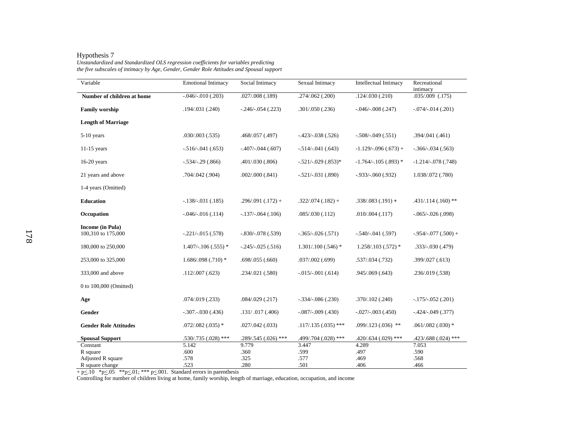*Unstandardized and Standardized OLS regression coefficients for variables predicting the five subscales of intimacy by Age, Gender, Gender Role Attitudes and Spousal support* 

| Variable                                      | <b>Emotional Intimacy</b> | Social Intimacy       | Sexual Intimacy        | Intellectual Intimacy | Recreational<br>intimacy |
|-----------------------------------------------|---------------------------|-----------------------|------------------------|-----------------------|--------------------------|
| Number of children at home                    | $-.046/-010(.203)$        | $.027/008$ $(.189)$   | .274/.062(.200)        | .124/.030(.210)       | $.035/.009$ $(.175)$     |
| <b>Family worship</b>                         | .194/.031 (.240)          | $-.246/-.054(.223)$   | .301/.050(.236)        | $-0.046/-008$ (.247)  | $-.074/-.014(.201)$      |
| <b>Length of Marriage</b>                     |                           |                       |                        |                       |                          |
| 5-10 years                                    | $.030/003$ $(.535)$       | .468/.057 (.497)      | $-.423/-.038(.526)$    | $-.508/-049(.551)$    | .394/.041(.461)          |
| $11-15$ years                                 | $-.516/-041(.653)$        | $-.407/-.044(.607)$   | $-.514/-041(.643)$     | $-1.129/-096(.673) +$ | $-.366/-034(.563)$       |
| $16-20$ years                                 | $-.534/-.29(.866)$        | .401/.030(.806)       | $-.521/-029(.853)*$    | $-1.764/-105(.893)$ * | $-1.214/-078(.748)$      |
| 21 years and above                            | .704/.042 (.904)          | .002/.000(.841)       | $-.521/-.031(.890)$    | $-.933/-060(.932)$    | 1.038/.072 (.780)        |
| 1-4 years (Omitted)                           |                           |                       |                        |                       |                          |
| <b>Education</b>                              | $-.138/-.031(.185)$       | $.296/.091(.172) +$   | $.322/.074(.182) +$    | $.338/.083(.191) +$   | $.431/.114(.160)$ **     |
| Occupation                                    | $-0.046(-0.016)(0.114)$   | $-137/-064(.106)$     | .085/.030(.112)        | .010/.004(.117)       | $-.065/-026(.098)$       |
| <b>Income</b> (in Pula)<br>100,310 to 175,000 | $-.221/-.015(.578)$       | $-.830/-.078(.539)$   | $-.365/-026(.571)$     | $-.540/-041(.597)$    | $-954/-077(.500) +$      |
| 180,000 to 250,000                            | $1.407/-106(.555)$ *      | $-.245/-025(.516)$    | $1.301/100$ $(.546)$ * | $1.258/0.103(0.572)*$ | $.333/-.030(.479)$       |
| 253,000 to 325,000                            | $1.686/0.98$ (.710) *     | .698/.055(.660)       | $.037/002$ (.699)      | .537/.034 (.732)      | .399/.027(.613)          |
| 333,000 and above                             | .112/.007(.623)           | .234/.021 (.580)      | $-.015/-001(.614)$     | .945/069(.643)        | .236/.019 (.538)         |
| 0 to 100,000 (Omitted)                        |                           |                       |                        |                       |                          |
| Age                                           | $.074/0.019$ $(.233)$     | .084/.029(.217)       | $-.334/-086(.230)$     | .370/.102(.240)       | $-.175/-.052(.201)$      |
| Gender                                        | $-.307-.030(.436)$        | .131/ .017(.406)      | $-087/-009$ (.430)     | $-027/-003(.450)$     | $-424/-049(.377)$        |
| <b>Gender Role Attitudes</b>                  | $.072/.082(.035)*$        | .027/.042(.033)       | $.117/.135(.035)$ ***  | $.099/.123(.036)$ **  | $.061/.082(.030)*$       |
| <b>Spousal Support</b>                        | .530/.735 (.028) ***      | $.289/.545(.026)$ *** | .499/.704 (.028) ***   | .420/.634 (.029) ***  | .423/.688 (.024) ***     |
| Constant                                      | 5.142                     | 9.779                 | 3.447                  | 4.289                 | 7.053                    |
| R square                                      | .600                      | .360                  | .599                   | .497                  | .590                     |
| Adjusted R square                             | .578                      | .325                  | .577                   | .469                  | .568                     |
| R square change                               | .523                      | .280                  | .501                   | .406                  | .466                     |

 $+ p \leq 10$  \*p $\leq 05$  \*\*p $\leq 01$ ; \*\*\* p $\leq 001$ . Standard errors in parenthesis